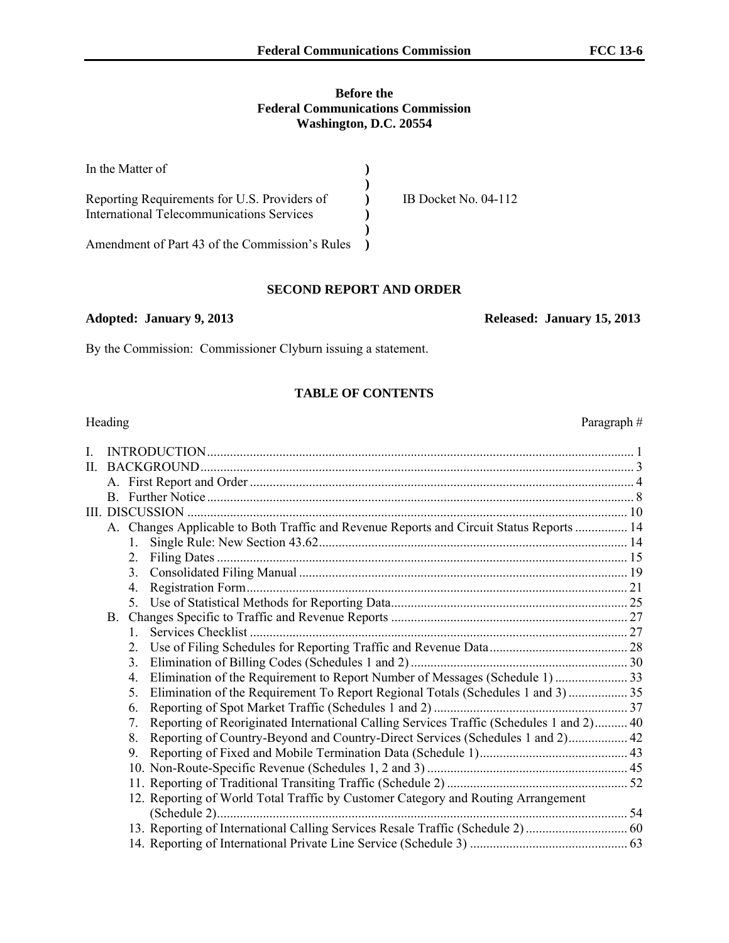#### **Before the Federal Communications Commission Washington, D.C. 20554**

| In the Matter of                                 |                      |
|--------------------------------------------------|----------------------|
|                                                  |                      |
| Reporting Requirements for U.S. Providers of     | IB Docket No. 04-112 |
| <b>International Telecommunications Services</b> |                      |
|                                                  |                      |
| Amendment of Part 43 of the Commission's Rules   |                      |

#### **SECOND REPORT AND ORDER**

#### **Adopted: January 9, 2013 Released: January 15, 2013**

By the Commission: Commissioner Clyburn issuing a statement.

#### **TABLE OF CONTENTS**

| Heading      | Paragraph#                                                                                    |  |
|--------------|-----------------------------------------------------------------------------------------------|--|
| $\mathbf{I}$ |                                                                                               |  |
| $\Pi$        |                                                                                               |  |
|              |                                                                                               |  |
|              |                                                                                               |  |
|              |                                                                                               |  |
|              | A. Changes Applicable to Both Traffic and Revenue Reports and Circuit Status Reports  14      |  |
|              | $1_{\cdot}$                                                                                   |  |
|              |                                                                                               |  |
|              |                                                                                               |  |
|              |                                                                                               |  |
|              |                                                                                               |  |
|              |                                                                                               |  |
|              | $\mathbf{1}$                                                                                  |  |
|              | 2.                                                                                            |  |
|              | $3_{-}$                                                                                       |  |
|              | 4.                                                                                            |  |
|              | 5.                                                                                            |  |
|              | 6.                                                                                            |  |
|              | Reporting of Reoriginated International Calling Services Traffic (Schedules 1 and 2) 40<br>7. |  |
|              | Reporting of Country-Beyond and Country-Direct Services (Schedules 1 and 2) 42<br>8.          |  |
|              | 9.                                                                                            |  |
|              |                                                                                               |  |
|              |                                                                                               |  |
|              | 12. Reporting of World Total Traffic by Customer Category and Routing Arrangement             |  |
|              |                                                                                               |  |
|              |                                                                                               |  |
|              |                                                                                               |  |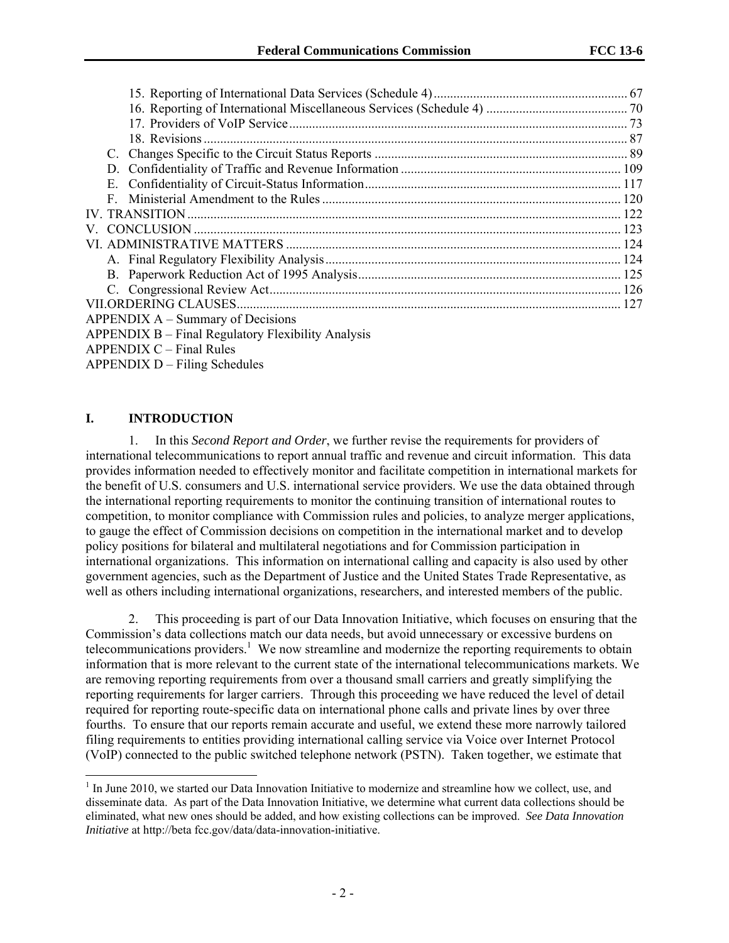| D.                                                 |  |
|----------------------------------------------------|--|
| Е.                                                 |  |
| F.                                                 |  |
|                                                    |  |
|                                                    |  |
|                                                    |  |
|                                                    |  |
|                                                    |  |
|                                                    |  |
|                                                    |  |
| $APPENDIX A - Summary of Decisions$                |  |
| APPENDIX B – Final Regulatory Flexibility Analysis |  |
| $APPENDIX C - Final Rules$                         |  |

APPENDIX D – Filing Schedules

### **I. INTRODUCTION**

l

1. In this *Second Report and Order*, we further revise the requirements for providers of international telecommunications to report annual traffic and revenue and circuit information. This data provides information needed to effectively monitor and facilitate competition in international markets for the benefit of U.S. consumers and U.S. international service providers. We use the data obtained through the international reporting requirements to monitor the continuing transition of international routes to competition, to monitor compliance with Commission rules and policies, to analyze merger applications, to gauge the effect of Commission decisions on competition in the international market and to develop policy positions for bilateral and multilateral negotiations and for Commission participation in international organizations. This information on international calling and capacity is also used by other government agencies, such as the Department of Justice and the United States Trade Representative, as well as others including international organizations, researchers, and interested members of the public.

2. This proceeding is part of our Data Innovation Initiative, which focuses on ensuring that the Commission's data collections match our data needs, but avoid unnecessary or excessive burdens on telecommunications providers.<sup>1</sup> We now streamline and modernize the reporting requirements to obtain information that is more relevant to the current state of the international telecommunications markets. We are removing reporting requirements from over a thousand small carriers and greatly simplifying the reporting requirements for larger carriers. Through this proceeding we have reduced the level of detail required for reporting route-specific data on international phone calls and private lines by over three fourths. To ensure that our reports remain accurate and useful, we extend these more narrowly tailored filing requirements to entities providing international calling service via Voice over Internet Protocol (VoIP) connected to the public switched telephone network (PSTN). Taken together, we estimate that

<sup>&</sup>lt;sup>1</sup> In June 2010, we started our Data Innovation Initiative to modernize and streamline how we collect, use, and disseminate data. As part of the Data Innovation Initiative, we determine what current data collections should be eliminated, what new ones should be added, and how existing collections can be improved. *See Data Innovation Initiative* at http://beta fcc.gov/data/data-innovation-initiative.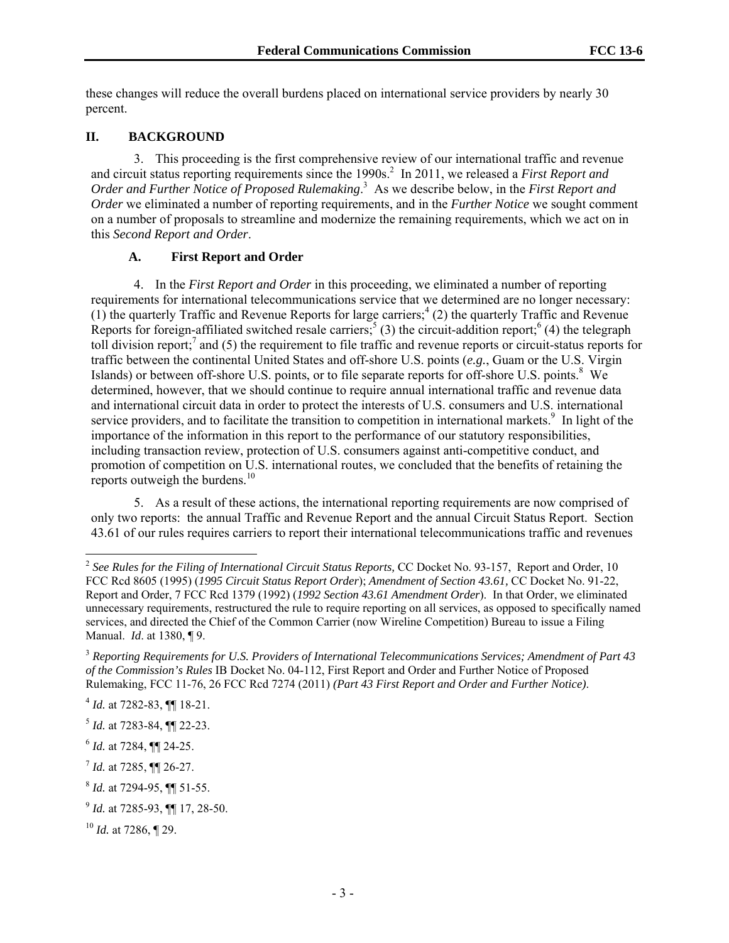these changes will reduce the overall burdens placed on international service providers by nearly 30 percent.

#### **II. BACKGROUND**

3. This proceeding is the first comprehensive review of our international traffic and revenue and circuit status reporting requirements since the 1990s.<sup>2</sup> In 2011, we released a *First Report and Order and Further Notice of Proposed Rulemaking*. 3 As we describe below, in the *First Report and Order* we eliminated a number of reporting requirements, and in the *Further Notice* we sought comment on a number of proposals to streamline and modernize the remaining requirements, which we act on in this *Second Report and Order*.

### **A. First Report and Order**

4. In the *First Report and Order* in this proceeding, we eliminated a number of reporting requirements for international telecommunications service that we determined are no longer necessary:  $(1)$  the quarterly Traffic and Revenue Reports for large carriers;<sup>4</sup> (2) the quarterly Traffic and Revenue Reports for foreign-affiliated switched resale carriers;<sup>5</sup> (3) the circuit-addition report;<sup>6</sup> (4) the telegraph toll division report;<sup>7</sup> and (5) the requirement to file traffic and revenue reports or circuit-status reports for traffic between the continental United States and off-shore U.S. points (*e.g.*, Guam or the U.S. Virgin Islands) or between off-shore U.S. points, or to file separate reports for off-shore U.S. points.<sup>8</sup> We determined, however, that we should continue to require annual international traffic and revenue data and international circuit data in order to protect the interests of U.S. consumers and U.S. international service providers, and to facilitate the transition to competition in international markets.<sup>9</sup> In light of the importance of the information in this report to the performance of our statutory responsibilities, including transaction review, protection of U.S. consumers against anti-competitive conduct, and promotion of competition on U.S. international routes, we concluded that the benefits of retaining the reports outweigh the burdens. $10$ 

5. As a result of these actions, the international reporting requirements are now comprised of only two reports: the annual Traffic and Revenue Report and the annual Circuit Status Report. Section 43.61 of our rules requires carriers to report their international telecommunications traffic and revenues

l

<sup>&</sup>lt;sup>2</sup> See Rules for the Filing of International Circuit Status Reports, CC Docket No. 93-157, Report and Order, 10 FCC Rcd 8605 (1995) (*1995 Circuit Status Report Order*); *Amendment of Section 43.61,* CC Docket No. 91-22, Report and Order, 7 FCC Rcd 1379 (1992) (*1992 Section 43.61 Amendment Order*). In that Order, we eliminated unnecessary requirements, restructured the rule to require reporting on all services, as opposed to specifically named services, and directed the Chief of the Common Carrier (now Wireline Competition) Bureau to issue a Filing Manual. *Id*. at 1380, ¶ 9.

<sup>3</sup> *Reporting Requirements for U.S. Providers of International Telecommunications Services; Amendment of Part 43 of the Commission's Rules* IB Docket No. 04-112, First Report and Order and Further Notice of Proposed Rulemaking, FCC 11-76, 26 FCC Rcd 7274 (2011) *(Part 43 First Report and Order and Further Notice)*.

<sup>4</sup> *Id.* at 7282-83, ¶¶ 18-21.

<sup>5</sup> *Id.* at 7283-84, ¶¶ 22-23.

<sup>6</sup> *Id.* at 7284, ¶¶ 24-25.

<sup>7</sup> *Id.* at 7285, ¶¶ 26-27.

<sup>8</sup> *Id.* at 7294-95, ¶¶ 51-55.

<sup>9</sup> *Id.* at 7285-93, ¶¶ 17, 28-50.

<sup>10</sup> *Id.* at 7286, ¶ 29.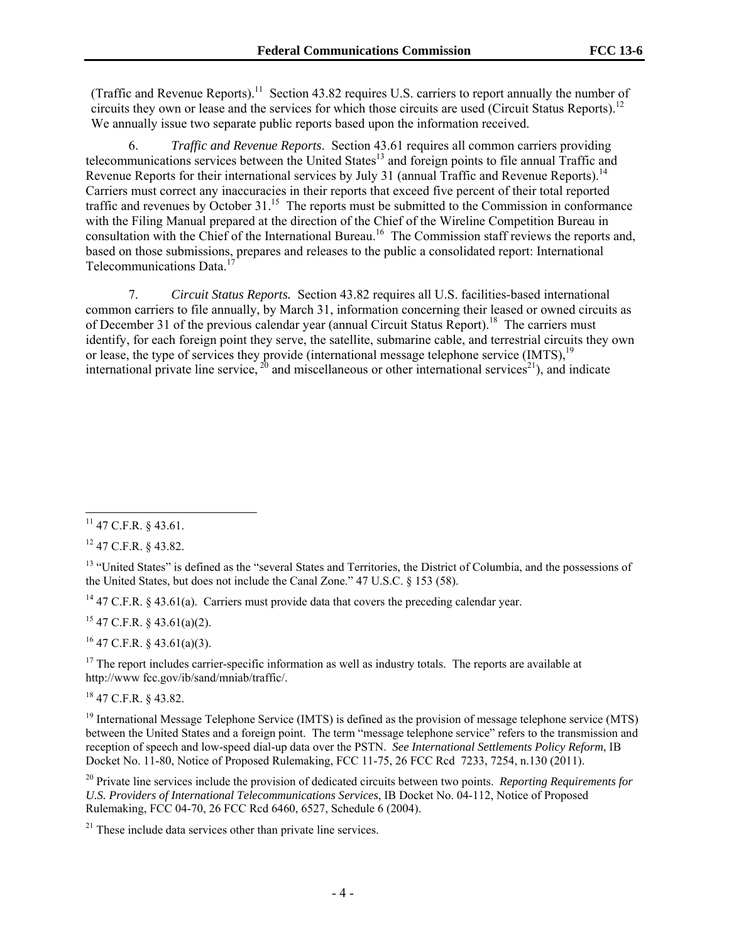(Traffic and Revenue Reports).11 Section 43.82 requires U.S. carriers to report annually the number of circuits they own or lease and the services for which those circuits are used (Circuit Status Reports).<sup>12</sup> We annually issue two separate public reports based upon the information received.

6. *Traffic and Revenue Reports*. Section 43.61 requires all common carriers providing telecommunications services between the United States<sup>13</sup> and foreign points to file annual Traffic and Revenue Reports for their international services by July 31 (annual Traffic and Revenue Reports).<sup>14</sup> Carriers must correct any inaccuracies in their reports that exceed five percent of their total reported traffic and revenues by October 31.<sup>15</sup> The reports must be submitted to the Commission in conformance with the Filing Manual prepared at the direction of the Chief of the Wireline Competition Bureau in consultation with the Chief of the International Bureau.<sup>16</sup> The Commission staff reviews the reports and, based on those submissions, prepares and releases to the public a consolidated report: International Telecommunications Data.<sup>1</sup>

7. *Circuit Status Reports.* Section 43.82 requires all U.S. facilities-based international common carriers to file annually, by March 31, information concerning their leased or owned circuits as of December 31 of the previous calendar year (annual Circuit Status Report).<sup>18</sup> The carriers must identify, for each foreign point they serve, the satellite, submarine cable, and terrestrial circuits they own or lease, the type of services they provide (international message telephone service (IMTS),<sup>19</sup> international private line service,  $^{20}$  and miscellaneous or other international services<sup>21</sup>), and indicate

12 47 C.F.R. § 43.82.

<sup>13</sup> "United States" is defined as the "several States and Territories, the District of Columbia, and the possessions of the United States, but does not include the Canal Zone." 47 U.S.C. § 153 (58).

<sup>14</sup> 47 C.F.R. § 43.61(a). Carriers must provide data that covers the preceding calendar year.

 $15$  47 C.F.R. § 43.61(a)(2).

 $16$  47 C.F.R. § 43.61(a)(3).

<sup>17</sup> The report includes carrier-specific information as well as industry totals. The reports are available at http://www fcc.gov/ib/sand/mniab/traffic/.

18 47 C.F.R. § 43.82.

<sup>19</sup> International Message Telephone Service (IMTS) is defined as the provision of message telephone service (MTS) between the United States and a foreign point. The term "message telephone service" refers to the transmission and reception of speech and low-speed dial-up data over the PSTN. *See International Settlements Policy Reform*, IB Docket No. 11-80, Notice of Proposed Rulemaking, FCC 11-75, 26 FCC Rcd 7233, 7254, n.130 (2011).

20 Private line services include the provision of dedicated circuits between two points. *Reporting Requirements for U.S. Providers of International Telecommunications Services*, IB Docket No. 04-112, Notice of Proposed Rulemaking, FCC 04-70, 26 FCC Rcd 6460, 6527, Schedule 6 (2004).

 $21$  These include data services other than private line services.

<sup>1</sup>  $^{11}$  47 C.F.R. § 43.61.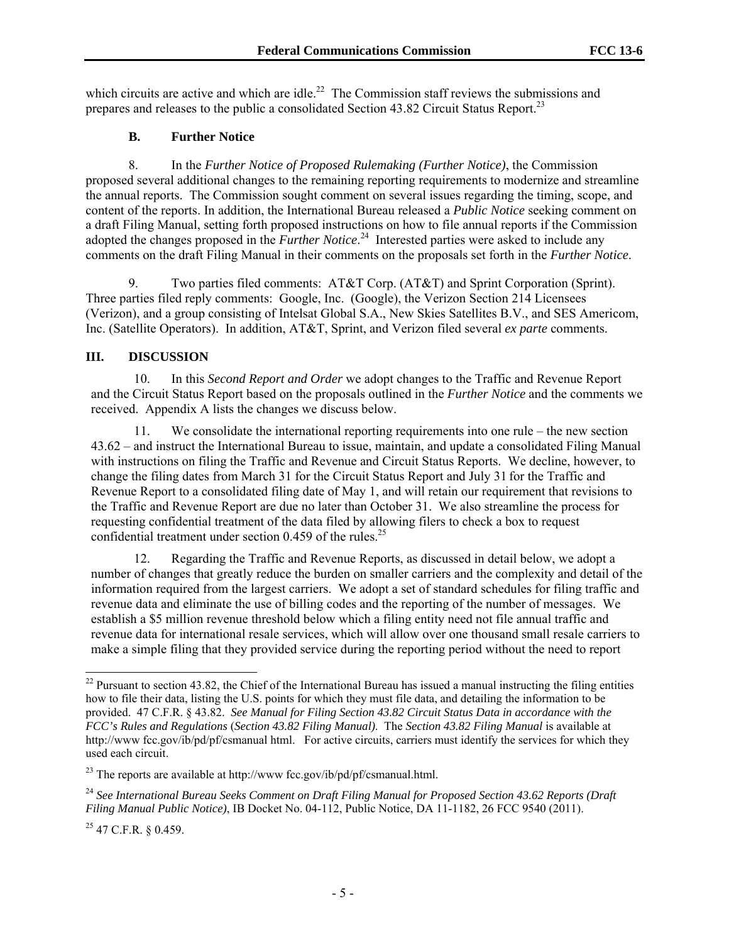which circuits are active and which are idle.<sup>22</sup> The Commission staff reviews the submissions and prepares and releases to the public a consolidated Section 43.82 Circuit Status Report.<sup>23</sup>

#### **B. Further Notice**

8. In the *Further Notice of Proposed Rulemaking (Further Notice)*, the Commission proposed several additional changes to the remaining reporting requirements to modernize and streamline the annual reports. The Commission sought comment on several issues regarding the timing, scope, and content of the reports. In addition, the International Bureau released a *Public Notice* seeking comment on a draft Filing Manual, setting forth proposed instructions on how to file annual reports if the Commission adopted the changes proposed in the *Further Notice*. 24 Interested parties were asked to include any comments on the draft Filing Manual in their comments on the proposals set forth in the *Further Notice*.

9. Two parties filed comments: AT&T Corp. (AT&T) and Sprint Corporation (Sprint). Three parties filed reply comments: Google, Inc. (Google), the Verizon Section 214 Licensees (Verizon), and a group consisting of Intelsat Global S.A., New Skies Satellites B.V., and SES Americom, Inc. (Satellite Operators). In addition, AT&T, Sprint, and Verizon filed several *ex parte* comments.

### **III. DISCUSSION**

10. In this *Second Report and Order* we adopt changes to the Traffic and Revenue Report and the Circuit Status Report based on the proposals outlined in the *Further Notice* and the comments we received. Appendix A lists the changes we discuss below.

11. We consolidate the international reporting requirements into one rule – the new section 43.62 – and instruct the International Bureau to issue, maintain, and update a consolidated Filing Manual with instructions on filing the Traffic and Revenue and Circuit Status Reports. We decline, however, to change the filing dates from March 31 for the Circuit Status Report and July 31 for the Traffic and Revenue Report to a consolidated filing date of May 1, and will retain our requirement that revisions to the Traffic and Revenue Report are due no later than October 31. We also streamline the process for requesting confidential treatment of the data filed by allowing filers to check a box to request confidential treatment under section  $0.459$  of the rules.<sup>25</sup>

12. Regarding the Traffic and Revenue Reports, as discussed in detail below, we adopt a number of changes that greatly reduce the burden on smaller carriers and the complexity and detail of the information required from the largest carriers. We adopt a set of standard schedules for filing traffic and revenue data and eliminate the use of billing codes and the reporting of the number of messages. We establish a \$5 million revenue threshold below which a filing entity need not file annual traffic and revenue data for international resale services, which will allow over one thousand small resale carriers to make a simple filing that they provided service during the reporting period without the need to report

 $25$  47 C.F.R. § 0.459.

 $22$  Pursuant to section 43.82, the Chief of the International Bureau has issued a manual instructing the filing entities how to file their data, listing the U.S. points for which they must file data, and detailing the information to be provided. 47 C.F.R. § 43.82. *See Manual for Filing Section 43.82 Circuit Status Data in accordance with the FCC's Rules and Regulations* (*Section 43.82 Filing Manual)*. The *Section 43.82 Filing Manual* is available at http://www fcc.gov/ib/pd/pf/csmanual html. For active circuits, carriers must identify the services for which they used each circuit.

 $^{23}$  The reports are available at http://www.fcc.gov/ib/pd/pf/csmanual.html.

<sup>24</sup> *See International Bureau Seeks Comment on Draft Filing Manual for Proposed Section 43.62 Reports (Draft Filing Manual Public Notice)*, IB Docket No. 04-112, Public Notice, DA 11-1182, 26 FCC 9540 (2011).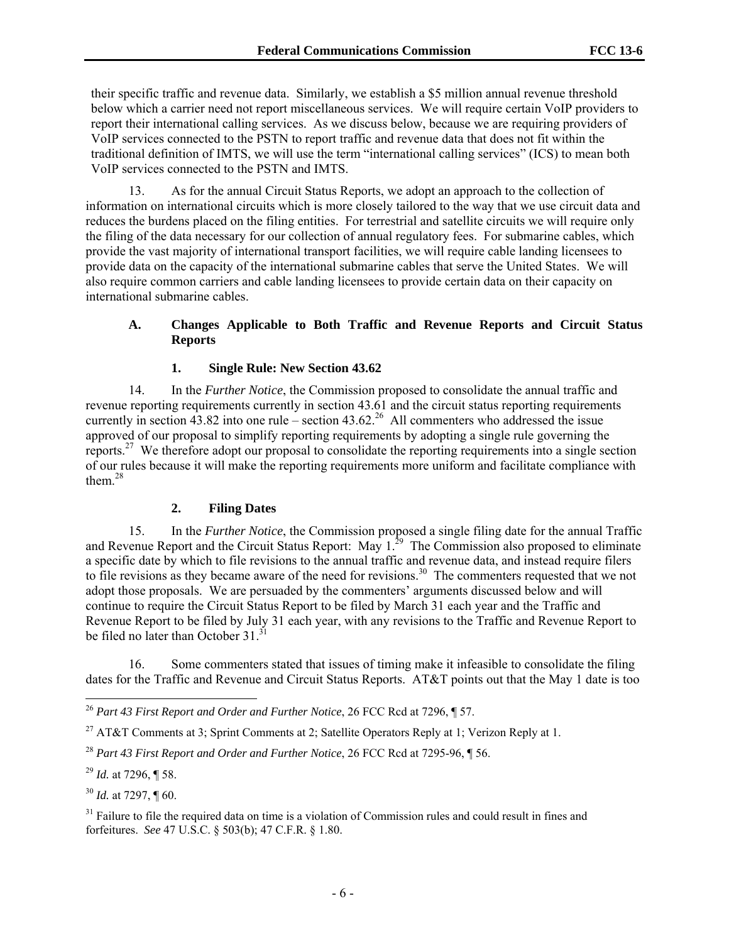their specific traffic and revenue data. Similarly, we establish a \$5 million annual revenue threshold below which a carrier need not report miscellaneous services. We will require certain VoIP providers to report their international calling services. As we discuss below, because we are requiring providers of VoIP services connected to the PSTN to report traffic and revenue data that does not fit within the traditional definition of IMTS, we will use the term "international calling services" (ICS) to mean both VoIP services connected to the PSTN and IMTS.

13. As for the annual Circuit Status Reports, we adopt an approach to the collection of information on international circuits which is more closely tailored to the way that we use circuit data and reduces the burdens placed on the filing entities. For terrestrial and satellite circuits we will require only the filing of the data necessary for our collection of annual regulatory fees. For submarine cables, which provide the vast majority of international transport facilities, we will require cable landing licensees to provide data on the capacity of the international submarine cables that serve the United States. We will also require common carriers and cable landing licensees to provide certain data on their capacity on international submarine cables.

### **A. Changes Applicable to Both Traffic and Revenue Reports and Circuit Status Reports**

### **1. Single Rule: New Section 43.62**

14. In the *Further Notice*, the Commission proposed to consolidate the annual traffic and revenue reporting requirements currently in section 43.61 and the circuit status reporting requirements currently in section  $43.82$  into one rule – section  $43.62<sup>26</sup>$  All commenters who addressed the issue approved of our proposal to simplify reporting requirements by adopting a single rule governing the reports.27 We therefore adopt our proposal to consolidate the reporting requirements into a single section of our rules because it will make the reporting requirements more uniform and facilitate compliance with them. $28$ 

#### **2. Filing Dates**

15. In the *Further Notice*, the Commission proposed a single filing date for the annual Traffic and Revenue Report and the Circuit Status Report: May 1.<sup>29</sup> The Commission also proposed to eliminate a specific date by which to file revisions to the annual traffic and revenue data, and instead require filers to file revisions as they became aware of the need for revisions.<sup>30</sup> The commenters requested that we not adopt those proposals. We are persuaded by the commenters' arguments discussed below and will continue to require the Circuit Status Report to be filed by March 31 each year and the Traffic and Revenue Report to be filed by July 31 each year, with any revisions to the Traffic and Revenue Report to be filed no later than October  $31^{31}$ .

16. Some commenters stated that issues of timing make it infeasible to consolidate the filing dates for the Traffic and Revenue and Circuit Status Reports. AT&T points out that the May 1 date is too

1

<sup>30</sup> *Id.* at 7297, ¶ 60.

<sup>26</sup> *Part 43 First Report and Order and Further Notice*, 26 FCC Rcd at 7296, ¶ 57.

<sup>&</sup>lt;sup>27</sup> AT&T Comments at 3; Sprint Comments at 2; Satellite Operators Reply at 1; Verizon Reply at 1.

<sup>28</sup> *Part 43 First Report and Order and Further Notice*, 26 FCC Rcd at 7295-96, ¶ 56.

<sup>29</sup> *Id.* at 7296, ¶ 58.

<sup>&</sup>lt;sup>31</sup> Failure to file the required data on time is a violation of Commission rules and could result in fines and forfeitures. *See* 47 U.S.C. § 503(b); 47 C.F.R. § 1.80.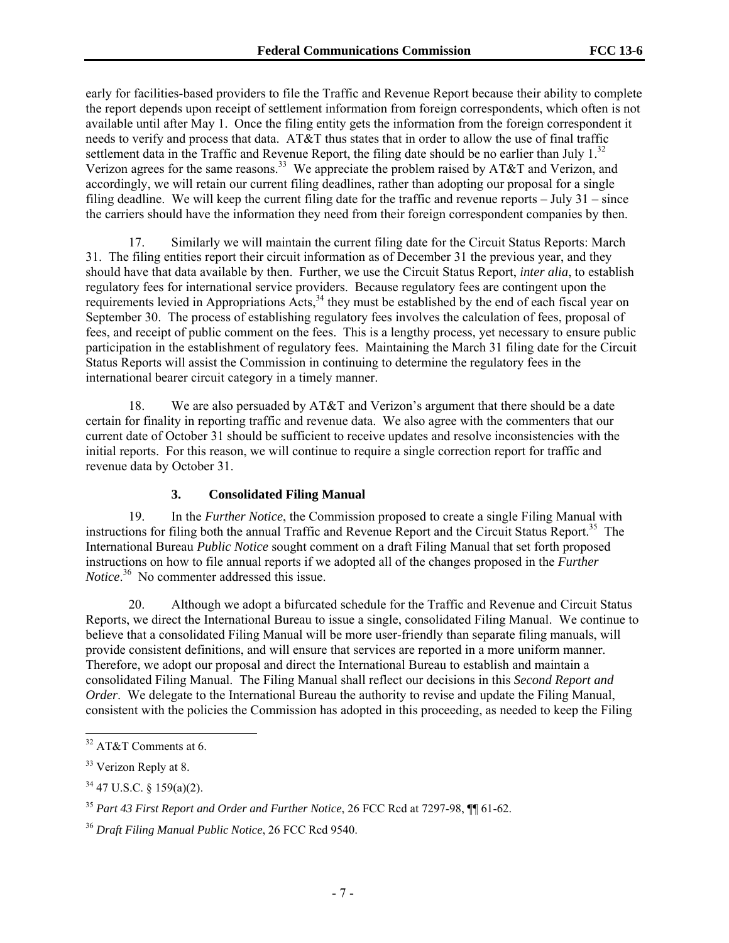early for facilities-based providers to file the Traffic and Revenue Report because their ability to complete the report depends upon receipt of settlement information from foreign correspondents, which often is not available until after May 1. Once the filing entity gets the information from the foreign correspondent it needs to verify and process that data. AT&T thus states that in order to allow the use of final traffic settlement data in the Traffic and Revenue Report, the filing date should be no earlier than July  $1^{32}$ . Verizon agrees for the same reasons.<sup>33</sup> We appreciate the problem raised by AT&T and Verizon, and accordingly, we will retain our current filing deadlines, rather than adopting our proposal for a single filing deadline. We will keep the current filing date for the traffic and revenue reports – July 31 – since the carriers should have the information they need from their foreign correspondent companies by then.

17. Similarly we will maintain the current filing date for the Circuit Status Reports: March 31. The filing entities report their circuit information as of December 31 the previous year, and they should have that data available by then. Further, we use the Circuit Status Report, *inter alia*, to establish regulatory fees for international service providers. Because regulatory fees are contingent upon the requirements levied in Appropriations Acts,<sup>34</sup> they must be established by the end of each fiscal year on September 30. The process of establishing regulatory fees involves the calculation of fees, proposal of fees, and receipt of public comment on the fees. This is a lengthy process, yet necessary to ensure public participation in the establishment of regulatory fees. Maintaining the March 31 filing date for the Circuit Status Reports will assist the Commission in continuing to determine the regulatory fees in the international bearer circuit category in a timely manner.

18. We are also persuaded by AT&T and Verizon's argument that there should be a date certain for finality in reporting traffic and revenue data. We also agree with the commenters that our current date of October 31 should be sufficient to receive updates and resolve inconsistencies with the initial reports. For this reason, we will continue to require a single correction report for traffic and revenue data by October 31.

#### **3. Consolidated Filing Manual**

19. In the *Further Notice*, the Commission proposed to create a single Filing Manual with instructions for filing both the annual Traffic and Revenue Report and the Circuit Status Report.<sup>35</sup> The International Bureau *Public Notice* sought comment on a draft Filing Manual that set forth proposed instructions on how to file annual reports if we adopted all of the changes proposed in the *Further Notice*. 36 No commenter addressed this issue.

20. Although we adopt a bifurcated schedule for the Traffic and Revenue and Circuit Status Reports, we direct the International Bureau to issue a single, consolidated Filing Manual. We continue to believe that a consolidated Filing Manual will be more user-friendly than separate filing manuals, will provide consistent definitions, and will ensure that services are reported in a more uniform manner. Therefore, we adopt our proposal and direct the International Bureau to establish and maintain a consolidated Filing Manual. The Filing Manual shall reflect our decisions in this *Second Report and Order.* We delegate to the International Bureau the authority to revise and update the Filing Manual, consistent with the policies the Commission has adopted in this proceeding, as needed to keep the Filing

l

 $32$  AT&T Comments at 6.

<sup>&</sup>lt;sup>33</sup> Verizon Reply at 8.

<sup>34 47</sup> U.S.C. § 159(a)(2).

<sup>35</sup> *Part 43 First Report and Order and Further Notice*, 26 FCC Rcd at 7297-98, ¶¶ 61-62.

<sup>36</sup> *Draft Filing Manual Public Notice*, 26 FCC Rcd 9540.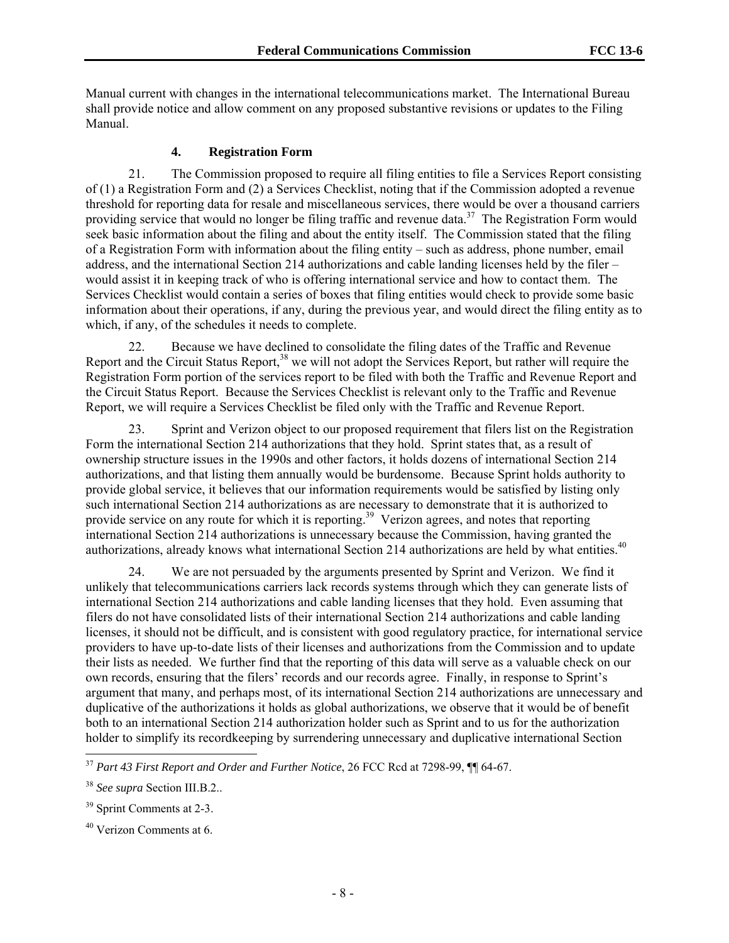Manual current with changes in the international telecommunications market. The International Bureau shall provide notice and allow comment on any proposed substantive revisions or updates to the Filing Manual.

#### **4. Registration Form**

21. The Commission proposed to require all filing entities to file a Services Report consisting of (1) a Registration Form and (2) a Services Checklist, noting that if the Commission adopted a revenue threshold for reporting data for resale and miscellaneous services, there would be over a thousand carriers providing service that would no longer be filing traffic and revenue data.<sup>37</sup> The Registration Form would seek basic information about the filing and about the entity itself. The Commission stated that the filing of a Registration Form with information about the filing entity – such as address, phone number, email address, and the international Section 214 authorizations and cable landing licenses held by the filer – would assist it in keeping track of who is offering international service and how to contact them. The Services Checklist would contain a series of boxes that filing entities would check to provide some basic information about their operations, if any, during the previous year, and would direct the filing entity as to which, if any, of the schedules it needs to complete.

22. Because we have declined to consolidate the filing dates of the Traffic and Revenue Report and the Circuit Status Report,<sup>38</sup> we will not adopt the Services Report, but rather will require the Registration Form portion of the services report to be filed with both the Traffic and Revenue Report and the Circuit Status Report. Because the Services Checklist is relevant only to the Traffic and Revenue Report, we will require a Services Checklist be filed only with the Traffic and Revenue Report.

23. Sprint and Verizon object to our proposed requirement that filers list on the Registration Form the international Section 214 authorizations that they hold. Sprint states that, as a result of ownership structure issues in the 1990s and other factors, it holds dozens of international Section 214 authorizations, and that listing them annually would be burdensome. Because Sprint holds authority to provide global service, it believes that our information requirements would be satisfied by listing only such international Section 214 authorizations as are necessary to demonstrate that it is authorized to provide service on any route for which it is reporting.<sup>39</sup> Verizon agrees, and notes that reporting international Section 214 authorizations is unnecessary because the Commission, having granted the authorizations, already knows what international Section 214 authorizations are held by what entities.<sup>40</sup>

24. We are not persuaded by the arguments presented by Sprint and Verizon. We find it unlikely that telecommunications carriers lack records systems through which they can generate lists of international Section 214 authorizations and cable landing licenses that they hold. Even assuming that filers do not have consolidated lists of their international Section 214 authorizations and cable landing licenses, it should not be difficult, and is consistent with good regulatory practice, for international service providers to have up-to-date lists of their licenses and authorizations from the Commission and to update their lists as needed. We further find that the reporting of this data will serve as a valuable check on our own records, ensuring that the filers' records and our records agree. Finally, in response to Sprint's argument that many, and perhaps most, of its international Section 214 authorizations are unnecessary and duplicative of the authorizations it holds as global authorizations, we observe that it would be of benefit both to an international Section 214 authorization holder such as Sprint and to us for the authorization holder to simplify its recordkeeping by surrendering unnecessary and duplicative international Section

<sup>37</sup> *Part 43 First Report and Order and Further Notice*, 26 FCC Rcd at 7298-99, ¶¶ 64-67.

<sup>38</sup> *See supra* Section III.B.2..

<sup>&</sup>lt;sup>39</sup> Sprint Comments at 2-3.

 $40$  Verizon Comments at 6.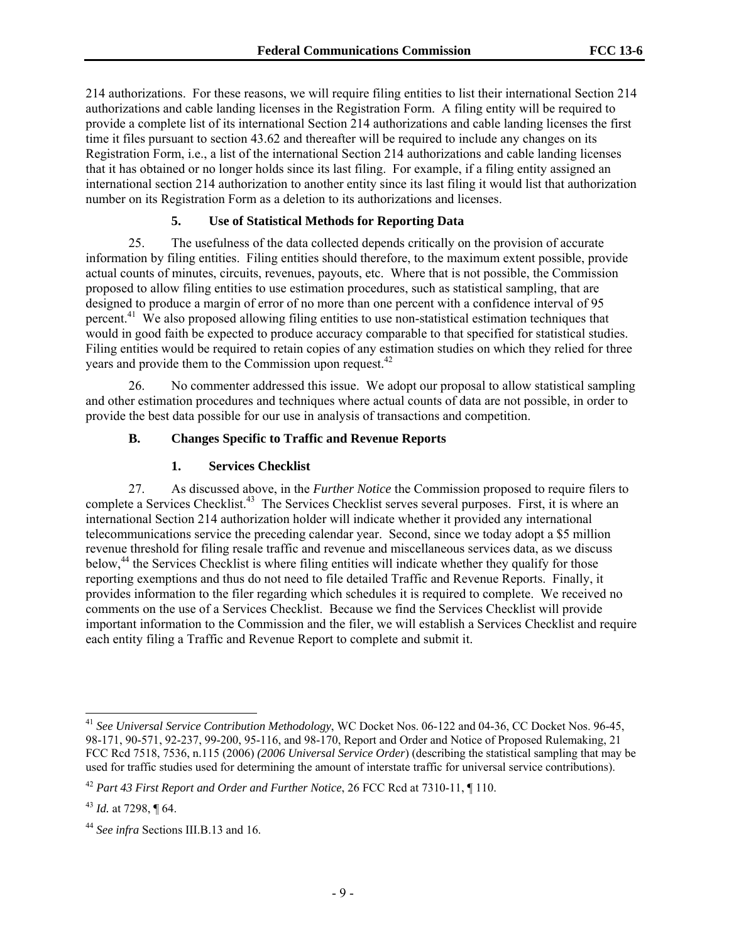214 authorizations. For these reasons, we will require filing entities to list their international Section 214 authorizations and cable landing licenses in the Registration Form. A filing entity will be required to provide a complete list of its international Section 214 authorizations and cable landing licenses the first time it files pursuant to section 43.62 and thereafter will be required to include any changes on its Registration Form, i.e., a list of the international Section 214 authorizations and cable landing licenses that it has obtained or no longer holds since its last filing. For example, if a filing entity assigned an international section 214 authorization to another entity since its last filing it would list that authorization number on its Registration Form as a deletion to its authorizations and licenses.

# **5. Use of Statistical Methods for Reporting Data**

25. The usefulness of the data collected depends critically on the provision of accurate information by filing entities. Filing entities should therefore, to the maximum extent possible, provide actual counts of minutes, circuits, revenues, payouts, etc. Where that is not possible, the Commission proposed to allow filing entities to use estimation procedures, such as statistical sampling, that are designed to produce a margin of error of no more than one percent with a confidence interval of 95 percent.41 We also proposed allowing filing entities to use non-statistical estimation techniques that would in good faith be expected to produce accuracy comparable to that specified for statistical studies. Filing entities would be required to retain copies of any estimation studies on which they relied for three years and provide them to the Commission upon request.<sup>42</sup>

26. No commenter addressed this issue. We adopt our proposal to allow statistical sampling and other estimation procedures and techniques where actual counts of data are not possible, in order to provide the best data possible for our use in analysis of transactions and competition.

### **B. Changes Specific to Traffic and Revenue Reports**

### **1. Services Checklist**

27. As discussed above, in the *Further Notice* the Commission proposed to require filers to complete a Services Checklist.<sup>43</sup> The Services Checklist serves several purposes. First, it is where an international Section 214 authorization holder will indicate whether it provided any international telecommunications service the preceding calendar year. Second, since we today adopt a \$5 million revenue threshold for filing resale traffic and revenue and miscellaneous services data, as we discuss below,<sup>44</sup> the Services Checklist is where filing entities will indicate whether they qualify for those reporting exemptions and thus do not need to file detailed Traffic and Revenue Reports. Finally, it provides information to the filer regarding which schedules it is required to complete. We received no comments on the use of a Services Checklist. Because we find the Services Checklist will provide important information to the Commission and the filer, we will establish a Services Checklist and require each entity filing a Traffic and Revenue Report to complete and submit it.

<sup>41</sup> *See Universal Service Contribution Methodology*, WC Docket Nos. 06-122 and 04-36, CC Docket Nos. 96-45, 98-171, 90-571, 92-237, 99-200, 95-116, and 98-170, Report and Order and Notice of Proposed Rulemaking, 21 FCC Rcd 7518, 7536, n.115 (2006) *(2006 Universal Service Order*) (describing the statistical sampling that may be used for traffic studies used for determining the amount of interstate traffic for universal service contributions).

<sup>42</sup> *Part 43 First Report and Order and Further Notice*, 26 FCC Rcd at 7310-11, ¶ 110.

<sup>43</sup> *Id.* at 7298, ¶ 64.

<sup>44</sup> *See infra* Sections III.B.13 and 16.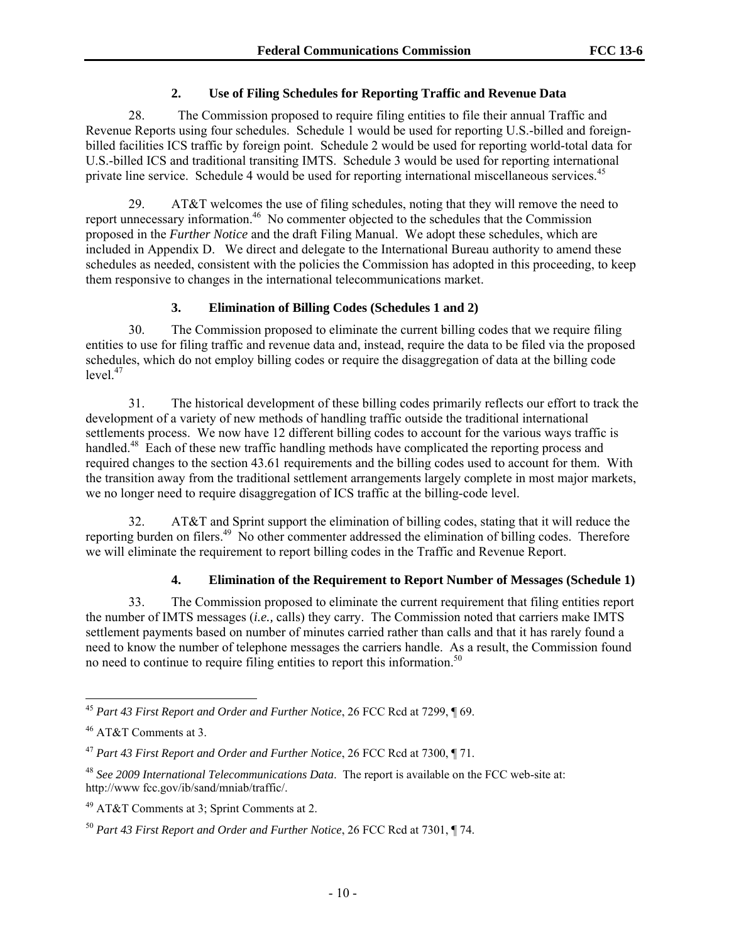### **2. Use of Filing Schedules for Reporting Traffic and Revenue Data**

28. The Commission proposed to require filing entities to file their annual Traffic and Revenue Reports using four schedules. Schedule 1 would be used for reporting U.S.-billed and foreignbilled facilities ICS traffic by foreign point. Schedule 2 would be used for reporting world-total data for U.S.-billed ICS and traditional transiting IMTS. Schedule 3 would be used for reporting international private line service. Schedule 4 would be used for reporting international miscellaneous services.<sup>45</sup>

29. AT&T welcomes the use of filing schedules, noting that they will remove the need to report unnecessary information.46 No commenter objected to the schedules that the Commission proposed in the *Further Notice* and the draft Filing Manual. We adopt these schedules, which are included in Appendix D. We direct and delegate to the International Bureau authority to amend these schedules as needed, consistent with the policies the Commission has adopted in this proceeding, to keep them responsive to changes in the international telecommunications market.

# **3. Elimination of Billing Codes (Schedules 1 and 2)**

30. The Commission proposed to eliminate the current billing codes that we require filing entities to use for filing traffic and revenue data and, instead, require the data to be filed via the proposed schedules, which do not employ billing codes or require the disaggregation of data at the billing code  $level.<sup>47</sup>$ 

31. The historical development of these billing codes primarily reflects our effort to track the development of a variety of new methods of handling traffic outside the traditional international settlements process. We now have 12 different billing codes to account for the various ways traffic is handled.<sup>48</sup> Each of these new traffic handling methods have complicated the reporting process and required changes to the section 43.61 requirements and the billing codes used to account for them. With the transition away from the traditional settlement arrangements largely complete in most major markets, we no longer need to require disaggregation of ICS traffic at the billing-code level.

32. AT&T and Sprint support the elimination of billing codes, stating that it will reduce the reporting burden on filers.<sup>49</sup> No other commenter addressed the elimination of billing codes. Therefore we will eliminate the requirement to report billing codes in the Traffic and Revenue Report.

# **4. Elimination of the Requirement to Report Number of Messages (Schedule 1)**

33. The Commission proposed to eliminate the current requirement that filing entities report the number of IMTS messages (*i.e.,* calls) they carry. The Commission noted that carriers make IMTS settlement payments based on number of minutes carried rather than calls and that it has rarely found a need to know the number of telephone messages the carriers handle. As a result, the Commission found no need to continue to require filing entities to report this information.<sup>50</sup>

<sup>45</sup> *Part 43 First Report and Order and Further Notice*, 26 FCC Rcd at 7299, ¶ 69.

<sup>46</sup> AT&T Comments at 3.

<sup>47</sup> *Part 43 First Report and Order and Further Notice*, 26 FCC Rcd at 7300, ¶ 71.

<sup>48</sup> *See 2009 International Telecommunications Data*. The report is available on the FCC web-site at: http://www fcc.gov/ib/sand/mniab/traffic/.

<sup>49</sup> AT&T Comments at 3; Sprint Comments at 2.

<sup>50</sup> *Part 43 First Report and Order and Further Notice*, 26 FCC Rcd at 7301, ¶ 74.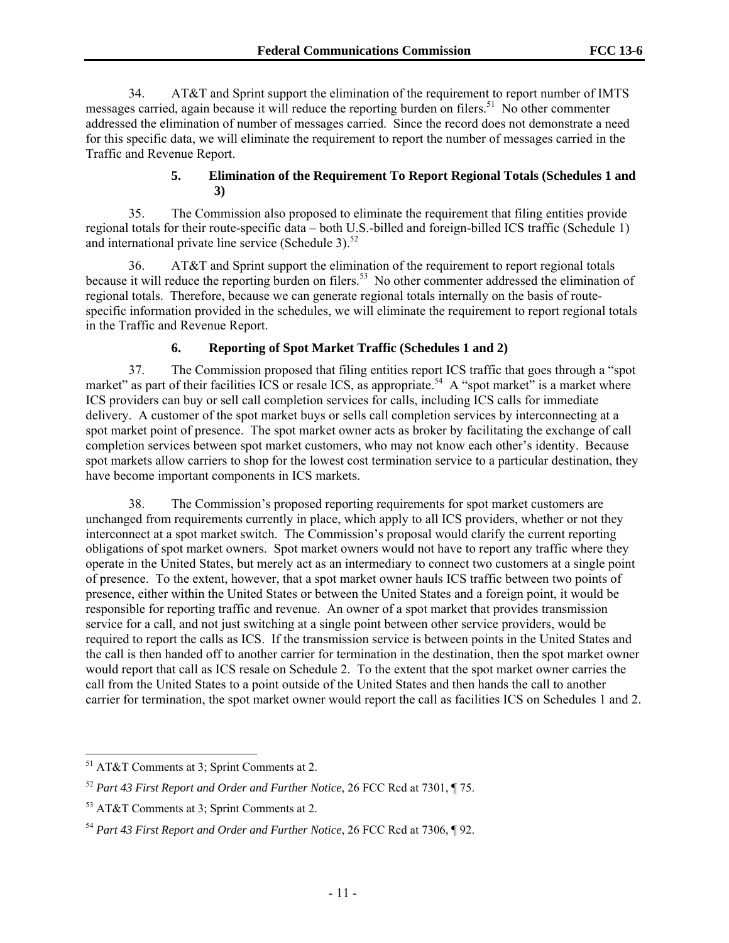34. AT&T and Sprint support the elimination of the requirement to report number of IMTS messages carried, again because it will reduce the reporting burden on filers.<sup>51</sup> No other commenter addressed the elimination of number of messages carried. Since the record does not demonstrate a need for this specific data, we will eliminate the requirement to report the number of messages carried in the Traffic and Revenue Report.

### **5. Elimination of the Requirement To Report Regional Totals (Schedules 1 and 3)**

35. The Commission also proposed to eliminate the requirement that filing entities provide regional totals for their route-specific data – both U.S.-billed and foreign-billed ICS traffic (Schedule 1) and international private line service (Schedule 3). $52$ 

36. AT&T and Sprint support the elimination of the requirement to report regional totals because it will reduce the reporting burden on filers.<sup>53</sup> No other commenter addressed the elimination of regional totals. Therefore, because we can generate regional totals internally on the basis of routespecific information provided in the schedules, we will eliminate the requirement to report regional totals in the Traffic and Revenue Report.

# **6. Reporting of Spot Market Traffic (Schedules 1 and 2)**

37. The Commission proposed that filing entities report ICS traffic that goes through a "spot market" as part of their facilities ICS or resale ICS, as appropriate.<sup>54</sup> A "spot market" is a market where ICS providers can buy or sell call completion services for calls, including ICS calls for immediate delivery. A customer of the spot market buys or sells call completion services by interconnecting at a spot market point of presence. The spot market owner acts as broker by facilitating the exchange of call completion services between spot market customers, who may not know each other's identity. Because spot markets allow carriers to shop for the lowest cost termination service to a particular destination, they have become important components in ICS markets.

38. The Commission's proposed reporting requirements for spot market customers are unchanged from requirements currently in place, which apply to all ICS providers, whether or not they interconnect at a spot market switch. The Commission's proposal would clarify the current reporting obligations of spot market owners. Spot market owners would not have to report any traffic where they operate in the United States, but merely act as an intermediary to connect two customers at a single point of presence. To the extent, however, that a spot market owner hauls ICS traffic between two points of presence, either within the United States or between the United States and a foreign point, it would be responsible for reporting traffic and revenue. An owner of a spot market that provides transmission service for a call, and not just switching at a single point between other service providers, would be required to report the calls as ICS. If the transmission service is between points in the United States and the call is then handed off to another carrier for termination in the destination, then the spot market owner would report that call as ICS resale on Schedule 2. To the extent that the spot market owner carries the call from the United States to a point outside of the United States and then hands the call to another carrier for termination, the spot market owner would report the call as facilities ICS on Schedules 1 and 2.

<sup>51</sup> AT&T Comments at 3; Sprint Comments at 2.

<sup>52</sup> *Part 43 First Report and Order and Further Notice*, 26 FCC Rcd at 7301, ¶ 75.

<sup>53</sup> AT&T Comments at 3; Sprint Comments at 2.

<sup>54</sup> *Part 43 First Report and Order and Further Notice*, 26 FCC Rcd at 7306, ¶ 92.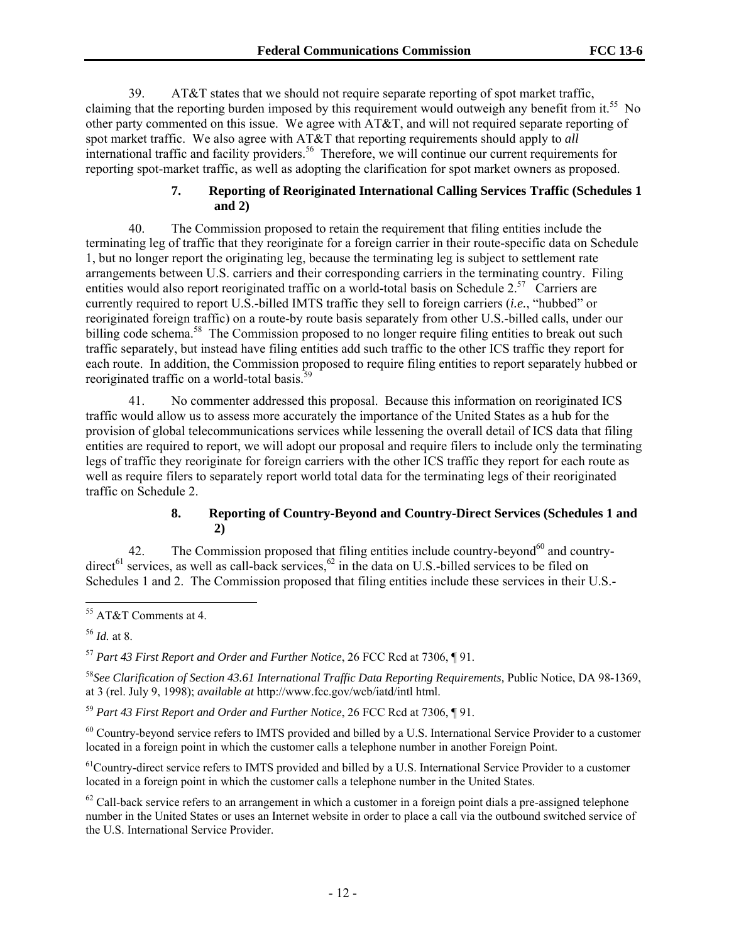39. AT&T states that we should not require separate reporting of spot market traffic, claiming that the reporting burden imposed by this requirement would outweigh any benefit from it.<sup>55</sup> No other party commented on this issue. We agree with AT&T, and will not required separate reporting of spot market traffic. We also agree with AT&T that reporting requirements should apply to *all* international traffic and facility providers.<sup>56</sup> Therefore, we will continue our current requirements for reporting spot-market traffic, as well as adopting the clarification for spot market owners as proposed.

#### **7. Reporting of Reoriginated International Calling Services Traffic (Schedules 1 and 2)**

40. The Commission proposed to retain the requirement that filing entities include the terminating leg of traffic that they reoriginate for a foreign carrier in their route-specific data on Schedule 1, but no longer report the originating leg, because the terminating leg is subject to settlement rate arrangements between U.S. carriers and their corresponding carriers in the terminating country. Filing entities would also report reoriginated traffic on a world-total basis on Schedule 2.<sup>57</sup> Carriers are currently required to report U.S.-billed IMTS traffic they sell to foreign carriers (*i.e.*, "hubbed" or reoriginated foreign traffic) on a route-by route basis separately from other U.S.-billed calls, under our billing code schema.<sup>58</sup> The Commission proposed to no longer require filing entities to break out such traffic separately, but instead have filing entities add such traffic to the other ICS traffic they report for each route. In addition, the Commission proposed to require filing entities to report separately hubbed or reoriginated traffic on a world-total basis.<sup>5</sup>

41. No commenter addressed this proposal. Because this information on reoriginated ICS traffic would allow us to assess more accurately the importance of the United States as a hub for the provision of global telecommunications services while lessening the overall detail of ICS data that filing entities are required to report, we will adopt our proposal and require filers to include only the terminating legs of traffic they reoriginate for foreign carriers with the other ICS traffic they report for each route as well as require filers to separately report world total data for the terminating legs of their reoriginated traffic on Schedule 2.

# **8. Reporting of Country-Beyond and Country-Direct Services (Schedules 1 and 2)**

42. The Commission proposed that filing entities include country-beyond<sup>60</sup> and countrydirect<sup>61</sup> services, as well as call-back services,  $62$  in the data on U.S.-billed services to be filed on Schedules 1 and 2. The Commission proposed that filing entities include these services in their U.S.-

<sup>56</sup> *Id.* at 8.

l

<sup>57</sup> *Part 43 First Report and Order and Further Notice*, 26 FCC Rcd at 7306, ¶ 91.

<sup>58</sup>*See Clarification of Section 43.61 International Traffic Data Reporting Requirements,* Public Notice, DA 98-1369, at 3 (rel. July 9, 1998); *available at* http://www.fcc.gov/wcb/iatd/intl html.

<sup>59</sup> *Part 43 First Report and Order and Further Notice*, 26 FCC Rcd at 7306, ¶ 91.

<sup>60</sup> Country-beyond service refers to IMTS provided and billed by a U.S. International Service Provider to a customer located in a foreign point in which the customer calls a telephone number in another Foreign Point.

<sup>61</sup>Country-direct service refers to IMTS provided and billed by a U.S. International Service Provider to a customer located in a foreign point in which the customer calls a telephone number in the United States.

 $62$  Call-back service refers to an arrangement in which a customer in a foreign point dials a pre-assigned telephone number in the United States or uses an Internet website in order to place a call via the outbound switched service of the U.S. International Service Provider.

<sup>55</sup> AT&T Comments at 4.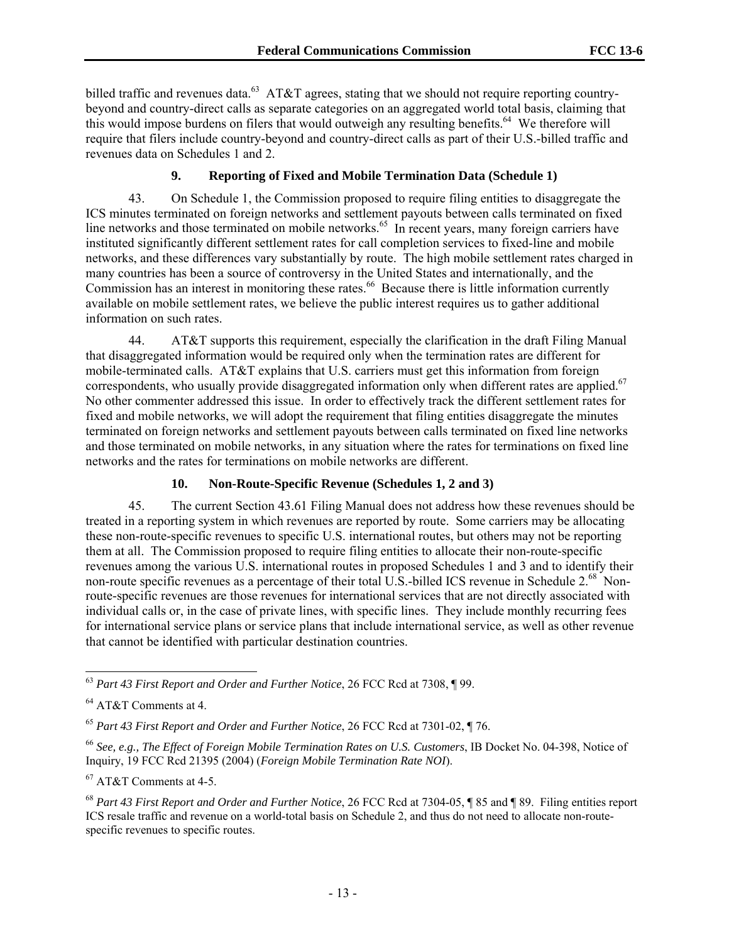billed traffic and revenues data.<sup>63</sup> AT&T agrees, stating that we should not require reporting countrybeyond and country-direct calls as separate categories on an aggregated world total basis, claiming that this would impose burdens on filers that would outweigh any resulting benefits.<sup>64</sup> We therefore will require that filers include country-beyond and country-direct calls as part of their U.S.-billed traffic and revenues data on Schedules 1 and 2.

#### **9. Reporting of Fixed and Mobile Termination Data (Schedule 1)**

43. On Schedule 1, the Commission proposed to require filing entities to disaggregate the ICS minutes terminated on foreign networks and settlement payouts between calls terminated on fixed line networks and those terminated on mobile networks.<sup>65</sup> In recent years, many foreign carriers have instituted significantly different settlement rates for call completion services to fixed-line and mobile networks, and these differences vary substantially by route. The high mobile settlement rates charged in many countries has been a source of controversy in the United States and internationally, and the Commission has an interest in monitoring these rates.<sup>66</sup> Because there is little information currently available on mobile settlement rates, we believe the public interest requires us to gather additional information on such rates.

44. AT&T supports this requirement, especially the clarification in the draft Filing Manual that disaggregated information would be required only when the termination rates are different for mobile-terminated calls. AT&T explains that U.S. carriers must get this information from foreign correspondents, who usually provide disaggregated information only when different rates are applied.<sup>67</sup> No other commenter addressed this issue. In order to effectively track the different settlement rates for fixed and mobile networks, we will adopt the requirement that filing entities disaggregate the minutes terminated on foreign networks and settlement payouts between calls terminated on fixed line networks and those terminated on mobile networks, in any situation where the rates for terminations on fixed line networks and the rates for terminations on mobile networks are different.

#### **10. Non-Route-Specific Revenue (Schedules 1, 2 and 3)**

45. The current Section 43.61 Filing Manual does not address how these revenues should be treated in a reporting system in which revenues are reported by route. Some carriers may be allocating these non-route-specific revenues to specific U.S. international routes, but others may not be reporting them at all. The Commission proposed to require filing entities to allocate their non-route-specific revenues among the various U.S. international routes in proposed Schedules 1 and 3 and to identify their non-route specific revenues as a percentage of their total U.S.-billed ICS revenue in Schedule 2.<sup>68</sup> Nonroute-specific revenues are those revenues for international services that are not directly associated with individual calls or, in the case of private lines, with specific lines. They include monthly recurring fees for international service plans or service plans that include international service, as well as other revenue that cannot be identified with particular destination countries.

l

67 AT&T Comments at 4-5.

<sup>63</sup> *Part 43 First Report and Order and Further Notice*, 26 FCC Rcd at 7308, ¶ 99.

<sup>64</sup> AT&T Comments at 4.

<sup>65</sup> *Part 43 First Report and Order and Further Notice*, 26 FCC Rcd at 7301-02, ¶ 76.

<sup>66</sup> *See, e.g., The Effect of Foreign Mobile Termination Rates on U.S. Customers*, IB Docket No. 04-398, Notice of Inquiry, 19 FCC Rcd 21395 (2004) (*Foreign Mobile Termination Rate NOI*).

<sup>68</sup> *Part 43 First Report and Order and Further Notice*, 26 FCC Rcd at 7304-05, ¶ 85 and ¶ 89. Filing entities report ICS resale traffic and revenue on a world-total basis on Schedule 2, and thus do not need to allocate non-routespecific revenues to specific routes.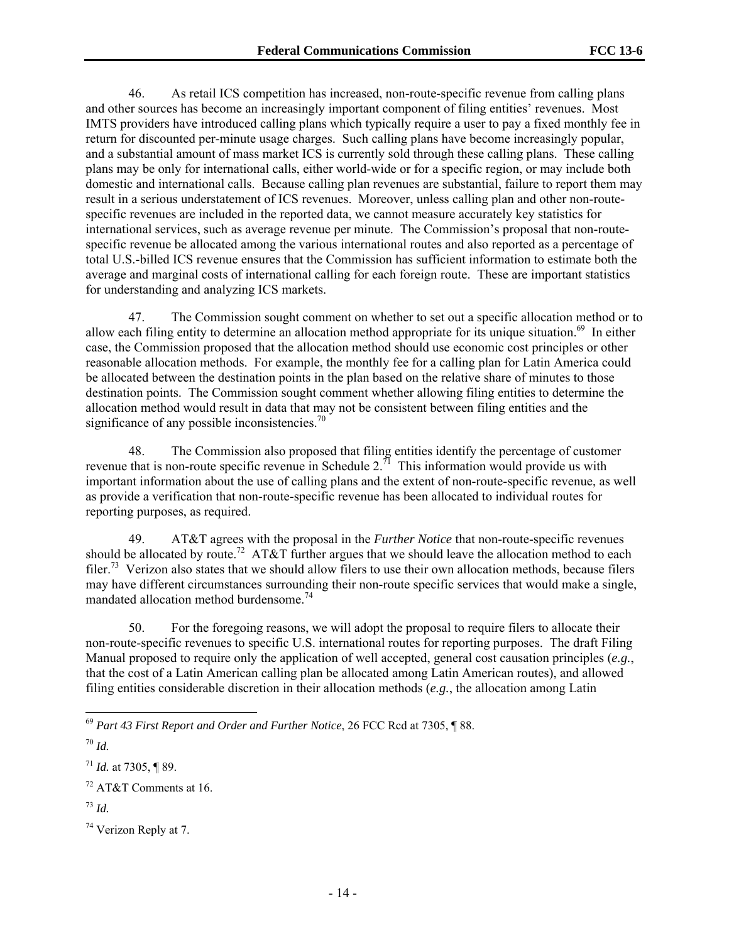46. As retail ICS competition has increased, non-route-specific revenue from calling plans and other sources has become an increasingly important component of filing entities' revenues. Most IMTS providers have introduced calling plans which typically require a user to pay a fixed monthly fee in return for discounted per-minute usage charges. Such calling plans have become increasingly popular, and a substantial amount of mass market ICS is currently sold through these calling plans. These calling plans may be only for international calls, either world-wide or for a specific region, or may include both domestic and international calls. Because calling plan revenues are substantial, failure to report them may result in a serious understatement of ICS revenues. Moreover, unless calling plan and other non-routespecific revenues are included in the reported data, we cannot measure accurately key statistics for international services, such as average revenue per minute. The Commission's proposal that non-routespecific revenue be allocated among the various international routes and also reported as a percentage of total U.S.-billed ICS revenue ensures that the Commission has sufficient information to estimate both the average and marginal costs of international calling for each foreign route. These are important statistics for understanding and analyzing ICS markets.

47. The Commission sought comment on whether to set out a specific allocation method or to allow each filing entity to determine an allocation method appropriate for its unique situation.<sup>69</sup> In either case, the Commission proposed that the allocation method should use economic cost principles or other reasonable allocation methods. For example, the monthly fee for a calling plan for Latin America could be allocated between the destination points in the plan based on the relative share of minutes to those destination points. The Commission sought comment whether allowing filing entities to determine the allocation method would result in data that may not be consistent between filing entities and the significance of any possible inconsistencies. $\frac{70}{2}$ 

48. The Commission also proposed that filing entities identify the percentage of customer revenue that is non-route specific revenue in Schedule  $2^{71}$ . This information would provide us with important information about the use of calling plans and the extent of non-route-specific revenue, as well as provide a verification that non-route-specific revenue has been allocated to individual routes for reporting purposes, as required.

49. AT&T agrees with the proposal in the *Further Notice* that non-route-specific revenues should be allocated by route.<sup>72</sup> AT&T further argues that we should leave the allocation method to each filer.73 Verizon also states that we should allow filers to use their own allocation methods, because filers may have different circumstances surrounding their non-route specific services that would make a single, mandated allocation method burdensome.<sup>74</sup>

50. For the foregoing reasons, we will adopt the proposal to require filers to allocate their non-route-specific revenues to specific U.S. international routes for reporting purposes. The draft Filing Manual proposed to require only the application of well accepted, general cost causation principles (*e.g.*, that the cost of a Latin American calling plan be allocated among Latin American routes), and allowed filing entities considerable discretion in their allocation methods (*e.g.*, the allocation among Latin

1

 $^{71}$  *Id.* at 7305, ¶ 89.

<sup>69</sup> *Part 43 First Report and Order and Further Notice*, 26 FCC Rcd at 7305, ¶ 88.

<sup>70</sup> *Id.*

<sup>72</sup> AT&T Comments at 16.

<sup>73</sup> *Id.*

<sup>74</sup> Verizon Reply at 7.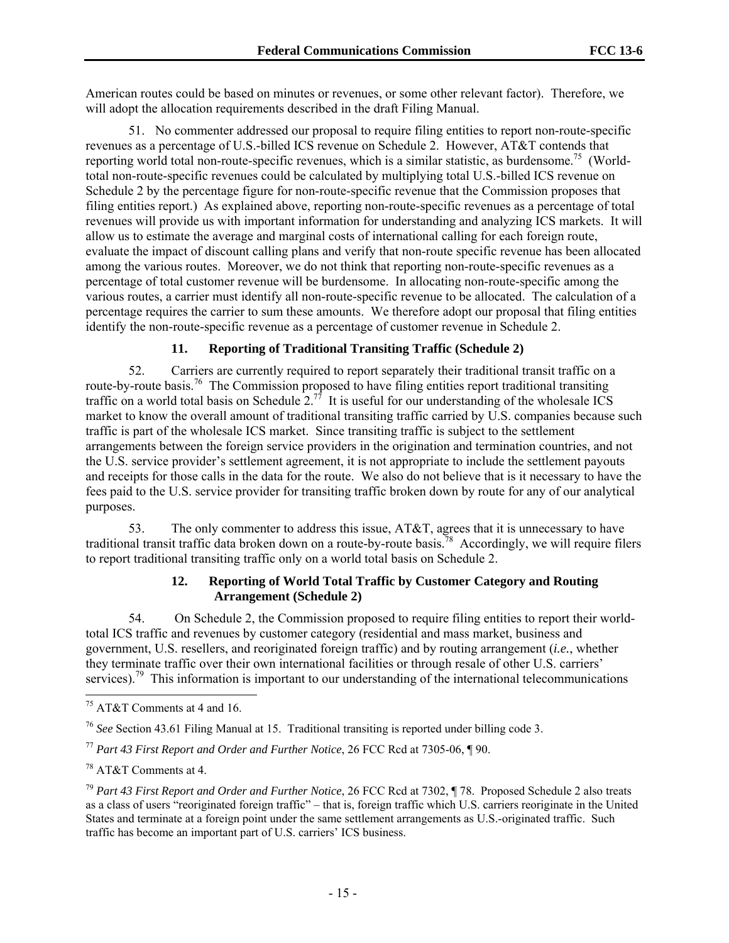American routes could be based on minutes or revenues, or some other relevant factor). Therefore, we will adopt the allocation requirements described in the draft Filing Manual.

51. No commenter addressed our proposal to require filing entities to report non-route-specific revenues as a percentage of U.S.-billed ICS revenue on Schedule 2. However, AT&T contends that reporting world total non-route-specific revenues, which is a similar statistic, as burdensome.<sup>75</sup> (Worldtotal non-route-specific revenues could be calculated by multiplying total U.S.-billed ICS revenue on Schedule 2 by the percentage figure for non-route-specific revenue that the Commission proposes that filing entities report.) As explained above, reporting non-route-specific revenues as a percentage of total revenues will provide us with important information for understanding and analyzing ICS markets. It will allow us to estimate the average and marginal costs of international calling for each foreign route, evaluate the impact of discount calling plans and verify that non-route specific revenue has been allocated among the various routes. Moreover, we do not think that reporting non-route-specific revenues as a percentage of total customer revenue will be burdensome. In allocating non-route-specific among the various routes, a carrier must identify all non-route-specific revenue to be allocated. The calculation of a percentage requires the carrier to sum these amounts. We therefore adopt our proposal that filing entities identify the non-route-specific revenue as a percentage of customer revenue in Schedule 2.

# **11. Reporting of Traditional Transiting Traffic (Schedule 2)**

52. Carriers are currently required to report separately their traditional transit traffic on a route-by-route basis.<sup>76</sup> The Commission proposed to have filing entities report traditional transiting traffic on a world total basis on Schedule  $2^{.77}$  It is useful for our understanding of the wholesale ICS market to know the overall amount of traditional transiting traffic carried by U.S. companies because such traffic is part of the wholesale ICS market. Since transiting traffic is subject to the settlement arrangements between the foreign service providers in the origination and termination countries, and not the U.S. service provider's settlement agreement, it is not appropriate to include the settlement payouts and receipts for those calls in the data for the route. We also do not believe that is it necessary to have the fees paid to the U.S. service provider for transiting traffic broken down by route for any of our analytical purposes.

53. The only commenter to address this issue, AT&T, agrees that it is unnecessary to have traditional transit traffic data broken down on a route-by-route basis.<sup>78</sup> Accordingly, we will require filers to report traditional transiting traffic only on a world total basis on Schedule 2.

### **12. Reporting of World Total Traffic by Customer Category and Routing Arrangement (Schedule 2)**

54. On Schedule 2, the Commission proposed to require filing entities to report their worldtotal ICS traffic and revenues by customer category (residential and mass market, business and government, U.S. resellers, and reoriginated foreign traffic) and by routing arrangement (*i.e.*, whether they terminate traffic over their own international facilities or through resale of other U.S. carriers' services).<sup>79</sup> This information is important to our understanding of the international telecommunications

l 75 AT&T Comments at 4 and 16.

<sup>76</sup> *See* Section 43.61 Filing Manual at 15. Traditional transiting is reported under billing code 3.

<sup>77</sup> *Part 43 First Report and Order and Further Notice*, 26 FCC Rcd at 7305-06, ¶ 90.

<sup>78</sup> AT&T Comments at 4.

<sup>79</sup> *Part 43 First Report and Order and Further Notice*, 26 FCC Rcd at 7302, ¶ 78. Proposed Schedule 2 also treats as a class of users "reoriginated foreign traffic" – that is, foreign traffic which U.S. carriers reoriginate in the United States and terminate at a foreign point under the same settlement arrangements as U.S.-originated traffic. Such traffic has become an important part of U.S. carriers' ICS business.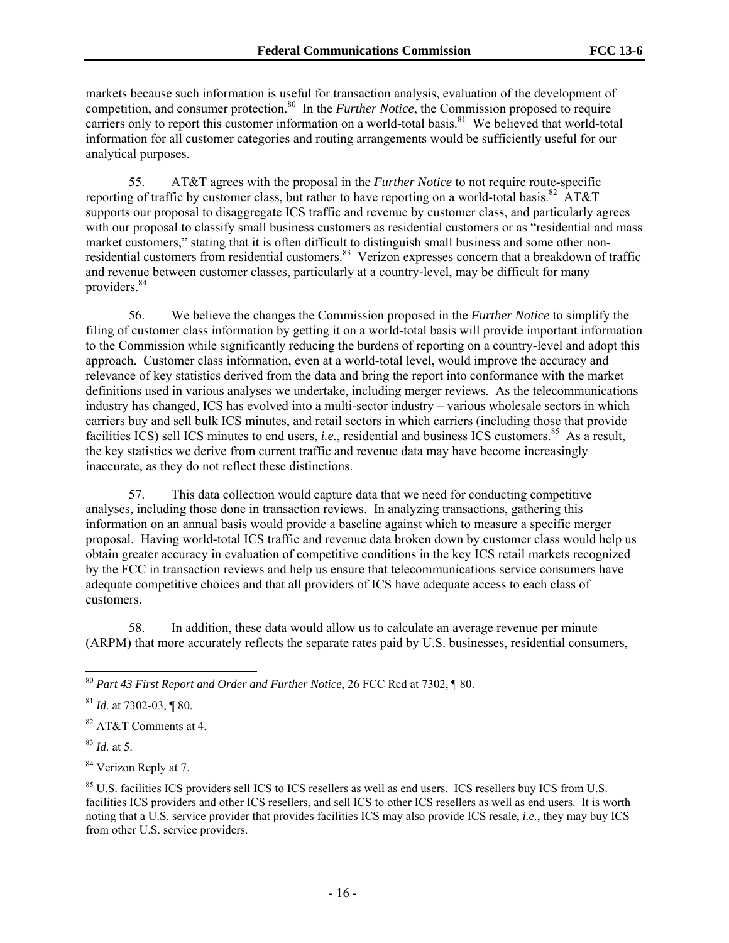markets because such information is useful for transaction analysis, evaluation of the development of competition, and consumer protection.<sup>80</sup> In the *Further Notice*, the Commission proposed to require carriers only to report this customer information on a world-total basis.<sup>81</sup> We believed that world-total information for all customer categories and routing arrangements would be sufficiently useful for our analytical purposes.

55. AT&T agrees with the proposal in the *Further Notice* to not require route-specific reporting of traffic by customer class, but rather to have reporting on a world-total basis.<sup>82</sup> AT&T supports our proposal to disaggregate ICS traffic and revenue by customer class, and particularly agrees with our proposal to classify small business customers as residential customers or as "residential and mass" market customers," stating that it is often difficult to distinguish small business and some other nonresidential customers from residential customers.<sup>83</sup> Verizon expresses concern that a breakdown of traffic and revenue between customer classes, particularly at a country-level, may be difficult for many providers.<sup>84</sup>

56. We believe the changes the Commission proposed in the *Further Notice* to simplify the filing of customer class information by getting it on a world-total basis will provide important information to the Commission while significantly reducing the burdens of reporting on a country-level and adopt this approach. Customer class information, even at a world-total level, would improve the accuracy and relevance of key statistics derived from the data and bring the report into conformance with the market definitions used in various analyses we undertake, including merger reviews. As the telecommunications industry has changed, ICS has evolved into a multi-sector industry – various wholesale sectors in which carriers buy and sell bulk ICS minutes, and retail sectors in which carriers (including those that provide facilities ICS) sell ICS minutes to end users, *i.e.*, residential and business ICS customers.<sup>85</sup> As a result, the key statistics we derive from current traffic and revenue data may have become increasingly inaccurate, as they do not reflect these distinctions.

57. This data collection would capture data that we need for conducting competitive analyses, including those done in transaction reviews. In analyzing transactions, gathering this information on an annual basis would provide a baseline against which to measure a specific merger proposal. Having world-total ICS traffic and revenue data broken down by customer class would help us obtain greater accuracy in evaluation of competitive conditions in the key ICS retail markets recognized by the FCC in transaction reviews and help us ensure that telecommunications service consumers have adequate competitive choices and that all providers of ICS have adequate access to each class of customers.

58. In addition, these data would allow us to calculate an average revenue per minute (ARPM) that more accurately reflects the separate rates paid by U.S. businesses, residential consumers,

82 AT&T Comments at 4.

<sup>83</sup> *Id.* at 5.

l

<sup>84</sup> Verizon Reply at 7.

<sup>80</sup> *Part 43 First Report and Order and Further Notice*, 26 FCC Rcd at 7302, ¶ 80.

<sup>81</sup> *Id.* at 7302-03, ¶ 80.

<sup>&</sup>lt;sup>85</sup> U.S. facilities ICS providers sell ICS to ICS resellers as well as end users. ICS resellers buy ICS from U.S. facilities ICS providers and other ICS resellers, and sell ICS to other ICS resellers as well as end users. It is worth noting that a U.S. service provider that provides facilities ICS may also provide ICS resale, *i.e.*, they may buy ICS from other U.S. service providers.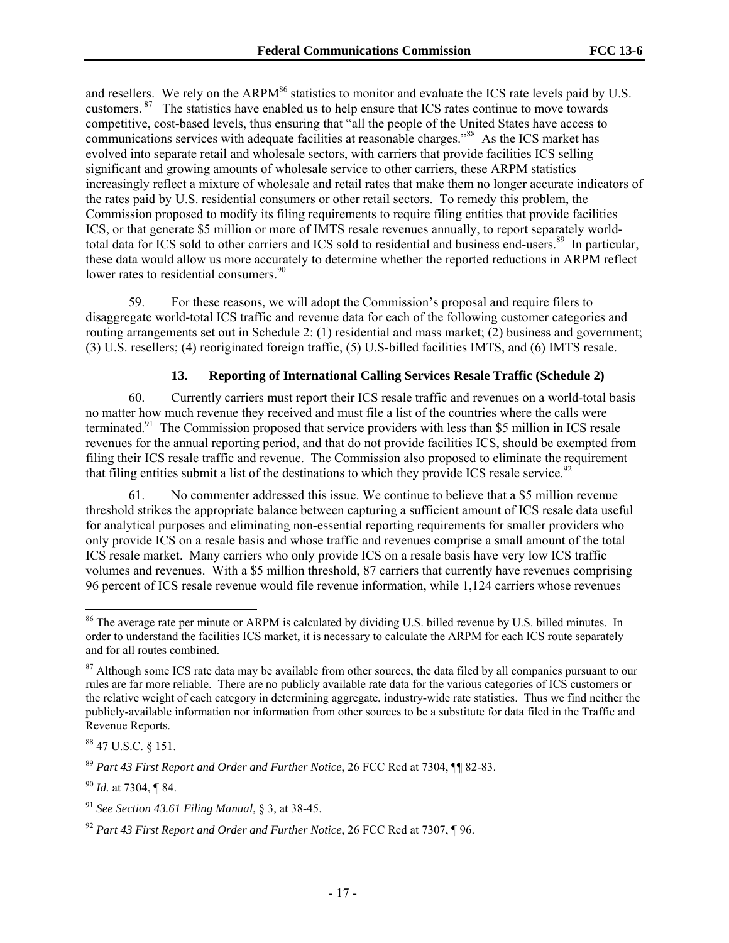and resellers. We rely on the ARPM $86$  statistics to monitor and evaluate the ICS rate levels paid by U.S. customers. <sup>87</sup> The statistics have enabled us to help ensure that ICS rates continue to move towards competitive, cost-based levels, thus ensuring that "all the people of the United States have access to communications services with adequate facilities at reasonable charges."<sup>88</sup> As the ICS market has evolved into separate retail and wholesale sectors, with carriers that provide facilities ICS selling significant and growing amounts of wholesale service to other carriers, these ARPM statistics increasingly reflect a mixture of wholesale and retail rates that make them no longer accurate indicators of the rates paid by U.S. residential consumers or other retail sectors. To remedy this problem, the Commission proposed to modify its filing requirements to require filing entities that provide facilities ICS, or that generate \$5 million or more of IMTS resale revenues annually, to report separately worldtotal data for ICS sold to other carriers and ICS sold to residential and business end-users.<sup>89</sup> In particular, these data would allow us more accurately to determine whether the reported reductions in ARPM reflect lower rates to residential consumers.<sup>90</sup>

59. For these reasons, we will adopt the Commission's proposal and require filers to disaggregate world-total ICS traffic and revenue data for each of the following customer categories and routing arrangements set out in Schedule 2: (1) residential and mass market; (2) business and government; (3) U.S. resellers; (4) reoriginated foreign traffic, (5) U.S-billed facilities IMTS, and (6) IMTS resale.

### **13. Reporting of International Calling Services Resale Traffic (Schedule 2)**

60. Currently carriers must report their ICS resale traffic and revenues on a world-total basis no matter how much revenue they received and must file a list of the countries where the calls were terminated.<sup>91</sup> The Commission proposed that service providers with less than \$5 million in ICS resale revenues for the annual reporting period, and that do not provide facilities ICS, should be exempted from filing their ICS resale traffic and revenue. The Commission also proposed to eliminate the requirement that filing entities submit a list of the destinations to which they provide ICS resale service.<sup>92</sup>

61. No commenter addressed this issue. We continue to believe that a \$5 million revenue threshold strikes the appropriate balance between capturing a sufficient amount of ICS resale data useful for analytical purposes and eliminating non-essential reporting requirements for smaller providers who only provide ICS on a resale basis and whose traffic and revenues comprise a small amount of the total ICS resale market. Many carriers who only provide ICS on a resale basis have very low ICS traffic volumes and revenues. With a \$5 million threshold, 87 carriers that currently have revenues comprising 96 percent of ICS resale revenue would file revenue information, while 1,124 carriers whose revenues

<sup>&</sup>lt;sup>86</sup> The average rate per minute or ARPM is calculated by dividing U.S. billed revenue by U.S. billed minutes. In order to understand the facilities ICS market, it is necessary to calculate the ARPM for each ICS route separately and for all routes combined.

<sup>&</sup>lt;sup>87</sup> Although some ICS rate data may be available from other sources, the data filed by all companies pursuant to our rules are far more reliable. There are no publicly available rate data for the various categories of ICS customers or the relative weight of each category in determining aggregate, industry-wide rate statistics. Thus we find neither the publicly-available information nor information from other sources to be a substitute for data filed in the Traffic and Revenue Reports.

<sup>88 47</sup> U.S.C. § 151.

<sup>89</sup> *Part 43 First Report and Order and Further Notice*, 26 FCC Rcd at 7304, ¶¶ 82-83.

<sup>90</sup> *Id.* at 7304, ¶ 84.

<sup>91</sup> *See Section 43.61 Filing Manual*, § 3, at 38-45.

<sup>92</sup> *Part 43 First Report and Order and Further Notice*, 26 FCC Rcd at 7307, ¶ 96.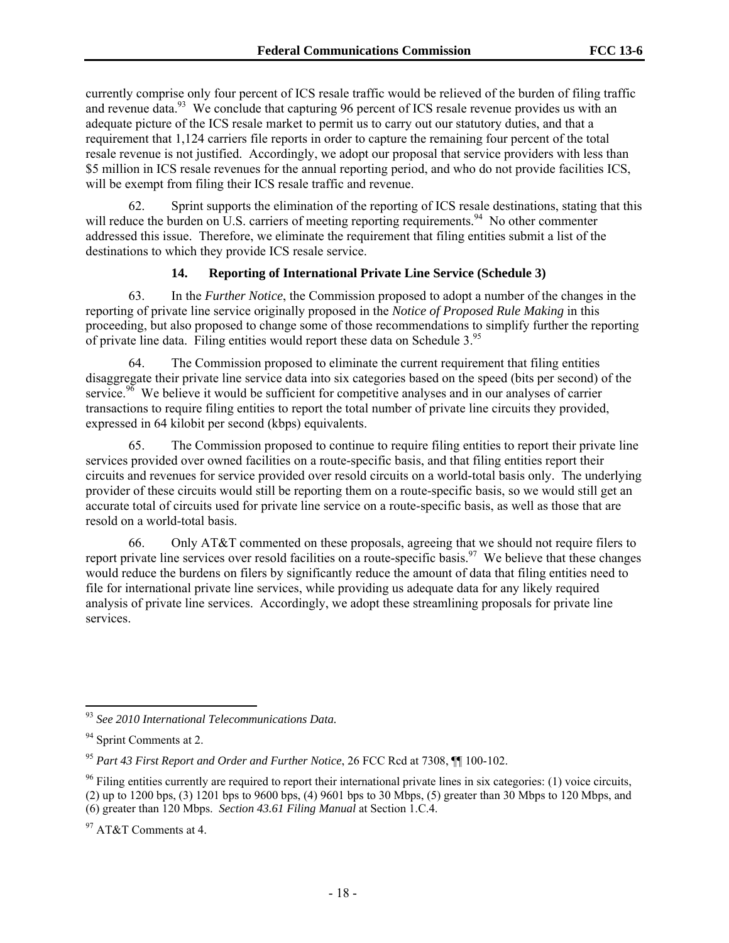currently comprise only four percent of ICS resale traffic would be relieved of the burden of filing traffic and revenue data.<sup>93</sup> We conclude that capturing 96 percent of ICS resale revenue provides us with an adequate picture of the ICS resale market to permit us to carry out our statutory duties, and that a requirement that 1,124 carriers file reports in order to capture the remaining four percent of the total resale revenue is not justified. Accordingly, we adopt our proposal that service providers with less than \$5 million in ICS resale revenues for the annual reporting period, and who do not provide facilities ICS, will be exempt from filing their ICS resale traffic and revenue.

62. Sprint supports the elimination of the reporting of ICS resale destinations, stating that this will reduce the burden on  $\overline{U.S.}$  carriers of meeting reporting requirements.<sup>94</sup> No other commenter addressed this issue. Therefore, we eliminate the requirement that filing entities submit a list of the destinations to which they provide ICS resale service.

# **14. Reporting of International Private Line Service (Schedule 3)**

63. In the *Further Notice*, the Commission proposed to adopt a number of the changes in the reporting of private line service originally proposed in the *Notice of Proposed Rule Making* in this proceeding, but also proposed to change some of those recommendations to simplify further the reporting of private line data. Filing entities would report these data on Schedule 3.95

64. The Commission proposed to eliminate the current requirement that filing entities disaggregate their private line service data into six categories based on the speed (bits per second) of the service.<sup>96</sup> We believe it would be sufficient for competitive analyses and in our analyses of carrier transactions to require filing entities to report the total number of private line circuits they provided, expressed in 64 kilobit per second (kbps) equivalents.

65. The Commission proposed to continue to require filing entities to report their private line services provided over owned facilities on a route-specific basis, and that filing entities report their circuits and revenues for service provided over resold circuits on a world-total basis only. The underlying provider of these circuits would still be reporting them on a route-specific basis, so we would still get an accurate total of circuits used for private line service on a route-specific basis, as well as those that are resold on a world-total basis.

66. Only AT&T commented on these proposals, agreeing that we should not require filers to report private line services over resold facilities on a route-specific basis.<sup>97</sup> We believe that these changes would reduce the burdens on filers by significantly reduce the amount of data that filing entities need to file for international private line services, while providing us adequate data for any likely required analysis of private line services. Accordingly, we adopt these streamlining proposals for private line services.

<sup>93</sup> *See 2010 International Telecommunications Data.*

<sup>&</sup>lt;sup>94</sup> Sprint Comments at 2.

<sup>95</sup> *Part 43 First Report and Order and Further Notice*, 26 FCC Rcd at 7308, ¶¶ 100-102.

 $96$  Filing entities currently are required to report their international private lines in six categories: (1) voice circuits, (2) up to 1200 bps, (3) 1201 bps to 9600 bps, (4) 9601 bps to 30 Mbps, (5) greater than 30 Mbps to 120 Mbps, and (6) greater than 120 Mbps. *Section 43.61 Filing Manual* at Section 1.C.4.

<sup>&</sup>lt;sup>97</sup> AT&T Comments at 4.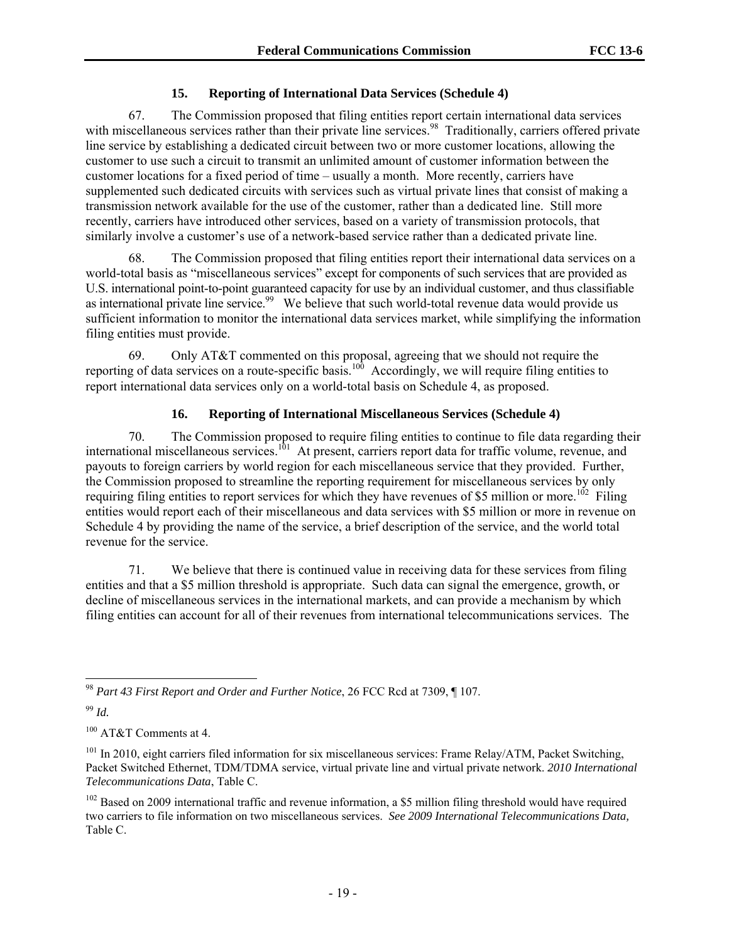# **15. Reporting of International Data Services (Schedule 4)**

67. The Commission proposed that filing entities report certain international data services with miscellaneous services rather than their private line services.<sup>98</sup> Traditionally, carriers offered private line service by establishing a dedicated circuit between two or more customer locations, allowing the customer to use such a circuit to transmit an unlimited amount of customer information between the customer locations for a fixed period of time – usually a month. More recently, carriers have supplemented such dedicated circuits with services such as virtual private lines that consist of making a transmission network available for the use of the customer, rather than a dedicated line. Still more recently, carriers have introduced other services, based on a variety of transmission protocols, that similarly involve a customer's use of a network-based service rather than a dedicated private line.

68. The Commission proposed that filing entities report their international data services on a world-total basis as "miscellaneous services" except for components of such services that are provided as U.S. international point-to-point guaranteed capacity for use by an individual customer, and thus classifiable as international private line service.<sup>99</sup> We believe that such world-total revenue data would provide us sufficient information to monitor the international data services market, while simplifying the information filing entities must provide.

69. Only AT&T commented on this proposal, agreeing that we should not require the reporting of data services on a route-specific basis.<sup>100</sup> Accordingly, we will require filing entities to report international data services only on a world-total basis on Schedule 4, as proposed.

# **16. Reporting of International Miscellaneous Services (Schedule 4)**

70. The Commission proposed to require filing entities to continue to file data regarding their international miscellaneous services.<sup>101</sup> At present, carriers report data for traffic volume, revenue, and payouts to foreign carriers by world region for each miscellaneous service that they provided. Further, the Commission proposed to streamline the reporting requirement for miscellaneous services by only requiring filing entities to report services for which they have revenues of \$5 million or more.<sup>102</sup> Filing entities would report each of their miscellaneous and data services with \$5 million or more in revenue on Schedule 4 by providing the name of the service, a brief description of the service, and the world total revenue for the service.

71. We believe that there is continued value in receiving data for these services from filing entities and that a \$5 million threshold is appropriate. Such data can signal the emergence, growth, or decline of miscellaneous services in the international markets, and can provide a mechanism by which filing entities can account for all of their revenues from international telecommunications services. The

l <sup>98</sup> *Part 43 First Report and Order and Further Notice*, 26 FCC Rcd at 7309, ¶ 107.

<sup>99</sup> *Id.*

<sup>&</sup>lt;sup>100</sup> AT&T Comments at 4.

<sup>&</sup>lt;sup>101</sup> In 2010, eight carriers filed information for six miscellaneous services: Frame Relay/ATM, Packet Switching, Packet Switched Ethernet, TDM/TDMA service, virtual private line and virtual private network. *2010 International Telecommunications Data*, Table C.

 $102$  Based on 2009 international traffic and revenue information, a \$5 million filing threshold would have required two carriers to file information on two miscellaneous services. *See 2009 International Telecommunications Data,*  Table C.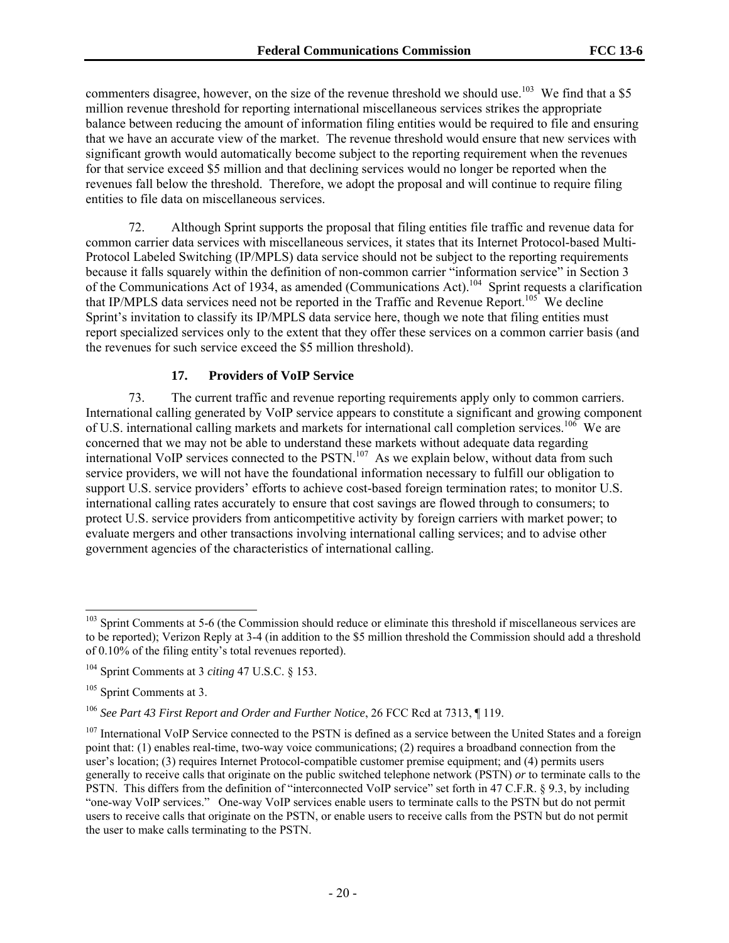commenters disagree, however, on the size of the revenue threshold we should use.<sup>103</sup> We find that a \$5 million revenue threshold for reporting international miscellaneous services strikes the appropriate balance between reducing the amount of information filing entities would be required to file and ensuring that we have an accurate view of the market. The revenue threshold would ensure that new services with significant growth would automatically become subject to the reporting requirement when the revenues for that service exceed \$5 million and that declining services would no longer be reported when the revenues fall below the threshold. Therefore, we adopt the proposal and will continue to require filing entities to file data on miscellaneous services.

72. Although Sprint supports the proposal that filing entities file traffic and revenue data for common carrier data services with miscellaneous services, it states that its Internet Protocol-based Multi-Protocol Labeled Switching (IP/MPLS) data service should not be subject to the reporting requirements because it falls squarely within the definition of non-common carrier "information service" in Section 3 of the Communications Act of 1934, as amended (Communications Act).104 Sprint requests a clarification that IP/MPLS data services need not be reported in the Traffic and Revenue Report.<sup>105</sup> We decline Sprint's invitation to classify its IP/MPLS data service here, though we note that filing entities must report specialized services only to the extent that they offer these services on a common carrier basis (and the revenues for such service exceed the \$5 million threshold).

### **17. Providers of VoIP Service**

73. The current traffic and revenue reporting requirements apply only to common carriers. International calling generated by VoIP service appears to constitute a significant and growing component of U.S. international calling markets and markets for international call completion services.<sup>106</sup> We are concerned that we may not be able to understand these markets without adequate data regarding international VoIP services connected to the PSTN.<sup>107</sup> As we explain below, without data from such service providers, we will not have the foundational information necessary to fulfill our obligation to support U.S. service providers' efforts to achieve cost-based foreign termination rates; to monitor U.S. international calling rates accurately to ensure that cost savings are flowed through to consumers; to protect U.S. service providers from anticompetitive activity by foreign carriers with market power; to evaluate mergers and other transactions involving international calling services; and to advise other government agencies of the characteristics of international calling.

<sup>&</sup>lt;sup>103</sup> Sprint Comments at 5-6 (the Commission should reduce or eliminate this threshold if miscellaneous services are to be reported); Verizon Reply at 3-4 (in addition to the \$5 million threshold the Commission should add a threshold of 0.10% of the filing entity's total revenues reported).

<sup>104</sup> Sprint Comments at 3 *citing* 47 U.S.C. § 153.

<sup>&</sup>lt;sup>105</sup> Sprint Comments at 3.

<sup>106</sup> *See Part 43 First Report and Order and Further Notice*, 26 FCC Rcd at 7313, ¶ 119.

<sup>&</sup>lt;sup>107</sup> International VoIP Service connected to the PSTN is defined as a service between the United States and a foreign point that: (1) enables real-time, two-way voice communications; (2) requires a broadband connection from the user's location; (3) requires Internet Protocol-compatible customer premise equipment; and (4) permits users generally to receive calls that originate on the public switched telephone network (PSTN) *or* to terminate calls to the PSTN. This differs from the definition of "interconnected VoIP service" set forth in 47 C.F.R. § 9.3, by including "one-way VoIP services." One-way VoIP services enable users to terminate calls to the PSTN but do not permit users to receive calls that originate on the PSTN, or enable users to receive calls from the PSTN but do not permit the user to make calls terminating to the PSTN.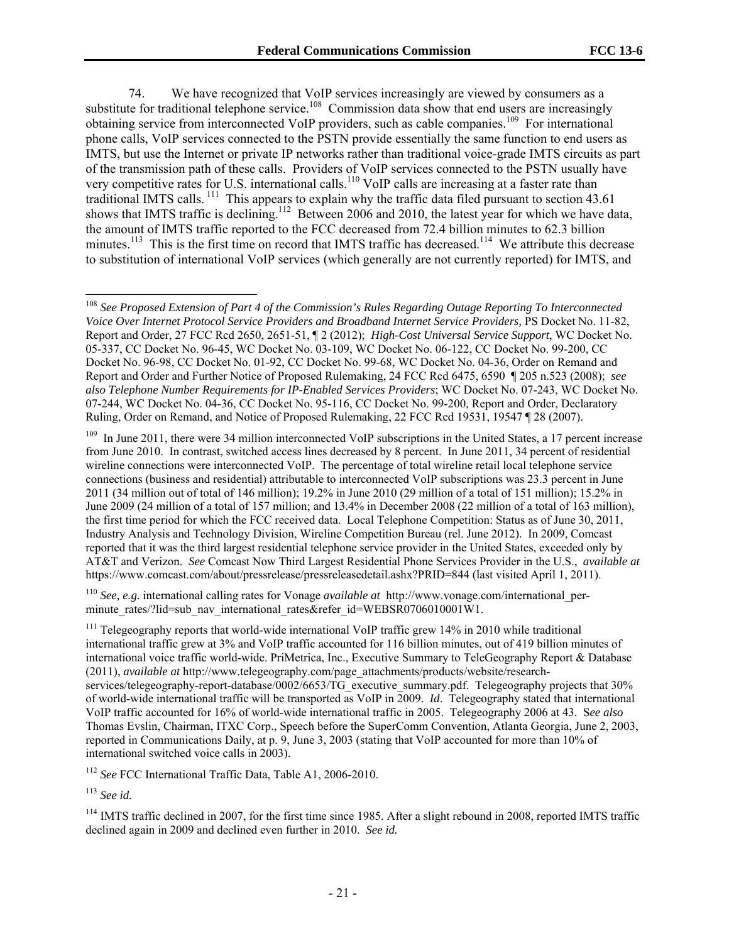74. We have recognized that VoIP services increasingly are viewed by consumers as a substitute for traditional telephone service.<sup>108</sup> Commission data show that end users are increasingly obtaining service from interconnected VoIP providers, such as cable companies.<sup>109</sup> For international phone calls, VoIP services connected to the PSTN provide essentially the same function to end users as IMTS, but use the Internet or private IP networks rather than traditional voice-grade IMTS circuits as part of the transmission path of these calls. Providers of VoIP services connected to the PSTN usually have very competitive rates for U.S. international calls.<sup>110</sup> VoIP calls are increasing at a faster rate than traditional IMTS calls. 111 This appears to explain why the traffic data filed pursuant to section 43.61 shows that IMTS traffic is declining.<sup>112</sup> Between 2006 and 2010, the latest year for which we have data, the amount of IMTS traffic reported to the FCC decreased from 72.4 billion minutes to 62.3 billion minutes.<sup>113</sup> This is the first time on record that IMTS traffic has decreased.<sup>114</sup> We attribute this decrease to substitution of international VoIP services (which generally are not currently reported) for IMTS, and

<sup>109</sup> In June 2011, there were 34 million interconnected VoIP subscriptions in the United States, a 17 percent increase from June 2010. In contrast, switched access lines decreased by 8 percent. In June 2011, 34 percent of residential wireline connections were interconnected VoIP. The percentage of total wireline retail local telephone service connections (business and residential) attributable to interconnected VoIP subscriptions was 23.3 percent in June 2011 (34 million out of total of 146 million); 19.2% in June 2010 (29 million of a total of 151 million); 15.2% in June 2009 (24 million of a total of 157 million; and 13.4% in December 2008 (22 million of a total of 163 million), the first time period for which the FCC received data. Local Telephone Competition: Status as of June 30, 2011, Industry Analysis and Technology Division, Wireline Competition Bureau (rel. June 2012). In 2009, Comcast reported that it was the third largest residential telephone service provider in the United States, exceeded only by AT&T and Verizon. *See* Comcast Now Third Largest Residential Phone Services Provider in the U.S., *available at*  https://www.comcast.com/about/pressrelease/pressreleasedetail.ashx?PRID=844 (last visited April 1, 2011).

<sup>110</sup> *See, e.g.* international calling rates for Vonage *available at* http://www.vonage.com/international\_perminute\_rates/?lid=sub\_nav\_international\_rates&refer\_id=WEBSR0706010001W1.

<sup>111</sup> Telegeography reports that world-wide international VoIP traffic grew 14% in 2010 while traditional international traffic grew at 3% and VoIP traffic accounted for 116 billion minutes, out of 419 billion minutes of international voice traffic world-wide. PriMetrica, Inc., Executive Summary to TeleGeography Report & Database (2011), *available at* http://www.telegeography.com/page\_attachments/products/website/researchservices/telegeography-report-database/0002/6653/TG\_executive\_summary.pdf. Telegeography projects that 30% of world-wide international traffic will be transported as VoIP in 2009. *Id*. Telegeography stated that international VoIP traffic accounted for 16% of world-wide international traffic in 2005. Telegeography 2006 at 43. S*ee also* Thomas Evslin, Chairman, ITXC Corp., Speech before the SuperComm Convention, Atlanta Georgia, June 2, 2003, reported in Communications Daily, at p. 9, June 3, 2003 (stating that VoIP accounted for more than 10% of international switched voice calls in 2003).

<sup>112</sup> *See* FCC International Traffic Data, Table A1, 2006-2010.

<sup>113</sup> *See id.*

l

<sup>114</sup> IMTS traffic declined in 2007, for the first time since 1985. After a slight rebound in 2008, reported IMTS traffic declined again in 2009 and declined even further in 2010. *See id.*

<sup>108</sup> *See Proposed Extension of Part 4 of the Commission's Rules Regarding Outage Reporting To Interconnected Voice Over Internet Protocol Service Providers and Broadband Internet Service Providers,* PS Docket No. 11-82, Report and Order, 27 FCC Rcd 2650, 2651-51, ¶ 2 (2012); *High-Cost Universal Service Support*, WC Docket No. 05-337, CC Docket No. 96-45, WC Docket No. 03-109, WC Docket No. 06-122, CC Docket No. 99-200, CC Docket No. 96-98, CC Docket No. 01-92, CC Docket No. 99-68, WC Docket No. 04-36, Order on Remand and Report and Order and Further Notice of Proposed Rulemaking, 24 FCC Rcd 6475, 6590 ¶ 205 n.523 (2008); *see also Telephone Number Requirements for IP-Enabled Services Providers*; WC Docket No. 07-243, WC Docket No. 07-244, WC Docket No. 04-36, CC Docket No. 95-116, CC Docket No. 99-200, Report and Order, Declaratory Ruling, Order on Remand, and Notice of Proposed Rulemaking, 22 FCC Rcd 19531, 19547 ¶ 28 (2007).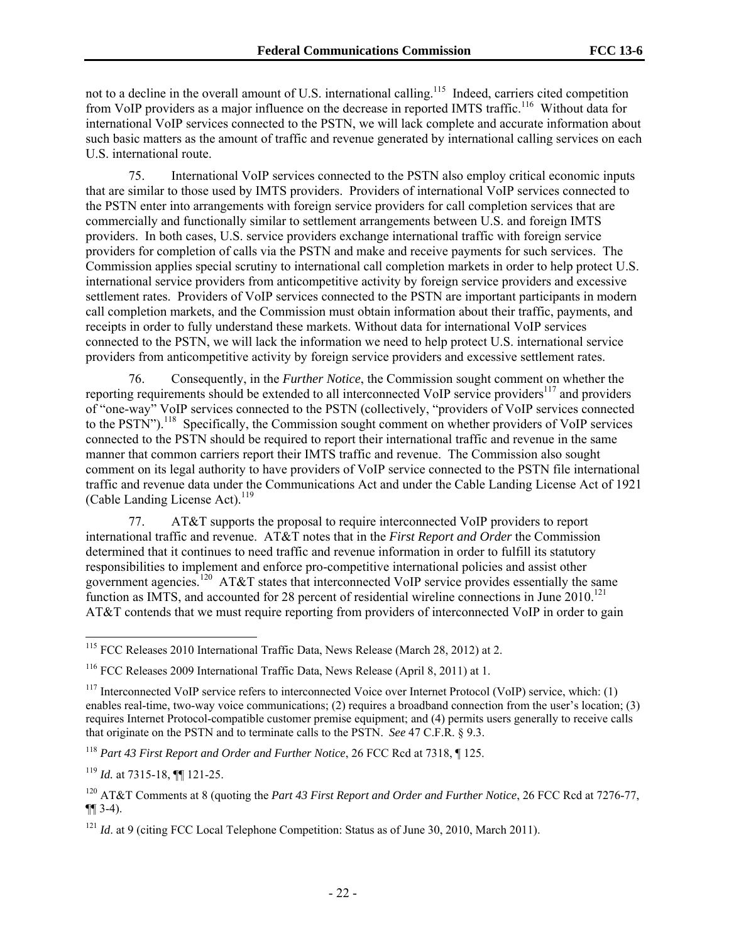not to a decline in the overall amount of U.S. international calling.<sup>115</sup> Indeed, carriers cited competition from VoIP providers as a major influence on the decrease in reported IMTS traffic.<sup>116</sup> Without data for international VoIP services connected to the PSTN, we will lack complete and accurate information about such basic matters as the amount of traffic and revenue generated by international calling services on each U.S. international route.

75. International VoIP services connected to the PSTN also employ critical economic inputs that are similar to those used by IMTS providers. Providers of international VoIP services connected to the PSTN enter into arrangements with foreign service providers for call completion services that are commercially and functionally similar to settlement arrangements between U.S. and foreign IMTS providers. In both cases, U.S. service providers exchange international traffic with foreign service providers for completion of calls via the PSTN and make and receive payments for such services. The Commission applies special scrutiny to international call completion markets in order to help protect U.S. international service providers from anticompetitive activity by foreign service providers and excessive settlement rates. Providers of VoIP services connected to the PSTN are important participants in modern call completion markets, and the Commission must obtain information about their traffic, payments, and receipts in order to fully understand these markets. Without data for international VoIP services connected to the PSTN, we will lack the information we need to help protect U.S. international service providers from anticompetitive activity by foreign service providers and excessive settlement rates.

76. Consequently, in the *Further Notice*, the Commission sought comment on whether the reporting requirements should be extended to all interconnected VoIP service providers<sup>117</sup> and providers of "one-way" VoIP services connected to the PSTN (collectively, "providers of VoIP services connected to the PSTN").<sup>118</sup> Specifically, the Commission sought comment on whether providers of VoIP services connected to the PSTN should be required to report their international traffic and revenue in the same manner that common carriers report their IMTS traffic and revenue. The Commission also sought comment on its legal authority to have providers of VoIP service connected to the PSTN file international traffic and revenue data under the Communications Act and under the Cable Landing License Act of 1921 (Cable Landing License Act). $^{119}$ 

77. AT&T supports the proposal to require interconnected VoIP providers to report international traffic and revenue. AT&T notes that in the *First Report and Order* the Commission determined that it continues to need traffic and revenue information in order to fulfill its statutory responsibilities to implement and enforce pro-competitive international policies and assist other government agencies.<sup>120</sup> AT&T states that interconnected VoIP service provides essentially the same function as IMTS, and accounted for 28 percent of residential wireline connections in June 2010.<sup>121</sup> AT&T contends that we must require reporting from providers of interconnected VoIP in order to gain

l

<sup>&</sup>lt;sup>115</sup> FCC Releases 2010 International Traffic Data, News Release (March 28, 2012) at 2.

<sup>116</sup> FCC Releases 2009 International Traffic Data, News Release (April 8, 2011) at 1.

 $117$  Interconnected VoIP service refers to interconnected Voice over Internet Protocol (VoIP) service, which: (1) enables real-time, two-way voice communications; (2) requires a broadband connection from the user's location; (3) requires Internet Protocol-compatible customer premise equipment; and (4) permits users generally to receive calls that originate on the PSTN and to terminate calls to the PSTN. *See* 47 C.F.R. § 9.3.

<sup>118</sup> *Part 43 First Report and Order and Further Notice*, 26 FCC Rcd at 7318, ¶ 125.

<sup>119</sup> *Id.* at 7315-18, ¶¶ 121-25.

<sup>120</sup> AT&T Comments at 8 (quoting the *Part 43 First Report and Order and Further Notice*, 26 FCC Rcd at 7276-77, ¶¶ 3-4).

<sup>&</sup>lt;sup>121</sup> *Id.* at 9 (citing FCC Local Telephone Competition: Status as of June 30, 2010, March 2011).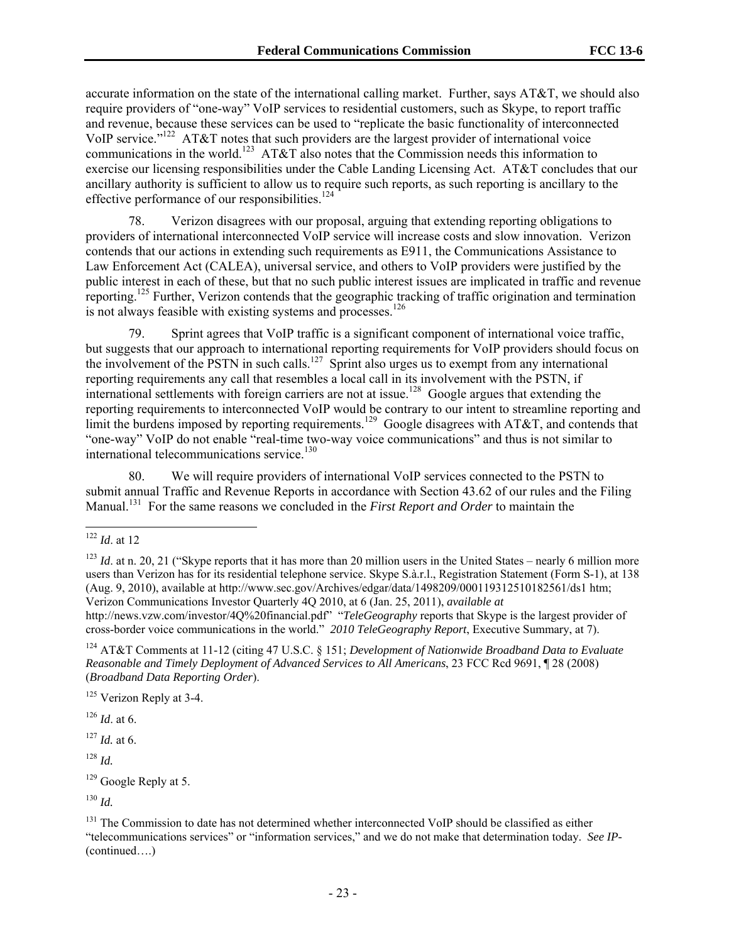accurate information on the state of the international calling market. Further, says AT&T, we should also require providers of "one-way" VoIP services to residential customers, such as Skype, to report traffic and revenue, because these services can be used to "replicate the basic functionality of interconnected VoIP service."122 AT&T notes that such providers are the largest provider of international voice communications in the world.<sup>123</sup> AT&T also notes that the Commission needs this information to exercise our licensing responsibilities under the Cable Landing Licensing Act. AT&T concludes that our ancillary authority is sufficient to allow us to require such reports, as such reporting is ancillary to the effective performance of our responsibilities.<sup>124</sup>

78. Verizon disagrees with our proposal, arguing that extending reporting obligations to providers of international interconnected VoIP service will increase costs and slow innovation. Verizon contends that our actions in extending such requirements as E911, the Communications Assistance to Law Enforcement Act (CALEA), universal service, and others to VoIP providers were justified by the public interest in each of these, but that no such public interest issues are implicated in traffic and revenue reporting.<sup>125</sup> Further, Verizon contends that the geographic tracking of traffic origination and termination is not always feasible with existing systems and processes.<sup>126</sup>

79. Sprint agrees that VoIP traffic is a significant component of international voice traffic, but suggests that our approach to international reporting requirements for VoIP providers should focus on the involvement of the PSTN in such calls.<sup>127</sup> Sprint also urges us to exempt from any international reporting requirements any call that resembles a local call in its involvement with the PSTN, if international settlements with foreign carriers are not at issue.<sup>128</sup> Google argues that extending the reporting requirements to interconnected VoIP would be contrary to our intent to streamline reporting and limit the burdens imposed by reporting requirements.<sup>129</sup> Google disagrees with AT&T, and contends that "one-way" VoIP do not enable "real-time two-way voice communications" and thus is not similar to international telecommunications service.<sup>130</sup>

80. We will require providers of international VoIP services connected to the PSTN to submit annual Traffic and Revenue Reports in accordance with Section 43.62 of our rules and the Filing Manual.<sup>131</sup> For the same reasons we concluded in the *First Report and Order* to maintain the

l

<sup>128</sup> *Id.*

<sup>122</sup> *Id*. at 12

 $123$  *Id.* at n. 20, 21 ("Skype reports that it has more than 20 million users in the United States – nearly 6 million more users than Verizon has for its residential telephone service. Skype S.à.r.l., Registration Statement (Form S-1), at 138 (Aug. 9, 2010), available at http://www.sec.gov/Archives/edgar/data/1498209/000119312510182561/ds1 htm; Verizon Communications Investor Quarterly 4Q 2010, at 6 (Jan. 25, 2011), *available at* http://news.vzw.com/investor/4Q%20financial.pdf" "*TeleGeography* reports that Skype is the largest provider of

cross-border voice communications in the world." *2010 TeleGeography Report*, Executive Summary, at 7).

<sup>124</sup> AT&T Comments at 11-12 (citing 47 U.S.C. § 151; *Development of Nationwide Broadband Data to Evaluate Reasonable and Timely Deployment of Advanced Services to All Americans*, 23 FCC Rcd 9691, ¶ 28 (2008) (*Broadband Data Reporting Order*).

<sup>&</sup>lt;sup>125</sup> Verizon Reply at 3-4.

<sup>126</sup> *Id*. at 6.

<sup>127</sup> *Id.* at 6.

<sup>&</sup>lt;sup>129</sup> Google Reply at 5.

<sup>130</sup> *Id.*

<sup>&</sup>lt;sup>131</sup> The Commission to date has not determined whether interconnected VoIP should be classified as either "telecommunications services" or "information services," and we do not make that determination today. *See IP-* (continued….)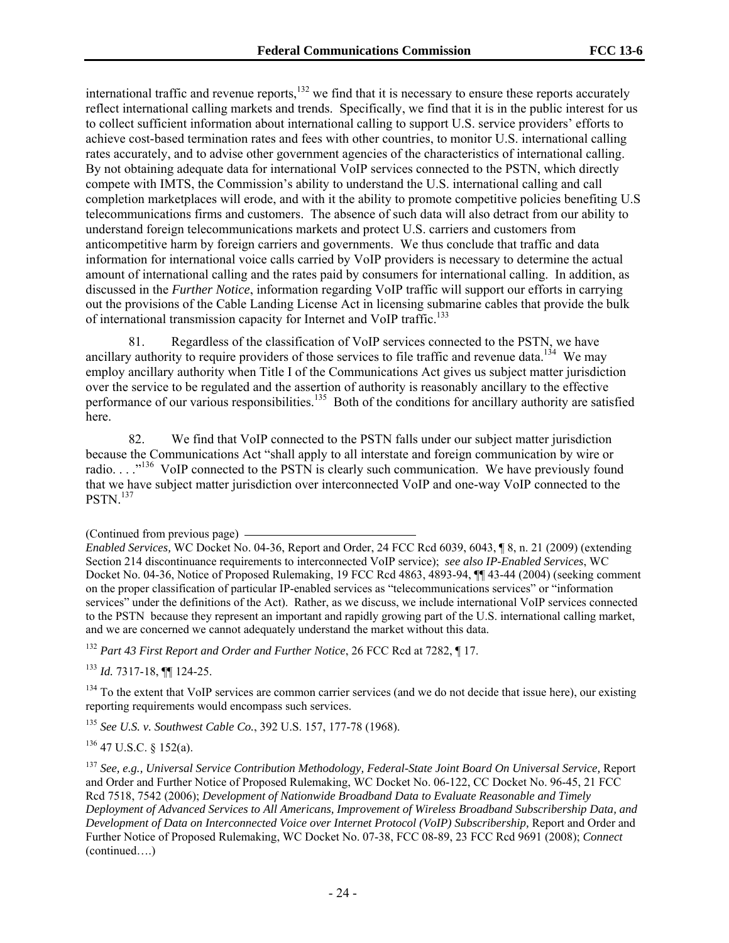international traffic and revenue reports,<sup>132</sup> we find that it is necessary to ensure these reports accurately reflect international calling markets and trends. Specifically, we find that it is in the public interest for us to collect sufficient information about international calling to support U.S. service providers' efforts to achieve cost-based termination rates and fees with other countries, to monitor U.S. international calling rates accurately, and to advise other government agencies of the characteristics of international calling. By not obtaining adequate data for international VoIP services connected to the PSTN, which directly compete with IMTS, the Commission's ability to understand the U.S. international calling and call completion marketplaces will erode, and with it the ability to promote competitive policies benefiting U.S telecommunications firms and customers. The absence of such data will also detract from our ability to understand foreign telecommunications markets and protect U.S. carriers and customers from anticompetitive harm by foreign carriers and governments. We thus conclude that traffic and data information for international voice calls carried by VoIP providers is necessary to determine the actual amount of international calling and the rates paid by consumers for international calling. In addition, as discussed in the *Further Notice*, information regarding VoIP traffic will support our efforts in carrying out the provisions of the Cable Landing License Act in licensing submarine cables that provide the bulk of international transmission capacity for Internet and VoIP traffic.<sup>133</sup>

81. Regardless of the classification of VoIP services connected to the PSTN, we have ancillary authority to require providers of those services to file traffic and revenue data.<sup>134</sup> We may employ ancillary authority when Title I of the Communications Act gives us subject matter jurisdiction over the service to be regulated and the assertion of authority is reasonably ancillary to the effective performance of our various responsibilities.<sup>135</sup> Both of the conditions for ancillary authority are satisfied here.

82. We find that VoIP connected to the PSTN falls under our subject matter jurisdiction because the Communications Act "shall apply to all interstate and foreign communication by wire or radio.  $\ldots$ <sup>136</sup> VoIP connected to the PSTN is clearly such communication. We have previously found that we have subject matter jurisdiction over interconnected VoIP and one-way VoIP connected to the PSTN.<sup>137</sup>

*Enabled Services,* WC Docket No. 04-36, Report and Order, 24 FCC Rcd 6039, 6043, ¶ 8, n. 21 (2009) (extending Section 214 discontinuance requirements to interconnected VoIP service); *see also IP-Enabled Services*, WC Docket No. 04-36, Notice of Proposed Rulemaking, 19 FCC Rcd 4863, 4893-94, ¶¶ 43-44 (2004) (seeking comment on the proper classification of particular IP-enabled services as "telecommunications services" or "information services" under the definitions of the Act). Rather, as we discuss, we include international VoIP services connected to the PSTN because they represent an important and rapidly growing part of the U.S. international calling market, and we are concerned we cannot adequately understand the market without this data.

<sup>132</sup> *Part 43 First Report and Order and Further Notice*, 26 FCC Rcd at 7282, ¶ 17.

<sup>133</sup> *Id.* 7317-18, ¶¶ 124-25.

<sup>134</sup> To the extent that VoIP services are common carrier services (and we do not decide that issue here), our existing reporting requirements would encompass such services.

<sup>135</sup> *See U.S. v. Southwest Cable Co.*, 392 U.S. 157, 177-78 (1968).

 $136$  47 U.S.C. § 152(a).

<sup>137</sup> *See, e.g., Universal Service Contribution Methodology, Federal-State Joint Board On Universal Service,* Report and Order and Further Notice of Proposed Rulemaking, WC Docket No. 06-122, CC Docket No. 96-45, 21 FCC Rcd 7518, 7542 (2006); *Development of Nationwide Broadband Data to Evaluate Reasonable and Timely Deployment of Advanced Services to All Americans, Improvement of Wireless Broadband Subscribership Data, and Development of Data on Interconnected Voice over Internet Protocol (VoIP) Subscribership*, Report and Order and Further Notice of Proposed Rulemaking, WC Docket No. 07-38, FCC 08-89, 23 FCC Rcd 9691 (2008); *Connect*  (continued….)

<sup>(</sup>Continued from previous page)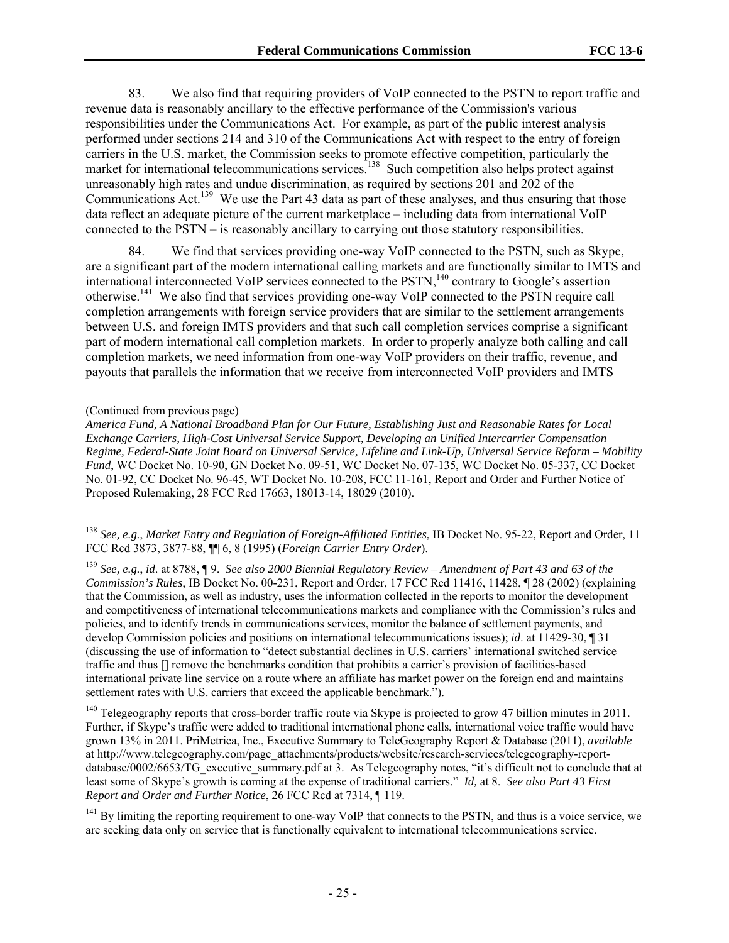83. We also find that requiring providers of VoIP connected to the PSTN to report traffic and revenue data is reasonably ancillary to the effective performance of the Commission's various responsibilities under the Communications Act. For example, as part of the public interest analysis performed under sections 214 and 310 of the Communications Act with respect to the entry of foreign carriers in the U.S. market, the Commission seeks to promote effective competition, particularly the market for international telecommunications services.<sup>138</sup> Such competition also helps protect against unreasonably high rates and undue discrimination, as required by sections 201 and 202 of the Communications Act.<sup>139</sup> We use the Part 43 data as part of these analyses, and thus ensuring that those data reflect an adequate picture of the current marketplace – including data from international VoIP connected to the PSTN – is reasonably ancillary to carrying out those statutory responsibilities.

We find that services providing one-way VoIP connected to the PSTN, such as Skype, are a significant part of the modern international calling markets and are functionally similar to IMTS and international interconnected VoIP services connected to the  $PSTN$ ,<sup>140</sup> contrary to Google's assertion otherwise.141 We also find that services providing one-way VoIP connected to the PSTN require call completion arrangements with foreign service providers that are similar to the settlement arrangements between U.S. and foreign IMTS providers and that such call completion services comprise a significant part of modern international call completion markets. In order to properly analyze both calling and call completion markets, we need information from one-way VoIP providers on their traffic, revenue, and payouts that parallels the information that we receive from interconnected VoIP providers and IMTS

#### (Continued from previous page)

*America Fund, A National Broadband Plan for Our Future, Establishing Just and Reasonable Rates for Local Exchange Carriers, High-Cost Universal Service Support, Developing an Unified Intercarrier Compensation Regime, Federal-State Joint Board on Universal Service, Lifeline and Link-Up, Universal Service Reform – Mobility Fund*, WC Docket No. 10-90, GN Docket No. 09-51, WC Docket No. 07-135, WC Docket No. 05-337, CC Docket No. 01-92, CC Docket No. 96-45, WT Docket No. 10-208, FCC 11-161, Report and Order and Further Notice of Proposed Rulemaking, 28 FCC Rcd 17663, 18013-14, 18029 (2010).

<sup>138</sup> *See, e.g.*, *Market Entry and Regulation of Foreign-Affiliated Entities*, IB Docket No. 95-22, Report and Order, 11 FCC Rcd 3873, 3877-88, ¶¶ 6, 8 (1995) (*Foreign Carrier Entry Order*).

<sup>139</sup> *See, e.g.*, *id*. at 8788, ¶ 9. *See also 2000 Biennial Regulatory Review – Amendment of Part 43 and 63 of the Commission's Rules*, IB Docket No. 00-231, Report and Order, 17 FCC Rcd 11416, 11428, ¶ 28 (2002) (explaining that the Commission, as well as industry, uses the information collected in the reports to monitor the development and competitiveness of international telecommunications markets and compliance with the Commission's rules and policies, and to identify trends in communications services, monitor the balance of settlement payments, and develop Commission policies and positions on international telecommunications issues); *id*. at 11429-30, ¶ 31 (discussing the use of information to "detect substantial declines in U.S. carriers' international switched service traffic and thus [] remove the benchmarks condition that prohibits a carrier's provision of facilities-based international private line service on a route where an affiliate has market power on the foreign end and maintains settlement rates with U.S. carriers that exceed the applicable benchmark.").

<sup>140</sup> Telegeography reports that cross-border traffic route via Skype is projected to grow 47 billion minutes in 2011. Further, if Skype's traffic were added to traditional international phone calls, international voice traffic would have grown 13% in 2011. PriMetrica, Inc., Executive Summary to TeleGeography Report & Database (2011), *available*  at http://www.telegeography.com/page\_attachments/products/website/research-services/telegeography-reportdatabase/0002/6653/TG\_executive\_summary.pdf at 3. As Telegeography notes, "it's difficult not to conclude that at least some of Skype's growth is coming at the expense of traditional carriers." *Id,* at 8. *See also Part 43 First Report and Order and Further Notice*, 26 FCC Rcd at 7314, ¶ 119.

 $141$  By limiting the reporting requirement to one-way VoIP that connects to the PSTN, and thus is a voice service, we are seeking data only on service that is functionally equivalent to international telecommunications service.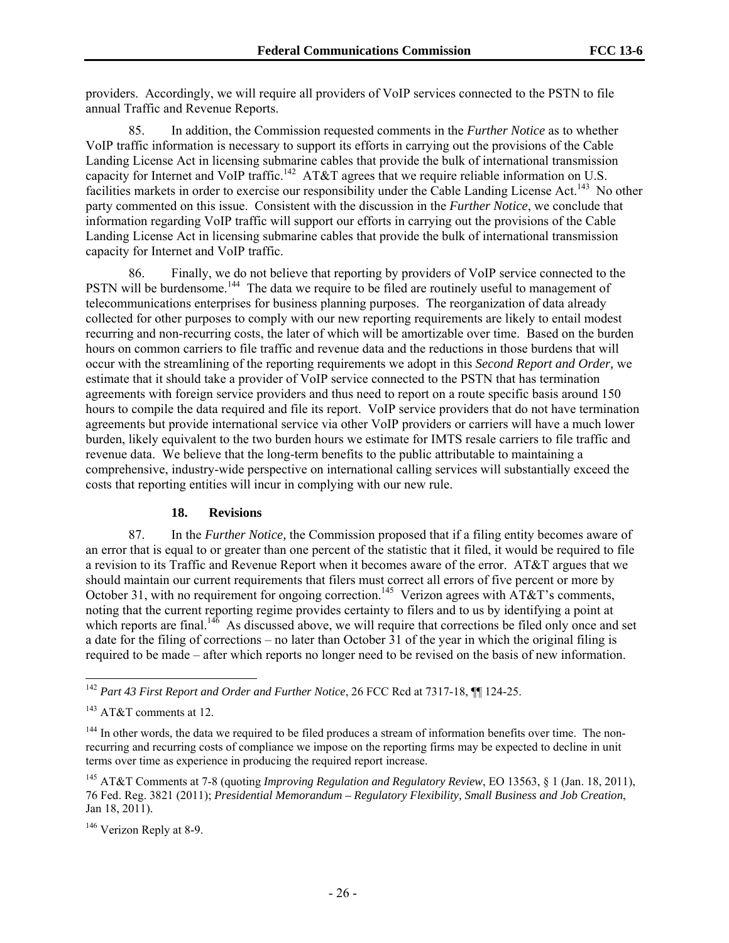providers. Accordingly, we will require all providers of VoIP services connected to the PSTN to file annual Traffic and Revenue Reports.

85. In addition, the Commission requested comments in the *Further Notice* as to whether VoIP traffic information is necessary to support its efforts in carrying out the provisions of the Cable Landing License Act in licensing submarine cables that provide the bulk of international transmission capacity for Internet and VoIP traffic.<sup>142</sup> AT&T agrees that we require reliable information on U.S. facilities markets in order to exercise our responsibility under the Cable Landing License Act.<sup>143</sup> No other party commented on this issue. Consistent with the discussion in the *Further Notice*, we conclude that information regarding VoIP traffic will support our efforts in carrying out the provisions of the Cable Landing License Act in licensing submarine cables that provide the bulk of international transmission capacity for Internet and VoIP traffic.

86. Finally, we do not believe that reporting by providers of VoIP service connected to the PSTN will be burdensome.<sup>144</sup> The data we require to be filed are routinely useful to management of telecommunications enterprises for business planning purposes. The reorganization of data already collected for other purposes to comply with our new reporting requirements are likely to entail modest recurring and non-recurring costs, the later of which will be amortizable over time. Based on the burden hours on common carriers to file traffic and revenue data and the reductions in those burdens that will occur with the streamlining of the reporting requirements we adopt in this *Second Report and Order,* we estimate that it should take a provider of VoIP service connected to the PSTN that has termination agreements with foreign service providers and thus need to report on a route specific basis around 150 hours to compile the data required and file its report. VoIP service providers that do not have termination agreements but provide international service via other VoIP providers or carriers will have a much lower burden, likely equivalent to the two burden hours we estimate for IMTS resale carriers to file traffic and revenue data. We believe that the long-term benefits to the public attributable to maintaining a comprehensive, industry-wide perspective on international calling services will substantially exceed the costs that reporting entities will incur in complying with our new rule.

#### **18. Revisions**

87. In the *Further Notice,* the Commission proposed that if a filing entity becomes aware of an error that is equal to or greater than one percent of the statistic that it filed, it would be required to file a revision to its Traffic and Revenue Report when it becomes aware of the error. AT&T argues that we should maintain our current requirements that filers must correct all errors of five percent or more by October 31, with no requirement for ongoing correction.<sup>145</sup> Verizon agrees with  $\widehat{AT\&T}$ 's comments, noting that the current reporting regime provides certainty to filers and to us by identifying a point at which reports are final.<sup>146</sup> As discussed above, we will require that corrections be filed only once and set a date for the filing of corrections – no later than October 31 of the year in which the original filing is required to be made – after which reports no longer need to be revised on the basis of new information.

l

<sup>142</sup> *Part 43 First Report and Order and Further Notice*, 26 FCC Rcd at 7317-18, ¶¶ 124-25.

 $143$  AT&T comments at 12.

<sup>&</sup>lt;sup>144</sup> In other words, the data we required to be filed produces a stream of information benefits over time. The nonrecurring and recurring costs of compliance we impose on the reporting firms may be expected to decline in unit terms over time as experience in producing the required report increase.

<sup>145</sup> AT&T Comments at 7-8 (quoting *Improving Regulation and Regulatory Review*, EO 13563, § 1 (Jan. 18, 2011), 76 Fed. Reg. 3821 (2011); *Presidential Memorandum – Regulatory Flexibility, Small Business and Job Creation*, Jan 18, 2011).

<sup>&</sup>lt;sup>146</sup> Verizon Reply at 8-9.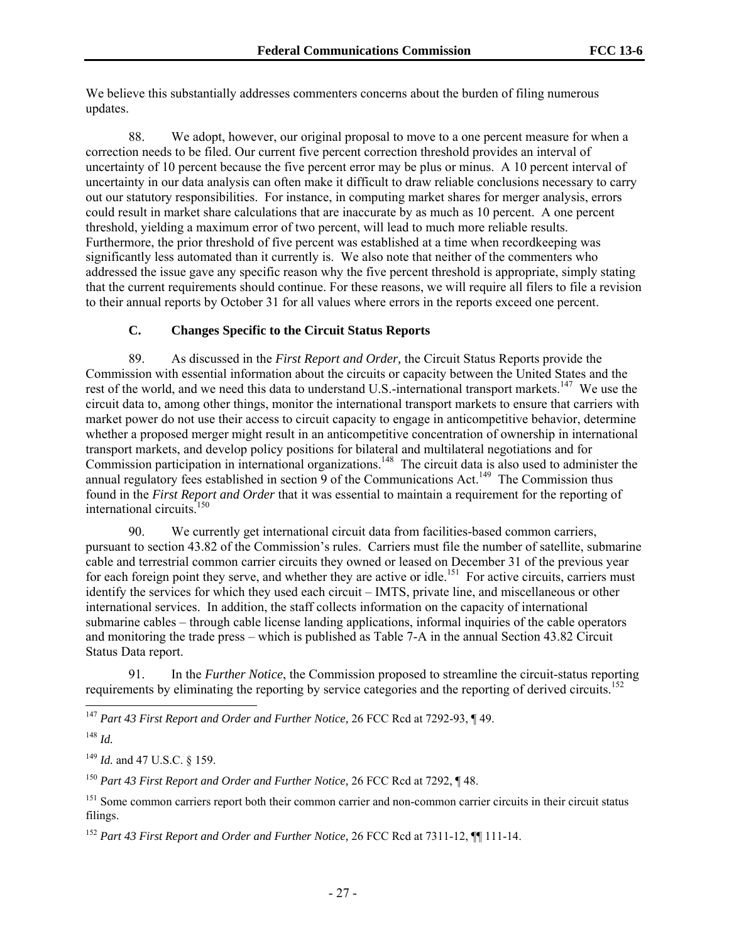We believe this substantially addresses commenters concerns about the burden of filing numerous updates.

88. We adopt, however, our original proposal to move to a one percent measure for when a correction needs to be filed. Our current five percent correction threshold provides an interval of uncertainty of 10 percent because the five percent error may be plus or minus. A 10 percent interval of uncertainty in our data analysis can often make it difficult to draw reliable conclusions necessary to carry out our statutory responsibilities. For instance, in computing market shares for merger analysis, errors could result in market share calculations that are inaccurate by as much as 10 percent. A one percent threshold, yielding a maximum error of two percent, will lead to much more reliable results. Furthermore, the prior threshold of five percent was established at a time when recordkeeping was significantly less automated than it currently is. We also note that neither of the commenters who addressed the issue gave any specific reason why the five percent threshold is appropriate, simply stating that the current requirements should continue. For these reasons, we will require all filers to file a revision to their annual reports by October 31 for all values where errors in the reports exceed one percent.

### **C. Changes Specific to the Circuit Status Reports**

89. As discussed in the *First Report and Order,* the Circuit Status Reports provide the Commission with essential information about the circuits or capacity between the United States and the rest of the world, and we need this data to understand U.S.-international transport markets.<sup>147</sup> We use the circuit data to, among other things, monitor the international transport markets to ensure that carriers with market power do not use their access to circuit capacity to engage in anticompetitive behavior, determine whether a proposed merger might result in an anticompetitive concentration of ownership in international transport markets, and develop policy positions for bilateral and multilateral negotiations and for Commission participation in international organizations.<sup>148</sup> The circuit data is also used to administer the annual regulatory fees established in section 9 of the Communications Act.<sup>149</sup> The Commission thus found in the *First Report and Order* that it was essential to maintain a requirement for the reporting of international circuits.150

90. We currently get international circuit data from facilities-based common carriers, pursuant to section 43.82 of the Commission's rules. Carriers must file the number of satellite, submarine cable and terrestrial common carrier circuits they owned or leased on December 31 of the previous year for each foreign point they serve, and whether they are active or idle.<sup>151</sup> For active circuits, carriers must identify the services for which they used each circuit – IMTS, private line, and miscellaneous or other international services. In addition, the staff collects information on the capacity of international submarine cables – through cable license landing applications, informal inquiries of the cable operators and monitoring the trade press – which is published as Table 7-A in the annual Section 43.82 Circuit Status Data report.

91. In the *Further Notice*, the Commission proposed to streamline the circuit-status reporting requirements by eliminating the reporting by service categories and the reporting of derived circuits.<sup>152</sup>

<sup>147</sup> *Part 43 First Report and Order and Further Notice,* 26 FCC Rcd at 7292-93, ¶ 49.

1

<sup>149</sup> *Id.* and 47 U.S.C. § 159.

<sup>150</sup> *Part 43 First Report and Order and Further Notice,* 26 FCC Rcd at 7292, ¶ 48.

<sup>148</sup> *Id.*

<sup>&</sup>lt;sup>151</sup> Some common carriers report both their common carrier and non-common carrier circuits in their circuit status filings.

<sup>152</sup> *Part 43 First Report and Order and Further Notice,* 26 FCC Rcd at 7311-12, ¶¶ 111-14.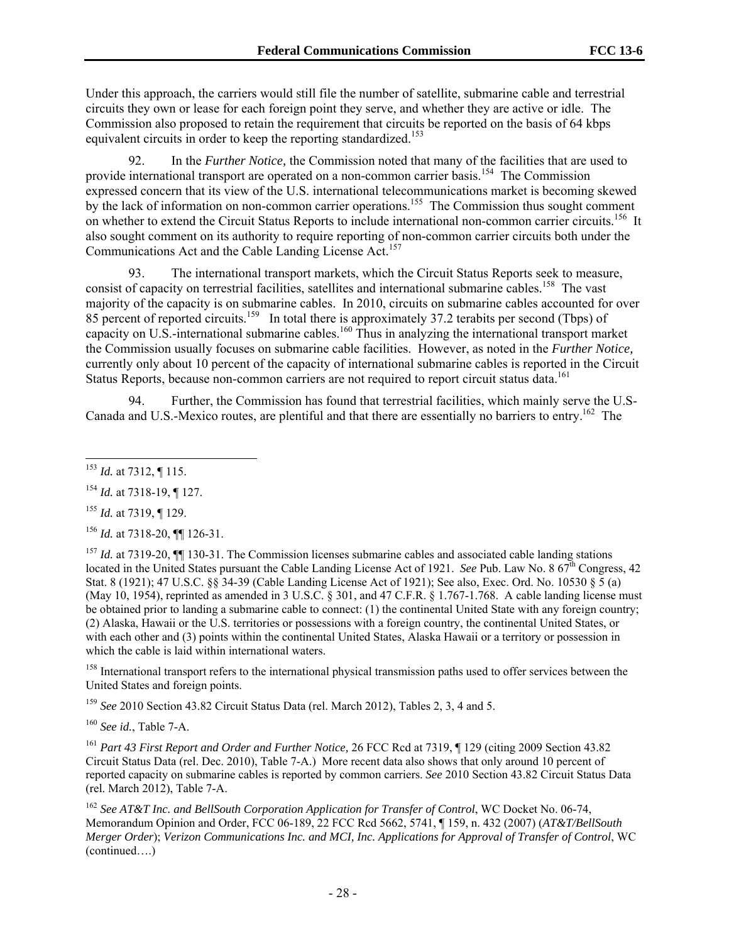Under this approach, the carriers would still file the number of satellite, submarine cable and terrestrial circuits they own or lease for each foreign point they serve, and whether they are active or idle. The Commission also proposed to retain the requirement that circuits be reported on the basis of 64 kbps equivalent circuits in order to keep the reporting standardized.<sup>153</sup>

92. In the *Further Notice,* the Commission noted that many of the facilities that are used to provide international transport are operated on a non-common carrier basis.<sup>154</sup> The Commission expressed concern that its view of the U.S. international telecommunications market is becoming skewed by the lack of information on non-common carrier operations.<sup>155</sup> The Commission thus sought comment on whether to extend the Circuit Status Reports to include international non-common carrier circuits.<sup>156</sup> It also sought comment on its authority to require reporting of non-common carrier circuits both under the Communications Act and the Cable Landing License Act.<sup>157</sup>

93. The international transport markets, which the Circuit Status Reports seek to measure, consist of capacity on terrestrial facilities, satellites and international submarine cables.<sup>158</sup> The vast majority of the capacity is on submarine cables. In 2010, circuits on submarine cables accounted for over 85 percent of reported circuits.<sup>159</sup> In total there is approximately 37.2 terabits per second (Tbps) of capacity on U.S.-international submarine cables.160 Thus in analyzing the international transport market the Commission usually focuses on submarine cable facilities. However, as noted in the *Further Notice,* currently only about 10 percent of the capacity of international submarine cables is reported in the Circuit Status Reports, because non-common carriers are not required to report circuit status data.<sup>161</sup>

94. Further, the Commission has found that terrestrial facilities, which mainly serve the U.S-Canada and U.S.-Mexico routes, are plentiful and that there are essentially no barriers to entry.162 The

l <sup>153</sup> *Id.* at 7312, ¶ 115.

<sup>156</sup> *Id.* at 7318-20, ¶¶ 126-31.

<sup>157</sup> *Id.* at 7319-20,  $\P$  130-31. The Commission licenses submarine cables and associated cable landing stations located in the United States pursuant the Cable Landing License Act of 1921. *See* Pub. Law No. 8 67<sup>th</sup> Congress, 42 Stat. 8 (1921); 47 U.S.C. §§ 34-39 (Cable Landing License Act of 1921); See also, Exec. Ord. No. 10530 § 5 (a) (May 10, 1954), reprinted as amended in 3 U.S.C. § 301, and 47 C.F.R. § 1.767-1.768. A cable landing license must be obtained prior to landing a submarine cable to connect: (1) the continental United State with any foreign country; (2) Alaska, Hawaii or the U.S. territories or possessions with a foreign country, the continental United States, or with each other and (3) points within the continental United States, Alaska Hawaii or a territory or possession in which the cable is laid within international waters.

<sup>158</sup> International transport refers to the international physical transmission paths used to offer services between the United States and foreign points.

<sup>159</sup> *See* 2010 Section 43.82 Circuit Status Data (rel. March 2012), Tables 2, 3, 4 and 5.

<sup>160</sup> *See id.*, Table 7-A.

<sup>161</sup> *Part 43 First Report and Order and Further Notice,* 26 FCC Rcd at 7319, ¶ 129 (citing 2009 Section 43.82 Circuit Status Data (rel. Dec. 2010), Table 7-A.) More recent data also shows that only around 10 percent of reported capacity on submarine cables is reported by common carriers. *See* 2010 Section 43.82 Circuit Status Data (rel. March 2012), Table 7-A.

<sup>162</sup> See AT&T Inc. and BellSouth Corporation Application for Transfer of Control, WC Docket No. 06-74, Memorandum Opinion and Order, FCC 06-189, 22 FCC Rcd 5662, 5741, ¶ 159, n. 432 (2007) (*AT&T/BellSouth Merger Order*); *Verizon Communications Inc. and MCI, Inc. Applications for Approval of Transfer of Control*, WC (continued….)

<sup>154</sup> *Id.* at 7318-19, ¶ 127.

<sup>155</sup> *Id.* at 7319, ¶ 129.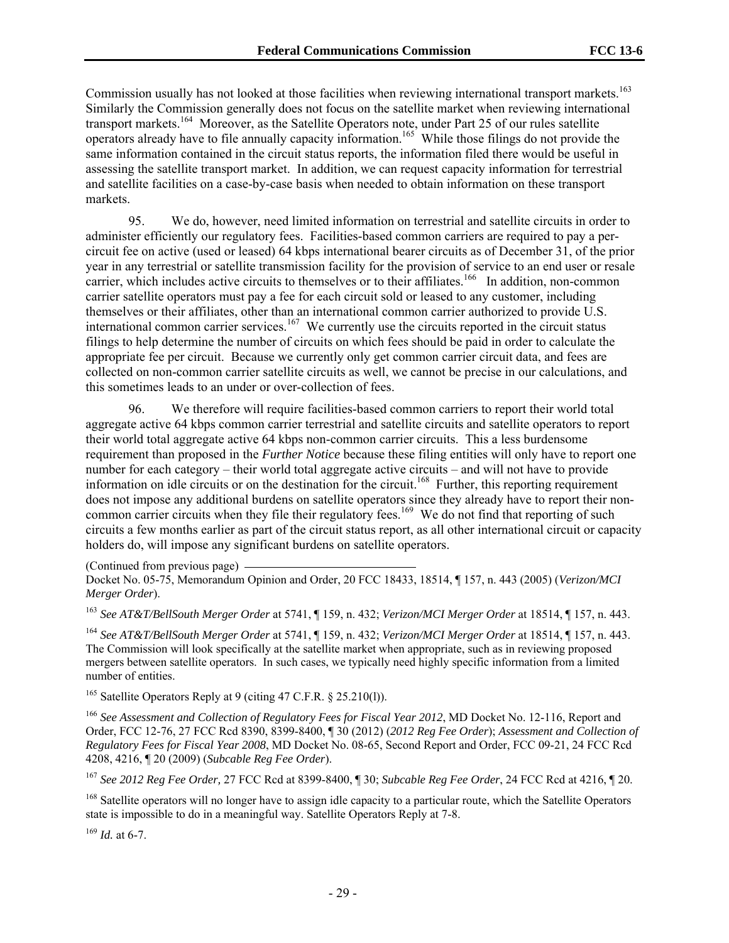Commission usually has not looked at those facilities when reviewing international transport markets.<sup>163</sup> Similarly the Commission generally does not focus on the satellite market when reviewing international transport markets.164 Moreover, as the Satellite Operators note, under Part 25 of our rules satellite operators already have to file annually capacity information.165 While those filings do not provide the same information contained in the circuit status reports, the information filed there would be useful in assessing the satellite transport market. In addition, we can request capacity information for terrestrial and satellite facilities on a case-by-case basis when needed to obtain information on these transport markets.

95. We do, however, need limited information on terrestrial and satellite circuits in order to administer efficiently our regulatory fees. Facilities-based common carriers are required to pay a percircuit fee on active (used or leased) 64 kbps international bearer circuits as of December 31, of the prior year in any terrestrial or satellite transmission facility for the provision of service to an end user or resale carrier, which includes active circuits to themselves or to their affiliates.<sup>166</sup> In addition, non-common carrier satellite operators must pay a fee for each circuit sold or leased to any customer, including themselves or their affiliates, other than an international common carrier authorized to provide U.S. international common carrier services.<sup>167</sup> We currently use the circuits reported in the circuit status filings to help determine the number of circuits on which fees should be paid in order to calculate the appropriate fee per circuit. Because we currently only get common carrier circuit data, and fees are collected on non-common carrier satellite circuits as well, we cannot be precise in our calculations, and this sometimes leads to an under or over-collection of fees.

96. We therefore will require facilities-based common carriers to report their world total aggregate active 64 kbps common carrier terrestrial and satellite circuits and satellite operators to report their world total aggregate active 64 kbps non-common carrier circuits. This a less burdensome requirement than proposed in the *Further Notice* because these filing entities will only have to report one number for each category – their world total aggregate active circuits – and will not have to provide information on idle circuits or on the destination for the circuit.<sup>168</sup> Further, this reporting requirement does not impose any additional burdens on satellite operators since they already have to report their noncommon carrier circuits when they file their regulatory fees.<sup>169</sup> We do not find that reporting of such circuits a few months earlier as part of the circuit status report, as all other international circuit or capacity holders do, will impose any significant burdens on satellite operators.

(Continued from previous page)

Docket No. 05-75, Memorandum Opinion and Order, 20 FCC 18433, 18514, ¶ 157, n. 443 (2005) (*Verizon/MCI Merger Order*).

<sup>163</sup> *See AT&T/BellSouth Merger Order* at 5741, ¶ 159, n. 432; *Verizon/MCI Merger Order* at 18514, ¶ 157, n. 443.

<sup>164</sup> *See AT&T/BellSouth Merger Order* at 5741, ¶ 159, n. 432; *Verizon/MCI Merger Order* at 18514, ¶ 157, n. 443. The Commission will look specifically at the satellite market when appropriate, such as in reviewing proposed mergers between satellite operators. In such cases, we typically need highly specific information from a limited number of entities.

165 Satellite Operators Reply at 9 (citing 47 C.F.R. § 25.210(l)).

<sup>166</sup> *See Assessment and Collection of Regulatory Fees for Fiscal Year 2012*, MD Docket No. 12-116, Report and Order, FCC 12-76, 27 FCC Rcd 8390, 8399-8400, ¶ 30 (2012) (*2012 Reg Fee Order*); *Assessment and Collection of Regulatory Fees for Fiscal Year 2008*, MD Docket No. 08-65, Second Report and Order, FCC 09-21, 24 FCC Rcd 4208, 4216, ¶ 20 (2009) (*Subcable Reg Fee Order*).

<sup>167</sup> *See 2012 Reg Fee Order,* 27 FCC Rcd at 8399-8400, ¶ 30; *Subcable Reg Fee Order*, 24 FCC Rcd at 4216, ¶ 20.

<sup>168</sup> Satellite operators will no longer have to assign idle capacity to a particular route, which the Satellite Operators state is impossible to do in a meaningful way. Satellite Operators Reply at 7-8.

<sup>169</sup> *Id.* at 6-7.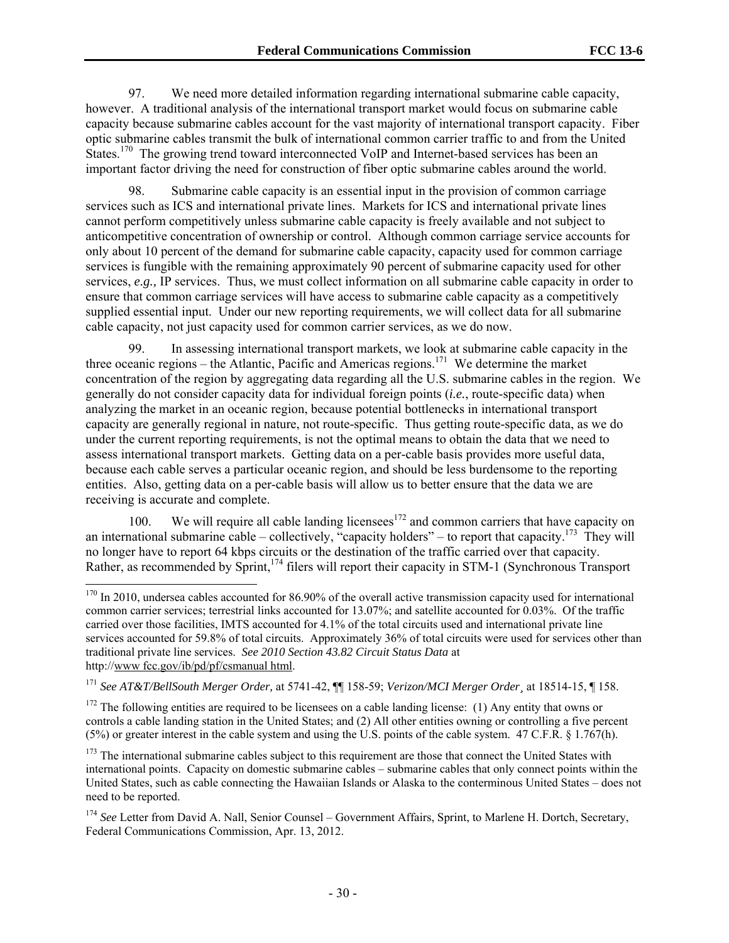97. We need more detailed information regarding international submarine cable capacity, however. A traditional analysis of the international transport market would focus on submarine cable capacity because submarine cables account for the vast majority of international transport capacity. Fiber optic submarine cables transmit the bulk of international common carrier traffic to and from the United States.<sup>170</sup> The growing trend toward interconnected VoIP and Internet-based services has been an important factor driving the need for construction of fiber optic submarine cables around the world.

98. Submarine cable capacity is an essential input in the provision of common carriage services such as ICS and international private lines. Markets for ICS and international private lines cannot perform competitively unless submarine cable capacity is freely available and not subject to anticompetitive concentration of ownership or control. Although common carriage service accounts for only about 10 percent of the demand for submarine cable capacity, capacity used for common carriage services is fungible with the remaining approximately 90 percent of submarine capacity used for other services, *e.g.,* IP services. Thus, we must collect information on all submarine cable capacity in order to ensure that common carriage services will have access to submarine cable capacity as a competitively supplied essential input. Under our new reporting requirements, we will collect data for all submarine cable capacity, not just capacity used for common carrier services, as we do now.

99. In assessing international transport markets, we look at submarine cable capacity in the three oceanic regions – the Atlantic, Pacific and Americas regions.<sup>171</sup> We determine the market concentration of the region by aggregating data regarding all the U.S. submarine cables in the region. We generally do not consider capacity data for individual foreign points (*i.e.*, route-specific data) when analyzing the market in an oceanic region, because potential bottlenecks in international transport capacity are generally regional in nature, not route-specific. Thus getting route-specific data, as we do under the current reporting requirements, is not the optimal means to obtain the data that we need to assess international transport markets. Getting data on a per-cable basis provides more useful data, because each cable serves a particular oceanic region, and should be less burdensome to the reporting entities. Also, getting data on a per-cable basis will allow us to better ensure that the data we are receiving is accurate and complete.

100. We will require all cable landing licenses<sup>172</sup> and common carriers that have capacity on an international submarine cable – collectively, "capacity holders" – to report that capacity.<sup>173</sup> They will no longer have to report 64 kbps circuits or the destination of the traffic carried over that capacity. Rather, as recommended by Sprint,<sup>174</sup> filers will report their capacity in STM-1 (Synchronous Transport

 $170$  In 2010, undersea cables accounted for 86.90% of the overall active transmission capacity used for international common carrier services; terrestrial links accounted for 13.07%; and satellite accounted for 0.03%. Of the traffic carried over those facilities, IMTS accounted for 4.1% of the total circuits used and international private line services accounted for 59.8% of total circuits. Approximately 36% of total circuits were used for services other than traditional private line services. *See 2010 Section 43.82 Circuit Status Data* at http://www fcc.gov/ib/pd/pf/csmanual html.

<sup>171</sup> *See AT&T/BellSouth Merger Order,* at 5741-42, ¶¶ 158-59; *Verizon/MCI Merger Order¸* at 18514-15, ¶ 158.

 $172$  The following entities are required to be licensees on a cable landing license: (1) Any entity that owns or controls a cable landing station in the United States; and (2) All other entities owning or controlling a five percent (5%) or greater interest in the cable system and using the U.S. points of the cable system. 47 C.F.R. § 1.767(h).

<sup>&</sup>lt;sup>173</sup> The international submarine cables subject to this requirement are those that connect the United States with international points. Capacity on domestic submarine cables – submarine cables that only connect points within the United States, such as cable connecting the Hawaiian Islands or Alaska to the conterminous United States – does not need to be reported.

<sup>&</sup>lt;sup>174</sup> See Letter from David A. Nall, Senior Counsel – Government Affairs, Sprint, to Marlene H. Dortch, Secretary, Federal Communications Commission, Apr. 13, 2012.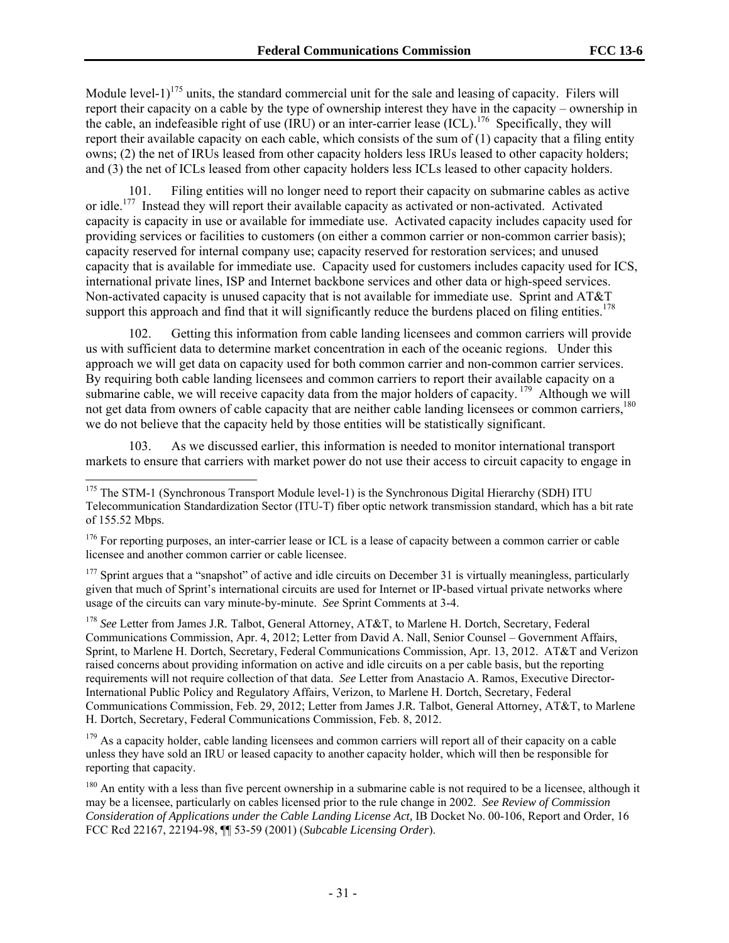Module level-1)<sup>175</sup> units, the standard commercial unit for the sale and leasing of capacity. Filers will report their capacity on a cable by the type of ownership interest they have in the capacity – ownership in the cable, an indefeasible right of use  $\overline{(RU)}$  or an inter-carrier lease  $\overline{(ICL)}$ .<sup>176</sup> Specifically, they will report their available capacity on each cable, which consists of the sum of (1) capacity that a filing entity owns; (2) the net of IRUs leased from other capacity holders less IRUs leased to other capacity holders; and (3) the net of ICLs leased from other capacity holders less ICLs leased to other capacity holders.

101. Filing entities will no longer need to report their capacity on submarine cables as active or idle.177 Instead they will report their available capacity as activated or non-activated. Activated capacity is capacity in use or available for immediate use. Activated capacity includes capacity used for providing services or facilities to customers (on either a common carrier or non-common carrier basis); capacity reserved for internal company use; capacity reserved for restoration services; and unused capacity that is available for immediate use. Capacity used for customers includes capacity used for ICS, international private lines, ISP and Internet backbone services and other data or high-speed services. Non-activated capacity is unused capacity that is not available for immediate use. Sprint and AT&T support this approach and find that it will significantly reduce the burdens placed on filing entities.<sup>178</sup>

102. Getting this information from cable landing licensees and common carriers will provide us with sufficient data to determine market concentration in each of the oceanic regions. Under this approach we will get data on capacity used for both common carrier and non-common carrier services. By requiring both cable landing licensees and common carriers to report their available capacity on a submarine cable, we will receive capacity data from the major holders of capacity. <sup>179</sup> Although we will not get data from owners of cable capacity that are neither cable landing licensees or common carriers.<sup>180</sup> we do not believe that the capacity held by those entities will be statistically significant.

103. As we discussed earlier, this information is needed to monitor international transport markets to ensure that carriers with market power do not use their access to circuit capacity to engage in

-

 $177$  Sprint argues that a "snapshot" of active and idle circuits on December 31 is virtually meaningless, particularly given that much of Sprint's international circuits are used for Internet or IP-based virtual private networks where usage of the circuits can vary minute-by-minute. *See* Sprint Comments at 3-4.

<sup>178</sup> *See* Letter from James J.R*.* Talbot, General Attorney, AT&T, to Marlene H. Dortch, Secretary, Federal Communications Commission, Apr. 4, 2012; Letter from David A. Nall, Senior Counsel – Government Affairs, Sprint, to Marlene H. Dortch, Secretary, Federal Communications Commission, Apr. 13, 2012. AT&T and Verizon raised concerns about providing information on active and idle circuits on a per cable basis, but the reporting requirements will not require collection of that data. *See* Letter from Anastacio A. Ramos, Executive Director-International Public Policy and Regulatory Affairs, Verizon, to Marlene H. Dortch, Secretary, Federal Communications Commission, Feb. 29, 2012; Letter from James J.R*.* Talbot, General Attorney, AT&T, to Marlene H. Dortch, Secretary, Federal Communications Commission, Feb. 8, 2012.

<sup>179</sup> As a capacity holder, cable landing licensees and common carriers will report all of their capacity on a cable unless they have sold an IRU or leased capacity to another capacity holder, which will then be responsible for reporting that capacity.

<sup>180</sup> An entity with a less than five percent ownership in a submarine cable is not required to be a licensee, although it may be a licensee, particularly on cables licensed prior to the rule change in 2002. *See Review of Commission Consideration of Applications under the Cable Landing License Act,* IB Docket No. 00-106, Report and Order, 16 FCC Rcd 22167, 22194-98, ¶¶ 53-59 (2001) (*Subcable Licensing Order*).

<sup>&</sup>lt;sup>175</sup> The STM-1 (Synchronous Transport Module level-1) is the Synchronous Digital Hierarchy (SDH) ITU Telecommunication Standardization Sector (ITU-T) fiber optic network transmission standard, which has a bit rate of 155.52 Mbps.

<sup>&</sup>lt;sup>176</sup> For reporting purposes, an inter-carrier lease or ICL is a lease of capacity between a common carrier or cable licensee and another common carrier or cable licensee.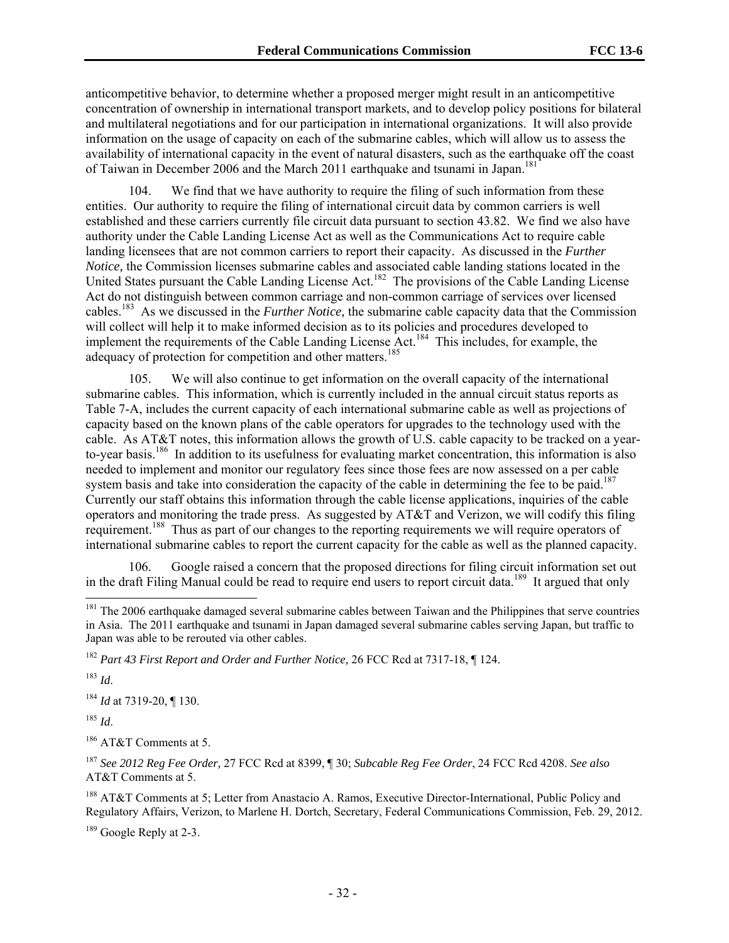anticompetitive behavior, to determine whether a proposed merger might result in an anticompetitive concentration of ownership in international transport markets, and to develop policy positions for bilateral and multilateral negotiations and for our participation in international organizations. It will also provide information on the usage of capacity on each of the submarine cables, which will allow us to assess the availability of international capacity in the event of natural disasters, such as the earthquake off the coast of Taiwan in December 2006 and the March 2011 earthquake and tsunami in Japan.<sup>181</sup>

104. We find that we have authority to require the filing of such information from these entities. Our authority to require the filing of international circuit data by common carriers is well established and these carriers currently file circuit data pursuant to section 43.82. We find we also have authority under the Cable Landing License Act as well as the Communications Act to require cable landing licensees that are not common carriers to report their capacity. As discussed in the *Further Notice,* the Commission licenses submarine cables and associated cable landing stations located in the United States pursuant the Cable Landing License Act.<sup>182</sup> The provisions of the Cable Landing License Act do not distinguish between common carriage and non-common carriage of services over licensed cables.183 As we discussed in the *Further Notice,* the submarine cable capacity data that the Commission will collect will help it to make informed decision as to its policies and procedures developed to implement the requirements of the Cable Landing License Act.<sup>184</sup> This includes, for example, the adequacy of protection for competition and other matters.<sup>185</sup>

105. We will also continue to get information on the overall capacity of the international submarine cables. This information, which is currently included in the annual circuit status reports as Table 7-A, includes the current capacity of each international submarine cable as well as projections of capacity based on the known plans of the cable operators for upgrades to the technology used with the cable. As AT&T notes, this information allows the growth of U.S. cable capacity to be tracked on a yearto-year basis.186 In addition to its usefulness for evaluating market concentration, this information is also needed to implement and monitor our regulatory fees since those fees are now assessed on a per cable system basis and take into consideration the capacity of the cable in determining the fee to be paid.<sup>187</sup> Currently our staff obtains this information through the cable license applications, inquiries of the cable operators and monitoring the trade press. As suggested by AT&T and Verizon, we will codify this filing requirement.188 Thus as part of our changes to the reporting requirements we will require operators of international submarine cables to report the current capacity for the cable as well as the planned capacity.

106. Google raised a concern that the proposed directions for filing circuit information set out in the draft Filing Manual could be read to require end users to report circuit data.<sup>189</sup> It argued that only

<sup>183</sup> *Id*.

l

<sup>184</sup> *Id* at 7319-20, ¶ 130.

<sup>185</sup> *Id*.

186 AT&T Comments at 5.

<sup>187</sup> *See 2012 Reg Fee Order,* 27 FCC Rcd at 8399, ¶ 30; *Subcable Reg Fee Order*, 24 FCC Rcd 4208. *See also* AT&T Comments at 5.

188 AT&T Comments at 5; Letter from Anastacio A. Ramos, Executive Director-International, Public Policy and Regulatory Affairs, Verizon, to Marlene H. Dortch, Secretary, Federal Communications Commission, Feb. 29, 2012.

<sup>189</sup> Google Reply at 2-3.

 $181$  The 2006 earthquake damaged several submarine cables between Taiwan and the Philippines that serve countries in Asia. The 2011 earthquake and tsunami in Japan damaged several submarine cables serving Japan, but traffic to Japan was able to be rerouted via other cables.

<sup>182</sup> *Part 43 First Report and Order and Further Notice,* 26 FCC Rcd at 7317-18, ¶ 124.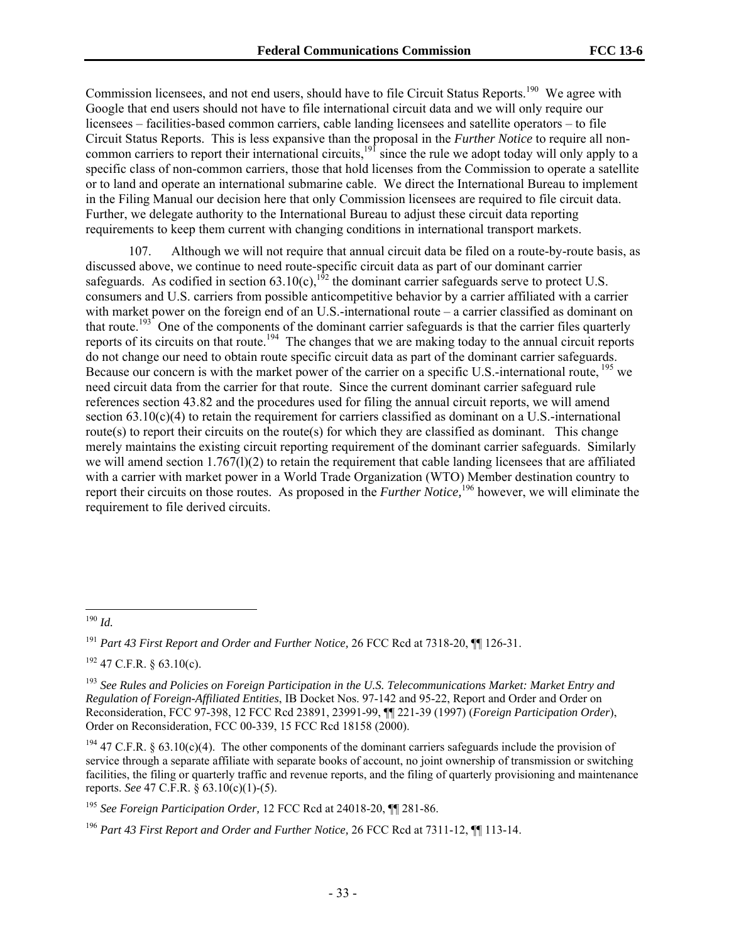Commission licensees, and not end users, should have to file Circuit Status Reports.<sup>190</sup> We agree with Google that end users should not have to file international circuit data and we will only require our licensees – facilities-based common carriers, cable landing licensees and satellite operators – to file Circuit Status Reports. This is less expansive than the proposal in the *Further Notice* to require all noncommon carriers to report their international circuits,<sup>191</sup> since the rule we adopt today will only apply to a specific class of non-common carriers, those that hold licenses from the Commission to operate a satellite or to land and operate an international submarine cable. We direct the International Bureau to implement in the Filing Manual our decision here that only Commission licensees are required to file circuit data. Further, we delegate authority to the International Bureau to adjust these circuit data reporting requirements to keep them current with changing conditions in international transport markets.

107. Although we will not require that annual circuit data be filed on a route-by-route basis, as discussed above, we continue to need route-specific circuit data as part of our dominant carrier safeguards. As codified in section  $63.10(c)$ ,<sup>192</sup> the dominant carrier safeguards serve to protect U.S. consumers and U.S. carriers from possible anticompetitive behavior by a carrier affiliated with a carrier with market power on the foreign end of an U.S.-international route – a carrier classified as dominant on that route.<sup>193</sup> One of the components of the dominant carrier safeguards is that the carrier files quarterly reports of its circuits on that route.<sup>194</sup> The changes that we are making today to the annual circuit reports do not change our need to obtain route specific circuit data as part of the dominant carrier safeguards. Because our concern is with the market power of the carrier on a specific U.S.-international route, <sup>195</sup> we need circuit data from the carrier for that route. Since the current dominant carrier safeguard rule references section 43.82 and the procedures used for filing the annual circuit reports, we will amend section  $63.10(c)(4)$  to retain the requirement for carriers classified as dominant on a U.S.-international route(s) to report their circuits on the route(s) for which they are classified as dominant. This change merely maintains the existing circuit reporting requirement of the dominant carrier safeguards. Similarly we will amend section 1.767(l)(2) to retain the requirement that cable landing licensees that are affiliated with a carrier with market power in a World Trade Organization (WTO) Member destination country to report their circuits on those routes. As proposed in the *Further Notice,*<sup>196</sup> however, we will eliminate the requirement to file derived circuits.

 $192$  47 C.F.R. § 63.10(c).

l <sup>190</sup> *Id.*

<sup>191</sup> *Part 43 First Report and Order and Further Notice,* 26 FCC Rcd at 7318-20, ¶¶ 126-31.

<sup>193</sup> *See Rules and Policies on Foreign Participation in the U.S. Telecommunications Market: Market Entry and Regulation of Foreign-Affiliated Entities*, IB Docket Nos. 97-142 and 95-22, Report and Order and Order on Reconsideration, FCC 97-398, 12 FCC Rcd 23891, 23991-99, ¶¶ 221-39 (1997) (*Foreign Participation Order*), Order on Reconsideration, FCC 00-339, 15 FCC Rcd 18158 (2000).

<sup>&</sup>lt;sup>194</sup> 47 C.F.R. § 63.10(c)(4). The other components of the dominant carriers safeguards include the provision of service through a separate affiliate with separate books of account, no joint ownership of transmission or switching facilities, the filing or quarterly traffic and revenue reports, and the filing of quarterly provisioning and maintenance reports. *See* 47 C.F.R. § 63.10(c)(1)-(5).

<sup>195</sup> *See Foreign Participation Order,* 12 FCC Rcd at 24018-20, ¶¶ 281-86.

<sup>196</sup> *Part 43 First Report and Order and Further Notice,* 26 FCC Rcd at 7311-12, ¶¶ 113-14.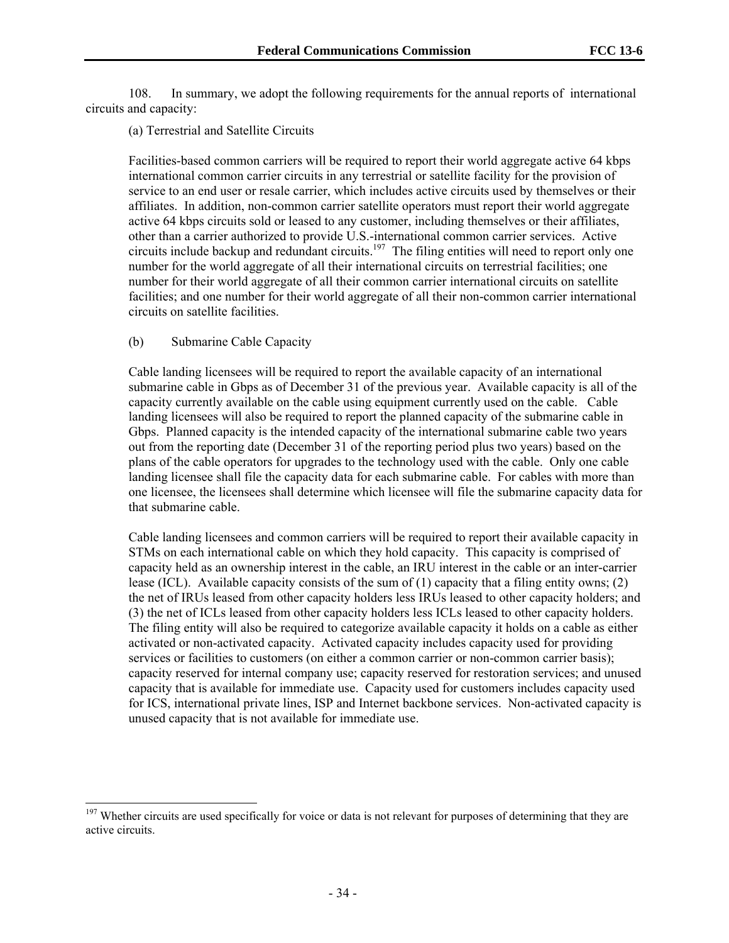108. In summary, we adopt the following requirements for the annual reports of international circuits and capacity:

(a) Terrestrial and Satellite Circuits

Facilities-based common carriers will be required to report their world aggregate active 64 kbps international common carrier circuits in any terrestrial or satellite facility for the provision of service to an end user or resale carrier, which includes active circuits used by themselves or their affiliates. In addition, non-common carrier satellite operators must report their world aggregate active 64 kbps circuits sold or leased to any customer, including themselves or their affiliates, other than a carrier authorized to provide U.S.-international common carrier services. Active circuits include backup and redundant circuits.<sup>197</sup> The filing entities will need to report only one number for the world aggregate of all their international circuits on terrestrial facilities; one number for their world aggregate of all their common carrier international circuits on satellite facilities; and one number for their world aggregate of all their non-common carrier international circuits on satellite facilities.

(b) Submarine Cable Capacity

1

Cable landing licensees will be required to report the available capacity of an international submarine cable in Gbps as of December 31 of the previous year. Available capacity is all of the capacity currently available on the cable using equipment currently used on the cable. Cable landing licensees will also be required to report the planned capacity of the submarine cable in Gbps. Planned capacity is the intended capacity of the international submarine cable two years out from the reporting date (December 31 of the reporting period plus two years) based on the plans of the cable operators for upgrades to the technology used with the cable. Only one cable landing licensee shall file the capacity data for each submarine cable. For cables with more than one licensee, the licensees shall determine which licensee will file the submarine capacity data for that submarine cable.

Cable landing licensees and common carriers will be required to report their available capacity in STMs on each international cable on which they hold capacity. This capacity is comprised of capacity held as an ownership interest in the cable, an IRU interest in the cable or an inter-carrier lease (ICL). Available capacity consists of the sum of (1) capacity that a filing entity owns; (2) the net of IRUs leased from other capacity holders less IRUs leased to other capacity holders; and (3) the net of ICLs leased from other capacity holders less ICLs leased to other capacity holders. The filing entity will also be required to categorize available capacity it holds on a cable as either activated or non-activated capacity. Activated capacity includes capacity used for providing services or facilities to customers (on either a common carrier or non-common carrier basis); capacity reserved for internal company use; capacity reserved for restoration services; and unused capacity that is available for immediate use. Capacity used for customers includes capacity used for ICS, international private lines, ISP and Internet backbone services. Non-activated capacity is unused capacity that is not available for immediate use.

<sup>&</sup>lt;sup>197</sup> Whether circuits are used specifically for voice or data is not relevant for purposes of determining that they are active circuits.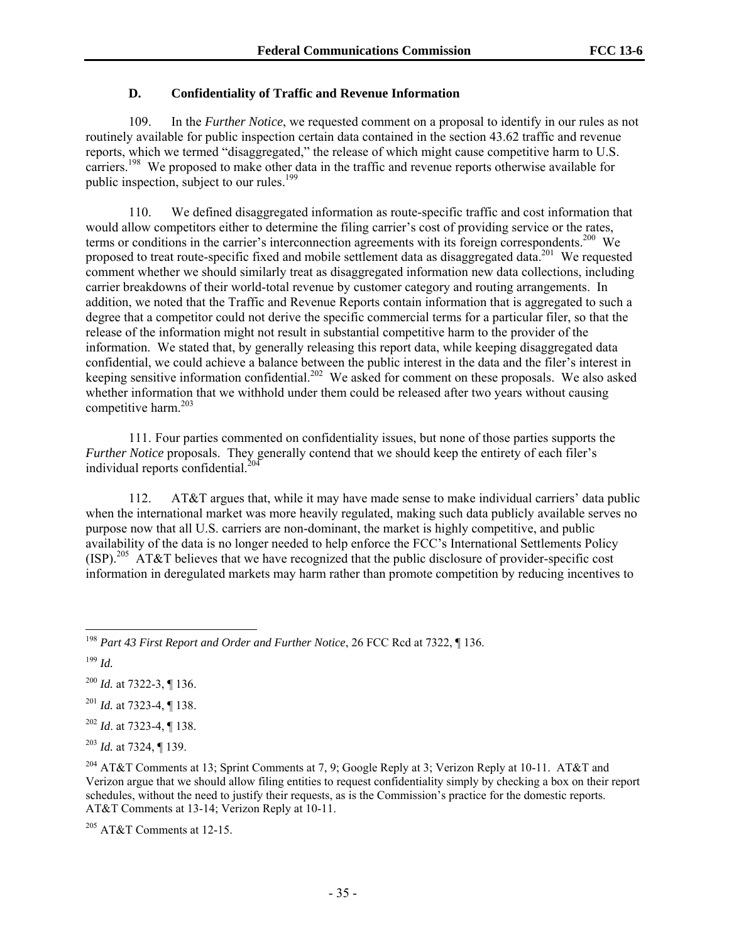### **D. Confidentiality of Traffic and Revenue Information**

109. In the *Further Notice*, we requested comment on a proposal to identify in our rules as not routinely available for public inspection certain data contained in the section 43.62 traffic and revenue reports, which we termed "disaggregated," the release of which might cause competitive harm to U.S. carriers.198 We proposed to make other data in the traffic and revenue reports otherwise available for public inspection, subject to our rules.<sup>199</sup>

110. We defined disaggregated information as route-specific traffic and cost information that would allow competitors either to determine the filing carrier's cost of providing service or the rates, terms or conditions in the carrier's interconnection agreements with its foreign correspondents.<sup>200</sup> We proposed to treat route-specific fixed and mobile settlement data as disaggregated data.<sup>201</sup> We requested comment whether we should similarly treat as disaggregated information new data collections, including carrier breakdowns of their world-total revenue by customer category and routing arrangements. In addition, we noted that the Traffic and Revenue Reports contain information that is aggregated to such a degree that a competitor could not derive the specific commercial terms for a particular filer, so that the release of the information might not result in substantial competitive harm to the provider of the information. We stated that, by generally releasing this report data, while keeping disaggregated data confidential, we could achieve a balance between the public interest in the data and the filer's interest in keeping sensitive information confidential.<sup>202</sup> We asked for comment on these proposals. We also asked whether information that we withhold under them could be released after two years without causing competitive harm.<sup>203</sup>

111. Four parties commented on confidentiality issues, but none of those parties supports the *Further Notice* proposals. They generally contend that we should keep the entirety of each filer's individual reports confidential. $^{20}$ 

112. AT&T argues that, while it may have made sense to make individual carriers' data public when the international market was more heavily regulated, making such data publicly available serves no purpose now that all U.S. carriers are non-dominant, the market is highly competitive, and public availability of the data is no longer needed to help enforce the FCC's International Settlements Policy  $(ISP)$ <sup>205</sup> AT&T believes that we have recognized that the public disclosure of provider-specific cost information in deregulated markets may harm rather than promote competition by reducing incentives to

<sup>200</sup> *Id.* at 7322-3, ¶ 136.

<sup>201</sup> *Id.* at 7323-4, ¶ 138.

<sup>202</sup> *Id*. at 7323-4, ¶ 138.

<sup>203</sup> *Id.* at 7324, ¶ 139.

<sup>204</sup> AT&T Comments at 13; Sprint Comments at 7, 9; Google Reply at 3; Verizon Reply at 10-11. AT&T and Verizon argue that we should allow filing entities to request confidentiality simply by checking a box on their report schedules, without the need to justify their requests, as is the Commission's practice for the domestic reports. AT&T Comments at 13-14; Verizon Reply at 10-11.

 $205$  AT&T Comments at 12-15.

<sup>1</sup> <sup>198</sup> *Part 43 First Report and Order and Further Notice*, 26 FCC Rcd at 7322, ¶ 136.

<sup>199</sup> *Id.*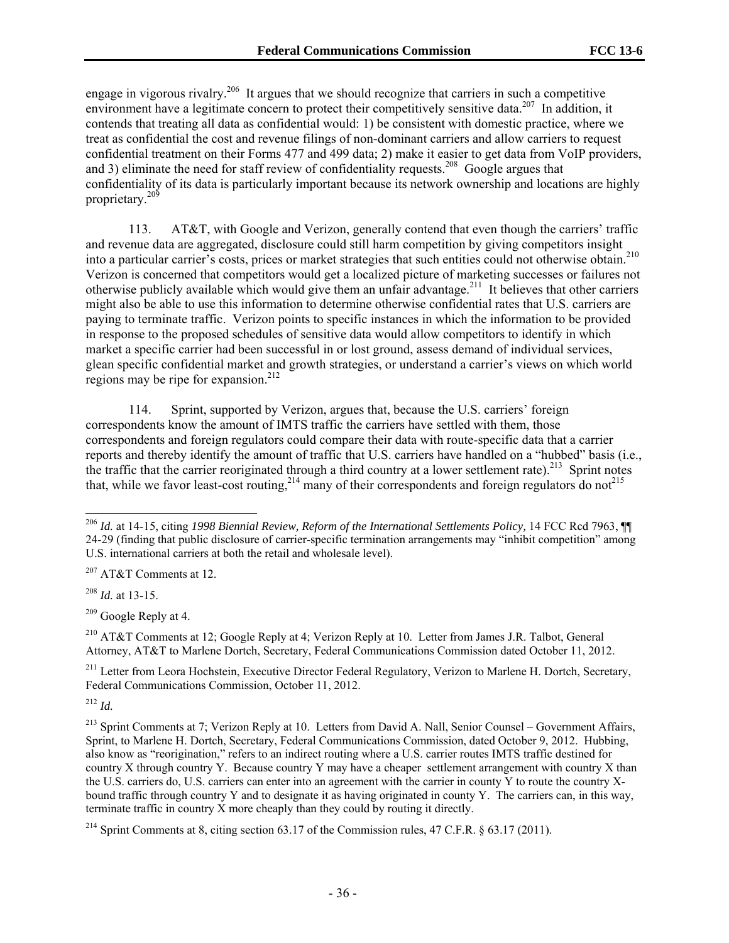engage in vigorous rivalry.<sup>206</sup> It argues that we should recognize that carriers in such a competitive environment have a legitimate concern to protect their competitively sensitive data.<sup>207</sup> In addition, it contends that treating all data as confidential would: 1) be consistent with domestic practice, where we treat as confidential the cost and revenue filings of non-dominant carriers and allow carriers to request confidential treatment on their Forms 477 and 499 data; 2) make it easier to get data from VoIP providers, and 3) eliminate the need for staff review of confidentiality requests.<sup>208</sup> Google argues that confidentiality of its data is particularly important because its network ownership and locations are highly proprietary.209

113. AT&T, with Google and Verizon, generally contend that even though the carriers' traffic and revenue data are aggregated, disclosure could still harm competition by giving competitors insight into a particular carrier's costs, prices or market strategies that such entities could not otherwise obtain.210 Verizon is concerned that competitors would get a localized picture of marketing successes or failures not otherwise publicly available which would give them an unfair advantage.<sup>211</sup> It believes that other carriers might also be able to use this information to determine otherwise confidential rates that U.S. carriers are paying to terminate traffic. Verizon points to specific instances in which the information to be provided in response to the proposed schedules of sensitive data would allow competitors to identify in which market a specific carrier had been successful in or lost ground, assess demand of individual services, glean specific confidential market and growth strategies, or understand a carrier's views on which world regions may be ripe for expansion.<sup>212</sup>

114. Sprint, supported by Verizon, argues that, because the U.S. carriers' foreign correspondents know the amount of IMTS traffic the carriers have settled with them, those correspondents and foreign regulators could compare their data with route-specific data that a carrier reports and thereby identify the amount of traffic that U.S. carriers have handled on a "hubbed" basis (i.e., the traffic that the carrier reoriginated through a third country at a lower settlement rate).<sup>213</sup> Sprint notes that, while we favor least-cost routing,<sup>214</sup> many of their correspondents and foreign regulators do not<sup>215</sup>

207 AT&T Comments at 12.

<sup>208</sup> *Id.* at 13-15.

209 Google Reply at 4.

210 AT&T Comments at 12; Google Reply at 4; Verizon Reply at 10. Letter from James J.R. Talbot, General Attorney, AT&T to Marlene Dortch, Secretary, Federal Communications Commission dated October 11, 2012.

<sup>211</sup> Letter from Leora Hochstein, Executive Director Federal Regulatory, Verizon to Marlene H. Dortch, Secretary, Federal Communications Commission, October 11, 2012.

<sup>212</sup> *Id.*

1

<sup>213</sup> Sprint Comments at 7; Verizon Reply at 10. Letters from David A. Nall, Senior Counsel – Government Affairs, Sprint, to Marlene H. Dortch, Secretary, Federal Communications Commission, dated October 9, 2012. Hubbing, also know as "reorigination," refers to an indirect routing where a U.S. carrier routes IMTS traffic destined for country X through country Y. Because country Y may have a cheaper settlement arrangement with country X than the U.S. carriers do, U.S. carriers can enter into an agreement with the carrier in county Y to route the country Xbound traffic through country Y and to designate it as having originated in county Y. The carriers can, in this way, terminate traffic in country X more cheaply than they could by routing it directly.

<sup>&</sup>lt;sup>206</sup> *Id.* at 14-15, citing *1998 Biennial Review, Reform of the International Settlements Policy, 14 FCC Rcd 7963, ¶* 24-29 (finding that public disclosure of carrier-specific termination arrangements may "inhibit competition" among U.S. international carriers at both the retail and wholesale level).

<sup>&</sup>lt;sup>214</sup> Sprint Comments at 8, citing section 63.17 of the Commission rules, 47 C.F.R. § 63.17 (2011).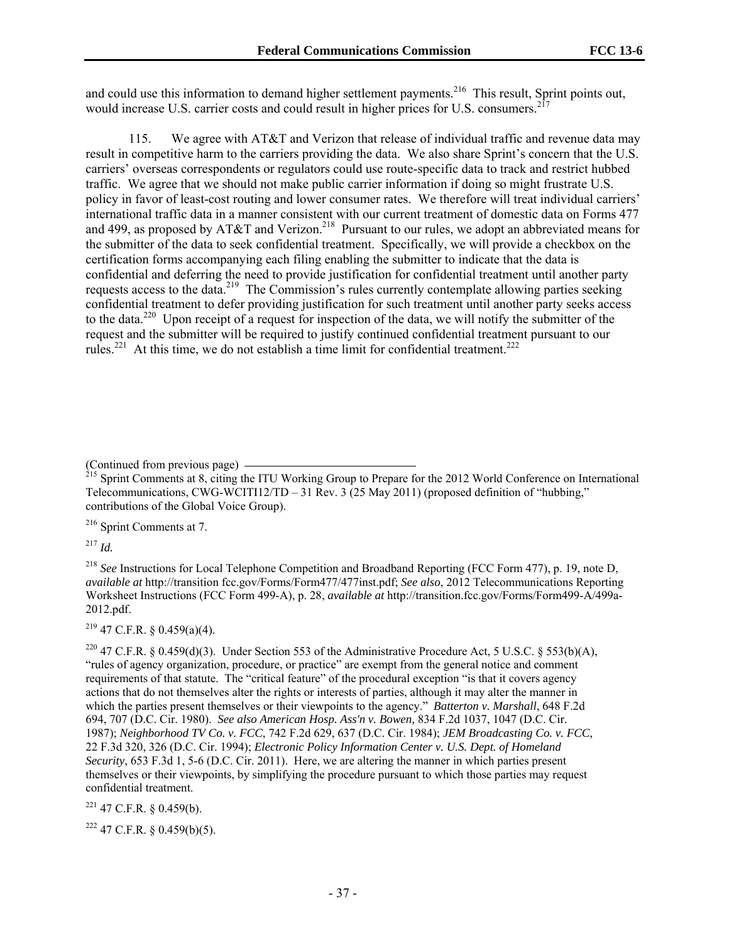and could use this information to demand higher settlement payments.<sup>216</sup> This result, Sprint points out, would increase U.S. carrier costs and could result in higher prices for U.S. consumers.<sup>2</sup>

115. We agree with AT&T and Verizon that release of individual traffic and revenue data may result in competitive harm to the carriers providing the data. We also share Sprint's concern that the U.S. carriers' overseas correspondents or regulators could use route-specific data to track and restrict hubbed traffic. We agree that we should not make public carrier information if doing so might frustrate U.S. policy in favor of least-cost routing and lower consumer rates. We therefore will treat individual carriers' international traffic data in a manner consistent with our current treatment of domestic data on Forms 477 and 499, as proposed by AT&T and Verizon.<sup>218</sup> Pursuant to our rules, we adopt an abbreviated means for the submitter of the data to seek confidential treatment. Specifically, we will provide a checkbox on the certification forms accompanying each filing enabling the submitter to indicate that the data is confidential and deferring the need to provide justification for confidential treatment until another party requests access to the data.<sup>219</sup> The Commission's rules currently contemplate allowing parties seeking confidential treatment to defer providing justification for such treatment until another party seeks access to the data.220 Upon receipt of a request for inspection of the data, we will notify the submitter of the request and the submitter will be required to justify continued confidential treatment pursuant to our rules.<sup>221</sup> At this time, we do not establish a time limit for confidential treatment.<sup>222</sup>

(Continued from previous page) ——<br><sup>215</sup> Sprint Comments at 8, citing the ITU Working Group to Prepare for the 2012 World Conference on International Telecommunications, CWG-WCITI12/TD – 31 Rev. 3 (25 May 2011) (proposed definition of "hubbing," contributions of the Global Voice Group).

216 Sprint Comments at 7.

<sup>217</sup> *Id.*

<sup>218</sup> *See* Instructions for Local Telephone Competition and Broadband Reporting (FCC Form 477), p. 19, note D, *available at* http://transition fcc.gov/Forms/Form477/477inst.pdf; *See also*, 2012 Telecommunications Reporting Worksheet Instructions (FCC Form 499-A), p. 28, *available at* http://transition.fcc.gov/Forms/Form499-A/499a-2012.pdf.

 $219$  47 C.F.R. § 0.459(a)(4).

<sup>220</sup> 47 C.F.R. § 0.459(d)(3). Under Section 553 of the Administrative Procedure Act, 5 U.S.C. § 553(b)(A), "rules of agency organization, procedure, or practice" are exempt from the general notice and comment requirements of that statute. The "critical feature" of the procedural exception "is that it covers agency actions that do not themselves alter the rights or interests of parties, although it may alter the manner in which the parties present themselves or their viewpoints to the agency." *Batterton v. Marshall*, 648 F.2d 694, 707 (D.C. Cir. 1980). *See also American Hosp. Ass'n v. Bowen,* 834 F.2d 1037, 1047 (D.C. Cir. 1987); *Neighborhood TV Co. v. FCC*, 742 F.2d 629, 637 (D.C. Cir. 1984); *JEM Broadcasting Co. v. FCC*, 22 F.3d 320, 326 (D.C. Cir. 1994); *Electronic Policy Information Center v. U.S. Dept. of Homeland Security*, 653 F.3d 1, 5-6 (D.C. Cir. 2011). Here, we are altering the manner in which parties present themselves or their viewpoints, by simplifying the procedure pursuant to which those parties may request confidential treatment.

 $221$  47 C.F.R. § 0.459(b).

 $222$  47 C.F.R. § 0.459(b)(5).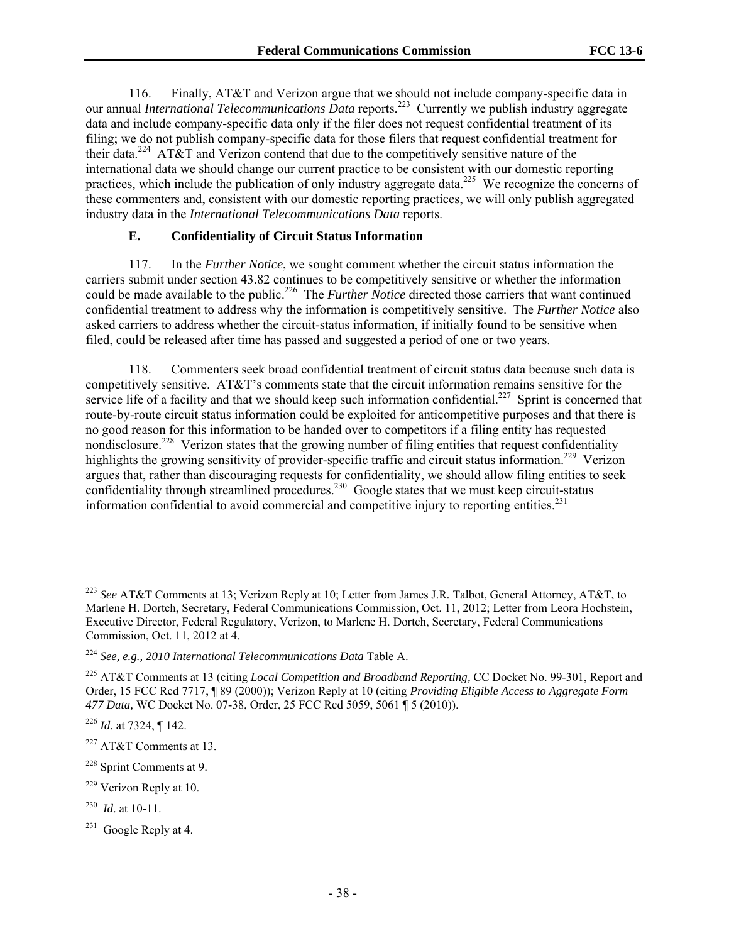116. Finally, AT&T and Verizon argue that we should not include company-specific data in our annual *International Telecommunications Data* reports.<sup>223</sup> Currently we publish industry aggregate data and include company-specific data only if the filer does not request confidential treatment of its filing; we do not publish company-specific data for those filers that request confidential treatment for their data.<sup>224</sup> AT&T and Verizon contend that due to the competitively sensitive nature of the international data we should change our current practice to be consistent with our domestic reporting practices, which include the publication of only industry aggregate data.225 We recognize the concerns of these commenters and, consistent with our domestic reporting practices, we will only publish aggregated industry data in the *International Telecommunications Data* reports.

#### **E. Confidentiality of Circuit Status Information**

117. In the *Further Notice*, we sought comment whether the circuit status information the carriers submit under section 43.82 continues to be competitively sensitive or whether the information could be made available to the public.<sup>226</sup> The *Further Notice* directed those carriers that want continued confidential treatment to address why the information is competitively sensitive. The *Further Notice* also asked carriers to address whether the circuit-status information, if initially found to be sensitive when filed, could be released after time has passed and suggested a period of one or two years.

118. Commenters seek broad confidential treatment of circuit status data because such data is competitively sensitive. AT&T's comments state that the circuit information remains sensitive for the service life of a facility and that we should keep such information confidential.<sup>227</sup> Sprint is concerned that route-by-route circuit status information could be exploited for anticompetitive purposes and that there is no good reason for this information to be handed over to competitors if a filing entity has requested nondisclosure.<sup>228</sup> Verizon states that the growing number of filing entities that request confidentiality highlights the growing sensitivity of provider-specific traffic and circuit status information.<sup>229</sup> Verizon argues that, rather than discouraging requests for confidentiality, we should allow filing entities to seek confidentiality through streamlined procedures.<sup>230</sup> Google states that we must keep circuit-status information confidential to avoid commercial and competitive injury to reporting entities.<sup>231</sup>

1

<sup>223</sup> *See* AT&T Comments at 13; Verizon Reply at 10; Letter from James J.R*.* Talbot, General Attorney, AT&T, to Marlene H. Dortch, Secretary, Federal Communications Commission, Oct. 11, 2012; Letter from Leora Hochstein, Executive Director, Federal Regulatory, Verizon, to Marlene H. Dortch, Secretary, Federal Communications Commission, Oct. 11, 2012 at 4.

<sup>224</sup> *See, e.g., 2010 International Telecommunications Data* Table A.

<sup>225</sup> AT&T Comments at 13 (citing *Local Competition and Broadband Reporting,* CC Docket No. 99-301, Report and Order, 15 FCC Rcd 7717, ¶ 89 (2000)); Verizon Reply at 10 (citing *Providing Eligible Access to Aggregate Form 477 Data,* WC Docket No. 07-38, Order, 25 FCC Rcd 5059, 5061 ¶ 5 (2010)).

<sup>226</sup> *Id.* at 7324, ¶ 142.

<sup>227</sup> AT&T Comments at 13.

<sup>228</sup> Sprint Comments at 9.

<sup>229</sup> Verizon Reply at 10.

<sup>230</sup> *Id*. at 10-11.

<sup>&</sup>lt;sup>231</sup> Google Reply at 4.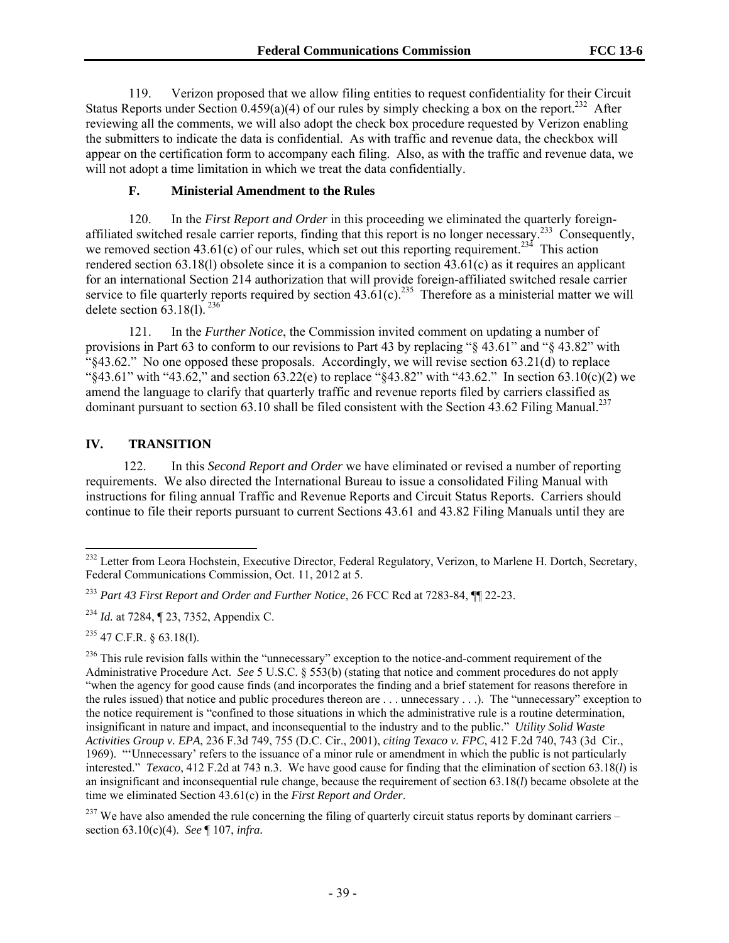119. Verizon proposed that we allow filing entities to request confidentiality for their Circuit Status Reports under Section 0.459(a)(4) of our rules by simply checking a box on the report.<sup>232</sup> After reviewing all the comments, we will also adopt the check box procedure requested by Verizon enabling the submitters to indicate the data is confidential. As with traffic and revenue data, the checkbox will appear on the certification form to accompany each filing. Also, as with the traffic and revenue data, we will not adopt a time limitation in which we treat the data confidentially.

#### **F. Ministerial Amendment to the Rules**

120. In the *First Report and Order* in this proceeding we eliminated the quarterly foreignaffiliated switched resale carrier reports, finding that this report is no longer necessary.<sup>233</sup> Consequently, we removed section 43.61(c) of our rules, which set out this reporting requirement.<sup>234</sup> This action rendered section 63.18(l) obsolete since it is a companion to section 43.61(c) as it requires an applicant for an international Section 214 authorization that will provide foreign-affiliated switched resale carrier service to file quarterly reports required by section  $43.61(c)$ .<sup>235</sup> Therefore as a ministerial matter we will delete section  $63.18(1)$ . <sup>236</sup>

121. In the *Further Notice*, the Commission invited comment on updating a number of provisions in Part 63 to conform to our revisions to Part 43 by replacing "§ 43.61" and "§ 43.82" with  $``843.62."$  No one opposed these proposals. Accordingly, we will revise section 63.21(d) to replace "§43.61" with "43.62," and section  $63.22(e)$  to replace "§43.82" with "43.62." In section 63.10(c)(2) we amend the language to clarify that quarterly traffic and revenue reports filed by carriers classified as dominant pursuant to section 63.10 shall be filed consistent with the Section 43.62 Filing Manual.<sup>237</sup>

#### **IV. TRANSITION**

122. In this *Second Report and Order* we have eliminated or revised a number of reporting requirements. We also directed the International Bureau to issue a consolidated Filing Manual with instructions for filing annual Traffic and Revenue Reports and Circuit Status Reports. Carriers should continue to file their reports pursuant to current Sections 43.61 and 43.82 Filing Manuals until they are

l

<sup>&</sup>lt;sup>232</sup> Letter from Leora Hochstein, Executive Director, Federal Regulatory, Verizon, to Marlene H. Dortch, Secretary, Federal Communications Commission, Oct. 11, 2012 at 5.

<sup>233</sup> *Part 43 First Report and Order and Further Notice*, 26 FCC Rcd at 7283-84, ¶¶ 22-23.

<sup>234</sup> *Id.* at 7284, ¶ 23, 7352, Appendix C.

 $^{235}$  47 C.F.R. § 63.18(1).

<sup>&</sup>lt;sup>236</sup> This rule revision falls within the "unnecessary" exception to the notice-and-comment requirement of the Administrative Procedure Act. *See* 5 U.S.C. § 553(b) (stating that notice and comment procedures do not apply "when the agency for good cause finds (and incorporates the finding and a brief statement for reasons therefore in the rules issued) that notice and public procedures thereon are . . . unnecessary . . .). The "unnecessary" exception to the notice requirement is "confined to those situations in which the administrative rule is a routine determination, insignificant in nature and impact, and inconsequential to the industry and to the public." *Utility Solid Waste Activities Group v. EPA*, 236 F.3d 749, 755 (D.C. Cir., 2001), *citing Texaco v. FPC*, 412 F.2d 740, 743 (3d Cir., 1969). "'Unnecessary' refers to the issuance of a minor rule or amendment in which the public is not particularly interested." *Texaco*, 412 F.2d at 743 n.3. We have good cause for finding that the elimination of section 63.18(*l*) is an insignificant and inconsequential rule change, because the requirement of section 63.18(*l*) became obsolete at the time we eliminated Section 43.61(c) in the *First Report and Order*.

 $^{237}$  We have also amended the rule concerning the filing of quarterly circuit status reports by dominant carriers – section 63.10(c)(4). *See* ¶ 107, *infra.*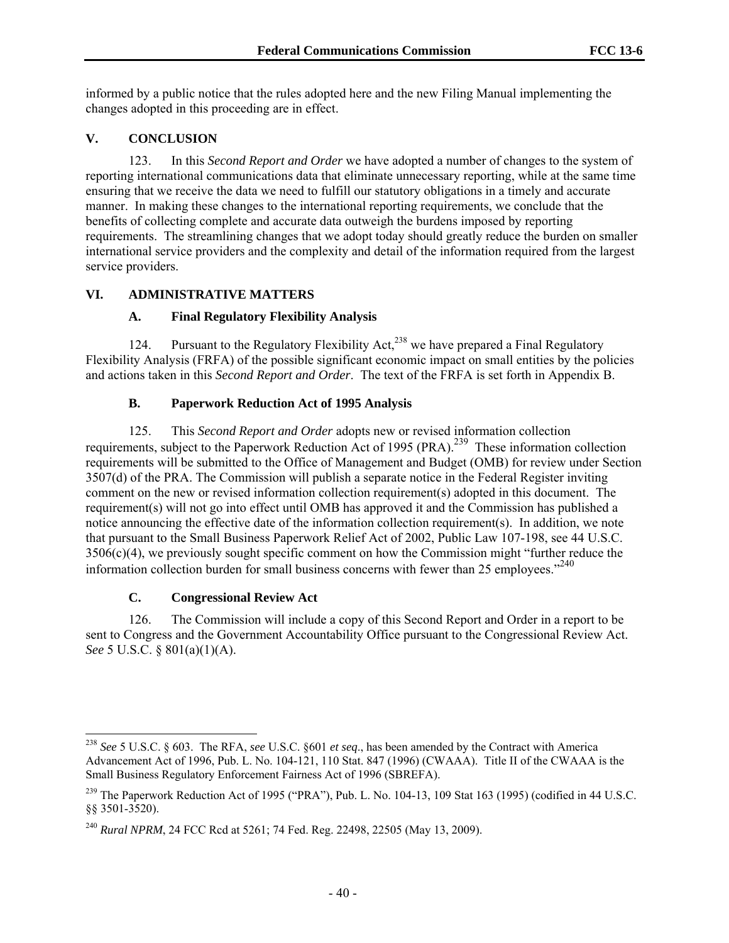informed by a public notice that the rules adopted here and the new Filing Manual implementing the changes adopted in this proceeding are in effect.

## **V. CONCLUSION**

123. In this *Second Report and Order* we have adopted a number of changes to the system of reporting international communications data that eliminate unnecessary reporting, while at the same time ensuring that we receive the data we need to fulfill our statutory obligations in a timely and accurate manner. In making these changes to the international reporting requirements, we conclude that the benefits of collecting complete and accurate data outweigh the burdens imposed by reporting requirements. The streamlining changes that we adopt today should greatly reduce the burden on smaller international service providers and the complexity and detail of the information required from the largest service providers.

## **VI. ADMINISTRATIVE MATTERS**

## **A. Final Regulatory Flexibility Analysis**

124. Pursuant to the Regulatory Flexibility Act,<sup>238</sup> we have prepared a Final Regulatory Flexibility Analysis (FRFA) of the possible significant economic impact on small entities by the policies and actions taken in this *Second Report and Order*. The text of the FRFA is set forth in Appendix B.

## **B. Paperwork Reduction Act of 1995 Analysis**

125. This *Second Report and Order* adopts new or revised information collection requirements, subject to the Paperwork Reduction Act of 1995 (PRA).<sup>239</sup> These information collection requirements will be submitted to the Office of Management and Budget (OMB) for review under Section 3507(d) of the PRA. The Commission will publish a separate notice in the Federal Register inviting comment on the new or revised information collection requirement(s) adopted in this document. The requirement(s) will not go into effect until OMB has approved it and the Commission has published a notice announcing the effective date of the information collection requirement(s). In addition, we note that pursuant to the Small Business Paperwork Relief Act of 2002, Public Law 107-198, see 44 U.S.C.  $3506(c)(4)$ , we previously sought specific comment on how the Commission might "further reduce the information collection burden for small business concerns with fewer than 25 employees. $240$ 

## **C. Congressional Review Act**

1

126. The Commission will include a copy of this Second Report and Order in a report to be sent to Congress and the Government Accountability Office pursuant to the Congressional Review Act. *See* 5 U.S.C. § 801(a)(1)(A).

<sup>238</sup> *See* 5 U.S.C. § 603. The RFA, *see* U.S.C. §601 *et seq*., has been amended by the Contract with America Advancement Act of 1996, Pub. L. No. 104-121, 110 Stat. 847 (1996) (CWAAA). Title II of the CWAAA is the Small Business Regulatory Enforcement Fairness Act of 1996 (SBREFA).

<sup>&</sup>lt;sup>239</sup> The Paperwork Reduction Act of 1995 ("PRA"), Pub. L. No. 104-13, 109 Stat 163 (1995) (codified in 44 U.S.C. §§ 3501-3520).

<sup>240</sup> *Rural NPRM*, 24 FCC Rcd at 5261; 74 Fed. Reg. 22498, 22505 (May 13, 2009).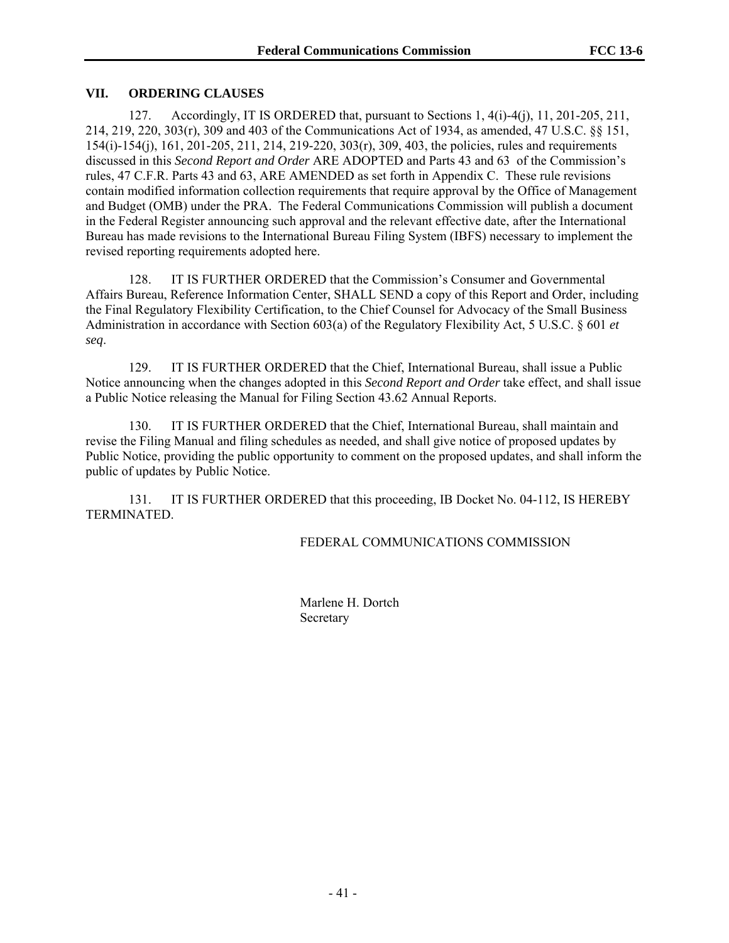#### **VII. ORDERING CLAUSES**

127. Accordingly, IT IS ORDERED that, pursuant to Sections 1, 4(i)-4(j), 11, 201-205, 211, 214, 219, 220, 303(r), 309 and 403 of the Communications Act of 1934, as amended, 47 U.S.C. §§ 151, 154(i)-154(j), 161, 201-205, 211, 214, 219-220, 303(r), 309, 403, the policies, rules and requirements discussed in this *Second Report and Order* ARE ADOPTED and Parts 43 and 63 of the Commission's rules, 47 C.F.R. Parts 43 and 63, ARE AMENDED as set forth in Appendix C. These rule revisions contain modified information collection requirements that require approval by the Office of Management and Budget (OMB) under the PRA. The Federal Communications Commission will publish a document in the Federal Register announcing such approval and the relevant effective date, after the International Bureau has made revisions to the International Bureau Filing System (IBFS) necessary to implement the revised reporting requirements adopted here.

128. IT IS FURTHER ORDERED that the Commission's Consumer and Governmental Affairs Bureau, Reference Information Center, SHALL SEND a copy of this Report and Order, including the Final Regulatory Flexibility Certification, to the Chief Counsel for Advocacy of the Small Business Administration in accordance with Section 603(a) of the Regulatory Flexibility Act, 5 U.S.C. § 601 *et seq*.

129. IT IS FURTHER ORDERED that the Chief, International Bureau, shall issue a Public Notice announcing when the changes adopted in this *Second Report and Order* take effect, and shall issue a Public Notice releasing the Manual for Filing Section 43.62 Annual Reports.

130. IT IS FURTHER ORDERED that the Chief, International Bureau, shall maintain and revise the Filing Manual and filing schedules as needed, and shall give notice of proposed updates by Public Notice, providing the public opportunity to comment on the proposed updates, and shall inform the public of updates by Public Notice.

131. IT IS FURTHER ORDERED that this proceeding, IB Docket No. 04-112, IS HEREBY TERMINATED.

#### FEDERAL COMMUNICATIONS COMMISSION

Marlene H. Dortch **Secretary**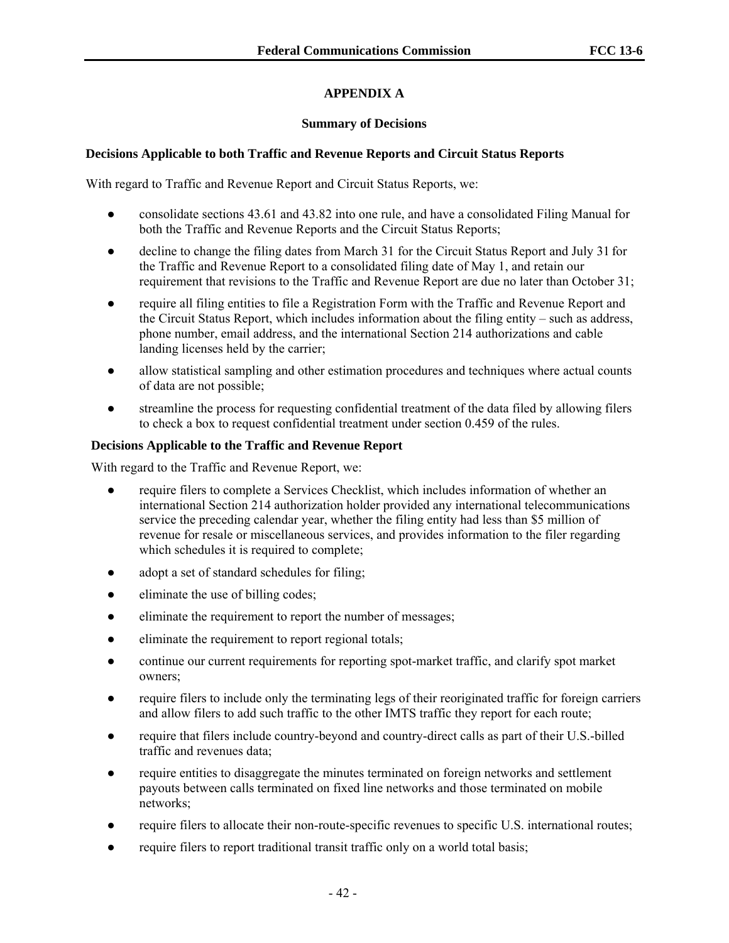## **APPENDIX A**

## **Summary of Decisions**

## **Decisions Applicable to both Traffic and Revenue Reports and Circuit Status Reports**

With regard to Traffic and Revenue Report and Circuit Status Reports, we:

- consolidate sections 43.61 and 43.82 into one rule, and have a consolidated Filing Manual for both the Traffic and Revenue Reports and the Circuit Status Reports;
- decline to change the filing dates from March 31 for the Circuit Status Report and July 31 for the Traffic and Revenue Report to a consolidated filing date of May 1, and retain our requirement that revisions to the Traffic and Revenue Report are due no later than October 31;
- require all filing entities to file a Registration Form with the Traffic and Revenue Report and the Circuit Status Report, which includes information about the filing entity – such as address, phone number, email address, and the international Section 214 authorizations and cable landing licenses held by the carrier;
- allow statistical sampling and other estimation procedures and techniques where actual counts of data are not possible;
- streamline the process for requesting confidential treatment of the data filed by allowing filers to check a box to request confidential treatment under section 0.459 of the rules.

## **Decisions Applicable to the Traffic and Revenue Report**

With regard to the Traffic and Revenue Report, we:

- require filers to complete a Services Checklist, which includes information of whether an international Section 214 authorization holder provided any international telecommunications service the preceding calendar year, whether the filing entity had less than \$5 million of revenue for resale or miscellaneous services, and provides information to the filer regarding which schedules it is required to complete;
- adopt a set of standard schedules for filing;
- eliminate the use of billing codes;
- eliminate the requirement to report the number of messages;
- eliminate the requirement to report regional totals;
- continue our current requirements for reporting spot-market traffic, and clarify spot market owners;
- require filers to include only the terminating legs of their reoriginated traffic for foreign carriers and allow filers to add such traffic to the other IMTS traffic they report for each route;
- require that filers include country-beyond and country-direct calls as part of their U.S.-billed traffic and revenues data;
- require entities to disaggregate the minutes terminated on foreign networks and settlement payouts between calls terminated on fixed line networks and those terminated on mobile networks;
- require filers to allocate their non-route-specific revenues to specific U.S. international routes;
- require filers to report traditional transit traffic only on a world total basis;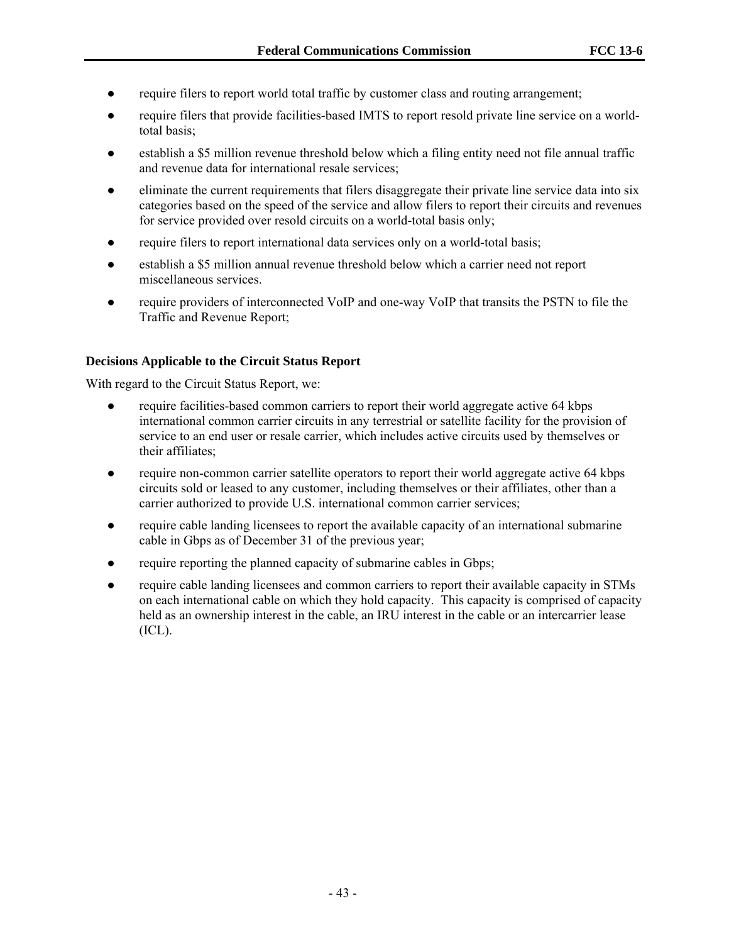- require filers to report world total traffic by customer class and routing arrangement;
- require filers that provide facilities-based IMTS to report resold private line service on a worldtotal basis;
- establish a \$5 million revenue threshold below which a filing entity need not file annual traffic and revenue data for international resale services;
- eliminate the current requirements that filers disaggregate their private line service data into six categories based on the speed of the service and allow filers to report their circuits and revenues for service provided over resold circuits on a world-total basis only;
- require filers to report international data services only on a world-total basis;
- establish a \$5 million annual revenue threshold below which a carrier need not report miscellaneous services.
- require providers of interconnected VoIP and one-way VoIP that transits the PSTN to file the Traffic and Revenue Report;

#### **Decisions Applicable to the Circuit Status Report**

With regard to the Circuit Status Report, we:

- require facilities-based common carriers to report their world aggregate active 64 kbps international common carrier circuits in any terrestrial or satellite facility for the provision of service to an end user or resale carrier, which includes active circuits used by themselves or their affiliates;
- require non-common carrier satellite operators to report their world aggregate active 64 kbps circuits sold or leased to any customer, including themselves or their affiliates, other than a carrier authorized to provide U.S. international common carrier services;
- require cable landing licensees to report the available capacity of an international submarine cable in Gbps as of December 31 of the previous year;
- require reporting the planned capacity of submarine cables in Gbps;
- require cable landing licensees and common carriers to report their available capacity in STMs on each international cable on which they hold capacity. This capacity is comprised of capacity held as an ownership interest in the cable, an IRU interest in the cable or an intercarrier lease  $(ICL)$ .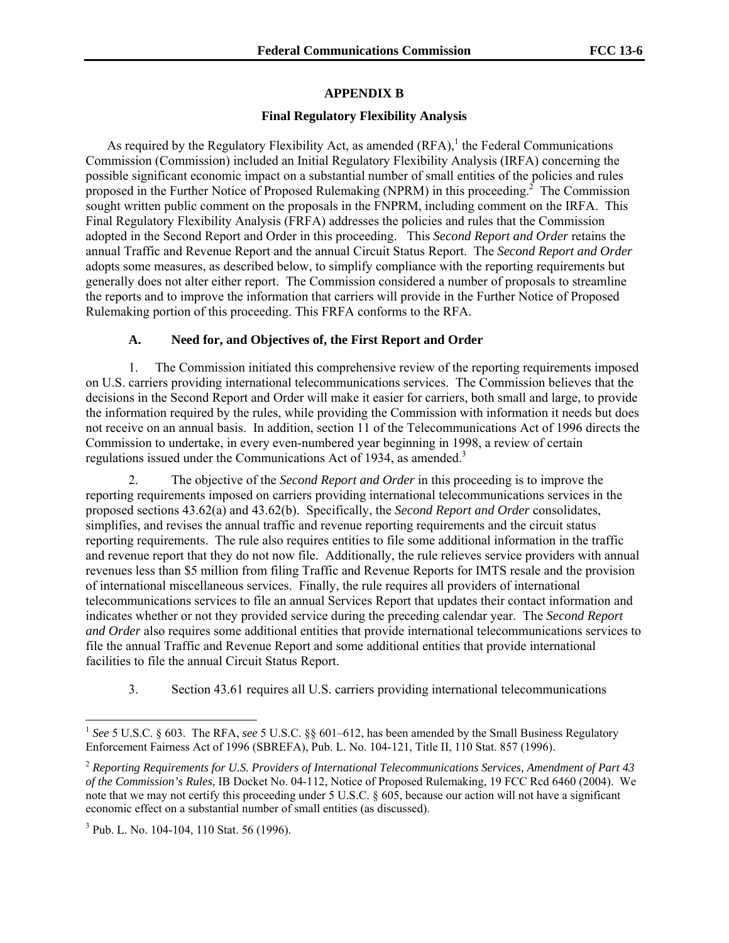#### **APPENDIX B**

#### **Final Regulatory Flexibility Analysis**

As required by the Regulatory Flexibility Act, as amended  $(RFA)$ , the Federal Communications Commission (Commission) included an Initial Regulatory Flexibility Analysis (IRFA) concerning the possible significant economic impact on a substantial number of small entities of the policies and rules proposed in the Further Notice of Proposed Rulemaking (NPRM) in this proceeding.<sup>2</sup> The Commission sought written public comment on the proposals in the FNPRM, including comment on the IRFA. This Final Regulatory Flexibility Analysis (FRFA) addresses the policies and rules that the Commission adopted in the Second Report and Order in this proceeding. This *Second Report and Order* retains the annual Traffic and Revenue Report and the annual Circuit Status Report. The *Second Report and Order* adopts some measures, as described below, to simplify compliance with the reporting requirements but generally does not alter either report. The Commission considered a number of proposals to streamline the reports and to improve the information that carriers will provide in the Further Notice of Proposed Rulemaking portion of this proceeding. This FRFA conforms to the RFA.

#### **A. Need for, and Objectives of, the First Report and Order**

1. The Commission initiated this comprehensive review of the reporting requirements imposed on U.S. carriers providing international telecommunications services. The Commission believes that the decisions in the Second Report and Order will make it easier for carriers, both small and large, to provide the information required by the rules, while providing the Commission with information it needs but does not receive on an annual basis. In addition, section 11 of the Telecommunications Act of 1996 directs the Commission to undertake, in every even-numbered year beginning in 1998, a review of certain regulations issued under the Communications Act of 1934, as amended.<sup>3</sup>

2. The objective of the *Second Report and Order* in this proceeding is to improve the reporting requirements imposed on carriers providing international telecommunications services in the proposed sections 43.62(a) and 43.62(b). Specifically, the *Second Report and Order* consolidates, simplifies, and revises the annual traffic and revenue reporting requirements and the circuit status reporting requirements. The rule also requires entities to file some additional information in the traffic and revenue report that they do not now file. Additionally, the rule relieves service providers with annual revenues less than \$5 million from filing Traffic and Revenue Reports for IMTS resale and the provision of international miscellaneous services. Finally, the rule requires all providers of international telecommunications services to file an annual Services Report that updates their contact information and indicates whether or not they provided service during the preceding calendar year. The *Second Report and Order* also requires some additional entities that provide international telecommunications services to file the annual Traffic and Revenue Report and some additional entities that provide international facilities to file the annual Circuit Status Report.

3. Section 43.61 requires all U.S. carriers providing international telecommunications

l

<sup>&</sup>lt;sup>1</sup> See 5 U.S.C. § 603. The RFA, see 5 U.S.C. §§ 601–612, has been amended by the Small Business Regulatory Enforcement Fairness Act of 1996 (SBREFA), Pub. L. No. 104-121, Title II, 110 Stat. 857 (1996).

<sup>2</sup> *Reporting Requirements for U.S. Providers of International Telecommunications Services, Amendment of Part 43 of the Commission's Rules,* IB Docket No. 04-112, Notice of Proposed Rulemaking, 19 FCC Rcd 6460 (2004). We note that we may not certify this proceeding under 5 U.S.C. § 605, because our action will not have a significant economic effect on a substantial number of small entities (as discussed).

<sup>3</sup> Pub. L. No. 104-104, 110 Stat. 56 (1996).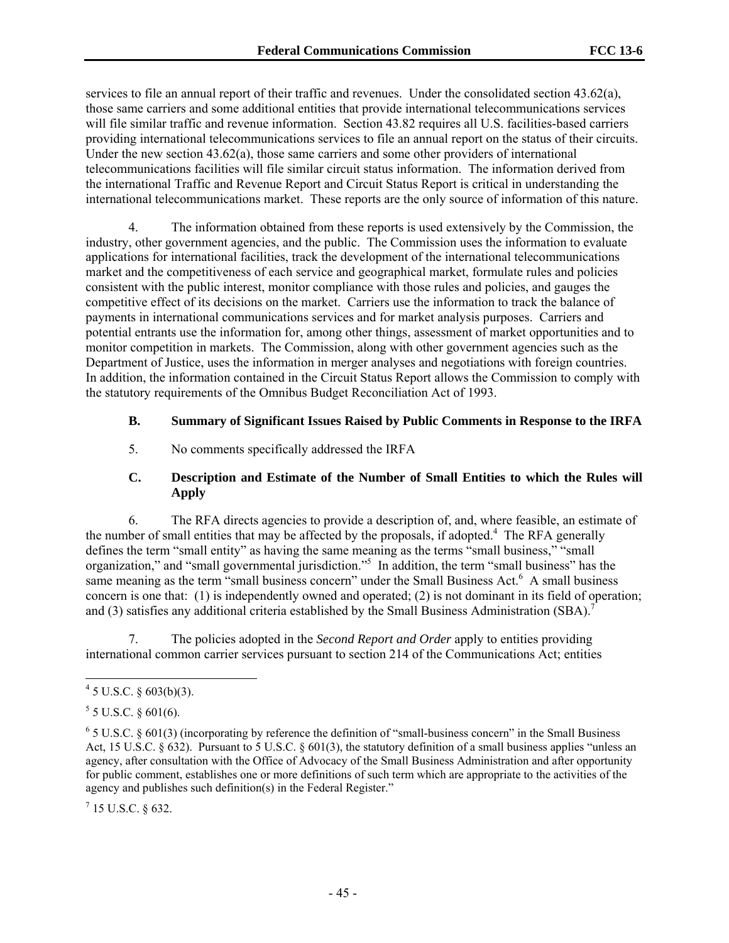services to file an annual report of their traffic and revenues. Under the consolidated section 43.62(a), those same carriers and some additional entities that provide international telecommunications services will file similar traffic and revenue information. Section 43.82 requires all U.S. facilities-based carriers providing international telecommunications services to file an annual report on the status of their circuits. Under the new section  $43.62(a)$ , those same carriers and some other providers of international telecommunications facilities will file similar circuit status information. The information derived from the international Traffic and Revenue Report and Circuit Status Report is critical in understanding the international telecommunications market. These reports are the only source of information of this nature.

4. The information obtained from these reports is used extensively by the Commission, the industry, other government agencies, and the public. The Commission uses the information to evaluate applications for international facilities, track the development of the international telecommunications market and the competitiveness of each service and geographical market, formulate rules and policies consistent with the public interest, monitor compliance with those rules and policies, and gauges the competitive effect of its decisions on the market. Carriers use the information to track the balance of payments in international communications services and for market analysis purposes. Carriers and potential entrants use the information for, among other things, assessment of market opportunities and to monitor competition in markets. The Commission, along with other government agencies such as the Department of Justice, uses the information in merger analyses and negotiations with foreign countries. In addition, the information contained in the Circuit Status Report allows the Commission to comply with the statutory requirements of the Omnibus Budget Reconciliation Act of 1993.

## **B. Summary of Significant Issues Raised by Public Comments in Response to the IRFA**

5. No comments specifically addressed the IRFA

## **C. Description and Estimate of the Number of Small Entities to which the Rules will Apply**

6. The RFA directs agencies to provide a description of, and, where feasible, an estimate of the number of small entities that may be affected by the proposals, if adopted.<sup>4</sup> The RFA generally defines the term "small entity" as having the same meaning as the terms "small business," "small organization," and "small governmental jurisdiction."<sup>5</sup> In addition, the term "small business" has the same meaning as the term "small business concern" under the Small Business Act.<sup>6</sup> A small business concern is one that: (1) is independently owned and operated; (2) is not dominant in its field of operation; and (3) satisfies any additional criteria established by the Small Business Administration (SBA).<sup>7</sup>

7. The policies adopted in the *Second Report and Order* apply to entities providing international common carrier services pursuant to section 214 of the Communications Act; entities

l

 $^7$  15 U.S.C. § 632.

 $4\,$  5 U.S.C. § 603(b)(3).

 $5$  5 U.S.C. § 601(6).

 $6$  5 U.S.C. § 601(3) (incorporating by reference the definition of "small-business concern" in the Small Business Act, 15 U.S.C. § 632). Pursuant to 5 U.S.C. § 601(3), the statutory definition of a small business applies "unless an agency, after consultation with the Office of Advocacy of the Small Business Administration and after opportunity for public comment, establishes one or more definitions of such term which are appropriate to the activities of the agency and publishes such definition(s) in the Federal Register."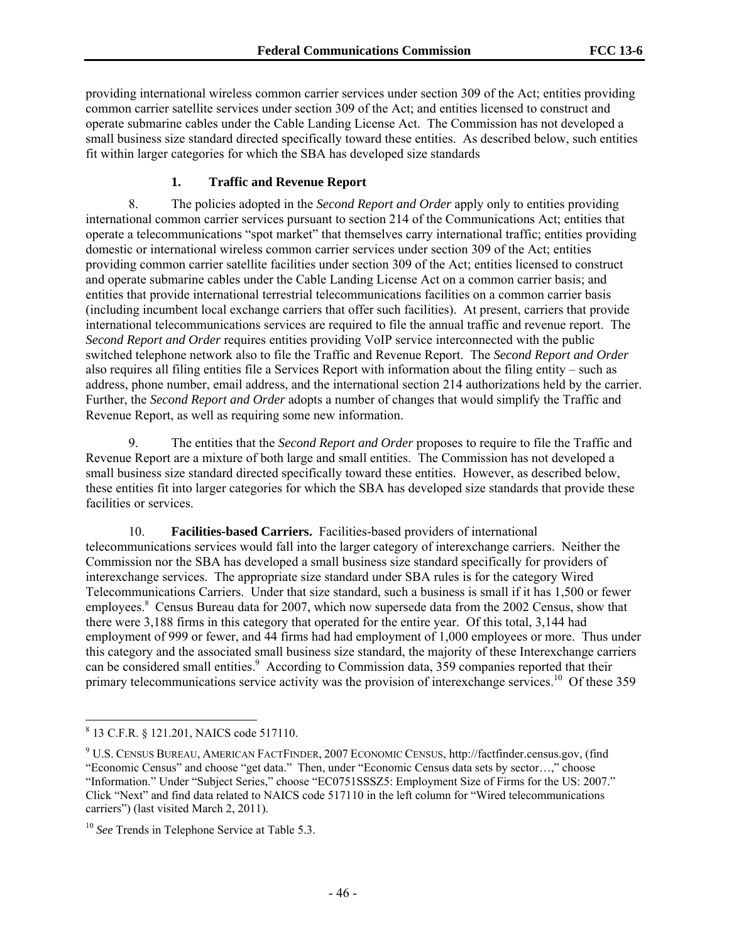providing international wireless common carrier services under section 309 of the Act; entities providing common carrier satellite services under section 309 of the Act; and entities licensed to construct and operate submarine cables under the Cable Landing License Act.The Commission has not developed a small business size standard directed specifically toward these entities. As described below, such entities fit within larger categories for which the SBA has developed size standards

#### **1. Traffic and Revenue Report**

8. The policies adopted in the *Second Report and Order* apply only to entities providing international common carrier services pursuant to section 214 of the Communications Act; entities that operate a telecommunications "spot market" that themselves carry international traffic; entities providing domestic or international wireless common carrier services under section 309 of the Act; entities providing common carrier satellite facilities under section 309 of the Act; entities licensed to construct and operate submarine cables under the Cable Landing License Act on a common carrier basis; and entities that provide international terrestrial telecommunications facilities on a common carrier basis (including incumbent local exchange carriers that offer such facilities). At present, carriers that provide international telecommunications services are required to file the annual traffic and revenue report. The *Second Report and Order* requires entities providing VoIP service interconnected with the public switched telephone network also to file the Traffic and Revenue Report. The *Second Report and Order* also requires all filing entities file a Services Report with information about the filing entity – such as address, phone number, email address, and the international section 214 authorizations held by the carrier. Further, the *Second Report and Order* adopts a number of changes that would simplify the Traffic and Revenue Report, as well as requiring some new information.

9. The entities that the *Second Report and Order* proposes to require to file the Traffic and Revenue Report are a mixture of both large and small entities. The Commission has not developed a small business size standard directed specifically toward these entities. However, as described below, these entities fit into larger categories for which the SBA has developed size standards that provide these facilities or services.

10. **Facilities-based Carriers.** Facilities-based providers of international telecommunications services would fall into the larger category of interexchange carriers. Neither the Commission nor the SBA has developed a small business size standard specifically for providers of interexchange services. The appropriate size standard under SBA rules is for the category Wired Telecommunications Carriers. Under that size standard, such a business is small if it has 1,500 or fewer employees.<sup>8</sup> Census Bureau data for 2007, which now supersede data from the 2002 Census, show that there were 3,188 firms in this category that operated for the entire year. Of this total, 3,144 had employment of 999 or fewer, and 44 firms had had employment of 1,000 employees or more. Thus under this category and the associated small business size standard, the majority of these Interexchange carriers can be considered small entities.<sup>9</sup> According to Commission data, 359 companies reported that their primary telecommunications service activity was the provision of interexchange services.<sup>10</sup> Of these 359

l

<sup>8</sup> 13 C.F.R. § 121.201, NAICS code 517110.

<sup>9</sup> U.S. CENSUS BUREAU, AMERICAN FACTFINDER, 2007 ECONOMIC CENSUS, http://factfinder.census.gov, (find "Economic Census" and choose "get data." Then, under "Economic Census data sets by sector…," choose "Information." Under "Subject Series," choose "EC0751SSSZ5: Employment Size of Firms for the US: 2007." Click "Next" and find data related to NAICS code 517110 in the left column for "Wired telecommunications carriers") (last visited March 2, 2011).

<sup>10</sup> *See* Trends in Telephone Service at Table 5.3.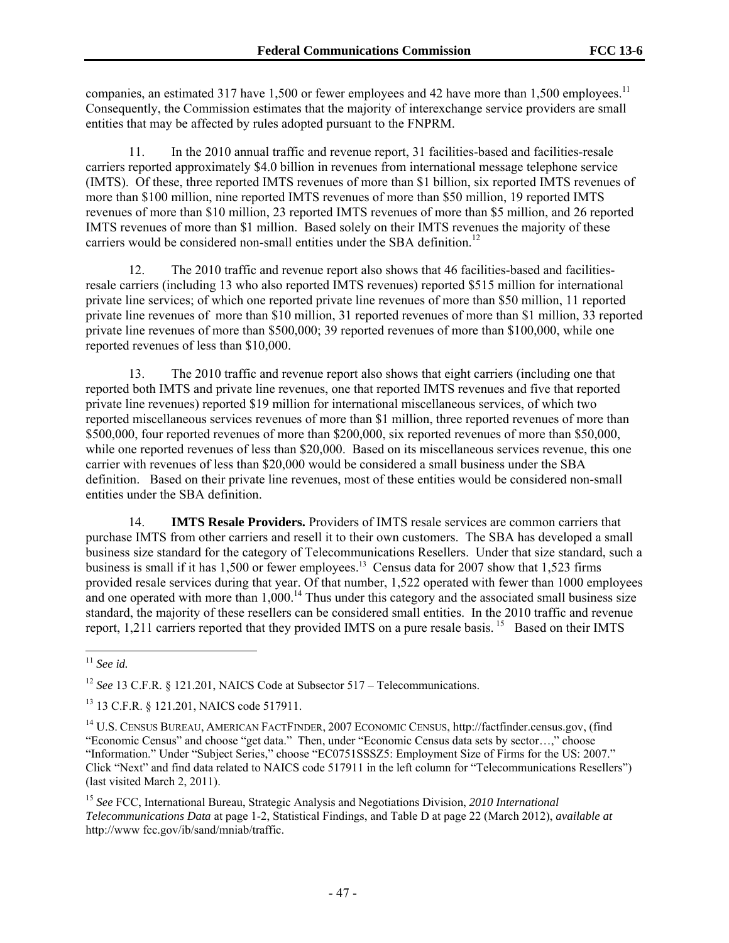companies, an estimated 317 have 1,500 or fewer employees and 42 have more than 1,500 employees.<sup>11</sup> Consequently, the Commission estimates that the majority of interexchange service providers are small entities that may be affected by rules adopted pursuant to the FNPRM.

11. In the 2010 annual traffic and revenue report, 31 facilities-based and facilities-resale carriers reported approximately \$4.0 billion in revenues from international message telephone service (IMTS). Of these, three reported IMTS revenues of more than \$1 billion, six reported IMTS revenues of more than \$100 million, nine reported IMTS revenues of more than \$50 million, 19 reported IMTS revenues of more than \$10 million, 23 reported IMTS revenues of more than \$5 million, and 26 reported IMTS revenues of more than \$1 million. Based solely on their IMTS revenues the majority of these carriers would be considered non-small entities under the SBA definition.<sup>12</sup>

12. The 2010 traffic and revenue report also shows that 46 facilities-based and facilitiesresale carriers (including 13 who also reported IMTS revenues) reported \$515 million for international private line services; of which one reported private line revenues of more than \$50 million, 11 reported private line revenues of more than \$10 million, 31 reported revenues of more than \$1 million, 33 reported private line revenues of more than \$500,000; 39 reported revenues of more than \$100,000, while one reported revenues of less than \$10,000.

13. The 2010 traffic and revenue report also shows that eight carriers (including one that reported both IMTS and private line revenues, one that reported IMTS revenues and five that reported private line revenues) reported \$19 million for international miscellaneous services, of which two reported miscellaneous services revenues of more than \$1 million, three reported revenues of more than \$500,000, four reported revenues of more than \$200,000, six reported revenues of more than \$50,000, while one reported revenues of less than \$20,000. Based on its miscellaneous services revenue, this one carrier with revenues of less than \$20,000 would be considered a small business under the SBA definition. Based on their private line revenues, most of these entities would be considered non-small entities under the SBA definition.

14. **IMTS Resale Providers.** Providers of IMTS resale services are common carriers that purchase IMTS from other carriers and resell it to their own customers. The SBA has developed a small business size standard for the category of Telecommunications Resellers. Under that size standard, such a business is small if it has 1,500 or fewer employees.<sup>13</sup> Census data for 2007 show that 1,523 firms provided resale services during that year. Of that number, 1,522 operated with fewer than 1000 employees and one operated with more than  $1,000$ .<sup>14</sup> Thus under this category and the associated small business size standard, the majority of these resellers can be considered small entities. In the 2010 traffic and revenue report, 1,211 carriers reported that they provided IMTS on a pure resale basis.<sup>15</sup> Based on their IMTS

l <sup>11</sup> *See id.*

<sup>&</sup>lt;sup>12</sup> *See* 13 C.F.R. § 121.201, NAICS Code at Subsector 517 – Telecommunications.

<sup>13 13</sup> C.F.R. § 121.201, NAICS code 517911.

<sup>14</sup> U.S. CENSUS BUREAU, AMERICAN FACTFINDER, 2007 ECONOMIC CENSUS, http://factfinder.census.gov, (find "Economic Census" and choose "get data." Then, under "Economic Census data sets by sector…," choose "Information." Under "Subject Series," choose "EC0751SSSZ5: Employment Size of Firms for the US: 2007." Click "Next" and find data related to NAICS code 517911 in the left column for "Telecommunications Resellers") (last visited March 2, 2011).

<sup>15</sup> *See* FCC, International Bureau, Strategic Analysis and Negotiations Division, *2010 International Telecommunications Data* at page 1-2, Statistical Findings, and Table D at page 22 (March 2012), *available at*  http://www fcc.gov/ib/sand/mniab/traffic.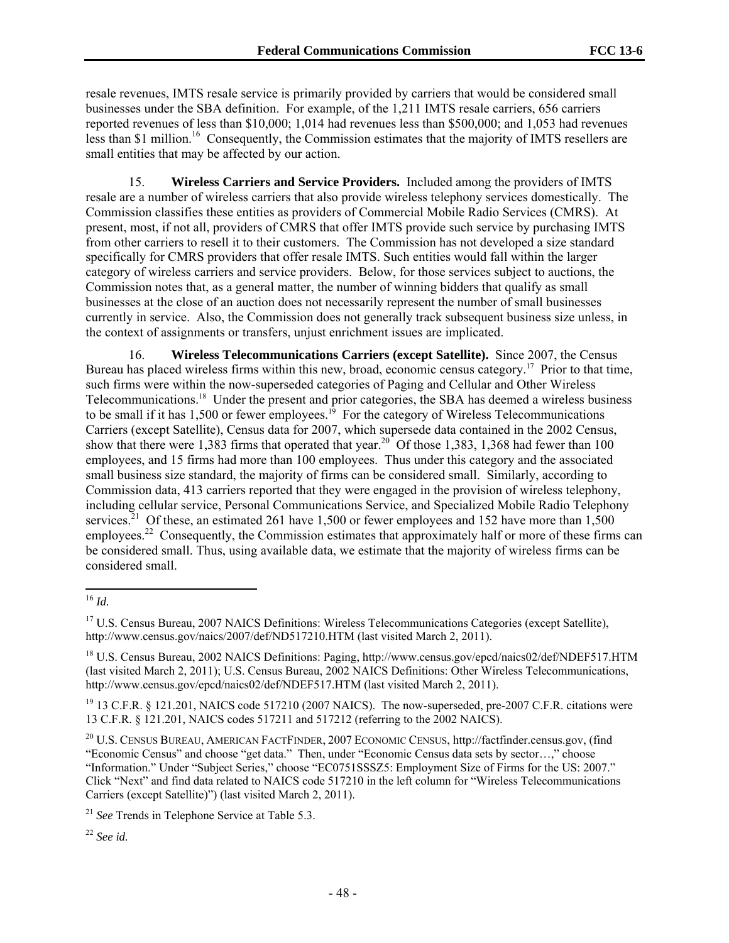resale revenues, IMTS resale service is primarily provided by carriers that would be considered small businesses under the SBA definition. For example, of the 1,211 IMTS resale carriers, 656 carriers reported revenues of less than \$10,000; 1,014 had revenues less than \$500,000; and 1,053 had revenues less than \$1 million.<sup>16</sup> Consequently, the Commission estimates that the majority of IMTS resellers are small entities that may be affected by our action.

15. **Wireless Carriers and Service Providers.** Included among the providers of IMTS resale are a number of wireless carriers that also provide wireless telephony services domestically. The Commission classifies these entities as providers of Commercial Mobile Radio Services (CMRS). At present, most, if not all, providers of CMRS that offer IMTS provide such service by purchasing IMTS from other carriers to resell it to their customers. The Commission has not developed a size standard specifically for CMRS providers that offer resale IMTS. Such entities would fall within the larger category of wireless carriers and service providers. Below, for those services subject to auctions, the Commission notes that, as a general matter, the number of winning bidders that qualify as small businesses at the close of an auction does not necessarily represent the number of small businesses currently in service. Also, the Commission does not generally track subsequent business size unless, in the context of assignments or transfers, unjust enrichment issues are implicated.

16. **Wireless Telecommunications Carriers (except Satellite).** Since 2007, the Census Bureau has placed wireless firms within this new, broad, economic census category.<sup>17</sup> Prior to that time, such firms were within the now-superseded categories of Paging and Cellular and Other Wireless Telecommunications.<sup>18</sup> Under the present and prior categories, the SBA has deemed a wireless business to be small if it has  $1,500$  or fewer employees.<sup>19</sup> For the category of Wireless Telecommunications Carriers (except Satellite), Census data for 2007, which supersede data contained in the 2002 Census, show that there were 1,383 firms that operated that year.<sup>20</sup> Of those 1,383, 1,368 had fewer than 100 employees, and 15 firms had more than 100 employees. Thus under this category and the associated small business size standard, the majority of firms can be considered small. Similarly, according to Commission data, 413 carriers reported that they were engaged in the provision of wireless telephony, including cellular service, Personal Communications Service, and Specialized Mobile Radio Telephony services.<sup>21</sup> Of these, an estimated 261 have 1,500 or fewer employees and 152 have more than 1,500 employees.<sup>22</sup> Consequently, the Commission estimates that approximately half or more of these firms can be considered small. Thus, using available data, we estimate that the majority of wireless firms can be considered small.

<sup>1</sup> <sup>16</sup> *Id.*

<sup>&</sup>lt;sup>17</sup> U.S. Census Bureau, 2007 NAICS Definitions: Wireless Telecommunications Categories (except Satellite), http://www.census.gov/naics/2007/def/ND517210.HTM (last visited March 2, 2011).

<sup>&</sup>lt;sup>18</sup> U.S. Census Bureau, 2002 NAICS Definitions: Paging, http://www.census.gov/epcd/naics02/def/NDEF517.HTM (last visited March 2, 2011); U.S. Census Bureau, 2002 NAICS Definitions: Other Wireless Telecommunications, http://www.census.gov/epcd/naics02/def/NDEF517.HTM (last visited March 2, 2011).

 $19$  13 C.F.R. § 121.201, NAICS code 517210 (2007 NAICS). The now-superseded, pre-2007 C.F.R. citations were 13 C.F.R. § 121.201, NAICS codes 517211 and 517212 (referring to the 2002 NAICS).

<sup>20</sup> U.S. CENSUS BUREAU, AMERICAN FACTFINDER, 2007 ECONOMIC CENSUS, http://factfinder.census.gov, (find "Economic Census" and choose "get data." Then, under "Economic Census data sets by sector…," choose "Information." Under "Subject Series," choose "EC0751SSSZ5: Employment Size of Firms for the US: 2007." Click "Next" and find data related to NAICS code 517210 in the left column for "Wireless Telecommunications Carriers (except Satellite)") (last visited March 2, 2011).

<sup>21</sup> *See* Trends in Telephone Service at Table 5.3.

<sup>22</sup> *See id.*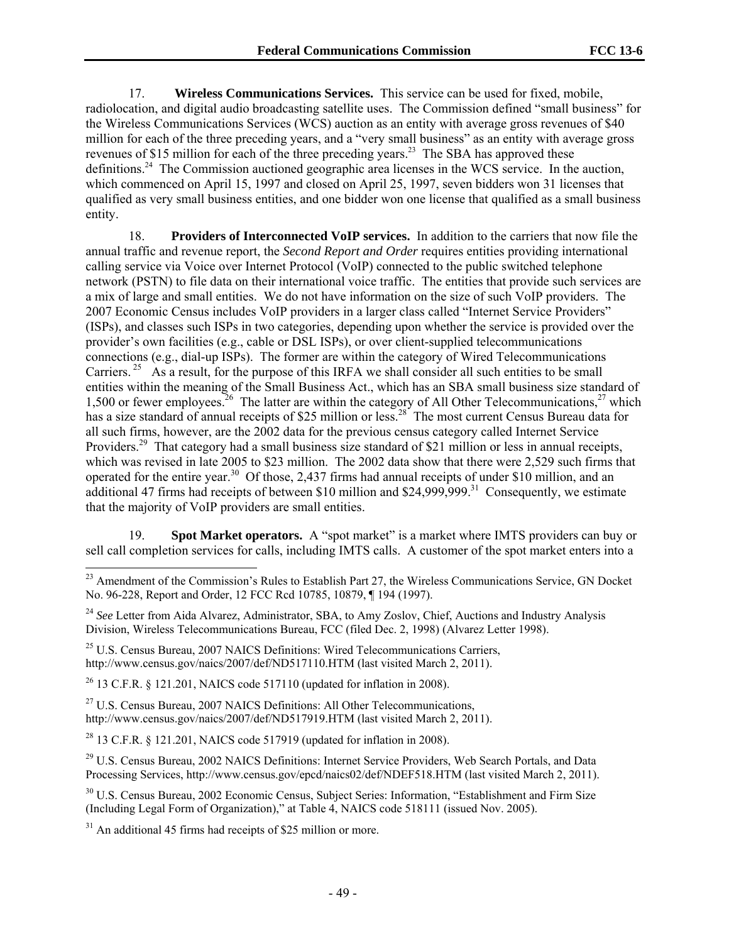17. **Wireless Communications Services.** This service can be used for fixed, mobile, radiolocation, and digital audio broadcasting satellite uses. The Commission defined "small business" for the Wireless Communications Services (WCS) auction as an entity with average gross revenues of \$40 million for each of the three preceding years, and a "very small business" as an entity with average gross revenues of \$15 million for each of the three preceding years.<sup>23</sup> The SBA has approved these definitions.24 The Commission auctioned geographic area licenses in the WCS service. In the auction, which commenced on April 15, 1997 and closed on April 25, 1997, seven bidders won 31 licenses that qualified as very small business entities, and one bidder won one license that qualified as a small business entity.

18. **Providers of Interconnected VoIP services.** In addition to the carriers that now file the annual traffic and revenue report, the *Second Report and Order* requires entities providing international calling service via Voice over Internet Protocol (VoIP) connected to the public switched telephone network (PSTN) to file data on their international voice traffic. The entities that provide such services are a mix of large and small entities. We do not have information on the size of such VoIP providers. The 2007 Economic Census includes VoIP providers in a larger class called "Internet Service Providers" (ISPs), and classes such ISPs in two categories, depending upon whether the service is provided over the provider's own facilities (e.g., cable or DSL ISPs), or over client-supplied telecommunications connections (e.g., dial-up ISPs). The former are within the category of Wired Telecommunications Carriers. <sup>25</sup> As a result, for the purpose of this IRFA we shall consider all such entities to be small entities within the meaning of the Small Business Act., which has an SBA small business size standard of 1,500 or fewer employees.<sup>26</sup> The latter are within the category of All Other Telecommunications,<sup>27</sup> which has a size standard of annual receipts of \$25 million or less.<sup>28</sup> The most current Census Bureau data for all such firms, however, are the 2002 data for the previous census category called Internet Service Providers.<sup>29</sup> That category had a small business size standard of \$21 million or less in annual receipts, which was revised in late 2005 to \$23 million. The 2002 data show that there were 2,529 such firms that operated for the entire year.30 Of those, 2,437 firms had annual receipts of under \$10 million, and an additional 47 firms had receipts of between \$10 million and \$24,999,999.<sup>31</sup> Consequently, we estimate that the majority of VoIP providers are small entities.

19. **Spot Market operators.** A "spot market" is a market where IMTS providers can buy or sell call completion services for calls, including IMTS calls. A customer of the spot market enters into a

<sup>24</sup> See Letter from Aida Alvarez, Administrator, SBA, to Amy Zoslov, Chief, Auctions and Industry Analysis Division, Wireless Telecommunications Bureau, FCC (filed Dec. 2, 1998) (Alvarez Letter 1998).

 $25$  U.S. Census Bureau, 2007 NAICS Definitions: Wired Telecommunications Carriers, http://www.census.gov/naics/2007/def/ND517110.HTM (last visited March 2, 2011).

<sup>26</sup> 13 C.F.R. § 121.201, NAICS code 517110 (updated for inflation in 2008).

 $27$  U.S. Census Bureau, 2007 NAICS Definitions: All Other Telecommunications, http://www.census.gov/naics/2007/def/ND517919.HTM (last visited March 2, 2011).

<sup>28</sup> 13 C.F.R. § 121.201, NAICS code 517919 (updated for inflation in 2008).

<sup>29</sup> U.S. Census Bureau, 2002 NAICS Definitions: Internet Service Providers, Web Search Portals, and Data Processing Services, http://www.census.gov/epcd/naics02/def/NDEF518.HTM (last visited March 2, 2011).

<sup>30</sup> U.S. Census Bureau, 2002 Economic Census, Subject Series: Information, "Establishment and Firm Size (Including Legal Form of Organization)," at Table 4, NAICS code 518111 (issued Nov. 2005).

 $31$  An additional 45 firms had receipts of \$25 million or more.

l

<sup>&</sup>lt;sup>23</sup> Amendment of the Commission's Rules to Establish Part 27, the Wireless Communications Service, GN Docket No. 96-228, Report and Order, 12 FCC Rcd 10785, 10879, ¶ 194 (1997).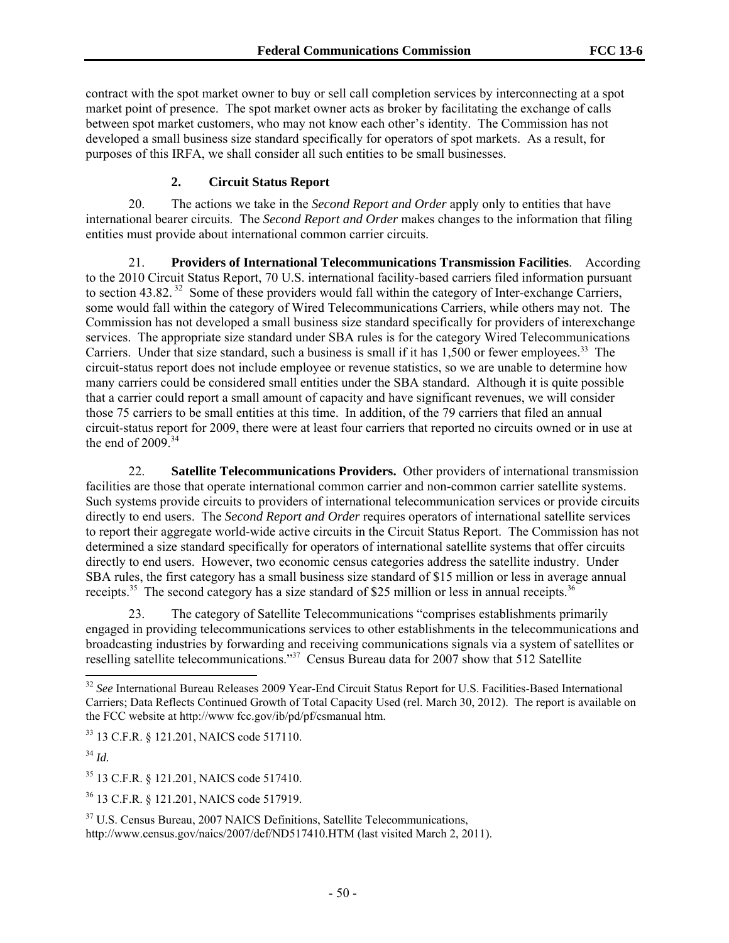contract with the spot market owner to buy or sell call completion services by interconnecting at a spot market point of presence. The spot market owner acts as broker by facilitating the exchange of calls between spot market customers, who may not know each other's identity. The Commission has not developed a small business size standard specifically for operators of spot markets. As a result, for purposes of this IRFA, we shall consider all such entities to be small businesses.

#### **2. Circuit Status Report**

20. The actions we take in the *Second Report and Order* apply only to entities that have international bearer circuits. The *Second Report and Order* makes changes to the information that filing entities must provide about international common carrier circuits.

21. **Providers of International Telecommunications Transmission Facilities**. According to the 2010 Circuit Status Report, 70 U.S. international facility-based carriers filed information pursuant to section 43.82.<sup>32</sup> Some of these providers would fall within the category of Inter-exchange Carriers, some would fall within the category of Wired Telecommunications Carriers, while others may not. The Commission has not developed a small business size standard specifically for providers of interexchange services. The appropriate size standard under SBA rules is for the category Wired Telecommunications Carriers. Under that size standard, such a business is small if it has  $1,500$  or fewer employees.<sup>33</sup> The circuit-status report does not include employee or revenue statistics, so we are unable to determine how many carriers could be considered small entities under the SBA standard. Although it is quite possible that a carrier could report a small amount of capacity and have significant revenues, we will consider those 75 carriers to be small entities at this time. In addition, of the 79 carriers that filed an annual circuit-status report for 2009, there were at least four carriers that reported no circuits owned or in use at the end of  $2009.34$ 

22. **Satellite Telecommunications Providers.** Other providers of international transmission facilities are those that operate international common carrier and non-common carrier satellite systems. Such systems provide circuits to providers of international telecommunication services or provide circuits directly to end users. The *Second Report and Order* requires operators of international satellite services to report their aggregate world-wide active circuits in the Circuit Status Report. The Commission has not determined a size standard specifically for operators of international satellite systems that offer circuits directly to end users. However, two economic census categories address the satellite industry. Under SBA rules, the first category has a small business size standard of \$15 million or less in average annual receipts.<sup>35</sup> The second category has a size standard of \$25 million or less in annual receipts.<sup>36</sup>

23. The category of Satellite Telecommunications "comprises establishments primarily engaged in providing telecommunications services to other establishments in the telecommunications and broadcasting industries by forwarding and receiving communications signals via a system of satellites or reselling satellite telecommunications."37 Census Bureau data for 2007 show that 512 Satellite

<sup>34</sup> *Id.*

l

<sup>32</sup> *See* International Bureau Releases 2009 Year-End Circuit Status Report for U.S. Facilities-Based International Carriers; Data Reflects Continued Growth of Total Capacity Used (rel. March 30, 2012). The report is available on the FCC website at http://www fcc.gov/ib/pd/pf/csmanual htm.

<sup>33 13</sup> C.F.R. § 121.201, NAICS code 517110.

<sup>35 13</sup> C.F.R. § 121.201, NAICS code 517410.

<sup>36 13</sup> C.F.R. § 121.201, NAICS code 517919.

<sup>&</sup>lt;sup>37</sup> U.S. Census Bureau, 2007 NAICS Definitions, Satellite Telecommunications, http://www.census.gov/naics/2007/def/ND517410.HTM (last visited March 2, 2011).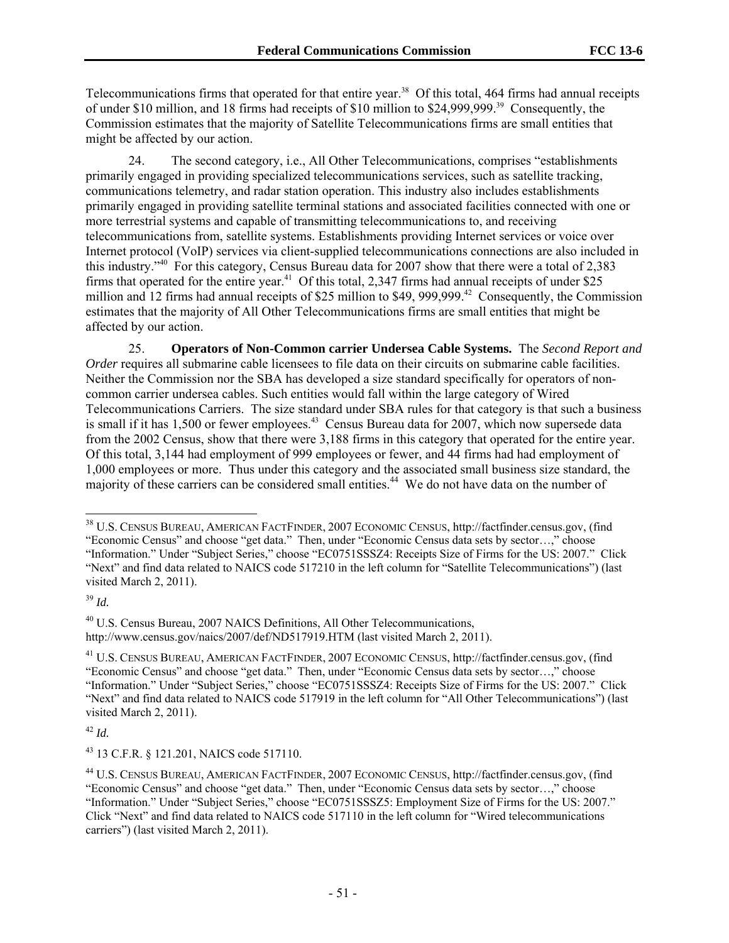Telecommunications firms that operated for that entire year.<sup>38</sup> Of this total, 464 firms had annual receipts of under \$10 million, and 18 firms had receipts of \$10 million to \$24,999,999.39 Consequently, the Commission estimates that the majority of Satellite Telecommunications firms are small entities that might be affected by our action.

24. The second category, i.e., All Other Telecommunications, comprises "establishments primarily engaged in providing specialized telecommunications services, such as satellite tracking, communications telemetry, and radar station operation. This industry also includes establishments primarily engaged in providing satellite terminal stations and associated facilities connected with one or more terrestrial systems and capable of transmitting telecommunications to, and receiving telecommunications from, satellite systems. Establishments providing Internet services or voice over Internet protocol (VoIP) services via client-supplied telecommunications connections are also included in this industry."40 For this category, Census Bureau data for 2007 show that there were a total of 2,383 firms that operated for the entire year.<sup>41</sup> Of this total, 2,347 firms had annual receipts of under \$25 million and 12 firms had annual receipts of \$25 million to \$49, 999,999.42 Consequently, the Commission estimates that the majority of All Other Telecommunications firms are small entities that might be affected by our action.

25. **Operators of Non-Common carrier Undersea Cable Systems.** The *Second Report and Order* requires all submarine cable licensees to file data on their circuits on submarine cable facilities. Neither the Commission nor the SBA has developed a size standard specifically for operators of noncommon carrier undersea cables. Such entities would fall within the large category of Wired Telecommunications Carriers. The size standard under SBA rules for that category is that such a business is small if it has 1,500 or fewer employees.<sup>43</sup> Census Bureau data for 2007, which now supersede data from the 2002 Census, show that there were 3,188 firms in this category that operated for the entire year. Of this total, 3,144 had employment of 999 employees or fewer, and 44 firms had had employment of 1,000 employees or more. Thus under this category and the associated small business size standard, the majority of these carriers can be considered small entities.<sup>44</sup> We do not have data on the number of

-

<sup>42</sup> *Id.*

<sup>38</sup> U.S. CENSUS BUREAU, AMERICAN FACTFINDER, 2007 ECONOMIC CENSUS, http://factfinder.census.gov, (find "Economic Census" and choose "get data." Then, under "Economic Census data sets by sector…," choose "Information." Under "Subject Series," choose "EC0751SSSZ4: Receipts Size of Firms for the US: 2007." Click "Next" and find data related to NAICS code 517210 in the left column for "Satellite Telecommunications") (last visited March 2, 2011).

<sup>39</sup> *Id.*

<sup>40</sup> U.S. Census Bureau, 2007 NAICS Definitions, All Other Telecommunications, http://www.census.gov/naics/2007/def/ND517919.HTM (last visited March 2, 2011).

<sup>41</sup> U.S. CENSUS BUREAU, AMERICAN FACTFINDER, 2007 ECONOMIC CENSUS, http://factfinder.census.gov, (find "Economic Census" and choose "get data." Then, under "Economic Census data sets by sector…," choose "Information." Under "Subject Series," choose "EC0751SSSZ4: Receipts Size of Firms for the US: 2007." Click "Next" and find data related to NAICS code 517919 in the left column for "All Other Telecommunications") (last visited March 2, 2011).

<sup>43 13</sup> C.F.R. § 121.201, NAICS code 517110.

<sup>44</sup> U.S. CENSUS BUREAU, AMERICAN FACTFINDER, 2007 ECONOMIC CENSUS, http://factfinder.census.gov, (find "Economic Census" and choose "get data." Then, under "Economic Census data sets by sector…," choose "Information." Under "Subject Series," choose "EC0751SSSZ5: Employment Size of Firms for the US: 2007." Click "Next" and find data related to NAICS code 517110 in the left column for "Wired telecommunications carriers") (last visited March 2, 2011).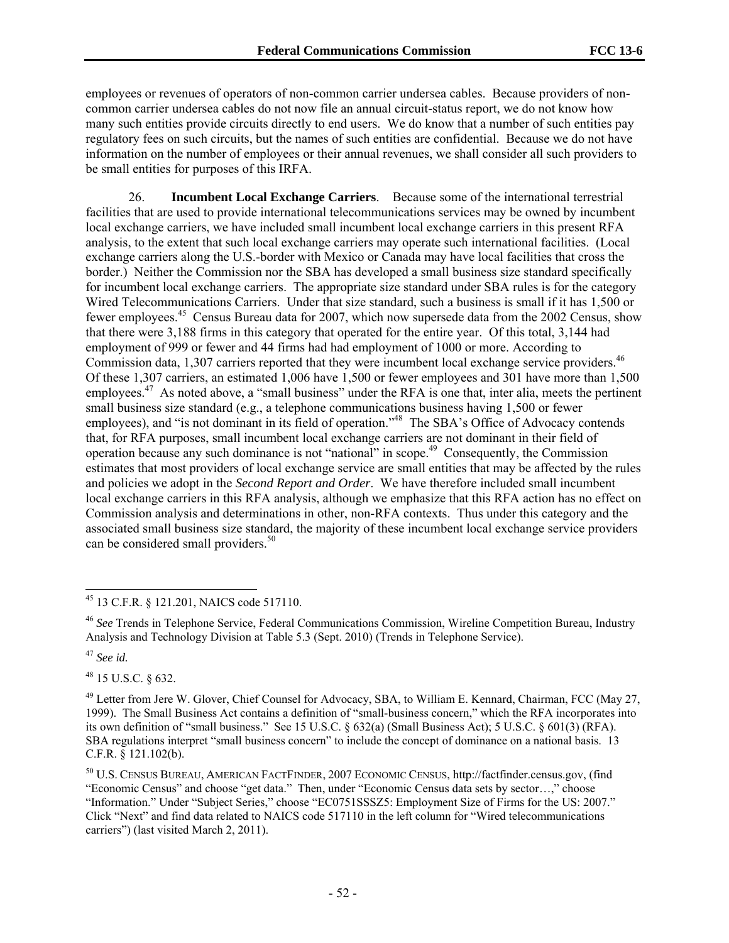employees or revenues of operators of non-common carrier undersea cables. Because providers of noncommon carrier undersea cables do not now file an annual circuit-status report, we do not know how many such entities provide circuits directly to end users. We do know that a number of such entities pay regulatory fees on such circuits, but the names of such entities are confidential. Because we do not have information on the number of employees or their annual revenues, we shall consider all such providers to be small entities for purposes of this IRFA.

26. **Incumbent Local Exchange Carriers**. Because some of the international terrestrial facilities that are used to provide international telecommunications services may be owned by incumbent local exchange carriers, we have included small incumbent local exchange carriers in this present RFA analysis, to the extent that such local exchange carriers may operate such international facilities. (Local exchange carriers along the U.S.-border with Mexico or Canada may have local facilities that cross the border.) Neither the Commission nor the SBA has developed a small business size standard specifically for incumbent local exchange carriers. The appropriate size standard under SBA rules is for the category Wired Telecommunications Carriers. Under that size standard, such a business is small if it has 1,500 or fewer employees.45 Census Bureau data for 2007, which now supersede data from the 2002 Census, show that there were 3,188 firms in this category that operated for the entire year. Of this total, 3,144 had employment of 999 or fewer and 44 firms had had employment of 1000 or more. According to Commission data, 1,307 carriers reported that they were incumbent local exchange service providers.<sup>46</sup> Of these 1,307 carriers, an estimated 1,006 have 1,500 or fewer employees and 301 have more than 1,500 employees.<sup>47</sup> As noted above, a "small business" under the RFA is one that, inter alia, meets the pertinent small business size standard (e.g., a telephone communications business having 1,500 or fewer employees), and "is not dominant in its field of operation."<sup>48</sup> The SBA's Office of Advocacy contends that, for RFA purposes, small incumbent local exchange carriers are not dominant in their field of operation because any such dominance is not "national" in scope.49 Consequently, the Commission estimates that most providers of local exchange service are small entities that may be affected by the rules and policies we adopt in the *Second Report and Order*. We have therefore included small incumbent local exchange carriers in this RFA analysis, although we emphasize that this RFA action has no effect on Commission analysis and determinations in other, non-RFA contexts. Thus under this category and the associated small business size standard, the majority of these incumbent local exchange service providers can be considered small providers.<sup>50</sup>

<sup>46</sup> *See* Trends in Telephone Service, Federal Communications Commission, Wireline Competition Bureau, Industry Analysis and Technology Division at Table 5.3 (Sept. 2010) (Trends in Telephone Service).

<sup>47</sup> *See id.*

1

48 15 U.S.C. § 632.

<sup>45 13</sup> C.F.R. § 121.201, NAICS code 517110.

<sup>&</sup>lt;sup>49</sup> Letter from Jere W. Glover, Chief Counsel for Advocacy, SBA, to William E. Kennard, Chairman, FCC (May 27, 1999). The Small Business Act contains a definition of "small-business concern," which the RFA incorporates into its own definition of "small business." See 15 U.S.C. § 632(a) (Small Business Act); 5 U.S.C. § 601(3) (RFA). SBA regulations interpret "small business concern" to include the concept of dominance on a national basis. 13 C.F.R. § 121.102(b).

<sup>50</sup> U.S. CENSUS BUREAU, AMERICAN FACTFINDER, 2007 ECONOMIC CENSUS, http://factfinder.census.gov, (find "Economic Census" and choose "get data." Then, under "Economic Census data sets by sector…," choose "Information." Under "Subject Series," choose "EC0751SSSZ5: Employment Size of Firms for the US: 2007." Click "Next" and find data related to NAICS code 517110 in the left column for "Wired telecommunications carriers") (last visited March 2, 2011).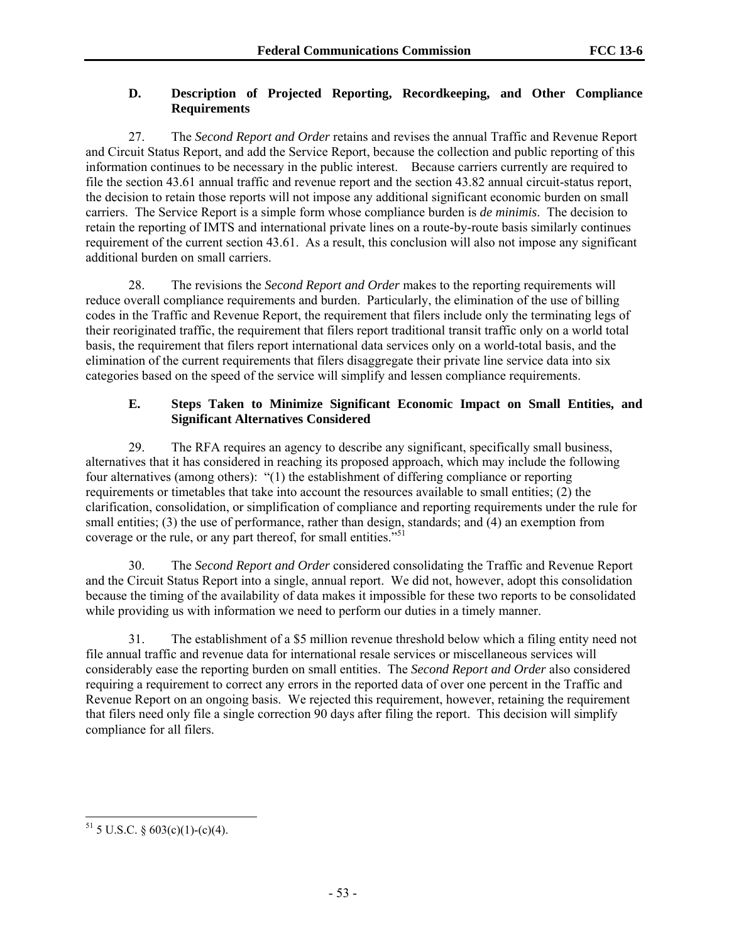## **D. Description of Projected Reporting, Recordkeeping, and Other Compliance Requirements**

27. The *Second Report and Order* retains and revises the annual Traffic and Revenue Report and Circuit Status Report, and add the Service Report, because the collection and public reporting of this information continues to be necessary in the public interest. Because carriers currently are required to file the section 43.61 annual traffic and revenue report and the section 43.82 annual circuit-status report, the decision to retain those reports will not impose any additional significant economic burden on small carriers. The Service Report is a simple form whose compliance burden is *de minimis*. The decision to retain the reporting of IMTS and international private lines on a route-by-route basis similarly continues requirement of the current section 43.61. As a result, this conclusion will also not impose any significant additional burden on small carriers.

28. The revisions the *Second Report and Order* makes to the reporting requirements will reduce overall compliance requirements and burden. Particularly, the elimination of the use of billing codes in the Traffic and Revenue Report, the requirement that filers include only the terminating legs of their reoriginated traffic, the requirement that filers report traditional transit traffic only on a world total basis, the requirement that filers report international data services only on a world-total basis, and the elimination of the current requirements that filers disaggregate their private line service data into six categories based on the speed of the service will simplify and lessen compliance requirements.

## **E. Steps Taken to Minimize Significant Economic Impact on Small Entities, and Significant Alternatives Considered**

29. The RFA requires an agency to describe any significant, specifically small business, alternatives that it has considered in reaching its proposed approach, which may include the following four alternatives (among others): "(1) the establishment of differing compliance or reporting requirements or timetables that take into account the resources available to small entities; (2) the clarification, consolidation, or simplification of compliance and reporting requirements under the rule for small entities; (3) the use of performance, rather than design, standards; and (4) an exemption from coverage or the rule, or any part thereof, for small entities."<sup>51</sup>

30. The *Second Report and Order* considered consolidating the Traffic and Revenue Report and the Circuit Status Report into a single, annual report. We did not, however, adopt this consolidation because the timing of the availability of data makes it impossible for these two reports to be consolidated while providing us with information we need to perform our duties in a timely manner.

31. The establishment of a \$5 million revenue threshold below which a filing entity need not file annual traffic and revenue data for international resale services or miscellaneous services will considerably ease the reporting burden on small entities. The *Second Report and Order* also considered requiring a requirement to correct any errors in the reported data of over one percent in the Traffic and Revenue Report on an ongoing basis. We rejected this requirement, however, retaining the requirement that filers need only file a single correction 90 days after filing the report. This decision will simplify compliance for all filers.

<sup>1</sup>  $51$  5 U.S.C. § 603(c)(1)-(c)(4).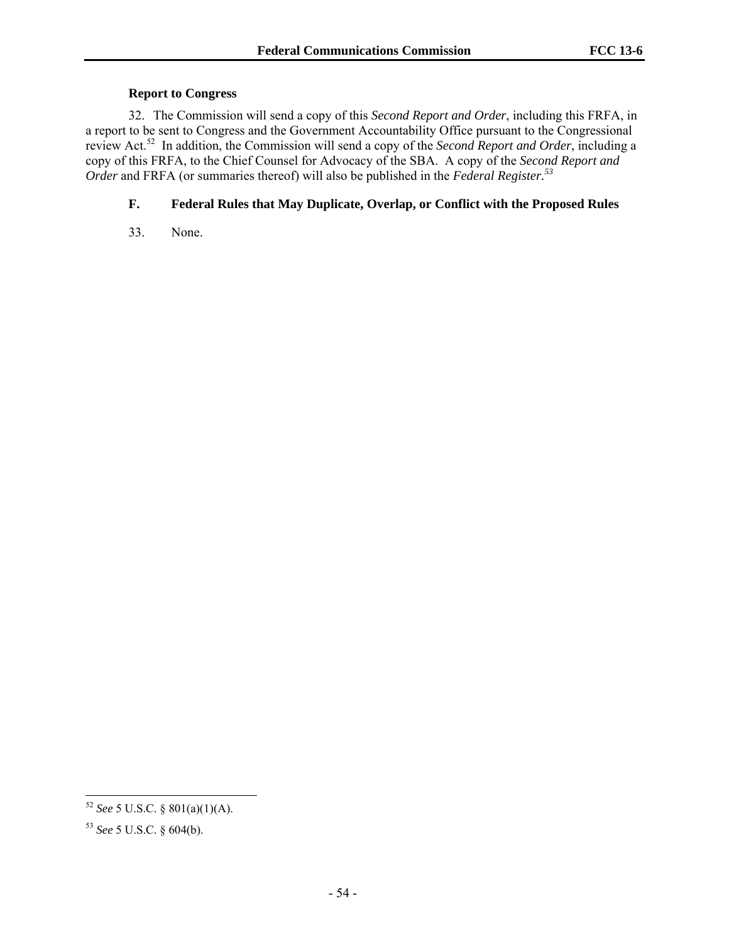#### **Report to Congress**

32. The Commission will send a copy of this *Second Report and Order*, including this FRFA, in a report to be sent to Congress and the Government Accountability Office pursuant to the Congressional review Act.52 In addition, the Commission will send a copy of the *Second Report and Order*, including a copy of this FRFA, to the Chief Counsel for Advocacy of the SBA. A copy of the *Second Report and Order* and FRFA (or summaries thereof) will also be published in the *Federal Register.<sup>53</sup>*

## **F. Federal Rules that May Duplicate, Overlap, or Conflict with the Proposed Rules**

33. None.

1

<sup>52</sup> *See* 5 U.S.C. § 801(a)(1)(A).

<sup>53</sup> *See* 5 U.S.C. § 604(b).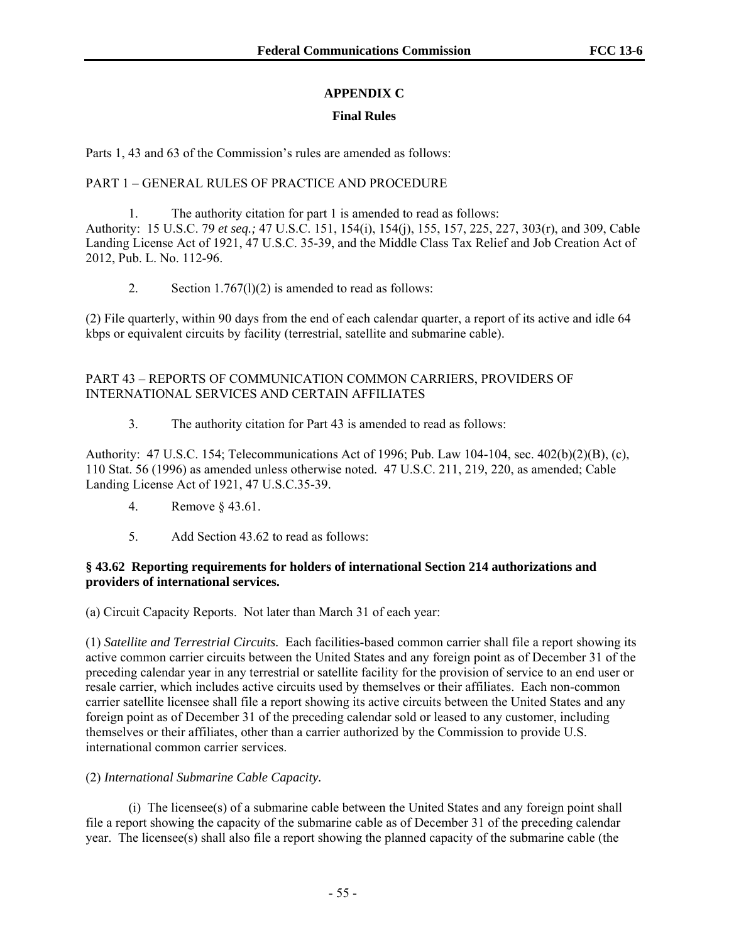## **APPENDIX C**

## **Final Rules**

Parts 1, 43 and 63 of the Commission's rules are amended as follows:

## PART 1 – GENERAL RULES OF PRACTICE AND PROCEDURE

1. The authority citation for part 1 is amended to read as follows: Authority: 15 U.S.C. 79 *et seq.;* 47 U.S.C. 151, 154(i), 154(j), 155, 157, 225, 227, 303(r), and 309, Cable Landing License Act of 1921, 47 U.S.C. 35-39, and the Middle Class Tax Relief and Job Creation Act of 2012, Pub. L. No. 112-96.

2. Section  $1.767(1)(2)$  is amended to read as follows:

(2) File quarterly, within 90 days from the end of each calendar quarter, a report of its active and idle 64 kbps or equivalent circuits by facility (terrestrial, satellite and submarine cable).

## PART 43 – REPORTS OF COMMUNICATION COMMON CARRIERS, PROVIDERS OF INTERNATIONAL SERVICES AND CERTAIN AFFILIATES

3. The authority citation for Part 43 is amended to read as follows:

Authority: 47 U.S.C. 154; Telecommunications Act of 1996; Pub. Law 104-104, sec. 402(b)(2)(B), (c), 110 Stat. 56 (1996) as amended unless otherwise noted. 47 U.S.C. 211, 219, 220, as amended; Cable Landing License Act of 1921, 47 U.S.C.35-39.

- 4. Remove § 43.61.
- 5. Add Section 43.62 to read as follows:

#### **§ 43.62 Reporting requirements for holders of international Section 214 authorizations and providers of international services.**

(a) Circuit Capacity Reports. Not later than March 31 of each year:

(1) *Satellite and Terrestrial Circuits.* Each facilities-based common carrier shall file a report showing its active common carrier circuits between the United States and any foreign point as of December 31 of the preceding calendar year in any terrestrial or satellite facility for the provision of service to an end user or resale carrier, which includes active circuits used by themselves or their affiliates. Each non-common carrier satellite licensee shall file a report showing its active circuits between the United States and any foreign point as of December 31 of the preceding calendar sold or leased to any customer, including themselves or their affiliates, other than a carrier authorized by the Commission to provide U.S. international common carrier services.

## (2) *International Submarine Cable Capacity.*

 (i) The licensee(s) of a submarine cable between the United States and any foreign point shall file a report showing the capacity of the submarine cable as of December 31 of the preceding calendar year. The licensee(s) shall also file a report showing the planned capacity of the submarine cable (the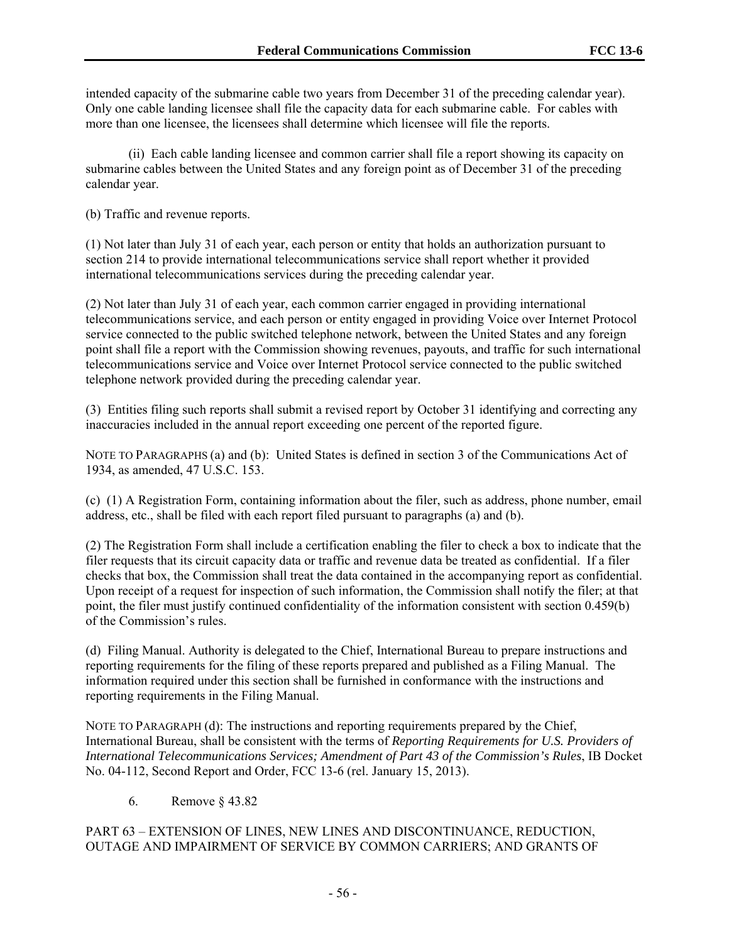intended capacity of the submarine cable two years from December 31 of the preceding calendar year). Only one cable landing licensee shall file the capacity data for each submarine cable. For cables with more than one licensee, the licensees shall determine which licensee will file the reports.

 (ii) Each cable landing licensee and common carrier shall file a report showing its capacity on submarine cables between the United States and any foreign point as of December 31 of the preceding calendar year.

(b) Traffic and revenue reports.

(1) Not later than July 31 of each year, each person or entity that holds an authorization pursuant to section 214 to provide international telecommunications service shall report whether it provided international telecommunications services during the preceding calendar year.

(2) Not later than July 31 of each year, each common carrier engaged in providing international telecommunications service, and each person or entity engaged in providing Voice over Internet Protocol service connected to the public switched telephone network, between the United States and any foreign point shall file a report with the Commission showing revenues, payouts, and traffic for such international telecommunications service and Voice over Internet Protocol service connected to the public switched telephone network provided during the preceding calendar year.

(3) Entities filing such reports shall submit a revised report by October 31 identifying and correcting any inaccuracies included in the annual report exceeding one percent of the reported figure.

NOTE TO PARAGRAPHS (a) and (b): United States is defined in section 3 of the Communications Act of 1934, as amended, 47 U.S.C. 153.

(c) (1) A Registration Form, containing information about the filer, such as address, phone number, email address, etc., shall be filed with each report filed pursuant to paragraphs (a) and (b).

(2) The Registration Form shall include a certification enabling the filer to check a box to indicate that the filer requests that its circuit capacity data or traffic and revenue data be treated as confidential. If a filer checks that box, the Commission shall treat the data contained in the accompanying report as confidential. Upon receipt of a request for inspection of such information, the Commission shall notify the filer; at that point, the filer must justify continued confidentiality of the information consistent with section 0.459(b) of the Commission's rules.

(d) Filing Manual. Authority is delegated to the Chief, International Bureau to prepare instructions and reporting requirements for the filing of these reports prepared and published as a Filing Manual. The information required under this section shall be furnished in conformance with the instructions and reporting requirements in the Filing Manual.

NOTE TO PARAGRAPH (d): The instructions and reporting requirements prepared by the Chief, International Bureau, shall be consistent with the terms of *Reporting Requirements for U.S. Providers of International Telecommunications Services; Amendment of Part 43 of the Commission's Rules*, IB Docket No. 04-112, Second Report and Order, FCC 13-6 (rel. January 15, 2013).

6. Remove § 43.82

## PART 63 – EXTENSION OF LINES, NEW LINES AND DISCONTINUANCE, REDUCTION, OUTAGE AND IMPAIRMENT OF SERVICE BY COMMON CARRIERS; AND GRANTS OF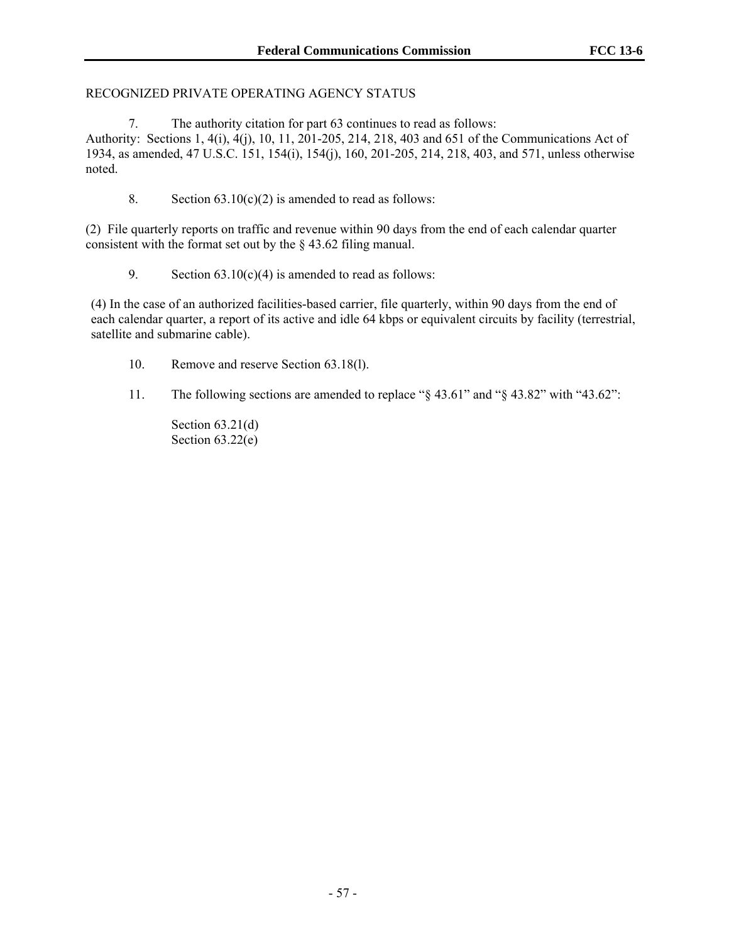#### RECOGNIZED PRIVATE OPERATING AGENCY STATUS

7. The authority citation for part 63 continues to read as follows:

Authority: Sections 1, 4(i), 4(j), 10, 11, 201-205, 214, 218, 403 and 651 of the Communications Act of 1934, as amended, 47 U.S.C. 151, 154(i), 154(j), 160, 201-205, 214, 218, 403, and 571, unless otherwise noted.

8. Section  $63.10(c)(2)$  is amended to read as follows:

(2) File quarterly reports on traffic and revenue within 90 days from the end of each calendar quarter consistent with the format set out by the § 43.62 filing manual.

9. Section  $63.10(c)(4)$  is amended to read as follows:

(4) In the case of an authorized facilities-based carrier, file quarterly, within 90 days from the end of each calendar quarter, a report of its active and idle 64 kbps or equivalent circuits by facility (terrestrial, satellite and submarine cable).

- 10. Remove and reserve Section 63.18(l).
- 11. The following sections are amended to replace "§ 43.61" and "§ 43.82" with "43.62":

Section  $63.21(d)$ Section  $63.22(e)$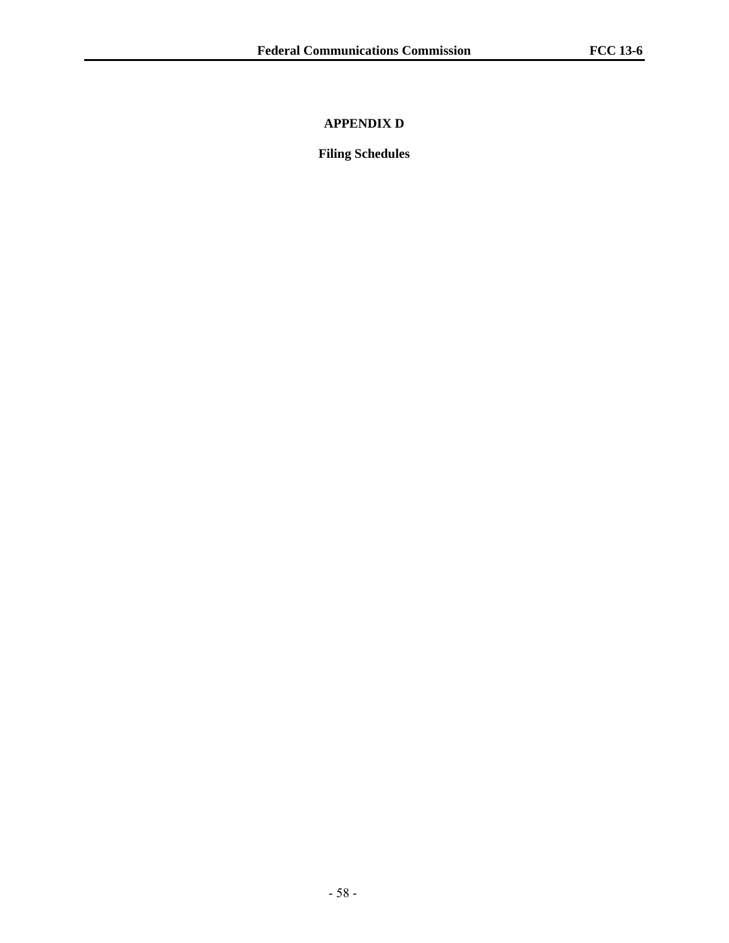## **APPENDIX D**

**Filing Schedules**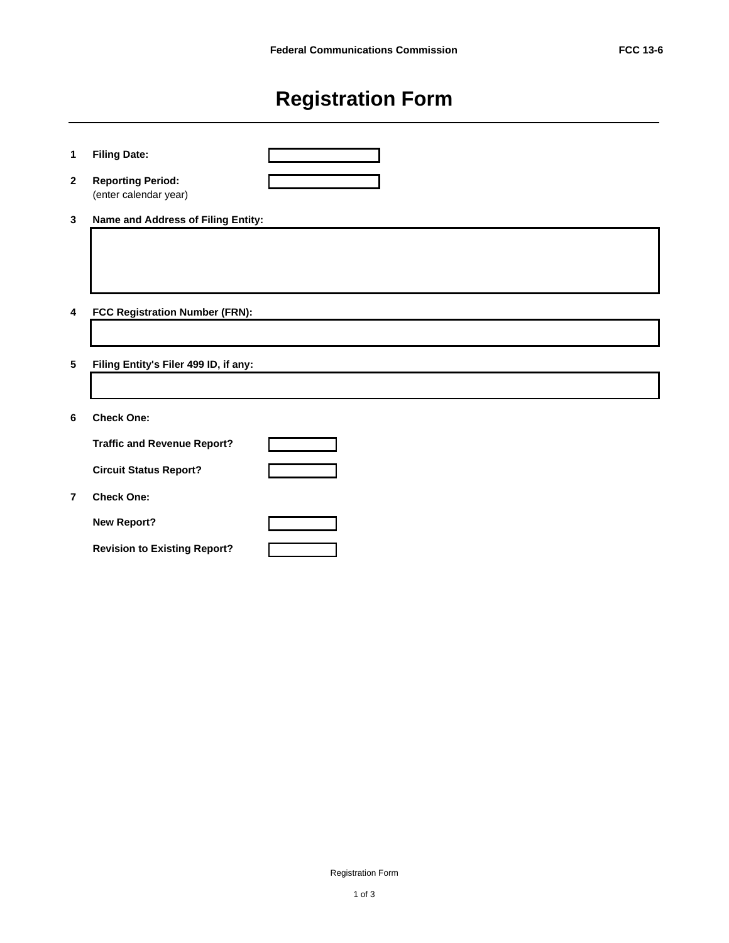# **Registration Form**

| 1                       | <b>Filing Date:</b>                               |  |
|-------------------------|---------------------------------------------------|--|
| $\mathbf{2}$            | <b>Reporting Period:</b><br>(enter calendar year) |  |
| $\mathbf{3}$            | Name and Address of Filing Entity:                |  |
|                         |                                                   |  |
|                         |                                                   |  |
| $\overline{\mathbf{4}}$ | FCC Registration Number (FRN):                    |  |
|                         |                                                   |  |
| $\sqrt{5}$              | Filing Entity's Filer 499 ID, if any:             |  |
|                         |                                                   |  |
| 6                       | <b>Check One:</b>                                 |  |
|                         | <b>Traffic and Revenue Report?</b>                |  |
|                         | <b>Circuit Status Report?</b>                     |  |
| $\overline{7}$          | <b>Check One:</b>                                 |  |
|                         | <b>New Report?</b>                                |  |
|                         | <b>Revision to Existing Report?</b>               |  |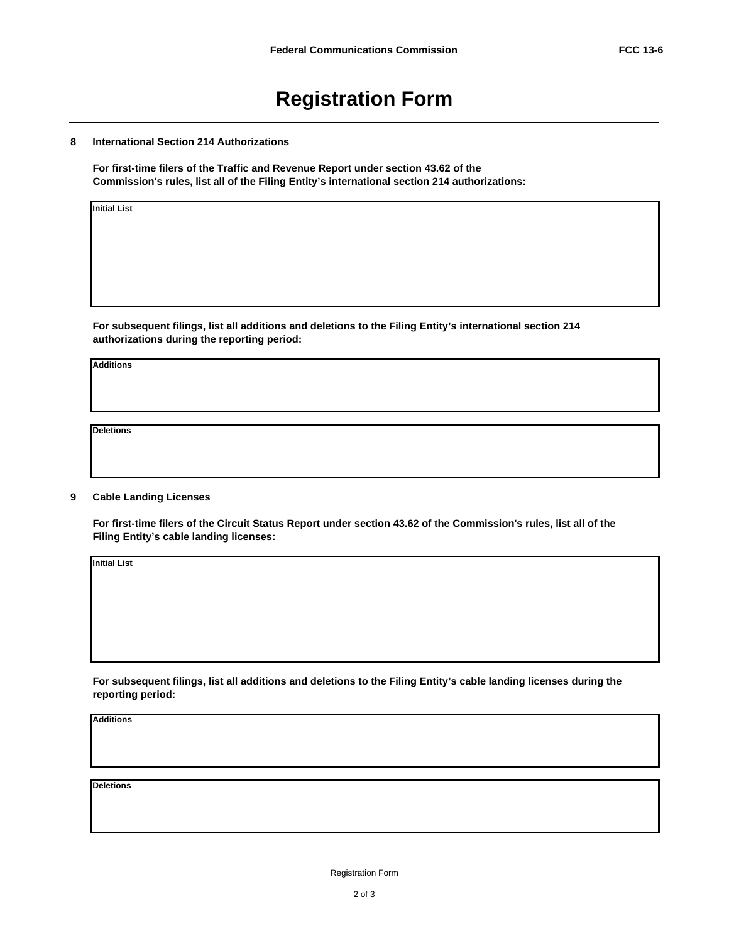## **Registration Form**

#### **8 International Section 214 Authorizations**

**For first-time filers of the Traffic and Revenue Report under section 43.62 of the Commission's rules, list all of the Filing Entity's international section 214 authorizations:**

**Initial List**

**For subsequent filings, list all additions and deletions to the Filing Entity's international section 214 authorizations during the reporting period:**

**Additions**

**Deletions**

#### **9 Cable Landing Licenses**

**For first-time filers of the Circuit Status Report under section 43.62 of the Commission's rules, list all of the Filing Entity's cable landing licenses:**

**Initial List**

**For subsequent filings, list all additions and deletions to the Filing Entity's cable landing licenses during the reporting period:**

**Additions**

**Deletions**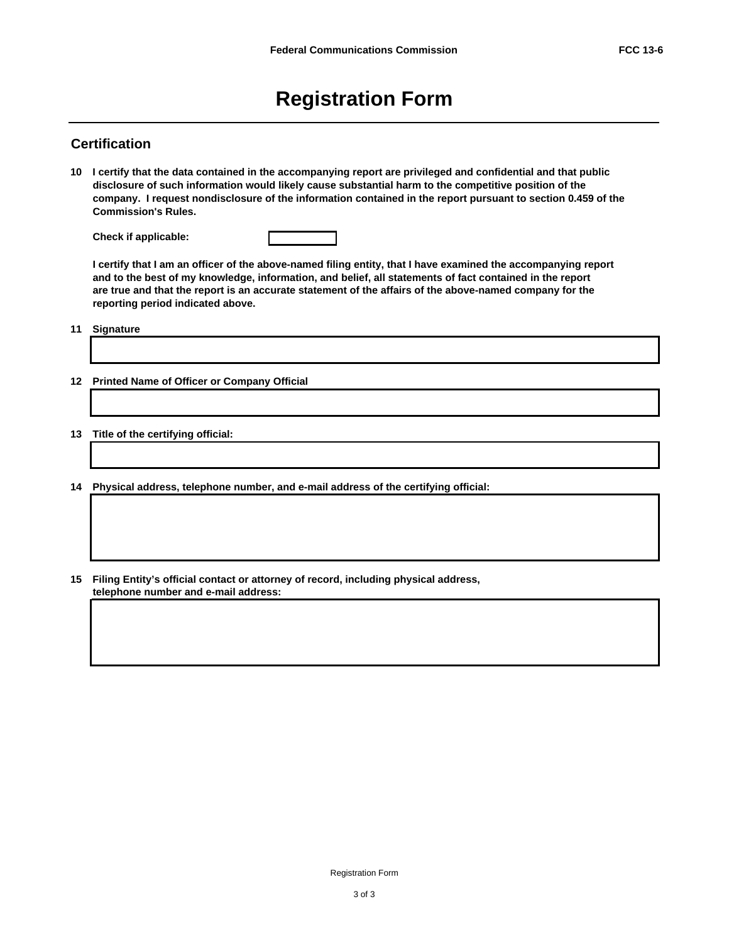## **Registration Form**

#### **Certification**

**10 I certify that the data contained in the accompanying report are privileged and confidential and that public disclosure of such information would likely cause substantial harm to the competitive position of the company. I request nondisclosure of the information contained in the report pursuant to section 0.459 of the Commission's Rules.**

**Check if applicable:**

**I certify that I am an officer of the above-named filing entity, that I have examined the accompanying report and to the best of my knowledge, information, and belief, all statements of fact contained in the report are true and that the report is an accurate statement of the affairs of the above-named company for the reporting period indicated above.**

**11 Signature**

- **12 Printed Name of Officer or Company Official**
- **13 Title of the certifying official:**
- **14 Physical address, telephone number, and e-mail address of the certifying official:**
- **15 Filing Entity's official contact or attorney of record, including physical address, telephone number and e-mail address:**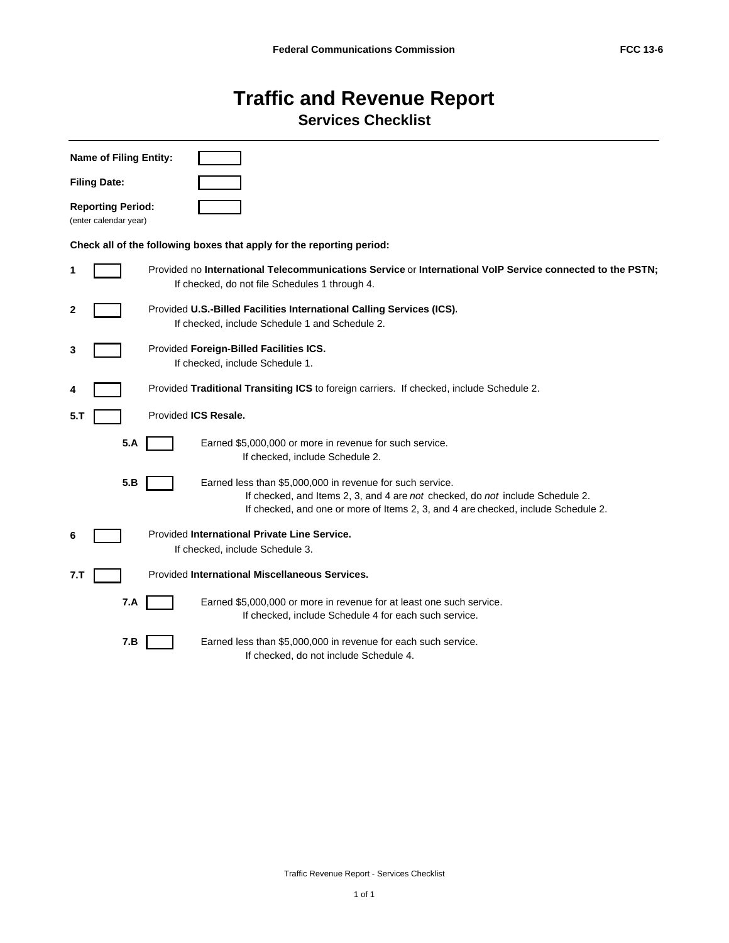## **Traffic and Revenue Report Services Checklist**

|     | <b>Name of Filing Entity:</b>                                         |                                                                                                                                                                                                                                 |  |  |  |  |  |  |  |  |  |  |
|-----|-----------------------------------------------------------------------|---------------------------------------------------------------------------------------------------------------------------------------------------------------------------------------------------------------------------------|--|--|--|--|--|--|--|--|--|--|
|     | <b>Filing Date:</b>                                                   |                                                                                                                                                                                                                                 |  |  |  |  |  |  |  |  |  |  |
|     | <b>Reporting Period:</b><br>(enter calendar year)                     |                                                                                                                                                                                                                                 |  |  |  |  |  |  |  |  |  |  |
|     | Check all of the following boxes that apply for the reporting period: |                                                                                                                                                                                                                                 |  |  |  |  |  |  |  |  |  |  |
| 1   |                                                                       | Provided no International Telecommunications Service or International VoIP Service connected to the PSTN;<br>If checked, do not file Schedules 1 through 4.                                                                     |  |  |  |  |  |  |  |  |  |  |
| 2   |                                                                       | Provided U.S.-Billed Facilities International Calling Services (ICS).<br>If checked, include Schedule 1 and Schedule 2.                                                                                                         |  |  |  |  |  |  |  |  |  |  |
| 3   |                                                                       | Provided Foreign-Billed Facilities ICS.<br>If checked, include Schedule 1.                                                                                                                                                      |  |  |  |  |  |  |  |  |  |  |
| 4   |                                                                       | Provided Traditional Transiting ICS to foreign carriers. If checked, include Schedule 2.                                                                                                                                        |  |  |  |  |  |  |  |  |  |  |
| 5.T |                                                                       | Provided ICS Resale.                                                                                                                                                                                                            |  |  |  |  |  |  |  |  |  |  |
|     | 5.A                                                                   | Earned \$5,000,000 or more in revenue for such service.<br>If checked, include Schedule 2.                                                                                                                                      |  |  |  |  |  |  |  |  |  |  |
|     | 5.B                                                                   | Earned less than \$5,000,000 in revenue for such service.<br>If checked, and Items 2, 3, and 4 are not checked, do not include Schedule 2.<br>If checked, and one or more of Items 2, 3, and 4 are checked, include Schedule 2. |  |  |  |  |  |  |  |  |  |  |
| 6   |                                                                       | Provided International Private Line Service.<br>If checked, include Schedule 3.                                                                                                                                                 |  |  |  |  |  |  |  |  |  |  |
| 7.T |                                                                       | Provided International Miscellaneous Services.                                                                                                                                                                                  |  |  |  |  |  |  |  |  |  |  |
|     | 7.A                                                                   | Earned \$5,000,000 or more in revenue for at least one such service.<br>If checked, include Schedule 4 for each such service.                                                                                                   |  |  |  |  |  |  |  |  |  |  |
|     | 7.B                                                                   | Earned less than \$5,000,000 in revenue for each such service.<br>If checked, do not include Schedule 4.                                                                                                                        |  |  |  |  |  |  |  |  |  |  |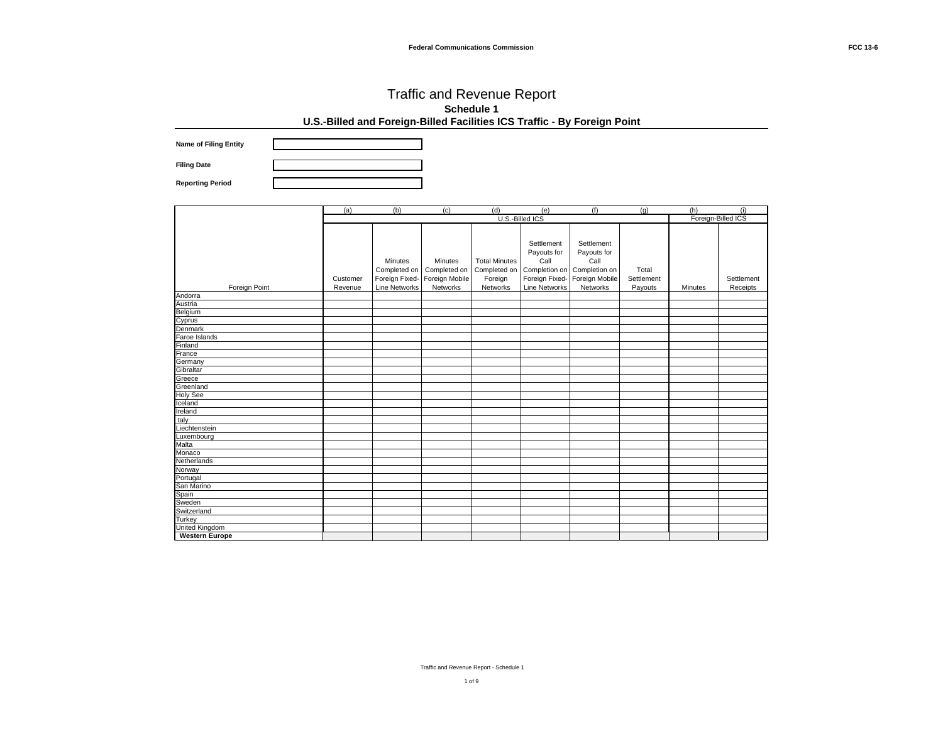**Name of Filing Entity Filing Date**

**Reporting Period**

|                                                                     | (a)      | (b)                  | (c)            | (d)                  | (e)                  | (f)            | (g)        | (h)                | (i)        |
|---------------------------------------------------------------------|----------|----------------------|----------------|----------------------|----------------------|----------------|------------|--------------------|------------|
|                                                                     |          |                      |                |                      | U.S.-Billed ICS      |                |            | Foreign-Billed ICS |            |
|                                                                     |          |                      |                |                      |                      |                |            |                    |            |
|                                                                     |          |                      |                |                      |                      |                |            |                    |            |
|                                                                     |          |                      |                |                      | Settlement           | Settlement     |            |                    |            |
|                                                                     |          |                      |                |                      | Payouts for          | Payouts for    |            |                    |            |
|                                                                     |          | Minutes              | Minutes        | <b>Total Minutes</b> | Call                 | Call           |            |                    |            |
|                                                                     |          | Completed on         | Completed on   | Completed on         | Completion on        | Completion on  | Total      |                    |            |
|                                                                     | Customer | Foreign Fixed-       | Foreign Mobile | Foreign              | Foreign Fixed-       | Foreign Mobile | Settlement |                    | Settlement |
| Foreign Point                                                       | Revenue  | <b>Line Networks</b> | Networks       | Networks             | <b>Line Networks</b> | Networks       | Payouts    | Minutes            | Receipts   |
|                                                                     |          |                      |                |                      |                      |                |            |                    |            |
|                                                                     |          |                      |                |                      |                      |                |            |                    |            |
|                                                                     |          |                      |                |                      |                      |                |            |                    |            |
| Andorra<br>Austria<br>Belgium<br>Cyprus<br>Denmark<br>Faroe Islands |          |                      |                |                      |                      |                |            |                    |            |
|                                                                     |          |                      |                |                      |                      |                |            |                    |            |
|                                                                     |          |                      |                |                      |                      |                |            |                    |            |
| Finland                                                             |          |                      |                |                      |                      |                |            |                    |            |
| France                                                              |          |                      |                |                      |                      |                |            |                    |            |
|                                                                     |          |                      |                |                      |                      |                |            |                    |            |
|                                                                     |          |                      |                |                      |                      |                |            |                    |            |
| Germany<br>Gibraltar<br>Greece<br>Greenland<br>Holy See             |          |                      |                |                      |                      |                |            |                    |            |
|                                                                     |          |                      |                |                      |                      |                |            |                    |            |
|                                                                     |          |                      |                |                      |                      |                |            |                    |            |
| Iceland                                                             |          |                      |                |                      |                      |                |            |                    |            |
| Ireland                                                             |          |                      |                |                      |                      |                |            |                    |            |
|                                                                     |          |                      |                |                      |                      |                |            |                    |            |
| Teland<br>taly<br>Liechtenstein<br>Luxembourg<br>Malta<br>Monaco    |          |                      |                |                      |                      |                |            |                    |            |
|                                                                     |          |                      |                |                      |                      |                |            |                    |            |
|                                                                     |          |                      |                |                      |                      |                |            |                    |            |
|                                                                     |          |                      |                |                      |                      |                |            |                    |            |
| Netherlands                                                         |          |                      |                |                      |                      |                |            |                    |            |
|                                                                     |          |                      |                |                      |                      |                |            |                    |            |
|                                                                     |          |                      |                |                      |                      |                |            |                    |            |
|                                                                     |          |                      |                |                      |                      |                |            |                    |            |
|                                                                     |          |                      |                |                      |                      |                |            |                    |            |
| Norway<br>Portugal<br>San Marino<br>Spain<br>Sweden<br>Switzerland  |          |                      |                |                      |                      |                |            |                    |            |
|                                                                     |          |                      |                |                      |                      |                |            |                    |            |
| Turkey                                                              |          |                      |                |                      |                      |                |            |                    |            |
| United Kingdom<br>Western Europ                                     |          |                      |                |                      |                      |                |            |                    |            |
| <b>Western Europe</b>                                               |          |                      |                |                      |                      |                |            |                    |            |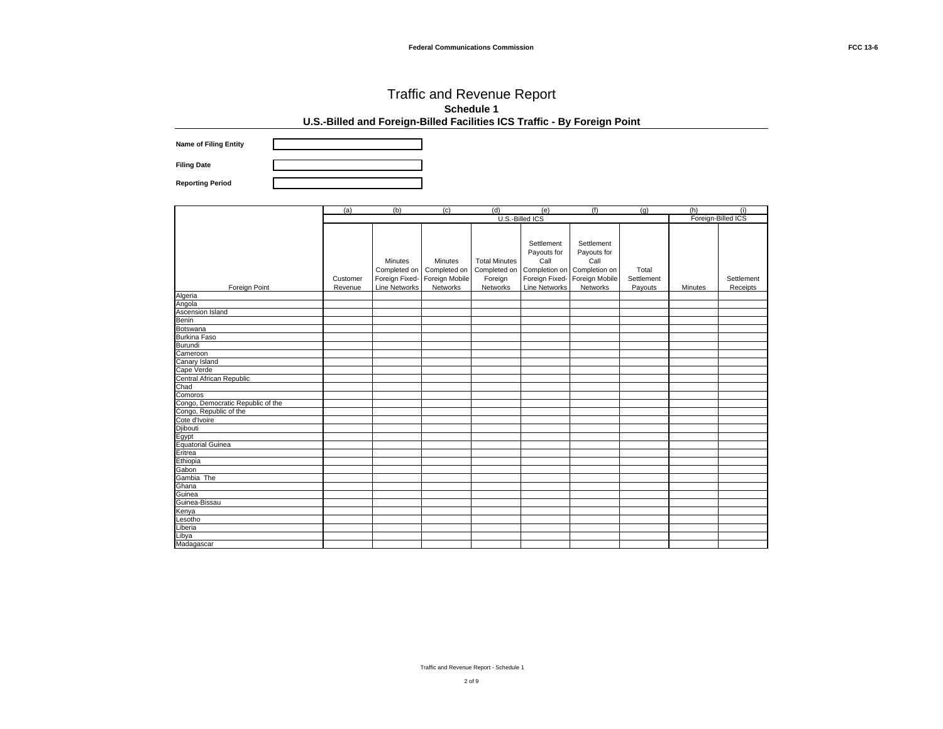**Name of Filing Entity**

**Filing Date Reporting Period**

|                                   | (a)      | (b)            | (c)            | (d)                  | (e)                         | (f)            | (q)        | (h)                | (i)        |
|-----------------------------------|----------|----------------|----------------|----------------------|-----------------------------|----------------|------------|--------------------|------------|
|                                   |          |                |                |                      | U.S.-Billed ICS             |                |            | Foreign-Billed ICS |            |
|                                   |          |                |                |                      |                             |                |            |                    |            |
|                                   |          |                |                |                      |                             |                |            |                    |            |
|                                   |          |                |                |                      | Settlement                  | Settlement     |            |                    |            |
|                                   |          |                |                |                      | Payouts for                 | Payouts for    |            |                    |            |
|                                   |          | Minutes        | Minutes        | <b>Total Minutes</b> | Call                        | Call           |            |                    |            |
|                                   |          | Completed on   | Completed on   | Completed on         | Completion on Completion on |                | Total      |                    |            |
|                                   | Customer | Foreign Fixed- | Foreign Mobile | Foreign              | Foreign Fixed-              | Foreign Mobile | Settlement |                    | Settlement |
| Foreign Point                     | Revenue  | Line Networks  | Networks       | Networks             | <b>Line Networks</b>        | Networks       | Payouts    | Minutes            | Receipts   |
| Algeria                           |          |                |                |                      |                             |                |            |                    |            |
| Angola                            |          |                |                |                      |                             |                |            |                    |            |
| Ascension Island                  |          |                |                |                      |                             |                |            |                    |            |
| <b>Benin</b>                      |          |                |                |                      |                             |                |            |                    |            |
| Botswana                          |          |                |                |                      |                             |                |            |                    |            |
| <b>Burkina Faso</b>               |          |                |                |                      |                             |                |            |                    |            |
| <b>Burundi</b>                    |          |                |                |                      |                             |                |            |                    |            |
| Cameroon                          |          |                |                |                      |                             |                |            |                    |            |
| Canary Island                     |          |                |                |                      |                             |                |            |                    |            |
| Cape Verde                        |          |                |                |                      |                             |                |            |                    |            |
| Central African Republic          |          |                |                |                      |                             |                |            |                    |            |
| Chad                              |          |                |                |                      |                             |                |            |                    |            |
| Comoros                           |          |                |                |                      |                             |                |            |                    |            |
| Congo, Democratic Republic of the |          |                |                |                      |                             |                |            |                    |            |
| Congo, Republic of the            |          |                |                |                      |                             |                |            |                    |            |
| Cote d'Ivoire                     |          |                |                |                      |                             |                |            |                    |            |
| Djibouti                          |          |                |                |                      |                             |                |            |                    |            |
| Egypt                             |          |                |                |                      |                             |                |            |                    |            |
| <b>Equatorial Guinea</b>          |          |                |                |                      |                             |                |            |                    |            |
| Eritrea                           |          |                |                |                      |                             |                |            |                    |            |
| Ethiopia                          |          |                |                |                      |                             |                |            |                    |            |
| Gabon                             |          |                |                |                      |                             |                |            |                    |            |
| Gambia The                        |          |                |                |                      |                             |                |            |                    |            |
| Ghana                             |          |                |                |                      |                             |                |            |                    |            |
| Guinea                            |          |                |                |                      |                             |                |            |                    |            |
| Guinea-Bissau                     |          |                |                |                      |                             |                |            |                    |            |
| Kenya                             |          |                |                |                      |                             |                |            |                    |            |
| Lesotho                           |          |                |                |                      |                             |                |            |                    |            |
| Liberia                           |          |                |                |                      |                             |                |            |                    |            |
| Libya                             |          |                |                |                      |                             |                |            |                    |            |
| Madagascar                        |          |                |                |                      |                             |                |            |                    |            |

Traffic and Revenue Report - Schedule 1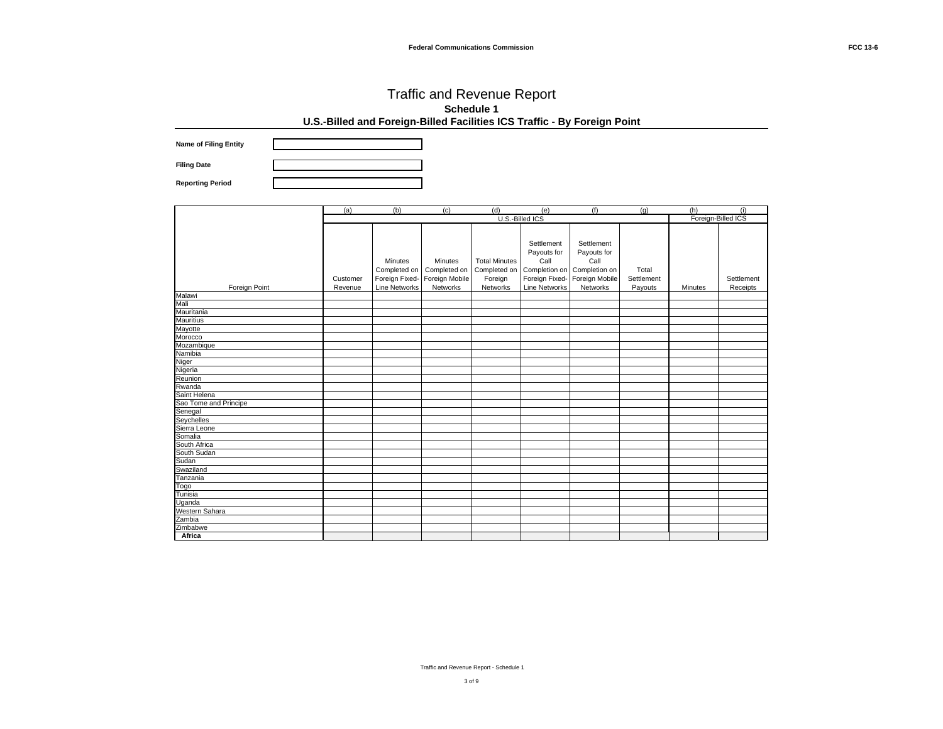**Name of Filing Entity Filing Date**

**Reporting Period**

|                                 | (a)      | (b)            | (c)            | (d)                  | (e)                  | (f)            | (q)        | (h)                | (i)        |
|---------------------------------|----------|----------------|----------------|----------------------|----------------------|----------------|------------|--------------------|------------|
|                                 |          |                |                |                      | U.S.-Billed ICS      |                |            | Foreign-Billed ICS |            |
|                                 |          |                |                |                      |                      |                |            |                    |            |
|                                 |          |                |                |                      |                      |                |            |                    |            |
|                                 |          |                |                |                      | Settlement           | Settlement     |            |                    |            |
|                                 |          |                |                |                      | Payouts for          | Payouts for    |            |                    |            |
|                                 |          | Minutes        | Minutes        | <b>Total Minutes</b> | Call                 | Call           |            |                    |            |
|                                 |          | Completed on   | Completed on   | Completed on         | Completion on        | Completion on  | Total      |                    |            |
|                                 | Customer | Foreign Fixed- | Foreign Mobile | Foreign              | Foreign Fixed-       | Foreign Mobile | Settlement |                    | Settlement |
| Foreign Point                   | Revenue  | Line Networks  | Networks       | Networks             | <b>Line Networks</b> | Networks       | Payouts    | Minutes            | Receipts   |
| Malawi                          |          |                |                |                      |                      |                |            |                    |            |
| Mali                            |          |                |                |                      |                      |                |            |                    |            |
| Mauritania                      |          |                |                |                      |                      |                |            |                    |            |
|                                 |          |                |                |                      |                      |                |            |                    |            |
| Mauritius<br>Mayotte<br>Morocco |          |                |                |                      |                      |                |            |                    |            |
|                                 |          |                |                |                      |                      |                |            |                    |            |
| Mozambique                      |          |                |                |                      |                      |                |            |                    |            |
| Namibia                         |          |                |                |                      |                      |                |            |                    |            |
| Niger                           |          |                |                |                      |                      |                |            |                    |            |
|                                 |          |                |                |                      |                      |                |            |                    |            |
| Nigeria<br>Reunion              |          |                |                |                      |                      |                |            |                    |            |
| Rwanda                          |          |                |                |                      |                      |                |            |                    |            |
| Saint Helena                    |          |                |                |                      |                      |                |            |                    |            |
| Sao Tome and Principe           |          |                |                |                      |                      |                |            |                    |            |
| Senegal                         |          |                |                |                      |                      |                |            |                    |            |
| Seychelles                      |          |                |                |                      |                      |                |            |                    |            |
| Sierra Leone<br>Somalia         |          |                |                |                      |                      |                |            |                    |            |
|                                 |          |                |                |                      |                      |                |            |                    |            |
| South Africa                    |          |                |                |                      |                      |                |            |                    |            |
| South Sudan                     |          |                |                |                      |                      |                |            |                    |            |
| Sudan                           |          |                |                |                      |                      |                |            |                    |            |
| Swaziland                       |          |                |                |                      |                      |                |            |                    |            |
| Tanzania                        |          |                |                |                      |                      |                |            |                    |            |
| Togo                            |          |                |                |                      |                      |                |            |                    |            |
| Tunisia                         |          |                |                |                      |                      |                |            |                    |            |
| Uganda<br>Western Sahara        |          |                |                |                      |                      |                |            |                    |            |
|                                 |          |                |                |                      |                      |                |            |                    |            |
| Zambia                          |          |                |                |                      |                      |                |            |                    |            |
| Zimbabwe                        |          |                |                |                      |                      |                |            |                    |            |
| Africa                          |          |                |                |                      |                      |                |            |                    |            |

Traffic and Revenue Report - Schedule 1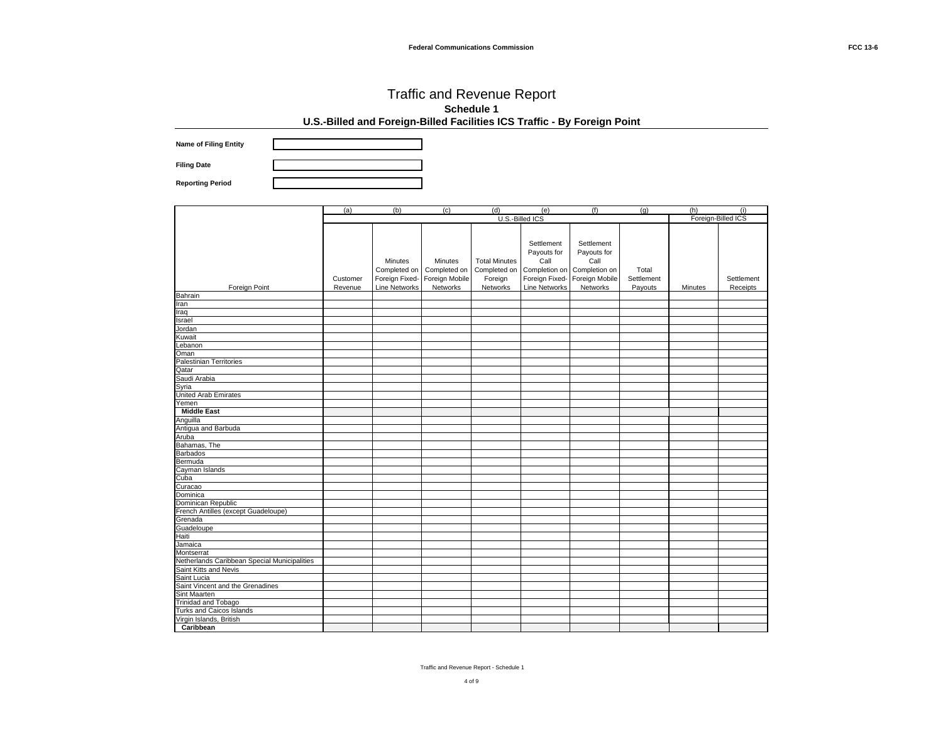**Name of Filing Entity**

**Filing Date Reporting Period**

|                                              | (a)      | (b)                  | (c)            | (d)                  | (e)                  | (f)            | (a)        | (h)                | (i)        |
|----------------------------------------------|----------|----------------------|----------------|----------------------|----------------------|----------------|------------|--------------------|------------|
|                                              |          |                      |                |                      | U.S.-Billed ICS      |                |            | Foreign-Billed ICS |            |
|                                              |          |                      |                |                      |                      |                |            |                    |            |
|                                              |          |                      |                |                      |                      |                |            |                    |            |
|                                              |          |                      |                |                      | Settlement           | Settlement     |            |                    |            |
|                                              |          |                      |                |                      | Payouts for          | Payouts for    |            |                    |            |
|                                              |          | Minutes              | Minutes        | <b>Total Minutes</b> | Call                 | Call           |            |                    |            |
|                                              |          | Completed on         | Completed on   | Completed on         | Completion on        | Completion on  | Total      |                    |            |
|                                              | Customer | Foreign Fixed-       | Foreign Mobile | Foreign              | Foreign Fixed-       | Foreign Mobile | Settlement |                    | Settlement |
| Foreign Point                                | Revenue  | <b>Line Networks</b> | Networks       | Networks             | <b>Line Networks</b> | Networks       | Payouts    | Minutes            | Receipts   |
| Bahrain                                      |          |                      |                |                      |                      |                |            |                    |            |
| Iran                                         |          |                      |                |                      |                      |                |            |                    |            |
| Iraq                                         |          |                      |                |                      |                      |                |            |                    |            |
| Israel                                       |          |                      |                |                      |                      |                |            |                    |            |
| Jordan                                       |          |                      |                |                      |                      |                |            |                    |            |
| Kuwait                                       |          |                      |                |                      |                      |                |            |                    |            |
| Lebanon                                      |          |                      |                |                      |                      |                |            |                    |            |
| Oman                                         |          |                      |                |                      |                      |                |            |                    |            |
| Palestinian Territories                      |          |                      |                |                      |                      |                |            |                    |            |
| Qatar                                        |          |                      |                |                      |                      |                |            |                    |            |
| Saudi Arabia                                 |          |                      |                |                      |                      |                |            |                    |            |
| Syria                                        |          |                      |                |                      |                      |                |            |                    |            |
| United Arab Emirates                         |          |                      |                |                      |                      |                |            |                    |            |
| Yemen                                        |          |                      |                |                      |                      |                |            |                    |            |
| <b>Middle East</b>                           |          |                      |                |                      |                      |                |            |                    |            |
| Anguilla                                     |          |                      |                |                      |                      |                |            |                    |            |
| Antigua and Barbuda                          |          |                      |                |                      |                      |                |            |                    |            |
| Aruba                                        |          |                      |                |                      |                      |                |            |                    |            |
| Bahamas, The                                 |          |                      |                |                      |                      |                |            |                    |            |
| <b>Barbados</b>                              |          |                      |                |                      |                      |                |            |                    |            |
| Bermuda                                      |          |                      |                |                      |                      |                |            |                    |            |
| Cayman Islands                               |          |                      |                |                      |                      |                |            |                    |            |
| Cuba                                         |          |                      |                |                      |                      |                |            |                    |            |
| Curacao                                      |          |                      |                |                      |                      |                |            |                    |            |
| Dominica                                     |          |                      |                |                      |                      |                |            |                    |            |
| Dominican Republic                           |          |                      |                |                      |                      |                |            |                    |            |
| French Antilles (except Guadeloupe)          |          |                      |                |                      |                      |                |            |                    |            |
| Grenada                                      |          |                      |                |                      |                      |                |            |                    |            |
| Guadeloupe                                   |          |                      |                |                      |                      |                |            |                    |            |
| Haiti                                        |          |                      |                |                      |                      |                |            |                    |            |
| Jamaica                                      |          |                      |                |                      |                      |                |            |                    |            |
| Montserrat                                   |          |                      |                |                      |                      |                |            |                    |            |
| Netherlands Caribbean Special Municipalities |          |                      |                |                      |                      |                |            |                    |            |
| Saint Kitts and Nevis                        |          |                      |                |                      |                      |                |            |                    |            |
| Saint Lucia                                  |          |                      |                |                      |                      |                |            |                    |            |
| Saint Vincent and the Grenadines             |          |                      |                |                      |                      |                |            |                    |            |
| Sint Maarten                                 |          |                      |                |                      |                      |                |            |                    |            |
| Trinidad and Tobago                          |          |                      |                |                      |                      |                |            |                    |            |
| Turks and Caicos Islands                     |          |                      |                |                      |                      |                |            |                    |            |
| Virgin Islands, British                      |          |                      |                |                      |                      |                |            |                    |            |
| Caribbean                                    |          |                      |                |                      |                      |                |            |                    |            |

Traffic and Revenue Report - Schedule 1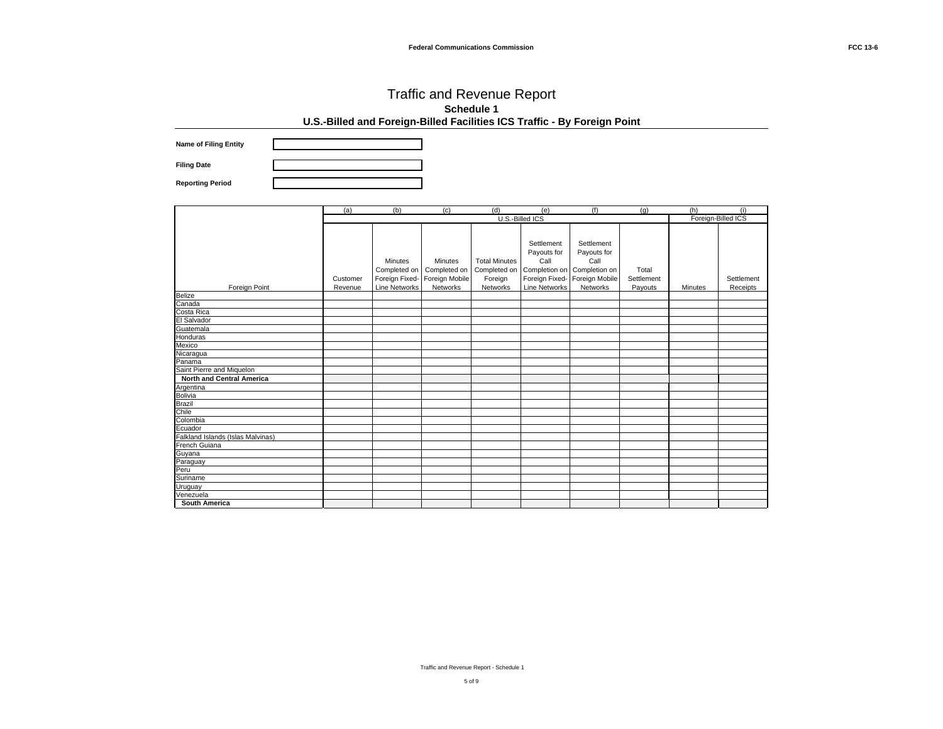**Name of Filing Entity Filing Date**

**Reporting Period**

|                                                                                                                                     | (a)      | (b)                  | (c)            | (d)                  | (e)                         | (f)            | (q)        | (h)                | (i)        |
|-------------------------------------------------------------------------------------------------------------------------------------|----------|----------------------|----------------|----------------------|-----------------------------|----------------|------------|--------------------|------------|
|                                                                                                                                     |          |                      |                |                      | U.S.-Billed ICS             |                |            | Foreign-Billed ICS |            |
|                                                                                                                                     |          |                      |                |                      |                             |                |            |                    |            |
|                                                                                                                                     |          |                      |                |                      |                             |                |            |                    |            |
|                                                                                                                                     |          |                      |                |                      | Settlement                  | Settlement     |            |                    |            |
|                                                                                                                                     |          |                      |                |                      | Payouts for                 | Payouts for    |            |                    |            |
|                                                                                                                                     |          | Minutes              | Minutes        | <b>Total Minutes</b> | Call                        | Call           |            |                    |            |
|                                                                                                                                     |          | Completed on         | Completed on   | Completed on         | Completion on Completion on |                | Total      |                    |            |
|                                                                                                                                     | Customer | Foreign Fixed-       | Foreign Mobile | Foreign              | Foreign Fixed-              | Foreign Mobile | Settlement |                    | Settlement |
| Foreign Point                                                                                                                       | Revenue  | <b>Line Networks</b> | Networks       | Networks             | <b>Line Networks</b>        | Networks       | Payouts    | Minutes            | Receipts   |
| Belize<br>Canada<br>Costa Rica                                                                                                      |          |                      |                |                      |                             |                |            |                    |            |
|                                                                                                                                     |          |                      |                |                      |                             |                |            |                    |            |
|                                                                                                                                     |          |                      |                |                      |                             |                |            |                    |            |
| El Salvador                                                                                                                         |          |                      |                |                      |                             |                |            |                    |            |
| Guatemala<br>Honduras<br>Mexico                                                                                                     |          |                      |                |                      |                             |                |            |                    |            |
|                                                                                                                                     |          |                      |                |                      |                             |                |            |                    |            |
|                                                                                                                                     |          |                      |                |                      |                             |                |            |                    |            |
| Nicaragua<br>Panama                                                                                                                 |          |                      |                |                      |                             |                |            |                    |            |
|                                                                                                                                     |          |                      |                |                      |                             |                |            |                    |            |
| Saint Pierre and Miquelon                                                                                                           |          |                      |                |                      |                             |                |            |                    |            |
| <b>North and Central America</b>                                                                                                    |          |                      |                |                      |                             |                |            |                    |            |
| <b>Thomas Christian Contrary America</b><br>Argentina<br>Bolivia<br>Brazil<br>Chile<br>Ecuador<br>Falkland Islands (Islas Malvinas) |          |                      |                |                      |                             |                |            |                    |            |
|                                                                                                                                     |          |                      |                |                      |                             |                |            |                    |            |
|                                                                                                                                     |          |                      |                |                      |                             |                |            |                    |            |
|                                                                                                                                     |          |                      |                |                      |                             |                |            |                    |            |
|                                                                                                                                     |          |                      |                |                      |                             |                |            |                    |            |
|                                                                                                                                     |          |                      |                |                      |                             |                |            |                    |            |
|                                                                                                                                     |          |                      |                |                      |                             |                |            |                    |            |
|                                                                                                                                     |          |                      |                |                      |                             |                |            |                    |            |
|                                                                                                                                     |          |                      |                |                      |                             |                |            |                    |            |
| Fanana Banad<br>French Guiana<br>Guyana<br>Paraguay                                                                                 |          |                      |                |                      |                             |                |            |                    |            |
| Peru<br>Suriname                                                                                                                    |          |                      |                |                      |                             |                |            |                    |            |
|                                                                                                                                     |          |                      |                |                      |                             |                |            |                    |            |
| Uruguay                                                                                                                             |          |                      |                |                      |                             |                |            |                    |            |
| Venezuela                                                                                                                           |          |                      |                |                      |                             |                |            |                    |            |
| <b>South America</b>                                                                                                                |          |                      |                |                      |                             |                |            |                    |            |

Traffic and Revenue Report - Schedule 1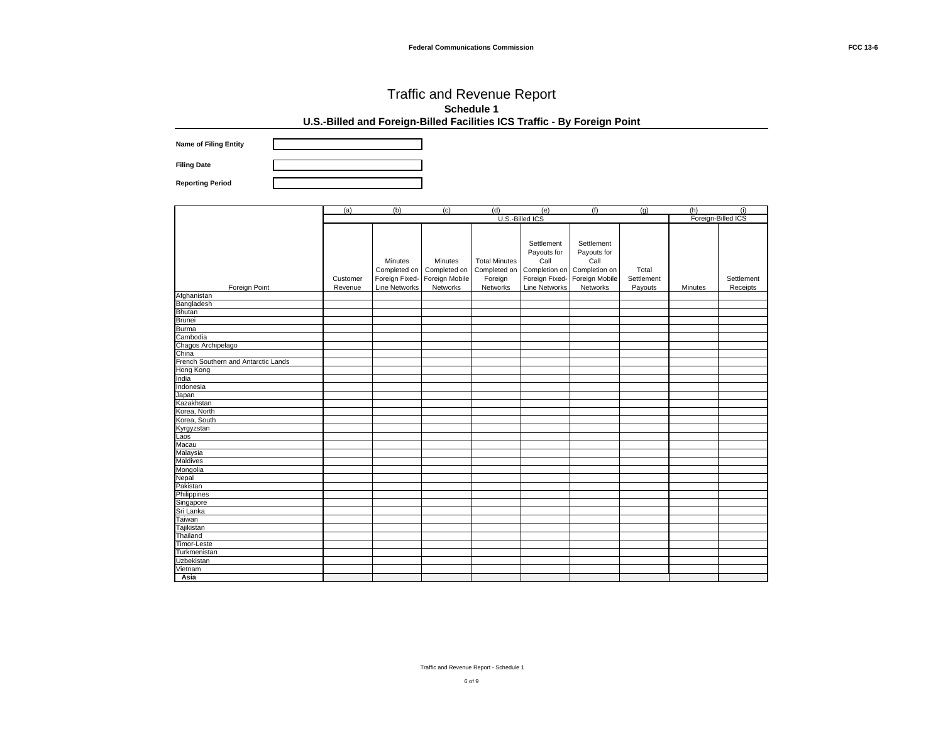**Name of Filing Entity**

**Filing Date Reporting Period**

|                                     | (a)      | (b)                  | (c)            | (d)                  | (e)                  | (f)            | (q)        | (h)                | (i)        |
|-------------------------------------|----------|----------------------|----------------|----------------------|----------------------|----------------|------------|--------------------|------------|
|                                     |          |                      |                | U.S.-Billed ICS      |                      |                |            | Foreign-Billed ICS |            |
|                                     |          |                      |                |                      |                      |                |            |                    |            |
|                                     |          |                      |                |                      |                      |                |            |                    |            |
|                                     |          |                      |                |                      | Settlement           | Settlement     |            |                    |            |
|                                     |          |                      |                |                      | Payouts for          | Payouts for    |            |                    |            |
|                                     |          | <b>Minutes</b>       | Minutes        | <b>Total Minutes</b> | Call                 | Call           |            |                    |            |
|                                     |          | Completed on         | Completed on   | Completed on         | Completion on        | Completion on  | Total      |                    |            |
|                                     | Customer | Foreign Fixed-       | Foreign Mobile | Foreign              | Foreign Fixed-       | Foreign Mobile | Settlement |                    | Settlement |
| Foreign Point                       | Revenue  | <b>Line Networks</b> | Networks       | Networks             | <b>Line Networks</b> | Networks       | Payouts    | Minutes            | Receipts   |
| Afghanistan                         |          |                      |                |                      |                      |                |            |                    |            |
| Bangladesh                          |          |                      |                |                      |                      |                |            |                    |            |
|                                     |          |                      |                |                      |                      |                |            |                    |            |
| Bhutan<br>Brunei                    |          |                      |                |                      |                      |                |            |                    |            |
| <b>Burma</b>                        |          |                      |                |                      |                      |                |            |                    |            |
| Cambodia                            |          |                      |                |                      |                      |                |            |                    |            |
|                                     |          |                      |                |                      |                      |                |            |                    |            |
| Chagos Archipelago                  |          |                      |                |                      |                      |                |            |                    |            |
| French Southern and Antarctic Lands |          |                      |                |                      |                      |                |            |                    |            |
| <b>Hong Kong</b>                    |          |                      |                |                      |                      |                |            |                    |            |
| India                               |          |                      |                |                      |                      |                |            |                    |            |
| Indonesia                           |          |                      |                |                      |                      |                |            |                    |            |
| Japan                               |          |                      |                |                      |                      |                |            |                    |            |
| Kazakhstan                          |          |                      |                |                      |                      |                |            |                    |            |
| Korea, North                        |          |                      |                |                      |                      |                |            |                    |            |
| Korea, South                        |          |                      |                |                      |                      |                |            |                    |            |
| Kyrgyzstan                          |          |                      |                |                      |                      |                |            |                    |            |
| Laos                                |          |                      |                |                      |                      |                |            |                    |            |
| Macau                               |          |                      |                |                      |                      |                |            |                    |            |
| Malaysia                            |          |                      |                |                      |                      |                |            |                    |            |
| Maldives                            |          |                      |                |                      |                      |                |            |                    |            |
| Mongolia                            |          |                      |                |                      |                      |                |            |                    |            |
|                                     |          |                      |                |                      |                      |                |            |                    |            |
| Nepal<br>Pakistan                   |          |                      |                |                      |                      |                |            |                    |            |
| Philippines                         |          |                      |                |                      |                      |                |            |                    |            |
| Singapore                           |          |                      |                |                      |                      |                |            |                    |            |
| Sri Lanka                           |          |                      |                |                      |                      |                |            |                    |            |
| Taiwan                              |          |                      |                |                      |                      |                |            |                    |            |
| Tajikistan                          |          |                      |                |                      |                      |                |            |                    |            |
| Thailand                            |          |                      |                |                      |                      |                |            |                    |            |
| <b>Timor-Leste</b>                  |          |                      |                |                      |                      |                |            |                    |            |
| Turkmenistan                        |          |                      |                |                      |                      |                |            |                    |            |
| <b>Uzbekistan</b>                   |          |                      |                |                      |                      |                |            |                    |            |
| Vietnam                             |          |                      |                |                      |                      |                |            |                    |            |
| Asia                                |          |                      |                |                      |                      |                |            |                    |            |

Traffic and Revenue Report - Schedule 1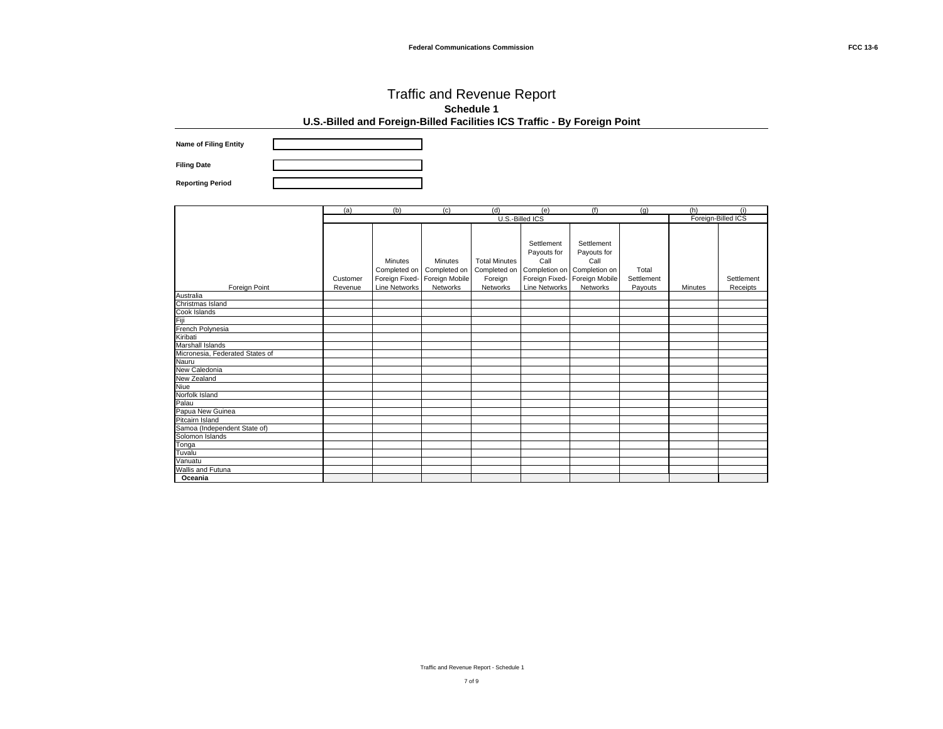**Name of Filing Entity Filing Date**

**Reporting Period**

|                                                                             | (a)      | (b)                  | (c)                           | (d)                  | (e)                               | (f)                               | (q)        | (h)     | (i)                |
|-----------------------------------------------------------------------------|----------|----------------------|-------------------------------|----------------------|-----------------------------------|-----------------------------------|------------|---------|--------------------|
|                                                                             |          |                      |                               |                      | U.S.-Billed ICS                   |                                   |            |         | Foreign-Billed ICS |
|                                                                             |          | Minutes              | Minutes                       | <b>Total Minutes</b> | Settlement<br>Payouts for<br>Call | Settlement<br>Payouts for<br>Call |            |         |                    |
|                                                                             |          | Completed on         | Completed on                  | Completed on         | Completion on Completion on       |                                   | Total      |         |                    |
|                                                                             | Customer |                      | Foreign Fixed- Foreign Mobile | Foreign              | Foreign Fixed-                    | Foreign Mobile                    | Settlement |         | Settlement         |
| Foreign Point                                                               | Revenue  | <b>Line Networks</b> | Networks                      | Networks             | <b>Line Networks</b>              | Networks                          | Payouts    | Minutes | Receipts           |
| Australia<br>Christmas Island                                               |          |                      |                               |                      |                                   |                                   |            |         |                    |
|                                                                             |          |                      |                               |                      |                                   |                                   |            |         |                    |
| Cook Islands<br>Fiji                                                        |          |                      |                               |                      |                                   |                                   |            |         |                    |
|                                                                             |          |                      |                               |                      |                                   |                                   |            |         |                    |
| French Polynesia                                                            |          |                      |                               |                      |                                   |                                   |            |         |                    |
| Kiribati<br>Kiribati<br>Marshall Islands<br>Micronesia, Federated States of |          |                      |                               |                      |                                   |                                   |            |         |                    |
|                                                                             |          |                      |                               |                      |                                   |                                   |            |         |                    |
|                                                                             |          |                      |                               |                      |                                   |                                   |            |         |                    |
| Nauru                                                                       |          |                      |                               |                      |                                   |                                   |            |         |                    |
| New Caledonia                                                               |          |                      |                               |                      |                                   |                                   |            |         |                    |
| New Zealand                                                                 |          |                      |                               |                      |                                   |                                   |            |         |                    |
| Niue                                                                        |          |                      |                               |                      |                                   |                                   |            |         |                    |
| Norfolk Island                                                              |          |                      |                               |                      |                                   |                                   |            |         |                    |
| Palau                                                                       |          |                      |                               |                      |                                   |                                   |            |         |                    |
| Papua New Guinea<br>Pitcairn Island                                         |          |                      |                               |                      |                                   |                                   |            |         |                    |
|                                                                             |          |                      |                               |                      |                                   |                                   |            |         |                    |
| Samoa (Independent State of)                                                |          |                      |                               |                      |                                   |                                   |            |         |                    |
|                                                                             |          |                      |                               |                      |                                   |                                   |            |         |                    |
| Solomon Islands<br>Tonga<br>Tuvalu<br>Vanuatu                               |          |                      |                               |                      |                                   |                                   |            |         |                    |
|                                                                             |          |                      |                               |                      |                                   |                                   |            |         |                    |
|                                                                             |          |                      |                               |                      |                                   |                                   |            |         |                    |
| Wallis and Futuna                                                           |          |                      |                               |                      |                                   |                                   |            |         |                    |
| Oceania                                                                     |          |                      |                               |                      |                                   |                                   |            |         |                    |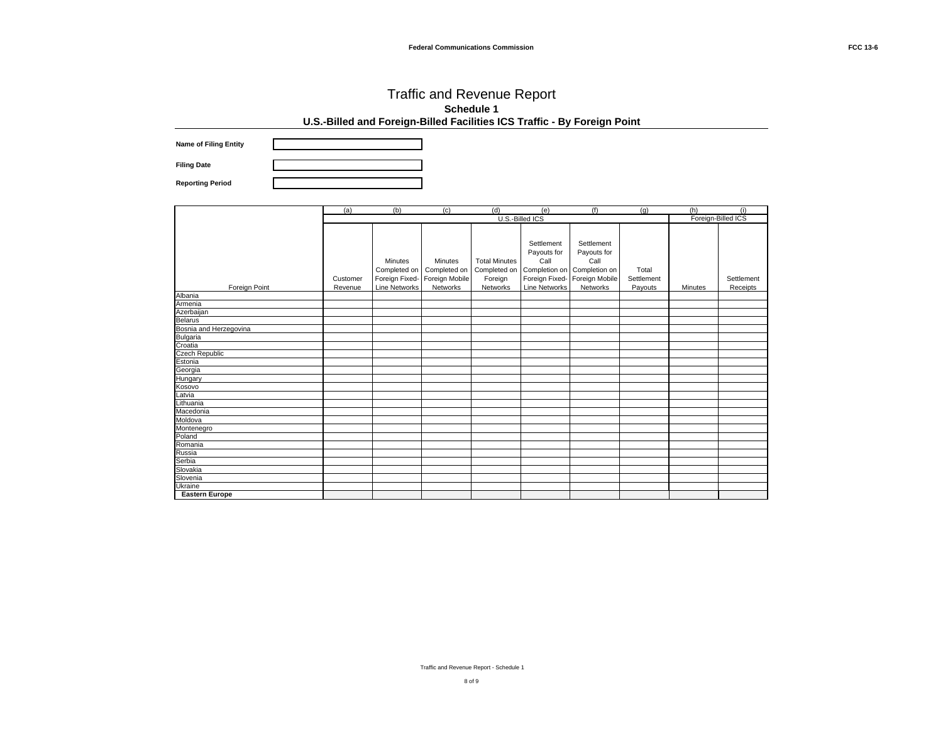**Name of Filing Entity Filing Date**

**Reporting Period**

|                        | (a)      | (b)                     | (c)                           | (d)                                  | (e)                               | (f)                                                              | (q)        | (h)     | (i)                |
|------------------------|----------|-------------------------|-------------------------------|--------------------------------------|-----------------------------------|------------------------------------------------------------------|------------|---------|--------------------|
|                        |          |                         |                               |                                      | U.S.-Billed ICS                   |                                                                  |            |         | Foreign-Billed ICS |
|                        |          | Minutes<br>Completed on | Minutes<br>Completed on       | <b>Total Minutes</b><br>Completed on | Settlement<br>Payouts for<br>Call | Settlement<br>Payouts for<br>Call<br>Completion on Completion on | Total      |         |                    |
|                        | Customer |                         | Foreign Fixed- Foreign Mobile | Foreign                              |                                   | Foreign Fixed- Foreign Mobile                                    | Settlement |         | Settlement         |
| Foreign Point          | Revenue  | <b>Line Networks</b>    | Networks                      | Networks                             | Line Networks                     | Networks                                                         | Payouts    | Minutes | Receipts           |
| Albania                |          |                         |                               |                                      |                                   |                                                                  |            |         |                    |
| Armenia                |          |                         |                               |                                      |                                   |                                                                  |            |         |                    |
| Azerbaijan             |          |                         |                               |                                      |                                   |                                                                  |            |         |                    |
| <b>Belarus</b>         |          |                         |                               |                                      |                                   |                                                                  |            |         |                    |
| Bosnia and Herzegovina |          |                         |                               |                                      |                                   |                                                                  |            |         |                    |
| <b>Bulgaria</b>        |          |                         |                               |                                      |                                   |                                                                  |            |         |                    |
| Croatia                |          |                         |                               |                                      |                                   |                                                                  |            |         |                    |
| <b>Czech Republic</b>  |          |                         |                               |                                      |                                   |                                                                  |            |         |                    |
| Estonia                |          |                         |                               |                                      |                                   |                                                                  |            |         |                    |
| Georgia                |          |                         |                               |                                      |                                   |                                                                  |            |         |                    |
| Hungary                |          |                         |                               |                                      |                                   |                                                                  |            |         |                    |
| Kosovo                 |          |                         |                               |                                      |                                   |                                                                  |            |         |                    |
| Latvia                 |          |                         |                               |                                      |                                   |                                                                  |            |         |                    |
| Lithuania              |          |                         |                               |                                      |                                   |                                                                  |            |         |                    |
| Macedonia              |          |                         |                               |                                      |                                   |                                                                  |            |         |                    |
| Moldova                |          |                         |                               |                                      |                                   |                                                                  |            |         |                    |
| Montenegro             |          |                         |                               |                                      |                                   |                                                                  |            |         |                    |
| Poland                 |          |                         |                               |                                      |                                   |                                                                  |            |         |                    |
| Romania                |          |                         |                               |                                      |                                   |                                                                  |            |         |                    |
| Russia                 |          |                         |                               |                                      |                                   |                                                                  |            |         |                    |
| Serbia                 |          |                         |                               |                                      |                                   |                                                                  |            |         |                    |
| Slovakia               |          |                         |                               |                                      |                                   |                                                                  |            |         |                    |
| Slovenia               |          |                         |                               |                                      |                                   |                                                                  |            |         |                    |
| Ukraine                |          |                         |                               |                                      |                                   |                                                                  |            |         |                    |
| <b>Eastern Europe</b>  |          |                         |                               |                                      |                                   |                                                                  |            |         |                    |

Traffic and Revenue Report - Schedule 1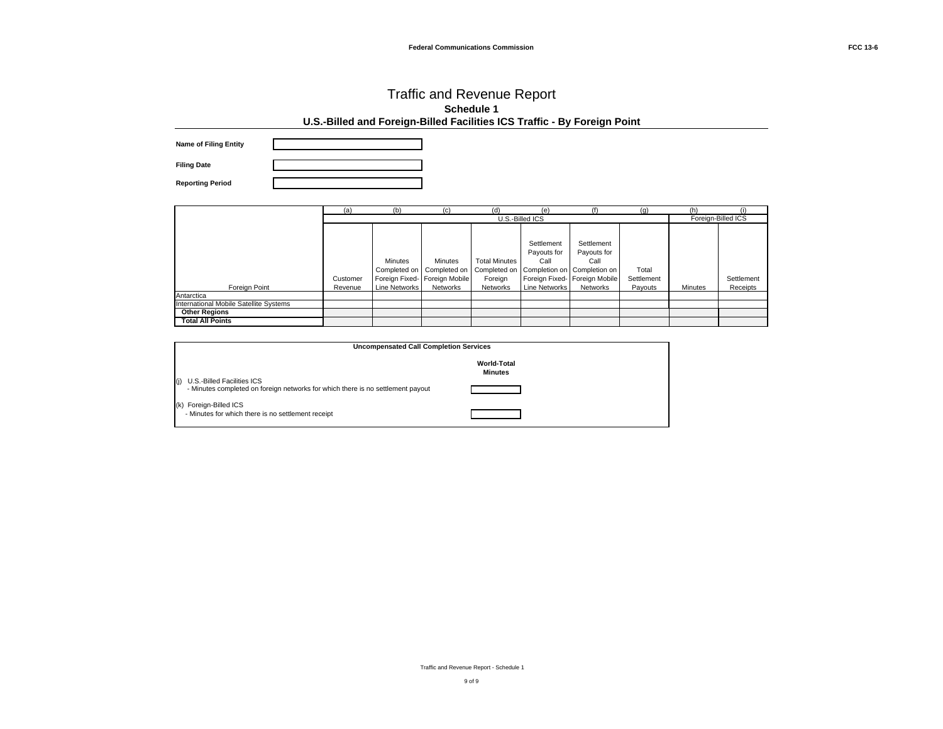| <b>Name of Filing Entity</b> |  |
|------------------------------|--|
| <b>Filing Date</b>           |  |
| <b>Reporting Period</b>      |  |

|                                        | (a)      | (b)            | (c)                                                                                                                    | (d)                             | (e)                               |                                                                    | (q)                 | (h)     | (i)                |
|----------------------------------------|----------|----------------|------------------------------------------------------------------------------------------------------------------------|---------------------------------|-----------------------------------|--------------------------------------------------------------------|---------------------|---------|--------------------|
|                                        |          |                |                                                                                                                        |                                 | U.S.-Billed ICS                   |                                                                    |                     |         | Foreign-Billed ICS |
|                                        | Customer | <b>Minutes</b> | Minutes<br>Completed on   Completed on   Completed on   Completion on   Completion on<br>Foreign Fixed- Foreign Mobile | <b>Total Minutes</b><br>Foreian | Settlement<br>Payouts for<br>Call | Settlement<br>Payouts for<br>Call<br>Foreign Fixed- Foreign Mobile | Total<br>Settlement |         | Settlement         |
| Foreign Point                          | Revenue  | Line Networks  | Networks                                                                                                               | Networks                        | Line Networks                     | Networks                                                           | Pavouts             | Minutes | Receipts           |
| Antarctica                             |          |                |                                                                                                                        |                                 |                                   |                                                                    |                     |         |                    |
| International Mobile Satellite Systems |          |                |                                                                                                                        |                                 |                                   |                                                                    |                     |         |                    |
| <b>Other Regions</b>                   |          |                |                                                                                                                        |                                 |                                   |                                                                    |                     |         |                    |
| <b>Total All Points</b>                |          |                |                                                                                                                        |                                 |                                   |                                                                    |                     |         |                    |

| <b>Uncompensated Call Completion Services</b>                                                                        |  |  |  |  |  |
|----------------------------------------------------------------------------------------------------------------------|--|--|--|--|--|
| <b>World-Total</b><br><b>Minutes</b>                                                                                 |  |  |  |  |  |
| U.S.-Billed Facilities ICS<br>(i)<br>- Minutes completed on foreign networks for which there is no settlement payout |  |  |  |  |  |
| (k) Foreign-Billed ICS<br>- Minutes for which there is no settlement receipt                                         |  |  |  |  |  |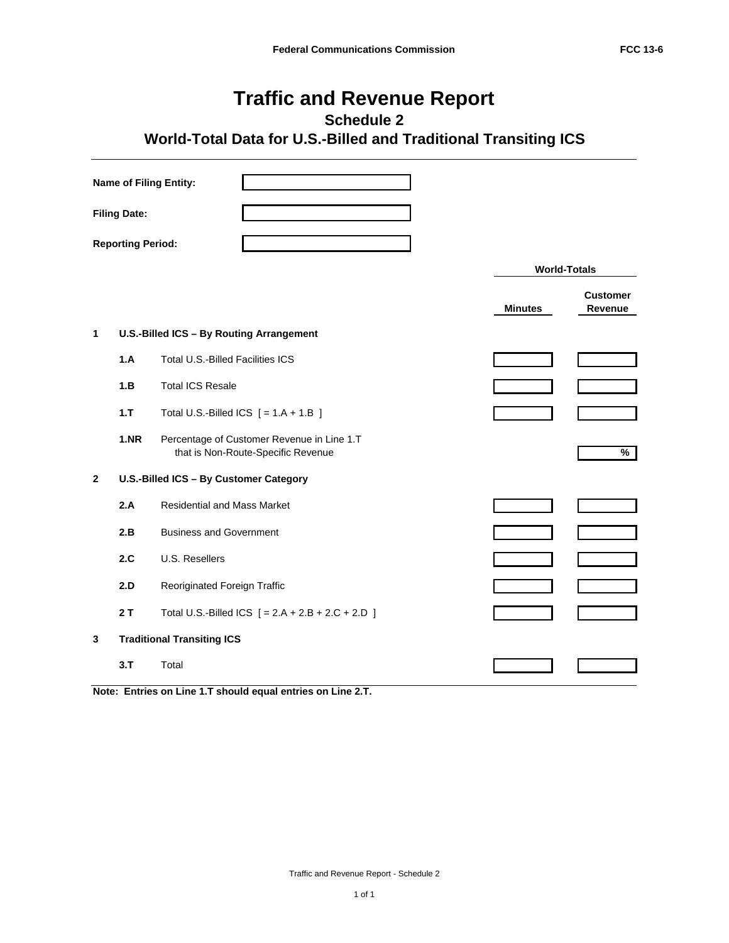## **Traffic and Revenue Report**

**Schedule 2**

## **World-Total Data for U.S.-Billed and Traditional Transiting ICS**

| <b>Name of Filing Entity:</b>                            |      |                                                                                  |                     |                            |  |
|----------------------------------------------------------|------|----------------------------------------------------------------------------------|---------------------|----------------------------|--|
| <b>Filing Date:</b>                                      |      |                                                                                  |                     |                            |  |
| <b>Reporting Period:</b>                                 |      |                                                                                  |                     |                            |  |
|                                                          |      |                                                                                  | <b>World-Totals</b> |                            |  |
|                                                          |      |                                                                                  | <b>Minutes</b>      | <b>Customer</b><br>Revenue |  |
| $\mathbf{1}$<br>U.S.-Billed ICS - By Routing Arrangement |      |                                                                                  |                     |                            |  |
|                                                          | 1.A  | Total U.S.-Billed Facilities ICS                                                 |                     |                            |  |
|                                                          | 1.B  | <b>Total ICS Resale</b>                                                          |                     |                            |  |
|                                                          | 1.7  | Total U.S.-Billed ICS $[ = 1.A + 1.B ]$                                          |                     |                            |  |
|                                                          | 1.NR | Percentage of Customer Revenue in Line 1.T<br>that is Non-Route-Specific Revenue |                     | %                          |  |
| $\mathbf{2}$                                             |      | U.S.-Billed ICS - By Customer Category                                           |                     |                            |  |
|                                                          | 2.A  | <b>Residential and Mass Market</b>                                               |                     |                            |  |
|                                                          | 2.B  | <b>Business and Government</b>                                                   |                     |                            |  |
|                                                          | 2.C  | U.S. Resellers                                                                   |                     |                            |  |
|                                                          | 2.D  | Reoriginated Foreign Traffic                                                     |                     |                            |  |
|                                                          | 2T   | Total U.S.-Billed ICS $[ = 2.A + 2.B + 2.C + 2.D ]$                              |                     |                            |  |
| <b>Traditional Transiting ICS</b><br>3                   |      |                                                                                  |                     |                            |  |
|                                                          | 3.7  | Total                                                                            |                     |                            |  |

**Note: Entries on Line 1.T should equal entries on Line 2.T.**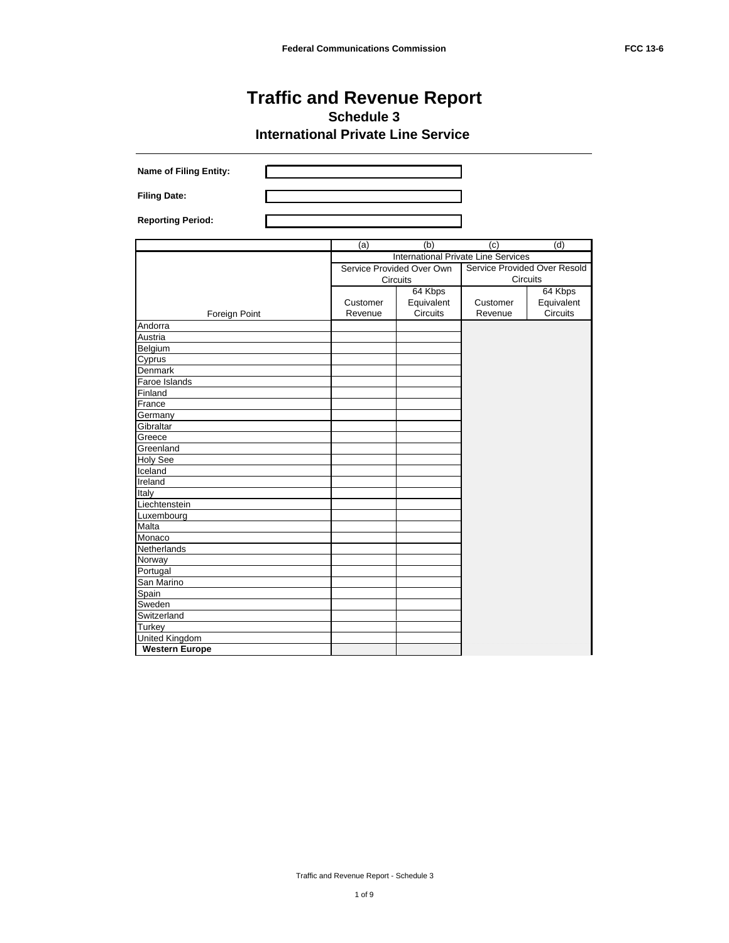| <b>Name of Filing Entity:</b> |          |                           |                                            |                              |
|-------------------------------|----------|---------------------------|--------------------------------------------|------------------------------|
| <b>Filing Date:</b>           |          |                           |                                            |                              |
| <b>Reporting Period:</b>      |          |                           |                                            |                              |
|                               | (a)      | (b)                       | (c)                                        | (d)                          |
|                               |          |                           | <b>International Private Line Services</b> |                              |
|                               |          | Service Provided Over Own |                                            | Service Provided Over Resold |
|                               |          | Circuits                  |                                            | Circuits                     |
|                               |          | 64 Kbps                   |                                            | 64 Kbps                      |
|                               | Customer | Equivalent                | Customer                                   | Equivalent                   |
| Foreign Point                 | Revenue  | <b>Circuits</b>           | Revenue                                    | Circuits                     |
| Andorra                       |          |                           |                                            |                              |
| Austria                       |          |                           |                                            |                              |
| Belgium                       |          |                           |                                            |                              |
| Cyprus                        |          |                           |                                            |                              |
| Denmark                       |          |                           |                                            |                              |
| Faroe Islands                 |          |                           |                                            |                              |
| Finland                       |          |                           |                                            |                              |
| France                        |          |                           |                                            |                              |
| Germany                       |          |                           |                                            |                              |
| Gibraltar                     |          |                           |                                            |                              |
| Greece                        |          |                           |                                            |                              |
| Greenland                     |          |                           |                                            |                              |
| <b>Holy See</b>               |          |                           |                                            |                              |
| Iceland                       |          |                           |                                            |                              |
| Ireland                       |          |                           |                                            |                              |
| Italy                         |          |                           |                                            |                              |
| Liechtenstein                 |          |                           |                                            |                              |
| Luxembourg                    |          |                           |                                            |                              |
| Malta                         |          |                           |                                            |                              |
| Monaco                        |          |                           |                                            |                              |
| Netherlands                   |          |                           |                                            |                              |
| Norway                        |          |                           |                                            |                              |
| Portugal                      |          |                           |                                            |                              |
| San Marino                    |          |                           |                                            |                              |
| Spain                         |          |                           |                                            |                              |
| Sweden                        |          |                           |                                            |                              |
| Switzerland<br>Turkey         |          |                           |                                            |                              |
| <b>United Kingdom</b>         |          |                           |                                            |                              |
| <b>Western Europe</b>         |          |                           |                                            |                              |
|                               |          |                           |                                            |                              |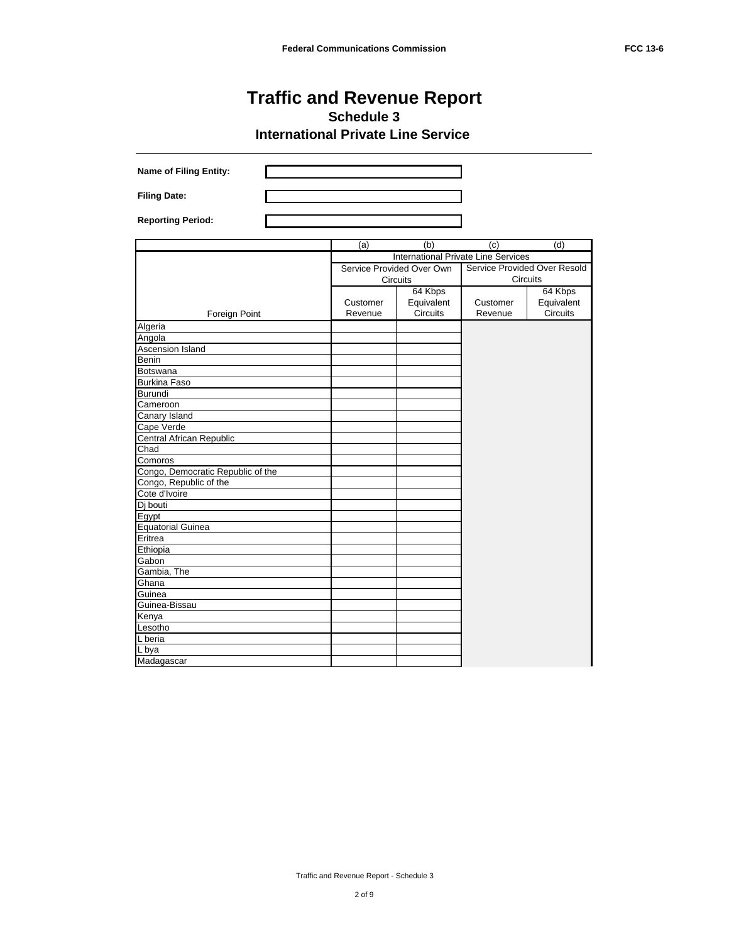| <b>Name of Filing Entity:</b>     |          |                           |                                            |                              |
|-----------------------------------|----------|---------------------------|--------------------------------------------|------------------------------|
| <b>Filing Date:</b>               |          |                           |                                            |                              |
| <b>Reporting Period:</b>          |          |                           |                                            |                              |
|                                   | (a)      | (b)                       | (c)                                        | (d)                          |
|                                   |          |                           | <b>International Private Line Services</b> |                              |
|                                   |          | Service Provided Over Own |                                            | Service Provided Over Resold |
|                                   |          | Circuits                  |                                            | <b>Circuits</b>              |
|                                   |          | 64 Kbps                   |                                            | 64 Kbps                      |
|                                   | Customer | Equivalent                | Customer                                   | Equivalent                   |
| Foreign Point                     | Revenue  | Circuits                  | Revenue                                    | <b>Circuits</b>              |
| Algeria                           |          |                           |                                            |                              |
| Angola                            |          |                           |                                            |                              |
| Ascension Island                  |          |                           |                                            |                              |
| Benin                             |          |                           |                                            |                              |
| Botswana                          |          |                           |                                            |                              |
| <b>Burkina Faso</b>               |          |                           |                                            |                              |
| <b>Burundi</b>                    |          |                           |                                            |                              |
| Cameroon                          |          |                           |                                            |                              |
| Canary Island                     |          |                           |                                            |                              |
| Cape Verde                        |          |                           |                                            |                              |
| Central African Republic          |          |                           |                                            |                              |
| Chad                              |          |                           |                                            |                              |
| Comoros                           |          |                           |                                            |                              |
| Congo, Democratic Republic of the |          |                           |                                            |                              |
| Congo, Republic of the            |          |                           |                                            |                              |
| Cote d'Ivoire                     |          |                           |                                            |                              |
| Dj bouti                          |          |                           |                                            |                              |
| Egypt                             |          |                           |                                            |                              |
| <b>Equatorial Guinea</b>          |          |                           |                                            |                              |
| Eritrea                           |          |                           |                                            |                              |
| Ethiopia                          |          |                           |                                            |                              |
| Gabon                             |          |                           |                                            |                              |
| Gambia, The                       |          |                           |                                            |                              |
| Ghana                             |          |                           |                                            |                              |
| Guinea                            |          |                           |                                            |                              |
| Guinea-Bissau                     |          |                           |                                            |                              |
| Kenya                             |          |                           |                                            |                              |
| Lesotho                           |          |                           |                                            |                              |
| L beria                           |          |                           |                                            |                              |
| L bya                             |          |                           |                                            |                              |
| Madagascar                        |          |                           |                                            |                              |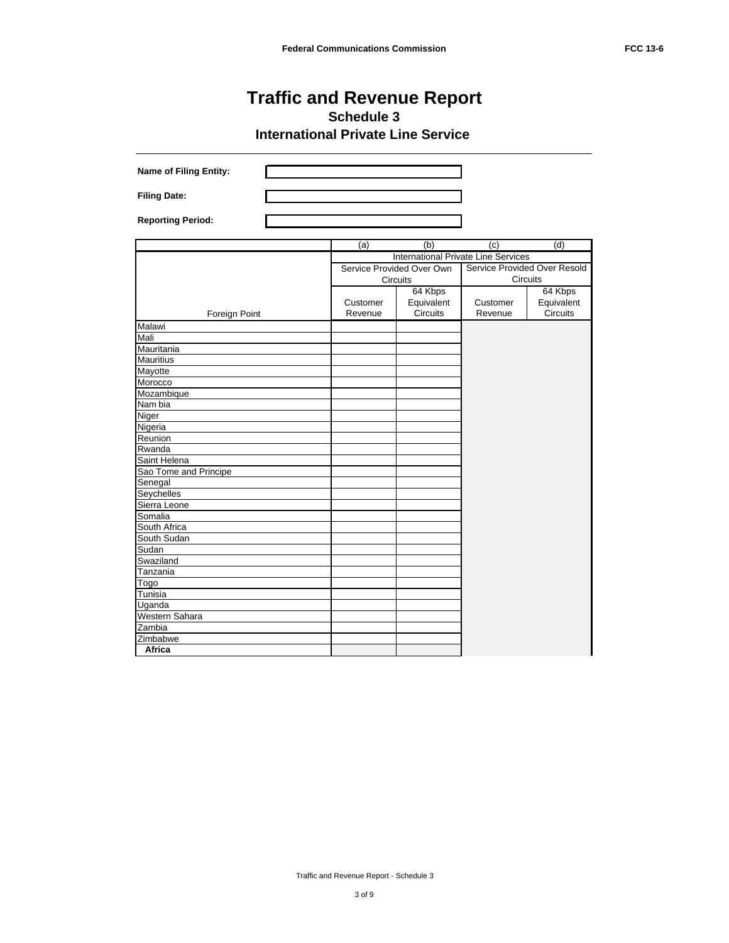| <b>Name of Filing Entity:</b> |          |                                            |          |                              |
|-------------------------------|----------|--------------------------------------------|----------|------------------------------|
| <b>Filing Date:</b>           |          |                                            |          |                              |
| <b>Reporting Period:</b>      |          |                                            |          |                              |
|                               | (a)      | (b)                                        | (c)      | (d)                          |
|                               |          | <b>International Private Line Services</b> |          |                              |
|                               |          | Service Provided Over Own                  |          | Service Provided Over Resold |
|                               |          | Circuits                                   |          | Circuits                     |
|                               |          | 64 Kbps                                    |          | 64 Kbps                      |
|                               | Customer | Equivalent                                 | Customer | Equivalent                   |
| Foreign Point                 | Revenue  | Circuits                                   | Revenue  | Circuits                     |
| Malawi                        |          |                                            |          |                              |
| Mali                          |          |                                            |          |                              |
| Mauritania                    |          |                                            |          |                              |
| <b>Mauritius</b>              |          |                                            |          |                              |
| Mayotte                       |          |                                            |          |                              |
| Morocco                       |          |                                            |          |                              |
| Mozambique                    |          |                                            |          |                              |
| Nam bia                       |          |                                            |          |                              |
| Niger                         |          |                                            |          |                              |
| Nigeria                       |          |                                            |          |                              |
| Reunion                       |          |                                            |          |                              |
| Rwanda                        |          |                                            |          |                              |
| Saint Helena                  |          |                                            |          |                              |
| Sao Tome and Principe         |          |                                            |          |                              |
| Senegal                       |          |                                            |          |                              |
| Seychelles                    |          |                                            |          |                              |
| Sierra Leone<br>Somalia       |          |                                            |          |                              |
| South Africa                  |          |                                            |          |                              |
| South Sudan                   |          |                                            |          |                              |
| Sudan                         |          |                                            |          |                              |
| Swaziland                     |          |                                            |          |                              |
| Tanzania                      |          |                                            |          |                              |
| Togo                          |          |                                            |          |                              |
| Tunisia                       |          |                                            |          |                              |
| Uganda                        |          |                                            |          |                              |
| Western Sahara                |          |                                            |          |                              |
| Zambia                        |          |                                            |          |                              |
| Zimbabwe                      |          |                                            |          |                              |
| Africa                        |          |                                            |          |                              |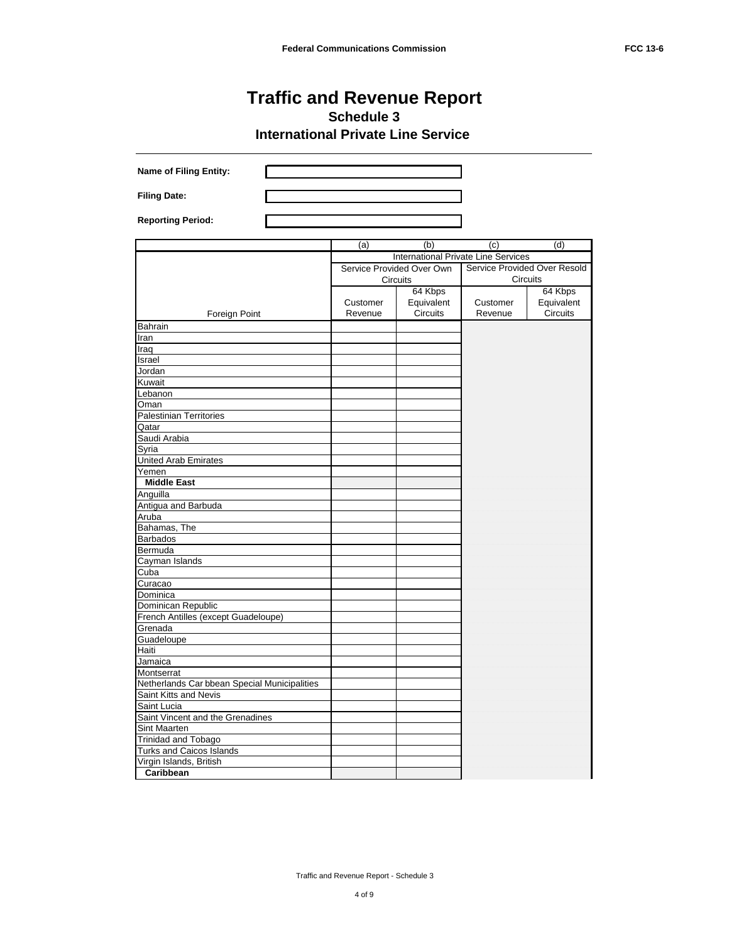| <b>Name of Filing Entity:</b>                  |          |                                            |          |                              |
|------------------------------------------------|----------|--------------------------------------------|----------|------------------------------|
| <b>Filing Date:</b>                            |          |                                            |          |                              |
|                                                |          |                                            |          |                              |
| <b>Reporting Period:</b>                       |          |                                            |          |                              |
|                                                | (a)      | (b)                                        | (c)      | (d)                          |
|                                                |          | <b>International Private Line Services</b> |          |                              |
|                                                |          | Service Provided Over Own                  |          | Service Provided Over Resold |
|                                                |          | Circuits                                   |          | Circuits                     |
|                                                |          | 64 Kbps                                    |          | 64 Kbps                      |
|                                                | Customer | Equivalent                                 | Customer | Equivalent                   |
| Foreign Point                                  | Revenue  | Circuits                                   | Revenue  | <b>Circuits</b>              |
| Bahrain                                        |          |                                            |          |                              |
| Iran                                           |          |                                            |          |                              |
| Iraq                                           |          |                                            |          |                              |
| Israel                                         |          |                                            |          |                              |
| Jordan                                         |          |                                            |          |                              |
| Kuwait                                         |          |                                            |          |                              |
| Lebanon                                        |          |                                            |          |                              |
| Oman                                           |          |                                            |          |                              |
| Palestinian Territories                        |          |                                            |          |                              |
| Qatar                                          |          |                                            |          |                              |
| Saudi Arabia                                   |          |                                            |          |                              |
| Syria                                          |          |                                            |          |                              |
| United Arab Emirates                           |          |                                            |          |                              |
| Yemen                                          |          |                                            |          |                              |
| <b>Middle East</b>                             |          |                                            |          |                              |
| Anguilla                                       |          |                                            |          |                              |
| Antigua and Barbuda                            |          |                                            |          |                              |
| Aruba                                          |          |                                            |          |                              |
| Bahamas, The                                   |          |                                            |          |                              |
| <b>Barbados</b>                                |          |                                            |          |                              |
| Bermuda                                        |          |                                            |          |                              |
| Cayman Islands                                 |          |                                            |          |                              |
| Cuba                                           |          |                                            |          |                              |
| Curacao                                        |          |                                            |          |                              |
| Dominica                                       |          |                                            |          |                              |
| Dominican Republic                             |          |                                            |          |                              |
| French Antilles (except Guadeloupe)<br>Grenada |          |                                            |          |                              |
|                                                |          |                                            |          |                              |
| Guadeloupe<br>Haiti                            |          |                                            |          |                              |
| Jamaica                                        |          |                                            |          |                              |
| Montserrat                                     |          |                                            |          |                              |
| Netherlands Car bbean Special Municipalities   |          |                                            |          |                              |
| Saint Kitts and Nevis                          |          |                                            |          |                              |
| Saint Lucia                                    |          |                                            |          |                              |
| Saint Vincent and the Grenadines               |          |                                            |          |                              |
| Sint Maarten                                   |          |                                            |          |                              |
| Trinidad and Tobago                            |          |                                            |          |                              |
| Turks and Caicos Islands                       |          |                                            |          |                              |
| Virgin Islands, British                        |          |                                            |          |                              |
| Caribbean                                      |          |                                            |          |                              |
|                                                |          |                                            |          |                              |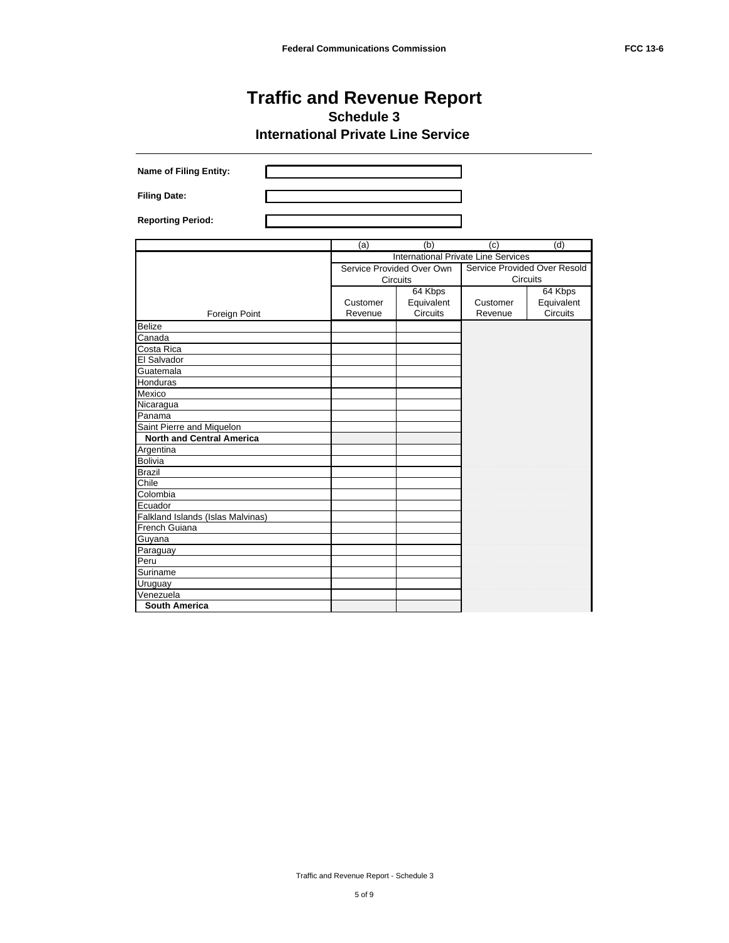| <b>Name of Filing Entity:</b>     |          |                                     |          |                              |
|-----------------------------------|----------|-------------------------------------|----------|------------------------------|
| <b>Filing Date:</b>               |          |                                     |          |                              |
| <b>Reporting Period:</b>          |          |                                     |          |                              |
|                                   | (a)      | (b)                                 | (c)      | (d)                          |
|                                   |          | International Private Line Services |          |                              |
|                                   |          | Service Provided Over Own           |          | Service Provided Over Resold |
|                                   |          | <b>Circuits</b>                     |          | <b>Circuits</b>              |
|                                   |          | 64 Kbps                             |          | 64 Kbps                      |
|                                   | Customer | Equivalent                          | Customer | Equivalent                   |
| Foreign Point                     | Revenue  | <b>Circuits</b>                     | Revenue  | <b>Circuits</b>              |
| <b>Belize</b>                     |          |                                     |          |                              |
| Canada                            |          |                                     |          |                              |
| Costa Rica                        |          |                                     |          |                              |
| El Salvador                       |          |                                     |          |                              |
| Guatemala                         |          |                                     |          |                              |
| Honduras                          |          |                                     |          |                              |
| Mexico                            |          |                                     |          |                              |
| Nicaragua                         |          |                                     |          |                              |
| Panama                            |          |                                     |          |                              |
| Saint Pierre and Miquelon         |          |                                     |          |                              |
| <b>North and Central America</b>  |          |                                     |          |                              |
| Argentina                         |          |                                     |          |                              |
| <b>Bolivia</b>                    |          |                                     |          |                              |
| <b>Brazil</b>                     |          |                                     |          |                              |
| Chile                             |          |                                     |          |                              |
| Colombia<br>Ecuador               |          |                                     |          |                              |
| Falkland Islands (Islas Malvinas) |          |                                     |          |                              |
| French Guiana                     |          |                                     |          |                              |
| Guyana                            |          |                                     |          |                              |
| Paraguay                          |          |                                     |          |                              |
| Peru                              |          |                                     |          |                              |
| Suriname                          |          |                                     |          |                              |
| Uruguay                           |          |                                     |          |                              |
| Venezuela                         |          |                                     |          |                              |
| <b>South America</b>              |          |                                     |          |                              |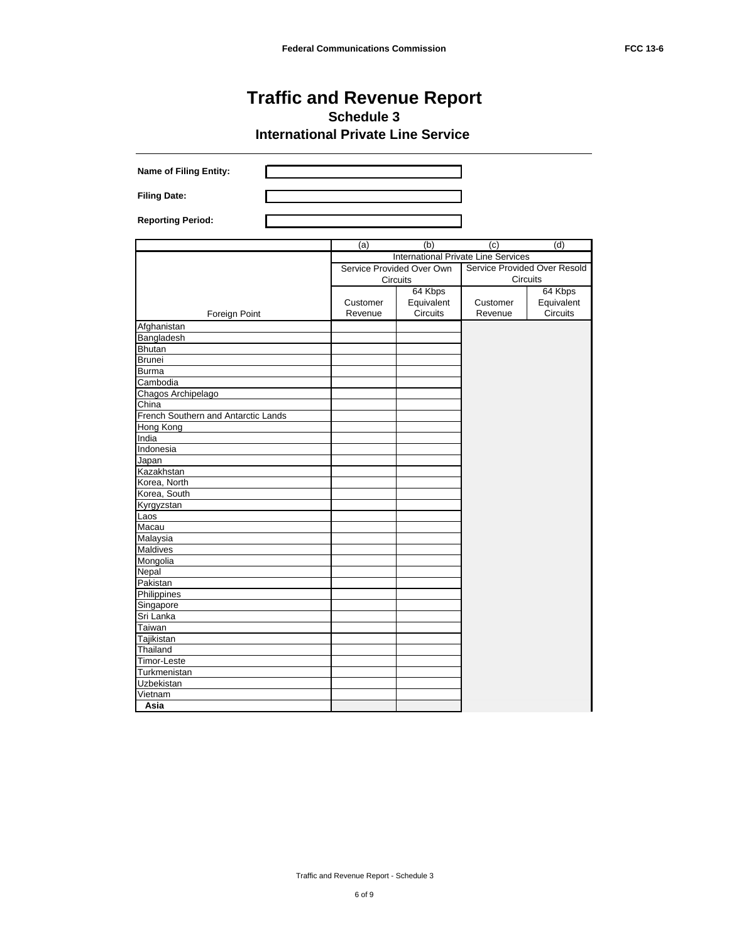| Name of Filing Entity:              |          |                                            |          |                              |
|-------------------------------------|----------|--------------------------------------------|----------|------------------------------|
| <b>Filing Date:</b>                 |          |                                            |          |                              |
| <b>Reporting Period:</b>            |          |                                            |          |                              |
|                                     | (a)      | (b)                                        | (c)      | (d)                          |
|                                     |          | <b>International Private Line Services</b> |          |                              |
|                                     |          | Service Provided Over Own                  |          | Service Provided Over Resold |
|                                     |          | Circuits                                   |          | Circuits                     |
|                                     |          | 64 Kbps                                    |          | 64 Kbps                      |
|                                     | Customer | Equivalent                                 | Customer | Equivalent                   |
| Foreign Point                       | Revenue  | Circuits                                   | Revenue  | Circuits                     |
| Afghanistan                         |          |                                            |          |                              |
| Bangladesh                          |          |                                            |          |                              |
| Bhutan                              |          |                                            |          |                              |
| <b>Brunei</b>                       |          |                                            |          |                              |
| <b>Burma</b>                        |          |                                            |          |                              |
| Cambodia                            |          |                                            |          |                              |
| Chagos Archipelago                  |          |                                            |          |                              |
| China                               |          |                                            |          |                              |
| French Southern and Antarctic Lands |          |                                            |          |                              |
| Hong Kong                           |          |                                            |          |                              |
| India                               |          |                                            |          |                              |
| Indonesia                           |          |                                            |          |                              |
| Japan                               |          |                                            |          |                              |
| Kazakhstan                          |          |                                            |          |                              |
| Korea, North                        |          |                                            |          |                              |
| Korea, South                        |          |                                            |          |                              |
| Kyrgyzstan                          |          |                                            |          |                              |
| Laos                                |          |                                            |          |                              |
| Macau                               |          |                                            |          |                              |
| Malaysia                            |          |                                            |          |                              |
| Maldives                            |          |                                            |          |                              |
| Mongolia                            |          |                                            |          |                              |
| Nepal                               |          |                                            |          |                              |
| Pakistan                            |          |                                            |          |                              |
| Philippines                         |          |                                            |          |                              |
| Singapore                           |          |                                            |          |                              |
| Sri Lanka                           |          |                                            |          |                              |
| Taiwan                              |          |                                            |          |                              |
| Tajikistan                          |          |                                            |          |                              |
| Thailand                            |          |                                            |          |                              |
| Timor-Leste                         |          |                                            |          |                              |
| Turkmenistan                        |          |                                            |          |                              |
| Uzbekistan                          |          |                                            |          |                              |
| Vietnam                             |          |                                            |          |                              |
| Asia                                |          |                                            |          |                              |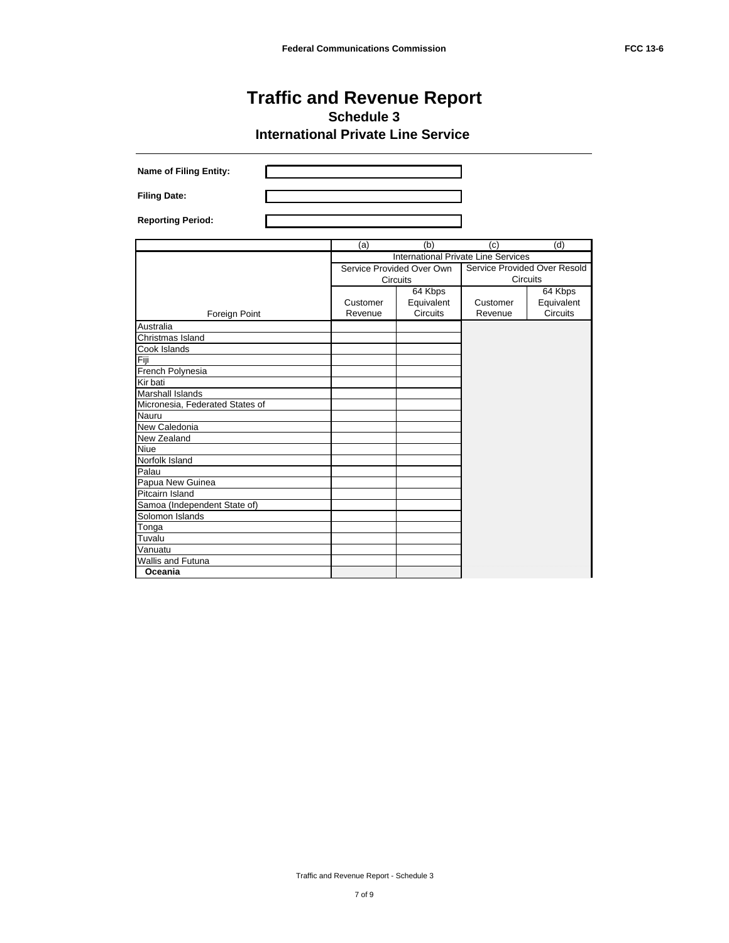| <b>Name of Filing Entity:</b>   |                     |                                          |                                            |                                          |
|---------------------------------|---------------------|------------------------------------------|--------------------------------------------|------------------------------------------|
| <b>Filing Date:</b>             |                     |                                          |                                            |                                          |
| <b>Reporting Period:</b>        |                     |                                          |                                            |                                          |
|                                 | (a)                 | (b)                                      | (c)                                        | (d)                                      |
|                                 |                     |                                          | <b>International Private Line Services</b> |                                          |
|                                 |                     | Service Provided Over Own<br>Circuits    |                                            | Service Provided Over Resold<br>Circuits |
| Foreign Point                   | Customer<br>Revenue | 64 Kbps<br>Equivalent<br><b>Circuits</b> | Customer<br>Revenue                        | 64 Kbps<br>Equivalent<br><b>Circuits</b> |
| Australia                       |                     |                                          |                                            |                                          |
| Christmas Island                |                     |                                          |                                            |                                          |
| Cook Islands                    |                     |                                          |                                            |                                          |
| Fiji                            |                     |                                          |                                            |                                          |
| French Polynesia                |                     |                                          |                                            |                                          |
| Kir bati                        |                     |                                          |                                            |                                          |
| <b>Marshall Islands</b>         |                     |                                          |                                            |                                          |
| Micronesia, Federated States of |                     |                                          |                                            |                                          |
| Nauru                           |                     |                                          |                                            |                                          |
| New Caledonia                   |                     |                                          |                                            |                                          |
| New Zealand                     |                     |                                          |                                            |                                          |
| Niue<br>Norfolk Island          |                     |                                          |                                            |                                          |
| Palau                           |                     |                                          |                                            |                                          |
| Papua New Guinea                |                     |                                          |                                            |                                          |
| Pitcairn Island                 |                     |                                          |                                            |                                          |
| Samoa (Independent State of)    |                     |                                          |                                            |                                          |
| Solomon Islands                 |                     |                                          |                                            |                                          |
| Tonga                           |                     |                                          |                                            |                                          |
| Tuvalu                          |                     |                                          |                                            |                                          |
| Vanuatu                         |                     |                                          |                                            |                                          |
| <b>Wallis and Futuna</b>        |                     |                                          |                                            |                                          |
| Oceania                         |                     |                                          |                                            |                                          |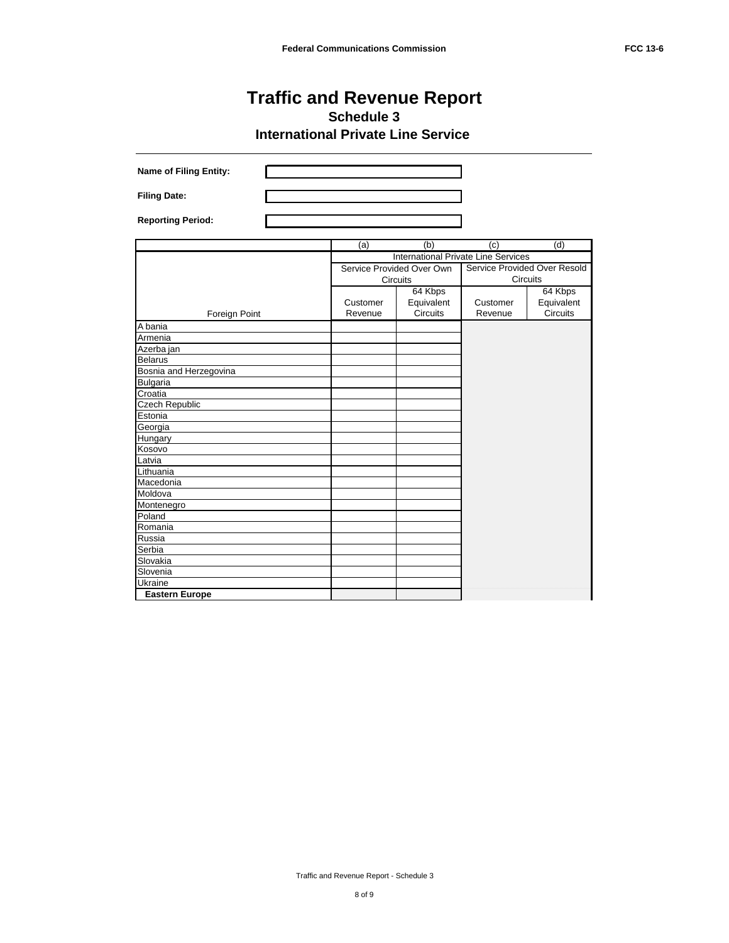| <b>Name of Filing Entity:</b> |          |                                     |          |                              |
|-------------------------------|----------|-------------------------------------|----------|------------------------------|
| <b>Filing Date:</b>           |          |                                     |          |                              |
| <b>Reporting Period:</b>      |          |                                     |          |                              |
|                               | (a)      | (b)                                 | (c)      | (d)                          |
|                               |          | International Private Line Services |          |                              |
|                               |          | Service Provided Over Own           |          | Service Provided Over Resold |
|                               |          | Circuits                            |          | Circuits                     |
|                               |          | 64 Kbps                             |          | 64 Kbps                      |
|                               | Customer | Equivalent                          | Customer | Equivalent                   |
| Foreign Point                 | Revenue  | Circuits                            | Revenue  | <b>Circuits</b>              |
| A bania                       |          |                                     |          |                              |
| Armenia                       |          |                                     |          |                              |
| Azerba jan                    |          |                                     |          |                              |
| <b>Belarus</b>                |          |                                     |          |                              |
| Bosnia and Herzegovina        |          |                                     |          |                              |
| <b>Bulgaria</b>               |          |                                     |          |                              |
| Croatia                       |          |                                     |          |                              |
| Czech Republic                |          |                                     |          |                              |
| Estonia                       |          |                                     |          |                              |
| Georgia                       |          |                                     |          |                              |
| Hungary                       |          |                                     |          |                              |
| Kosovo                        |          |                                     |          |                              |
| Latvia                        |          |                                     |          |                              |
| Lithuania<br>Macedonia        |          |                                     |          |                              |
| Moldova                       |          |                                     |          |                              |
| Montenegro                    |          |                                     |          |                              |
| Poland                        |          |                                     |          |                              |
| Romania                       |          |                                     |          |                              |
| Russia                        |          |                                     |          |                              |
| Serbia                        |          |                                     |          |                              |
| Slovakia                      |          |                                     |          |                              |
| Slovenia                      |          |                                     |          |                              |
| Ukraine                       |          |                                     |          |                              |
| <b>Eastern Europe</b>         |          |                                     |          |                              |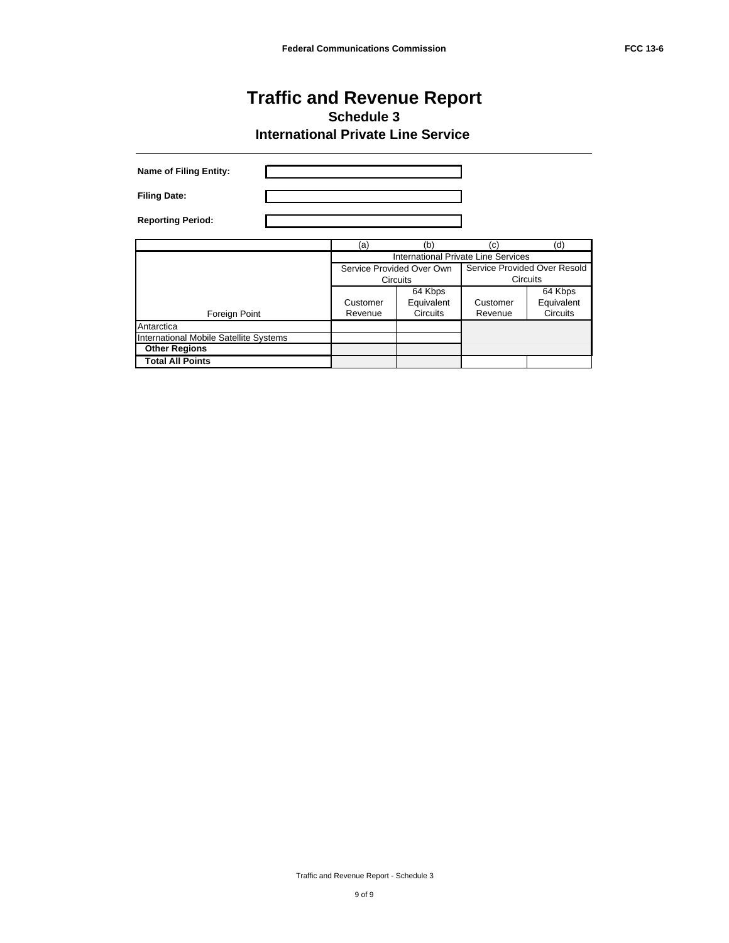| <b>Name of Filing Entity:</b>          |                     |                                            |                     |                                          |
|----------------------------------------|---------------------|--------------------------------------------|---------------------|------------------------------------------|
| <b>Filing Date:</b>                    |                     |                                            |                     |                                          |
| <b>Reporting Period:</b>               |                     |                                            |                     |                                          |
|                                        | (a)                 | (b)                                        | (c)                 | (d)                                      |
|                                        |                     | <b>International Private Line Services</b> |                     |                                          |
|                                        |                     | Service Provided Over Own<br>Circuits      |                     | Service Provided Over Resold<br>Circuits |
| Foreign Point                          | Customer<br>Revenue | 64 Kbps<br>Equivalent<br>Circuits          | Customer<br>Revenue | 64 Kbps<br>Equivalent<br>Circuits        |
| Antarctica                             |                     |                                            |                     |                                          |
| International Mobile Satellite Systems |                     |                                            |                     |                                          |
| <b>Other Regions</b>                   |                     |                                            |                     |                                          |
| <b>Total All Points</b>                |                     |                                            |                     |                                          |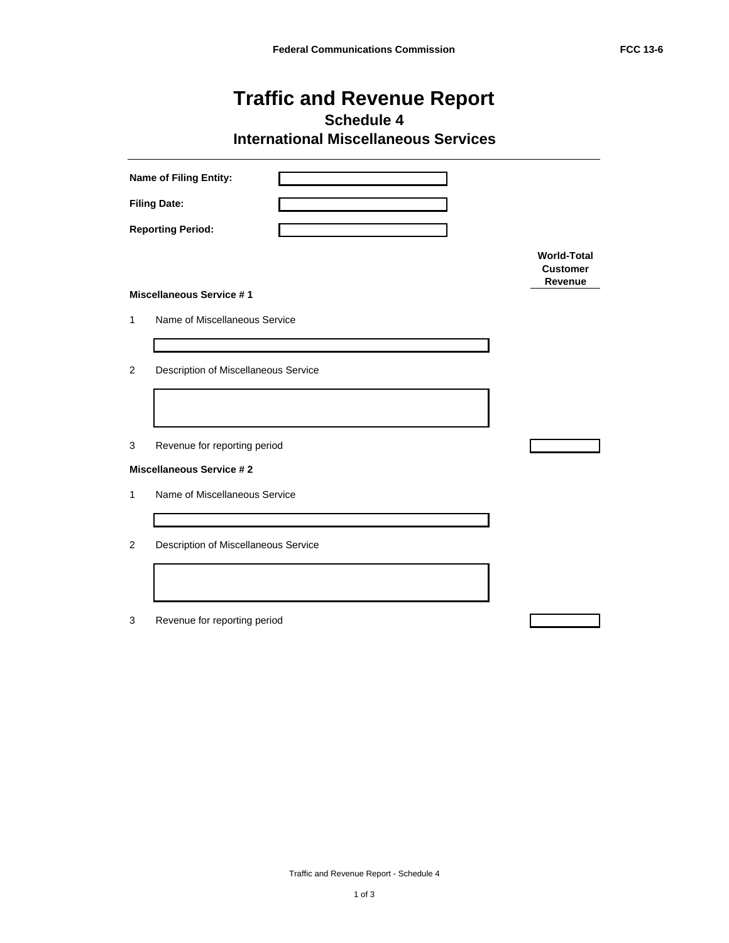**Schedule 4**

**International Miscellaneous Services**

|                | <b>Name of Filing Entity:</b>        |                                                  |
|----------------|--------------------------------------|--------------------------------------------------|
|                | <b>Filing Date:</b>                  |                                                  |
|                | <b>Reporting Period:</b>             |                                                  |
|                |                                      | <b>World-Total</b><br><b>Customer</b><br>Revenue |
|                | <b>Miscellaneous Service #1</b>      |                                                  |
| 1              | Name of Miscellaneous Service        |                                                  |
|                |                                      |                                                  |
| 2              | Description of Miscellaneous Service |                                                  |
|                |                                      |                                                  |
| 3              | Revenue for reporting period         |                                                  |
|                | <b>Miscellaneous Service #2</b>      |                                                  |
| 1              | Name of Miscellaneous Service        |                                                  |
|                |                                      |                                                  |
| $\overline{c}$ | Description of Miscellaneous Service |                                                  |
|                |                                      |                                                  |
| 3              | Revenue for reporting period         |                                                  |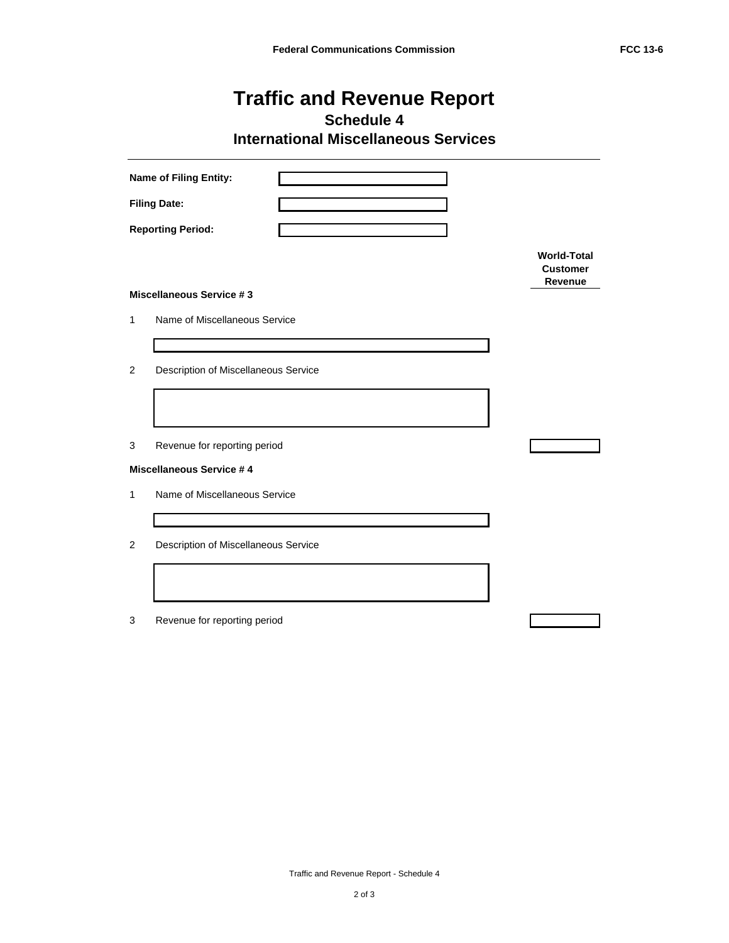**Schedule 4**

**International Miscellaneous Services**

|                | Name of Filing Entity:               |                                                  |
|----------------|--------------------------------------|--------------------------------------------------|
|                | <b>Filing Date:</b>                  |                                                  |
|                | <b>Reporting Period:</b>             |                                                  |
|                |                                      | <b>World-Total</b><br><b>Customer</b><br>Revenue |
|                | <b>Miscellaneous Service #3</b>      |                                                  |
| 1              | Name of Miscellaneous Service        |                                                  |
|                |                                      |                                                  |
| $\overline{2}$ | Description of Miscellaneous Service |                                                  |
|                |                                      |                                                  |
| 3              | Revenue for reporting period         |                                                  |
|                | <b>Miscellaneous Service #4</b>      |                                                  |
| 1              | Name of Miscellaneous Service        |                                                  |
|                |                                      |                                                  |
| 2              | Description of Miscellaneous Service |                                                  |
|                |                                      |                                                  |
| 3              | Revenue for reporting period         |                                                  |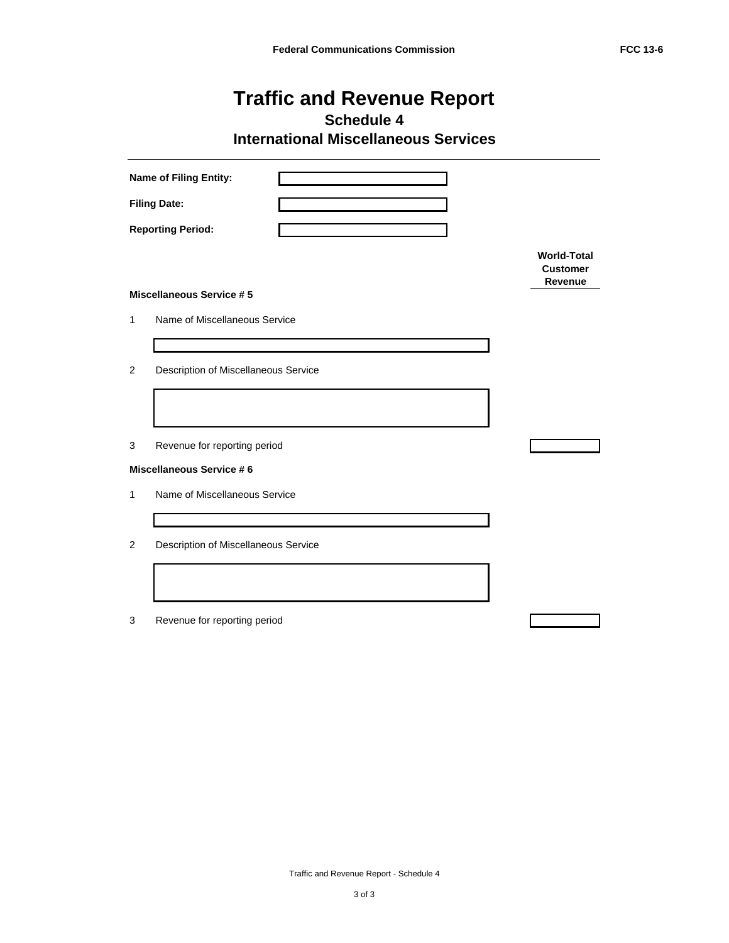**Schedule 4**

**International Miscellaneous Services**

|                | Name of Filing Entity:               |                                                  |
|----------------|--------------------------------------|--------------------------------------------------|
|                | <b>Filing Date:</b>                  |                                                  |
|                | <b>Reporting Period:</b>             |                                                  |
|                |                                      | <b>World-Total</b><br><b>Customer</b><br>Revenue |
|                | <b>Miscellaneous Service #5</b>      |                                                  |
| 1              | Name of Miscellaneous Service        |                                                  |
|                |                                      |                                                  |
| $\overline{2}$ | Description of Miscellaneous Service |                                                  |
|                |                                      |                                                  |
| 3              | Revenue for reporting period         |                                                  |
|                | <b>Miscellaneous Service #6</b>      |                                                  |
| 1              | Name of Miscellaneous Service        |                                                  |
|                |                                      |                                                  |
| 2              | Description of Miscellaneous Service |                                                  |
|                |                                      |                                                  |
| 3              | Revenue for reporting period         |                                                  |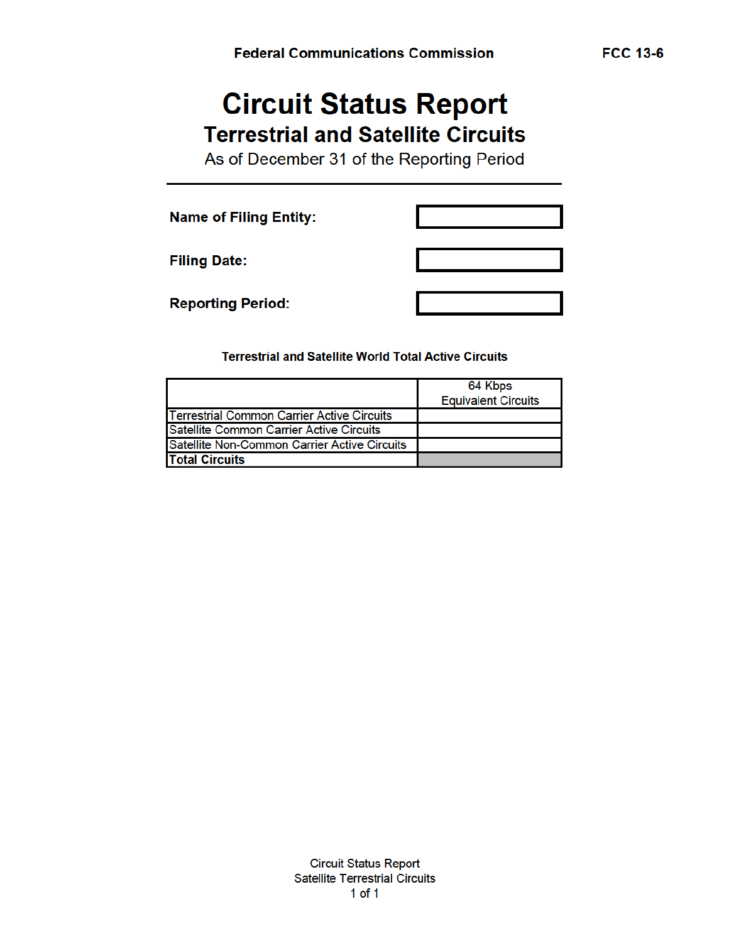# **Circuit Status Report Terrestrial and Satellite Circuits**

As of December 31 of the Reporting Period

**Name of Filing Entity:** 

**Filing Date:** 

**Reporting Period:** 

**Terrestrial and Satellite World Total Active Circuits** 

|                                                    | 64 Kbps<br><b>Equivalent Circuits</b> |
|----------------------------------------------------|---------------------------------------|
| <b>ITerrestrial Common Carrier Active Circuits</b> |                                       |
| <b>ISatellite Common Carrier Active Circuits</b>   |                                       |
| Satellite Non-Common Carrier Active Circuits       |                                       |
| <b>Total Circuits</b>                              |                                       |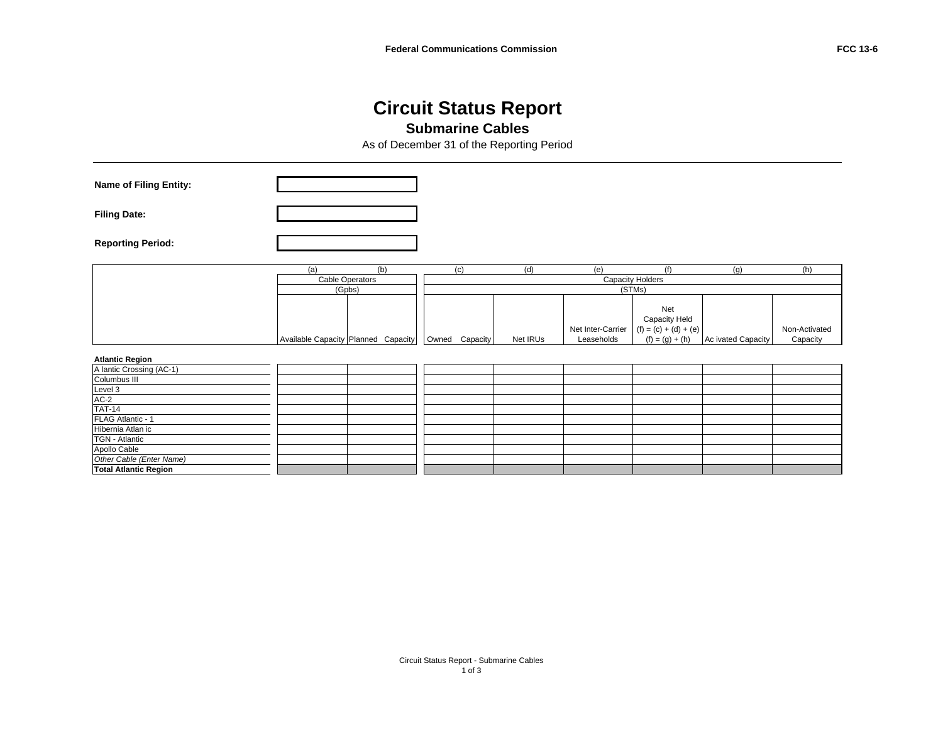#### **Circuit Status Report Submarine Cables**

As of December 31 of the Reporting Period

| <b>Name of Filing Entity:</b>                                                             |     |                                     |                |          |                                 |                                                                      |                    |                           |
|-------------------------------------------------------------------------------------------|-----|-------------------------------------|----------------|----------|---------------------------------|----------------------------------------------------------------------|--------------------|---------------------------|
| <b>Filing Date:</b>                                                                       |     |                                     |                |          |                                 |                                                                      |                    |                           |
| <b>Reporting Period:</b>                                                                  |     |                                     |                |          |                                 |                                                                      |                    |                           |
|                                                                                           | (a) | (b)                                 | (c)            | (d)      | (e)                             | (f)                                                                  | (g)                | (h)                       |
|                                                                                           |     | <b>Cable Operators</b>              |                |          | <b>Capacity Holders</b>         |                                                                      |                    |                           |
|                                                                                           |     | (Gpbs)                              |                |          | (STMs)                          |                                                                      |                    |                           |
|                                                                                           |     | Available Capacity Planned Capacity | Owned Capacity | Net IRUs | Net Inter-Carrier<br>Leaseholds | Net<br>Capacity Held<br>$(f) = (c) + (d) + (e)$<br>$(f) = (g) + (h)$ | Ac ivated Capacity | Non-Activated<br>Capacity |
| <b>Atlantic Region</b>                                                                    |     |                                     |                |          |                                 |                                                                      |                    |                           |
| Maintic Crossing (AC-1)<br>Columbus III<br>Level 3<br>AC-2<br>TAT-14<br>FLAG Atlantic - 1 |     |                                     |                |          |                                 |                                                                      |                    |                           |
|                                                                                           |     |                                     |                |          |                                 |                                                                      |                    |                           |
|                                                                                           |     |                                     |                |          |                                 |                                                                      |                    |                           |
|                                                                                           |     |                                     |                |          |                                 |                                                                      |                    |                           |
|                                                                                           |     |                                     |                |          |                                 |                                                                      |                    |                           |
| Hibernia Atlan ic                                                                         |     |                                     |                |          |                                 |                                                                      |                    |                           |
|                                                                                           |     |                                     |                |          |                                 |                                                                      |                    |                           |
| TGN - Atlantic<br>Apollo Cable                                                            |     |                                     |                |          |                                 |                                                                      |                    |                           |
|                                                                                           |     |                                     |                |          |                                 |                                                                      |                    |                           |
| Other Cable (Enter Name)<br>Total Atlantic Region                                         |     |                                     |                |          |                                 |                                                                      |                    |                           |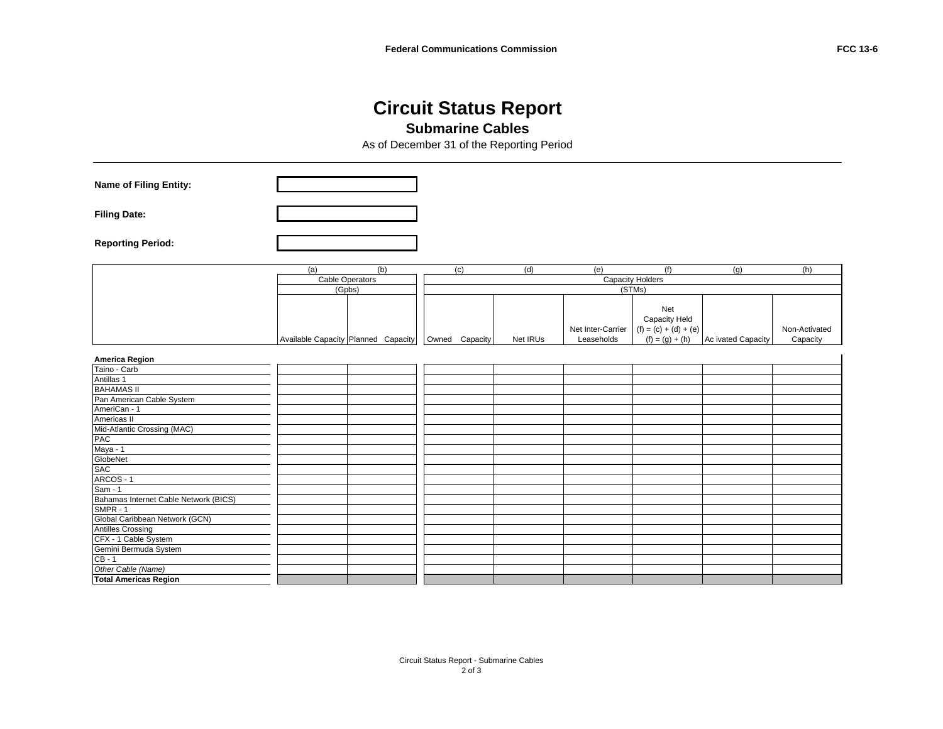#### **Circuit Status Report Submarine Cables**

As of December 31 of the Reporting Period

| Name of Filing Entity:                |        |                                     |                |          |                                 |                                                                      |                    |                           |
|---------------------------------------|--------|-------------------------------------|----------------|----------|---------------------------------|----------------------------------------------------------------------|--------------------|---------------------------|
| <b>Filing Date:</b>                   |        |                                     |                |          |                                 |                                                                      |                    |                           |
| <b>Reporting Period:</b>              |        |                                     |                |          |                                 |                                                                      |                    |                           |
|                                       | (a)    | (b)                                 | (c)            | (d)      | (e)                             | (f)                                                                  | (g)                | (h)                       |
|                                       |        | <b>Cable Operators</b>              |                |          |                                 | <b>Capacity Holders</b>                                              |                    |                           |
|                                       | (Gpbs) |                                     |                |          |                                 | (STMs)                                                               |                    |                           |
|                                       |        | Available Capacity Planned Capacity | Owned Capacity | Net IRUs | Net Inter-Carrier<br>Leaseholds | Net<br>Capacity Held<br>$(f) = (c) + (d) + (e)$<br>$(f) = (g) + (h)$ | Ac ivated Capacity | Non-Activated<br>Capacity |
| <b>America Region</b>                 |        |                                     |                |          |                                 |                                                                      |                    |                           |
| Taino - Carb                          |        |                                     |                |          |                                 |                                                                      |                    |                           |
| Antillas 1                            |        |                                     |                |          |                                 |                                                                      |                    |                           |
| <b>BAHAMAS II</b>                     |        |                                     |                |          |                                 |                                                                      |                    |                           |
| Pan American Cable System             |        |                                     |                |          |                                 |                                                                      |                    |                           |
| AmeriCan - 1                          |        |                                     |                |          |                                 |                                                                      |                    |                           |
| Americas II                           |        |                                     |                |          |                                 |                                                                      |                    |                           |
| Mid-Atlantic Crossing (MAC)           |        |                                     |                |          |                                 |                                                                      |                    |                           |
| PAC                                   |        |                                     |                |          |                                 |                                                                      |                    |                           |
| Maya - 1                              |        |                                     |                |          |                                 |                                                                      |                    |                           |
| GlobeNet                              |        |                                     |                |          |                                 |                                                                      |                    |                           |
| <b>SAC</b>                            |        |                                     |                |          |                                 |                                                                      |                    |                           |
| ARCOS - 1                             |        |                                     |                |          |                                 |                                                                      |                    |                           |
| $Sam - 1$                             |        |                                     |                |          |                                 |                                                                      |                    |                           |
| Bahamas Internet Cable Network (BICS) |        |                                     |                |          |                                 |                                                                      |                    |                           |
| SMPR - 1                              |        |                                     |                |          |                                 |                                                                      |                    |                           |
| Global Caribbean Network (GCN)        |        |                                     |                |          |                                 |                                                                      |                    |                           |
| <b>Antilles Crossing</b>              |        |                                     |                |          |                                 |                                                                      |                    |                           |
| CFX - 1 Cable System                  |        |                                     |                |          |                                 |                                                                      |                    |                           |
| Gemini Bermuda System                 |        |                                     |                |          |                                 |                                                                      |                    |                           |
| $CB - 1$                              |        |                                     |                |          |                                 |                                                                      |                    |                           |
| Other Cable (Name)                    |        |                                     |                |          |                                 |                                                                      |                    |                           |
| <b>Total Americas Region</b>          |        |                                     |                |          |                                 |                                                                      |                    |                           |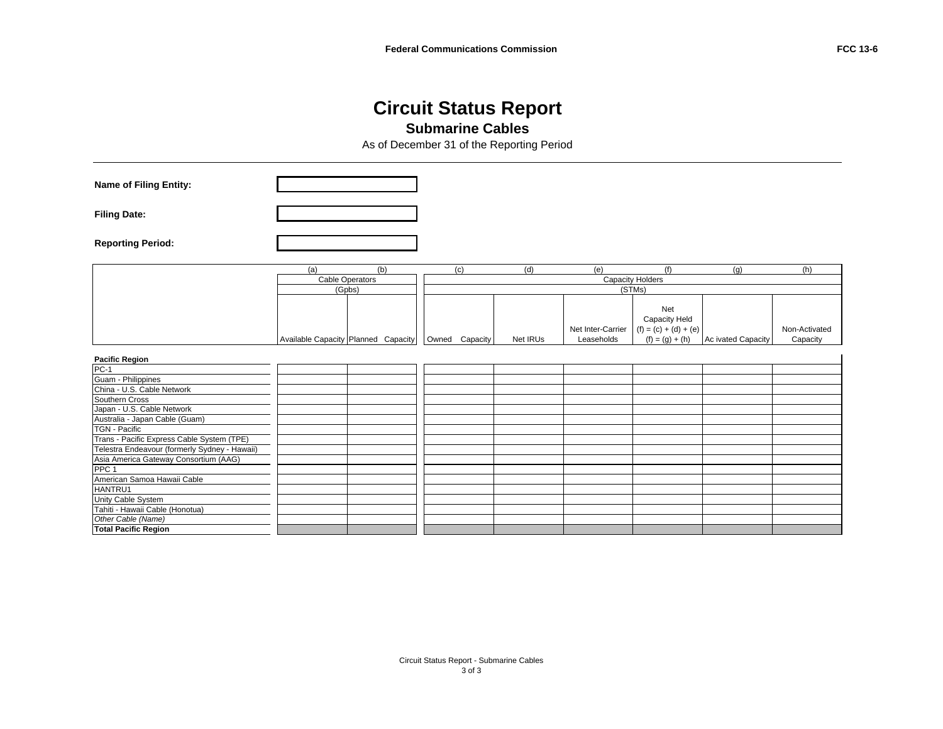#### **Circuit Status Report Submarine Cables**

As of December 31 of the Reporting Period

| <b>Name of Filing Entity:</b>                 |                        |                                     |                |          |                                 |                                                                      |                    |                           |
|-----------------------------------------------|------------------------|-------------------------------------|----------------|----------|---------------------------------|----------------------------------------------------------------------|--------------------|---------------------------|
| <b>Filing Date:</b>                           |                        |                                     |                |          |                                 |                                                                      |                    |                           |
| <b>Reporting Period:</b>                      |                        |                                     |                |          |                                 |                                                                      |                    |                           |
|                                               | (a)                    | (b)                                 | (c)            | (d)      | (e)                             | (f)                                                                  | (q)                | (h)                       |
|                                               | <b>Cable Operators</b> |                                     |                |          |                                 | <b>Capacity Holders</b>                                              |                    |                           |
|                                               | (Gpbs)                 |                                     |                |          |                                 | (STMs)                                                               |                    |                           |
|                                               |                        | Available Capacity Planned Capacity | Owned Capacity | Net IRUs | Net Inter-Carrier<br>Leaseholds | Net<br>Capacity Held<br>$(f) = (c) + (d) + (e)$<br>$(f) = (g) + (h)$ | Ac ivated Capacity | Non-Activated<br>Capacity |
| <b>Pacific Region</b>                         |                        |                                     |                |          |                                 |                                                                      |                    |                           |
| $PC-1$                                        |                        |                                     |                |          |                                 |                                                                      |                    |                           |
| Guam - Philippines                            |                        |                                     |                |          |                                 |                                                                      |                    |                           |
| China - U.S. Cable Network                    |                        |                                     |                |          |                                 |                                                                      |                    |                           |
| Southern Cross                                |                        |                                     |                |          |                                 |                                                                      |                    |                           |
| Japan - U.S. Cable Network                    |                        |                                     |                |          |                                 |                                                                      |                    |                           |
| Australia - Japan Cable (Guam)                |                        |                                     |                |          |                                 |                                                                      |                    |                           |
| <b>TGN - Pacific</b>                          |                        |                                     |                |          |                                 |                                                                      |                    |                           |
| Trans - Pacific Express Cable System (TPE)    |                        |                                     |                |          |                                 |                                                                      |                    |                           |
| Telestra Endeavour (formerly Sydney - Hawaii) |                        |                                     |                |          |                                 |                                                                      |                    |                           |
| Asia America Gateway Consortium (AAG)         |                        |                                     |                |          |                                 |                                                                      |                    |                           |
| PPC <sub>1</sub>                              |                        |                                     |                |          |                                 |                                                                      |                    |                           |
| American Samoa Hawaii Cable                   |                        |                                     |                |          |                                 |                                                                      |                    |                           |
| HANTRU1                                       |                        |                                     |                |          |                                 |                                                                      |                    |                           |
| Unity Cable System                            |                        |                                     |                |          |                                 |                                                                      |                    |                           |
| Tahiti - Hawaii Cable (Honotua)               |                        |                                     |                |          |                                 |                                                                      |                    |                           |
| Other Cable (Name)                            |                        |                                     |                |          |                                 |                                                                      |                    |                           |
| <b>Total Pacific Region</b>                   |                        |                                     |                |          |                                 |                                                                      |                    |                           |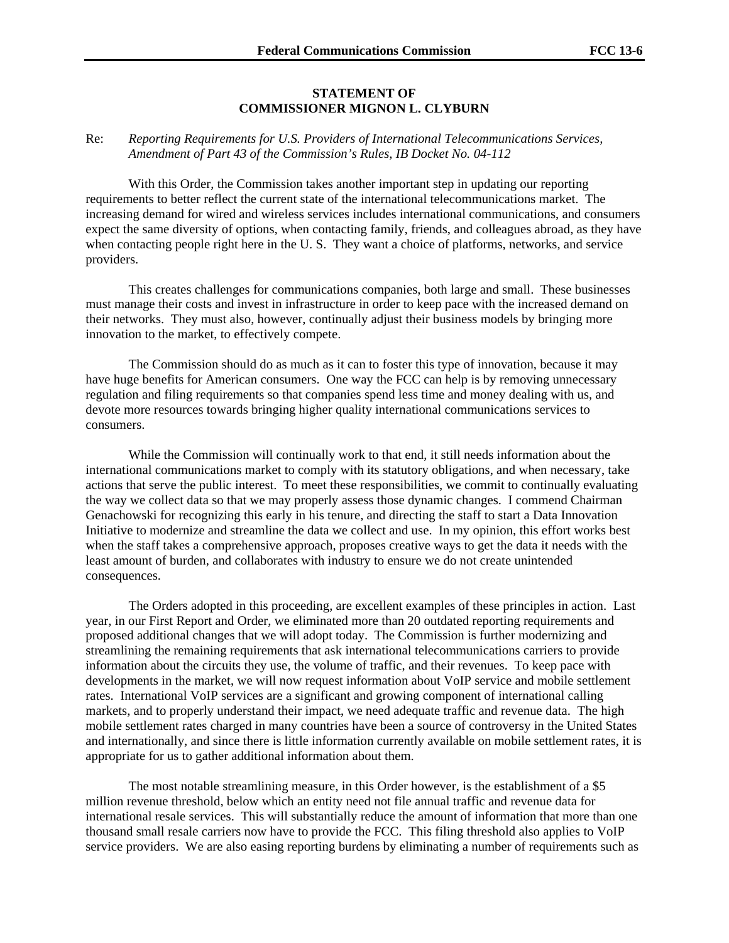#### **STATEMENT OF COMMISSIONER MIGNON L. CLYBURN**

#### Re: *Reporting Requirements for U.S. Providers of International Telecommunications Services, Amendment of Part 43 of the Commission's Rules, IB Docket No. 04-112*

With this Order, the Commission takes another important step in updating our reporting requirements to better reflect the current state of the international telecommunications market. The increasing demand for wired and wireless services includes international communications, and consumers expect the same diversity of options, when contacting family, friends, and colleagues abroad, as they have when contacting people right here in the U. S. They want a choice of platforms, networks, and service providers.

This creates challenges for communications companies, both large and small. These businesses must manage their costs and invest in infrastructure in order to keep pace with the increased demand on their networks. They must also, however, continually adjust their business models by bringing more innovation to the market, to effectively compete.

The Commission should do as much as it can to foster this type of innovation, because it may have huge benefits for American consumers. One way the FCC can help is by removing unnecessary regulation and filing requirements so that companies spend less time and money dealing with us, and devote more resources towards bringing higher quality international communications services to consumers.

While the Commission will continually work to that end, it still needs information about the international communications market to comply with its statutory obligations, and when necessary, take actions that serve the public interest. To meet these responsibilities, we commit to continually evaluating the way we collect data so that we may properly assess those dynamic changes. I commend Chairman Genachowski for recognizing this early in his tenure, and directing the staff to start a Data Innovation Initiative to modernize and streamline the data we collect and use. In my opinion, this effort works best when the staff takes a comprehensive approach, proposes creative ways to get the data it needs with the least amount of burden, and collaborates with industry to ensure we do not create unintended consequences.

The Orders adopted in this proceeding, are excellent examples of these principles in action. Last year, in our First Report and Order, we eliminated more than 20 outdated reporting requirements and proposed additional changes that we will adopt today. The Commission is further modernizing and streamlining the remaining requirements that ask international telecommunications carriers to provide information about the circuits they use, the volume of traffic, and their revenues. To keep pace with developments in the market, we will now request information about VoIP service and mobile settlement rates. International VoIP services are a significant and growing component of international calling markets, and to properly understand their impact, we need adequate traffic and revenue data. The high mobile settlement rates charged in many countries have been a source of controversy in the United States and internationally, and since there is little information currently available on mobile settlement rates, it is appropriate for us to gather additional information about them.

The most notable streamlining measure, in this Order however, is the establishment of a \$5 million revenue threshold, below which an entity need not file annual traffic and revenue data for international resale services. This will substantially reduce the amount of information that more than one thousand small resale carriers now have to provide the FCC. This filing threshold also applies to VoIP service providers. We are also easing reporting burdens by eliminating a number of requirements such as